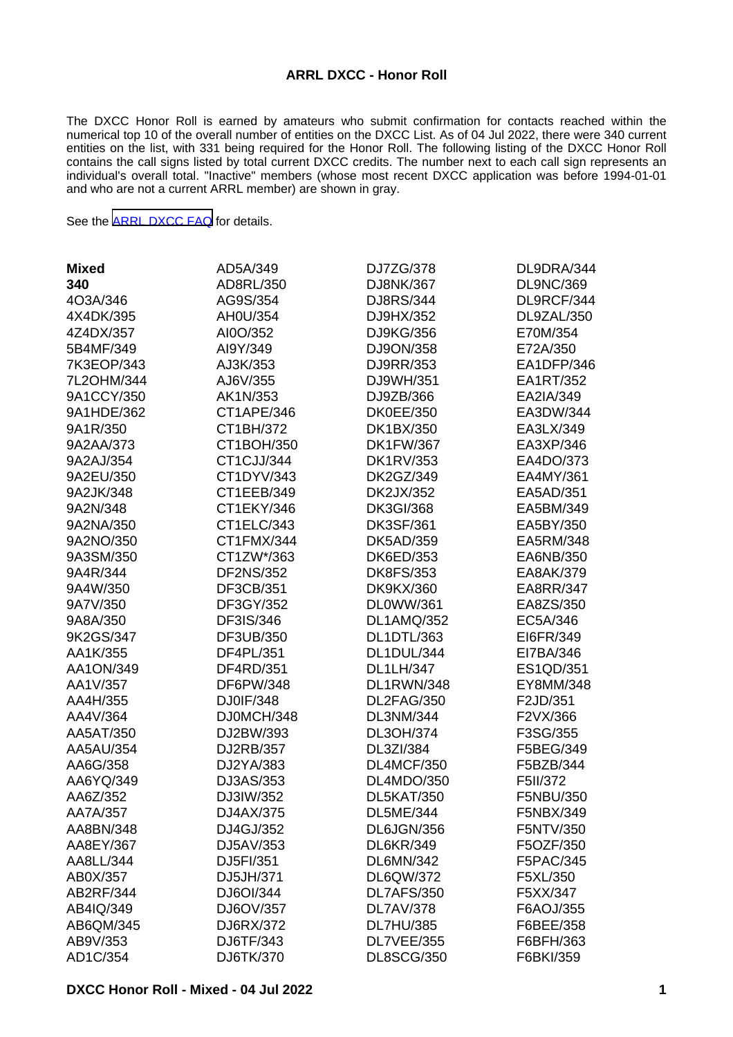#### **ARRL DXCC - Honor Roll**

The DXCC Honor Roll is earned by amateurs who submit confirmation for contacts reached within the numerical top 10 of the overall number of entities on the DXCC List. As of 04 Jul 2022, there were 340 current entities on the list, with 331 being required for the Honor Roll. The following listing of the DXCC Honor Roll contains the call signs listed by total current DXCC credits. The number next to each call sign represents an individual's overall total. "Inactive" members (whose most recent DXCC application was before 1994-01-01 and who are not a current ARRL member) are shown in gray.

See the [ARRL DXCC FAQ](http://www.arrl.org/dxcc-faq/) for details.

| <b>Mixed</b> | AD5A/349         | DJ7ZG/378         | DL9DRA/344       |
|--------------|------------------|-------------------|------------------|
| 340          | AD8RL/350        | DJ8NK/367         | <b>DL9NC/369</b> |
| 4O3A/346     | AG9S/354         | DJ8RS/344         | DL9RCF/344       |
| 4X4DK/395    | AH0U/354         | DJ9HX/352         | DL9ZAL/350       |
| 4Z4DX/357    | AI0O/352         | DJ9KG/356         | E70M/354         |
| 5B4MF/349    | AI9Y/349         | DJ9ON/358         | E72A/350         |
| 7K3EOP/343   | AJ3K/353         | DJ9RR/353         | EA1DFP/346       |
| 7L2OHM/344   | AJ6V/355         | DJ9WH/351         | EA1RT/352        |
| 9A1CCY/350   | AK1N/353         | DJ9ZB/366         | EA2IA/349        |
| 9A1HDE/362   | CT1APE/346       | <b>DK0EE/350</b>  | EA3DW/344        |
| 9A1R/350     | CT1BH/372        | DK1BX/350         | EA3LX/349        |
| 9A2AA/373    | CT1BOH/350       | <b>DK1FW/367</b>  | EA3XP/346        |
| 9A2AJ/354    | CT1CJJ/344       | <b>DK1RV/353</b>  | EA4DO/373        |
| 9A2EU/350    | CT1DYV/343       | DK2GZ/349         | EA4MY/361        |
| 9A2JK/348    | CT1EEB/349       | DK2JX/352         | EA5AD/351        |
| 9A2N/348     | CT1EKY/346       | <b>DK3GI/368</b>  | EA5BM/349        |
| 9A2NA/350    | CT1ELC/343       | <b>DK3SF/361</b>  | EA5BY/350        |
| 9A2NO/350    | CT1FMX/344       | DK5AD/359         | EA5RM/348        |
| 9A3SM/350    | CT1ZW*/363       | DK6ED/353         | EA6NB/350        |
| 9A4R/344     | <b>DF2NS/352</b> | <b>DK8FS/353</b>  | EA8AK/379        |
| 9A4W/350     | DF3CB/351        | <b>DK9KX/360</b>  | <b>EA8RR/347</b> |
| 9A7V/350     | DF3GY/352        | DL0WW/361         | EA8ZS/350        |
| 9A8A/350     | DF3IS/346        | <b>DL1AMQ/352</b> | EC5A/346         |
| 9K2GS/347    | DF3UB/350        | DL1DTL/363        | EI6FR/349        |
| AA1K/355     | DF4PL/351        | DL1DUL/344        | EI7BA/346        |
| AA1ON/349    | DF4RD/351        | <b>DL1LH/347</b>  | ES1QD/351        |
| AA1V/357     | DF6PW/348        | DL1RWN/348        | EY8MM/348        |
| AA4H/355     | DJ0IF/348        | DL2FAG/350        | F2JD/351         |
| AA4V/364     | DJ0MCH/348       | DL3NM/344         | F2VX/366         |
| AA5AT/350    | DJ2BW/393        | DL3OH/374         | F3SG/355         |
| AA5AU/354    | DJ2RB/357        | DL3ZI/384         | F5BEG/349        |
| AA6G/358     | DJ2YA/383        | DL4MCF/350        | F5BZB/344        |
| AA6YQ/349    | DJ3AS/353        | DL4MDO/350        | F5II/372         |
| AA6Z/352     | DJ3IW/352        | <b>DL5KAT/350</b> | F5NBU/350        |
| AA7A/357     | DJ4AX/375        | <b>DL5ME/344</b>  | F5NBX/349        |
| AA8BN/348    | DJ4GJ/352        | DL6JGN/356        | F5NTV/350        |
| AA8EY/367    | DJ5AV/353        | DL6KR/349         | F5OZF/350        |
| AA8LL/344    | DJ5FI/351        | DL6MN/342         | F5PAC/345        |
| AB0X/357     | DJ5JH/371        | DL6QW/372         | F5XL/350         |
| AB2RF/344    | DJ6OI/344        | DL7AFS/350        | F5XX/347         |
| AB4IQ/349    | DJ6OV/357        | <b>DL7AV/378</b>  | F6AOJ/355        |
| AB6QM/345    | DJ6RX/372        | <b>DL7HU/385</b>  | F6BEE/358        |
| AB9V/353     | DJ6TF/343        | DL7VEE/355        | F6BFH/363        |
| AD1C/354     | DJ6TK/370        | <b>DL8SCG/350</b> | F6BKI/359        |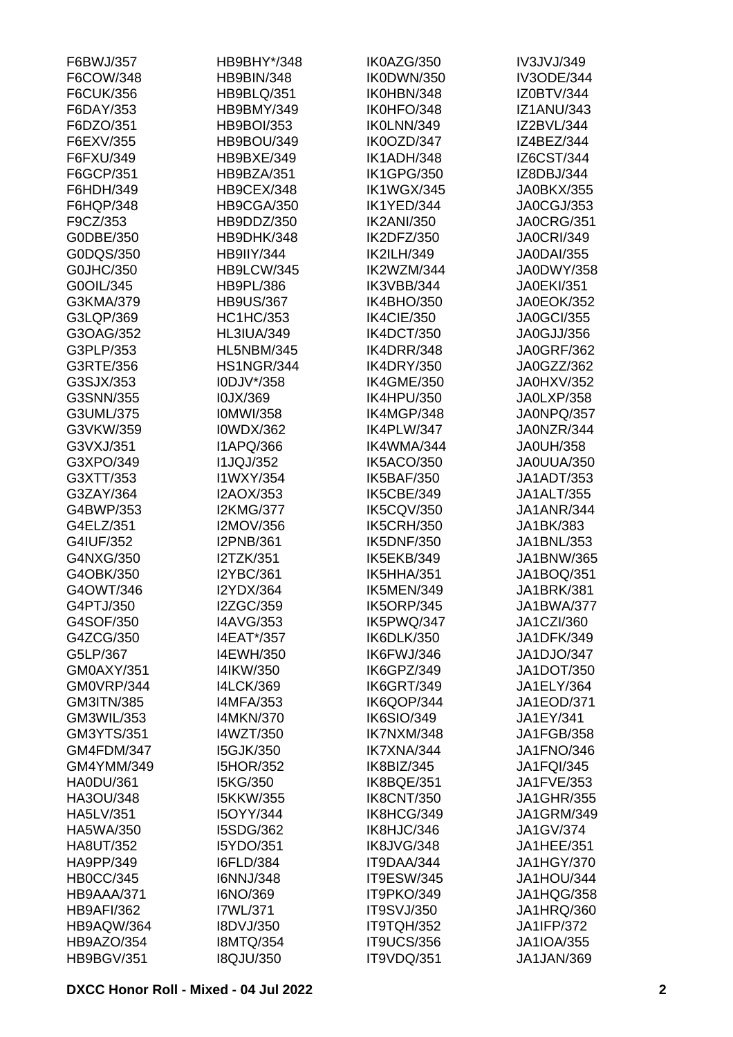| F6BWJ/357         | HB9BHY*/348       | IK0AZG/350        | IV3JVJ/349        |
|-------------------|-------------------|-------------------|-------------------|
| F6COW/348         | <b>HB9BIN/348</b> | IK0DWN/350        | <b>IV3ODE/344</b> |
| F6CUK/356         | <b>HB9BLQ/351</b> | IK0HBN/348        | IZ0BTV/344        |
| F6DAY/353         | HB9BMY/349        | IK0HFO/348        | <b>IZ1ANU/343</b> |
| F6DZO/351         | <b>HB9BOI/353</b> | IK0LNN/349        | IZ2BVL/344        |
| F6EXV/355         | <b>HB9BOU/349</b> | IK0OZD/347        | IZ4BEZ/344        |
| F6FXU/349         | HB9BXE/349        | IK1ADH/348        | IZ6CST/344        |
| F6GCP/351         | HB9BZA/351        | <b>IK1GPG/350</b> | IZ8DBJ/344        |
| F6HDH/349         | <b>HB9CEX/348</b> | <b>IK1WGX/345</b> | <b>JA0BKX/355</b> |
| F6HQP/348         | HB9CGA/350        | IK1YED/344        | JA0CGJ/353        |
| F9CZ/353          | HB9DDZ/350        | <b>IK2ANI/350</b> | <b>JA0CRG/351</b> |
| G0DBE/350         | HB9DHK/348        | IK2DFZ/350        | <b>JA0CRI/349</b> |
| G0DQS/350         | <b>HB9IIY/344</b> | <b>IK2ILH/349</b> | <b>JA0DAI/355</b> |
| G0JHC/350         | HB9LCW/345        | IK2WZM/344        | JA0DWY/358        |
| G0OIL/345         | <b>HB9PL/386</b>  | IK3VBB/344        | <b>JA0EKI/351</b> |
| G3KMA/379         | <b>HB9US/367</b>  | IK4BHO/350        | <b>JA0EOK/352</b> |
| G3LQP/369         | <b>HC1HC/353</b>  | IK4CIE/350        | <b>JA0GCI/355</b> |
| G3OAG/352         | <b>HL3IUA/349</b> | IK4DCT/350        | JA0GJJ/356        |
|                   |                   |                   | <b>JA0GRF/362</b> |
| G3PLP/353         | <b>HL5NBM/345</b> | IK4DRR/348        |                   |
| G3RTE/356         | <b>HS1NGR/344</b> | <b>IK4DRY/350</b> | JA0GZZ/362        |
| G3SJX/353         | I0DJV*/358        | <b>IK4GME/350</b> | JA0HXV/352        |
| G3SNN/355         | I0JX/369          | IK4HPU/350        | JA0LXP/358        |
| G3UML/375         | <b>IOMWI/358</b>  | IK4MGP/348        | JA0NPQ/357        |
| G3VKW/359         | <b>I0WDX/362</b>  | IK4PLW/347        | JA0NZR/344        |
| G3VXJ/351         | <b>I1APQ/366</b>  | IK4WMA/344        | <b>JA0UH/358</b>  |
| G3XPO/349         | <b>I1JQJ/352</b>  | IK5ACO/350        | JA0UUA/350        |
| G3XTT/353         | I1WXY/354         | <b>IK5BAF/350</b> | <b>JA1ADT/353</b> |
| G3ZAY/364         | I2AOX/353         | IK5CBE/349        | <b>JA1ALT/355</b> |
| G4BWP/353         | <b>I2KMG/377</b>  | <b>IK5CQV/350</b> | <b>JA1ANR/344</b> |
| G4ELZ/351         | I2MOV/356         | <b>IK5CRH/350</b> | JA1BK/383         |
| G4IUF/352         | <b>I2PNB/361</b>  | <b>IK5DNF/350</b> | JA1BNL/353        |
| G4NXG/350         | I2TZK/351         | IK5EKB/349        | JA1BNW/365        |
| G4OBK/350         | <b>I2YBC/361</b>  | IK5HHA/351        | JA1BOQ/351        |
| G4OWT/346         | <b>I2YDX/364</b>  | IK5MEN/349        | <b>JA1BRK/381</b> |
| G4PTJ/350         | I2ZGC/359         | IK5ORP/345        | <b>JA1BWA/377</b> |
| G4SOF/350         | <b>I4AVG/353</b>  | IK5PWQ/347        | JA1CZI/360        |
| G4ZCG/350         | I4EAT*/357        | IK6DLK/350        | JA1DFK/349        |
| G5LP/367          | I4EWH/350         | IK6FWJ/346        | JA1DJO/347        |
| GM0AXY/351        | I4IKW/350         | IK6GPZ/349        | <b>JA1DOT/350</b> |
| GM0VRP/344        | <b>I4LCK/369</b>  | IK6GRT/349        | JA1ELY/364        |
| GM3ITN/385        | <b>I4MFA/353</b>  | IK6QOP/344        | <b>JA1EOD/371</b> |
| GM3WIL/353        | <b>I4MKN/370</b>  | <b>IK6SIO/349</b> | JA1EY/341         |
| GM3YTS/351        | I4WZT/350         | IK7NXM/348        | <b>JA1FGB/358</b> |
| GM4FDM/347        | <b>I5GJK/350</b>  | IK7XNA/344        | <b>JA1FNO/346</b> |
| GM4YMM/349        | <b>I5HOR/352</b>  | IK8BIZ/345        | <b>JA1FQI/345</b> |
| <b>HA0DU/361</b>  | I5KG/350          | IK8BQE/351        | JA1FVE/353        |
| HA3OU/348         | <b>I5KKW/355</b>  | <b>IK8CNT/350</b> | <b>JA1GHR/355</b> |
| HA5LV/351         | <b>I5OYY/344</b>  | IK8HCG/349        | <b>JA1GRM/349</b> |
| HA5WA/350         | I5SDG/362         | IK8HJC/346        | JA1GV/374         |
| <b>HA8UT/352</b>  | I5YDO/351         | IK8JVG/348        | JA1HEE/351        |
| HA9PP/349         | <b>I6FLD/384</b>  | IT9DAA/344        | <b>JA1HGY/370</b> |
| <b>HB0CC/345</b>  | <b>I6NNJ/348</b>  | <b>IT9ESW/345</b> | JA1HOU/344        |
| HB9AAA/371        | I6NO/369          | IT9PKO/349        | JA1HQG/358        |
| <b>HB9AFI/362</b> | I7WL/371          | IT9SVJ/350        | JA1HRQ/360        |
| HB9AQW/364        | I8DVJ/350         | IT9TQH/352        | <b>JA1IFP/372</b> |
| HB9AZO/354        | <b>I8MTQ/354</b>  | <b>IT9UCS/356</b> | <b>JA1IOA/355</b> |
| <b>HB9BGV/351</b> | <b>I8QJU/350</b>  | IT9VDQ/351        | JA1JAN/369        |
|                   |                   |                   |                   |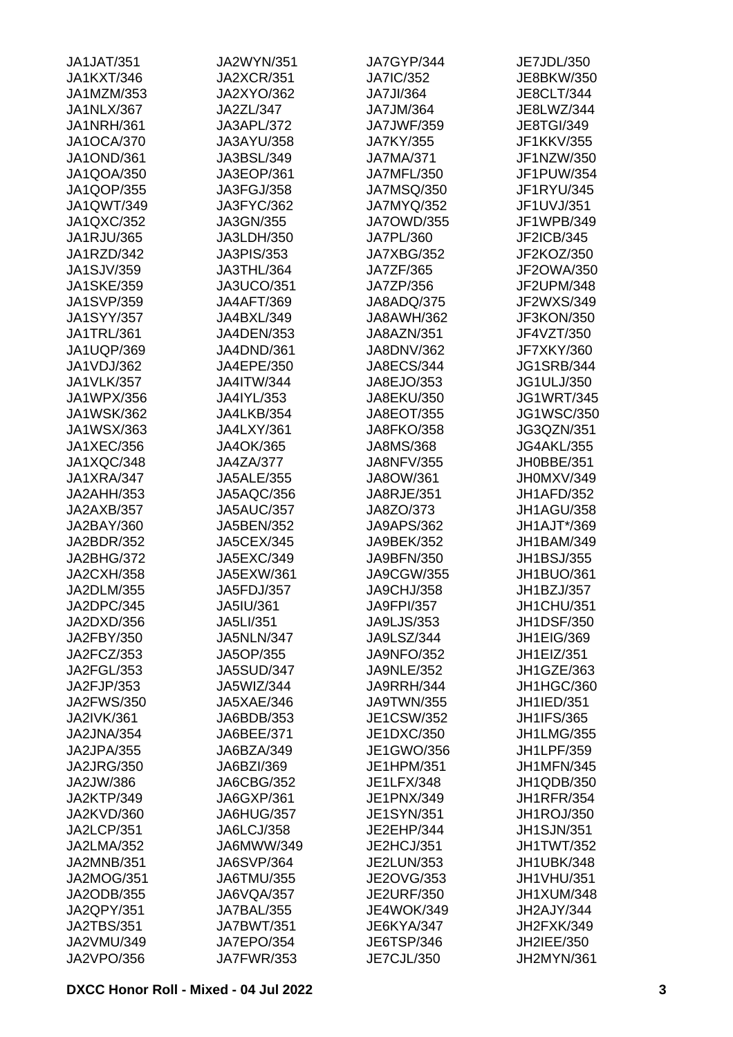| <b>JA1JAT/351</b> | <b>JA2WYN/351</b> | JA7GYP/344        | JE7JDL/350        |
|-------------------|-------------------|-------------------|-------------------|
| <b>JA1KXT/346</b> | <b>JA2XCR/351</b> | <b>JA7IC/352</b>  | JE8BKW/350        |
| JA1MZM/353        | <b>JA2XYO/362</b> | <b>JA7JI/364</b>  | <b>JE8CLT/344</b> |
| JA1NLX/367        | JA2ZL/347         | JA7JM/364         | JE8LWZ/344        |
| <b>JA1NRH/361</b> | JA3APL/372        | <b>JA7JWF/359</b> | <b>JE8TGI/349</b> |
| <b>JA1OCA/370</b> | JA3AYU/358        | JA7KY/355         | JF1KKV/355        |
| <b>JA1OND/361</b> | JA3BSL/349        | <b>JA7MA/371</b>  | JF1NZW/350        |
| JA1QOA/350        | JA3EOP/361        | JA7MFL/350        | JF1PUW/354        |
| JA1QOP/355        | JA3FGJ/358        | <b>JA7MSQ/350</b> | JF1RYU/345        |
| JA1QWT/349        | JA3FYC/362        | JA7MYQ/352        | JF1UVJ/351        |
| JA1QXC/352        | JA3GN/355         | <b>JA7OWD/355</b> | JF1WPB/349        |
| JA1RJU/365        | JA3LDH/350        | JA7PL/360         | JF2ICB/345        |
| JA1RZD/342        | <b>JA3PIS/353</b> | <b>JA7XBG/352</b> | JF2KOZ/350        |
| <b>JA1SJV/359</b> | JA3THL/364        | JA7ZF/365         | JF2OWA/350        |
| <b>JA1SKE/359</b> | <b>JA3UCO/351</b> | JA7ZP/356         | JF2UPM/348        |
| <b>JA1SVP/359</b> | <b>JA4AFT/369</b> | JA8ADQ/375        | JF2WXS/349        |
| <b>JA1SYY/357</b> | JA4BXL/349        | <b>JA8AWH/362</b> | JF3KON/350        |
| JA1TRL/361        | JA4DEN/353        | <b>JA8AZN/351</b> | JF4VZT/350        |
| JA1UQP/369        | JA4DND/361        | JA8DNV/362        | <b>JF7XKY/360</b> |
|                   |                   |                   |                   |
| JA1VDJ/362        | JA4EPE/350        | <b>JA8ECS/344</b> | <b>JG1SRB/344</b> |
| <b>JA1VLK/357</b> | <b>JA4ITW/344</b> | JA8EJO/353        | <b>JG1ULJ/350</b> |
| JA1WPX/356        | JA4IYL/353        | JA8EKU/350        | <b>JG1WRT/345</b> |
| <b>JA1WSK/362</b> | JA4LKB/354        | JA8EOT/355        | <b>JG1WSC/350</b> |
| JA1WSX/363        | JA4LXY/361        | <b>JA8FKO/358</b> | JG3QZN/351        |
| <b>JA1XEC/356</b> | JA4OK/365         | JA8MS/368         | <b>JG4AKL/355</b> |
| JA1XQC/348        | <b>JA4ZA/377</b>  | <b>JA8NFV/355</b> | JH0BBE/351        |
| JA1XRA/347        | <b>JA5ALE/355</b> | JA8OW/361         | JH0MXV/349        |
| JA2AHH/353        | JA5AQC/356        | JA8RJE/351        | JH1AFD/352        |
| JA2AXB/357        | <b>JA5AUC/357</b> | JA8ZO/373         | <b>JH1AGU/358</b> |
| JA2BAY/360        | JA5BEN/352        | <b>JA9APS/362</b> | JH1AJT*/369       |
| JA2BDR/352        | <b>JA5CEX/345</b> | JA9BEK/352        | JH1BAM/349        |
| JA2BHG/372        | JA5EXC/349        | JA9BFN/350        | <b>JH1BSJ/355</b> |
| <b>JA2CXH/358</b> | JA5EXW/361        | JA9CGW/355        | JH1BUO/361        |
| JA2DLM/355        | JA5FDJ/357        | <b>JA9CHJ/358</b> | JH1BZJ/357        |
| JA2DPC/345        | JA5IU/361         | JA9FPI/357        | JH1CHU/351        |
| JA2DXD/356        | JA5LI/351         | <b>JA9LJS/353</b> | <b>JH1DSF/350</b> |
| JA2FBY/350        | JA5NLN/347        | <b>JA9LSZ/344</b> | <b>JH1EIG/369</b> |
| JA2FCZ/353        | JA5OP/355         | <b>JA9NFO/352</b> | JH1EIZ/351        |
| JA2FGL/353        | <b>JA5SUD/347</b> | <b>JA9NLE/352</b> | JH1GZE/363        |
| JA2FJP/353        | JA5WIZ/344        | JA9RRH/344        | JH1HGC/360        |
| <b>JA2FWS/350</b> | JA5XAE/346        | <b>JA9TWN/355</b> | JH1IED/351        |
| JA2IVK/361        | JA6BDB/353        | JE1CSW/352        | <b>JH1IFS/365</b> |
| JA2JNA/354        | JA6BEE/371        | JE1DXC/350        | <b>JH1LMG/355</b> |
| JA2JPA/355        | JA6BZA/349        | JE1GWO/356        | <b>JH1LPF/359</b> |
| <b>JA2JRG/350</b> | JA6BZI/369        | JE1HPM/351        | <b>JH1MFN/345</b> |
| JA2JW/386         | JA6CBG/352        | JE1LFX/348        | JH1QDB/350        |
| JA2KTP/349        | JA6GXP/361        | JE1PNX/349        | <b>JH1RFR/354</b> |
| JA2KVD/360        | JA6HUG/357        | <b>JE1SYN/351</b> | <b>JH1ROJ/350</b> |
| JA2LCP/351        | <b>JA6LCJ/358</b> | JE2EHP/344        | <b>JH1SJN/351</b> |
| <b>JA2LMA/352</b> | JA6MWW/349        | JE2HCJ/351        | JH1TWT/352        |
| JA2MNB/351        | <b>JA6SVP/364</b> | JE2LUN/353        | JH1UBK/348        |
| <b>JA2MOG/351</b> | JA6TMU/355        | JE2OVG/353        | JH1VHU/351        |
| JA2ODB/355        | JA6VQA/357        | <b>JE2URF/350</b> | JH1XUM/348        |
| JA2QPY/351        | JA7BAL/355        | <b>JE4WOK/349</b> | JH2AJY/344        |
| <b>JA2TBS/351</b> | <b>JA7BWT/351</b> | JE6KYA/347        | JH2FXK/349        |
| JA2VMU/349        | <b>JA7EPO/354</b> | JE6TSP/346        | JH2IEE/350        |
| <b>JA2VPO/356</b> | <b>JA7FWR/353</b> | JE7CJL/350        | JH2MYN/361        |
|                   |                   |                   |                   |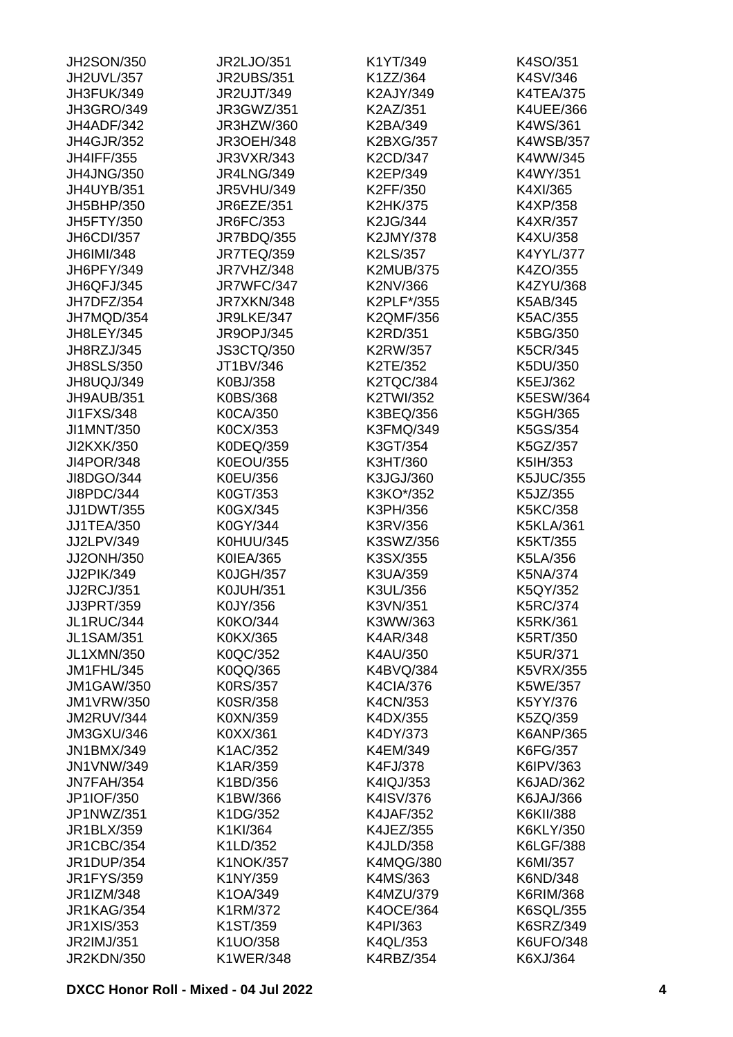| JH2SON/350        | JR2LJO/351        | K1YT/349         | K4SO/351         |
|-------------------|-------------------|------------------|------------------|
| JH2UVL/357        | <b>JR2UBS/351</b> | K1ZZ/364         | K4SV/346         |
| JH3FUK/349        | <b>JR2UJT/349</b> | K2AJY/349        | <b>K4TEA/375</b> |
| <b>JH3GRO/349</b> | JR3GWZ/351        | K2AZ/351         | K4UEE/366        |
| JH4ADF/342        | JR3HZW/360        | K2BA/349         | K4WS/361         |
| <b>JH4GJR/352</b> | <b>JR3OEH/348</b> | K2BXG/357        | <b>K4WSB/357</b> |
| <b>JH4IFF/355</b> | <b>JR3VXR/343</b> | K2CD/347         | K4WW/345         |
| <b>JH4JNG/350</b> | <b>JR4LNG/349</b> | K2EP/349         | K4WY/351         |
| <b>JH4UYB/351</b> | <b>JR5VHU/349</b> | K2FF/350         | K4XI/365         |
| JH5BHP/350        | <b>JR6EZE/351</b> | K2HK/375         | K4XP/358         |
| <b>JH5FTY/350</b> | JR6FC/353         | K2JG/344         | K4XR/357         |
| <b>JH6CDI/357</b> | JR7BDQ/355        | K2JMY/378        | K4XU/358         |
| JH6IMI/348        | <b>JR7TEQ/359</b> | K2LS/357         | K4YYL/377        |
| JH6PFY/349        | JR7VHZ/348        | <b>K2MUB/375</b> | K4ZO/355         |
| JH6QFJ/345        | JR7WFC/347        | K2NV/366         | K4ZYU/368        |
| JH7DFZ/354        | JR7XKN/348        | K2PLF*/355       | K5AB/345         |
| JH7MQD/354        | JR9LKE/347        | K2QMF/356        | K5AC/355         |
|                   |                   |                  |                  |
| <b>JH8LEY/345</b> | <b>JR9OPJ/345</b> | K2RD/351         | K5BG/350         |
| JH8RZJ/345        | <b>JS3CTQ/350</b> | K2RW/357         | K5CR/345         |
| <b>JH8SLS/350</b> | JT1BV/346         | K2TE/352         | K5DU/350         |
| JH8UQJ/349        | K0BJ/358          | <b>K2TQC/384</b> | K5EJ/362         |
| JH9AUB/351        | K0BS/368          | K2TWI/352        | K5ESW/364        |
| <b>JI1FXS/348</b> | K0CA/350          | K3BEQ/356        | K5GH/365         |
| JI1MNT/350        | K0CX/353          | K3FMQ/349        | K5GS/354         |
| JI2KXK/350        | K0DEQ/359         | K3GT/354         | K5GZ/357         |
| <b>JI4POR/348</b> | <b>K0EOU/355</b>  | K3HT/360         | K5IH/353         |
| JI8DGO/344        | K0EU/356          | K3JGJ/360        | <b>K5JUC/355</b> |
| JI8PDC/344        | K0GT/353          | K3KO*/352        | K5JZ/355         |
| <b>JJ1DWT/355</b> | K0GX/345          | K3PH/356         | K5KC/358         |
| <b>JJ1TEA/350</b> | K0GY/344          | K3RV/356         | <b>K5KLA/361</b> |
| JJ2LPV/349        | K0HUU/345         | K3SWZ/356        | K5KT/355         |
| JJ2ONH/350        | K0IEA/365         | K3SX/355         | K5LA/356         |
| JJ2PIK/349        | <b>K0JGH/357</b>  | K3UA/359         | K5NA/374         |
| <b>JJ2RCJ/351</b> | <b>K0JUH/351</b>  | K3UL/356         | K5QY/352         |
| JJ3PRT/359        | K0JY/356          | K3VN/351         | K5RC/374         |
| JL1RUC/344        | K0KO/344          | K3WW/363         | K5RK/361         |
| <b>JL1SAM/351</b> | K0KX/365          | K4AR/348         | K5RT/350         |
| <b>JL1XMN/350</b> | K0QC/352          | K4AU/350         | <b>K5UR/371</b>  |
| JM1FHL/345        | K0QQ/365          | K4BVQ/384        | <b>K5VRX/355</b> |
| <b>JM1GAW/350</b> | <b>K0RS/357</b>   | K4CIA/376        | K5WE/357         |
| <b>JM1VRW/350</b> | K0SR/358          | K4CN/353         | K5YY/376         |
| JM2RUV/344        | K0XN/359          | K4DX/355         | K5ZQ/359         |
| JM3GXU/346        | K0XX/361          | K4DY/373         | K6ANP/365        |
| <b>JN1BMX/349</b> | K1AC/352          | K4EM/349         | K6FG/357         |
| <b>JN1VNW/349</b> | K1AR/359          | K4FJ/378         | K6IPV/363        |
| JN7FAH/354        | K1BD/356          | K4IQJ/353        | K6JAD/362        |
| JP1IOF/350        | K1BW/366          | K4ISV/376        | K6JAJ/366        |
| JP1NWZ/351        | K1DG/352          |                  | K6KII/388        |
|                   |                   | <b>K4JAF/352</b> |                  |
| JR1BLX/359        | K1KI/364          | K4JEZ/355        | K6KLY/350        |
| <b>JR1CBC/354</b> | K1LD/352          | <b>K4JLD/358</b> | K6LGF/388        |
| <b>JR1DUP/354</b> | <b>K1NOK/357</b>  | <b>K4MQG/380</b> | K6MI/357         |
| <b>JR1FYS/359</b> | K1NY/359          | K4MS/363         | K6ND/348         |
| JR1IZM/348        | K1OA/349          | K4MZU/379        | K6RIM/368        |
| <b>JR1KAG/354</b> | K1RM/372          | <b>K4OCE/364</b> | K6SQL/355        |
| <b>JR1XIS/353</b> | K1ST/359          | K4PI/363         | K6SRZ/349        |
| JR2IMJ/351        | K1UO/358          | K4QL/353         | K6UFO/348        |
| <b>JR2KDN/350</b> | <b>K1WER/348</b>  | K4RBZ/354        | K6XJ/364         |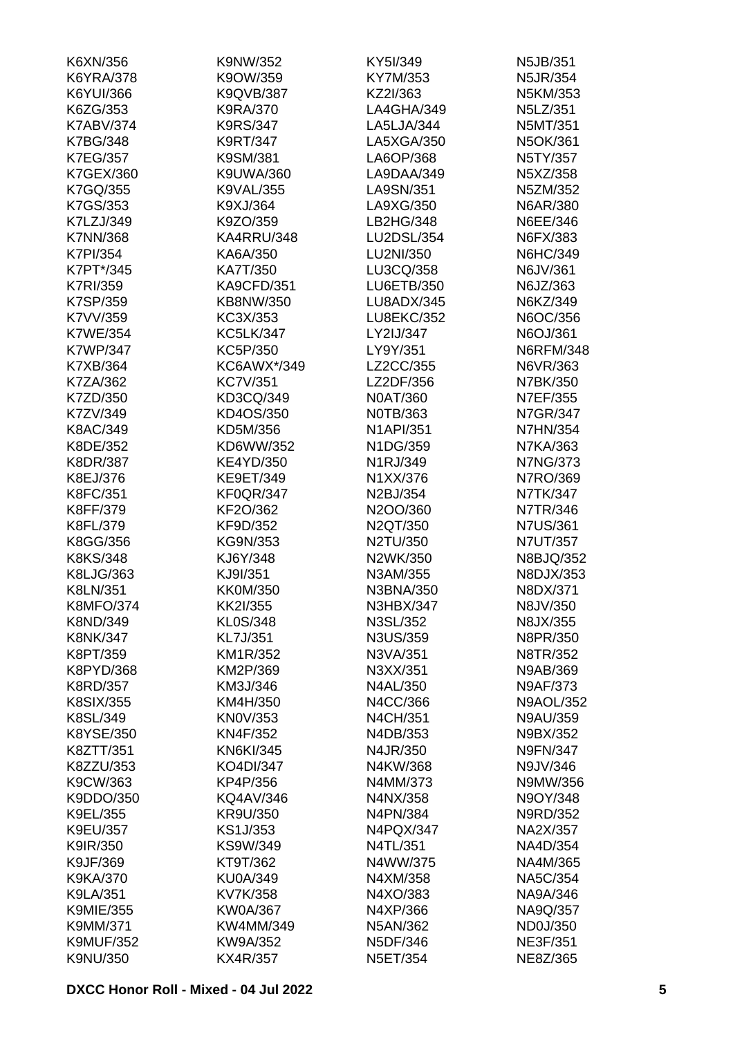| K6XN/356         | K9NW/352          | KY5I/349          | N5JB/351         |
|------------------|-------------------|-------------------|------------------|
| <b>K6YRA/378</b> | K9OW/359          | KY7M/353          | N5JR/354         |
| K6YUI/366        | K9QVB/387         | KZ2I/363          | N5KM/353         |
| K6ZG/353         | K9RA/370          | LA4GHA/349        | N5LZ/351         |
| <b>K7ABV/374</b> | K9RS/347          | LA5LJA/344        | N5MT/351         |
| <b>K7BG/348</b>  | K9RT/347          | LA5XGA/350        | N5OK/361         |
| <b>K7EG/357</b>  | K9SM/381          | LA6OP/368         | N5TY/357         |
| K7GEX/360        | K9UWA/360         | LA9DAA/349        | N5XZ/358         |
| K7GQ/355         | <b>K9VAL/355</b>  | LA9SN/351         | N5ZM/352         |
| K7GS/353         | K9XJ/364          | LA9XG/350         | N6AR/380         |
| K7LZJ/349        | K9ZO/359          | LB2HG/348         | N6EE/346         |
| <b>K7NN/368</b>  | KA4RRU/348        | <b>LU2DSL/354</b> | N6FX/383         |
| <b>K7PI/354</b>  | KA6A/350          | LU2NI/350         | N6HC/349         |
| K7PT*/345        | KA7T/350          | LU3CQ/358         | N6JV/361         |
| <b>K7RI/359</b>  | <b>KA9CFD/351</b> | <b>LU6ETB/350</b> | N6JZ/363         |
| <b>K7SP/359</b>  | KB8NW/350         | LU8ADX/345        | N6KZ/349         |
|                  |                   | <b>LU8EKC/352</b> |                  |
| K7VV/359         | KC3X/353          |                   | N6OC/356         |
| <b>K7WE/354</b>  | <b>KC5LK/347</b>  | LY2IJ/347         | N6OJ/361         |
| <b>K7WP/347</b>  | KC5P/350          | LY9Y/351          | <b>N6RFM/348</b> |
| K7XB/364         | KC6AWX*/349       | LZ2CC/355         | N6VR/363         |
| K7ZA/362         | <b>KC7V/351</b>   | LZ2DF/356         | N7BK/350         |
| K7ZD/350         | KD3CQ/349         | N0AT/360          | N7EF/355         |
| K7ZV/349         | KD4OS/350         | N0TB/363          | N7GR/347         |
| K8AC/349         | KD5M/356          | <b>N1API/351</b>  | <b>N7HN/354</b>  |
| K8DE/352         | KD6WW/352         | N1DG/359          | N7KA/363         |
| <b>K8DR/387</b>  | <b>KE4YD/350</b>  | N1RJ/349          | <b>N7NG/373</b>  |
| K8EJ/376         | KE9ET/349         | N1XX/376          | N7RO/369         |
| K8FC/351         | <b>KF0QR/347</b>  | N2BJ/354          | N7TK/347         |
| K8FF/379         | KF2O/362          | N2OO/360          | N7TR/346         |
| K8FL/379         | KF9D/352          | N2QT/350          | <b>N7US/361</b>  |
| K8GG/356         | KG9N/353          | N2TU/350          | N7UT/357         |
| K8KS/348         | KJ6Y/348          | N2WK/350          | N8BJQ/352        |
| K8LJG/363        | KJ9I/351          | N3AM/355          | N8DJX/353        |
| K8LN/351         | <b>KK0M/350</b>   | N3BNA/350         | N8DX/371         |
| <b>K8MFO/374</b> | KK2I/355          | <b>N3HBX/347</b>  | N8JV/350         |
| K8ND/349         | KL0S/348          | N3SL/352          | N8JX/355         |
| <b>K8NK/347</b>  | KL7J/351          | N3US/359          | N8PR/350         |
| K8PT/359         | KM1R/352          | N3VA/351          | N8TR/352         |
| K8PYD/368        | KM2P/369          | N3XX/351          | N9AB/369         |
| <b>K8RD/357</b>  | KM3J/346          | N4AL/350          | N9AF/373         |
| <b>K8SIX/355</b> | KM4H/350          | N4CC/366          | <b>N9AOL/352</b> |
| K8SL/349         | <b>KN0V/353</b>   | N4CH/351          | <b>N9AU/359</b>  |
| K8YSE/350        | KN4F/352          | N4DB/353          | N9BX/352         |
| K8ZTT/351        | <b>KN6KI/345</b>  | N4JR/350          | <b>N9FN/347</b>  |
| K8ZZU/353        | KO4DI/347         | N4KW/368          | N9JV/346         |
| K9CW/363         | KP4P/356          | N4MM/373          | N9MW/356         |
| K9DDO/350        | KQ4AV/346         | N4NX/358          | N9OY/348         |
| K9EL/355         | KR9U/350          | N4PN/384          | N9RD/352         |
|                  |                   |                   |                  |
| K9EU/357         | KS1J/353          | N4PQX/347         | NA2X/357         |
| K9IR/350         | KS9W/349          | N4TL/351          | NA4D/354         |
| K9JF/369         | KT9T/362          | N4WW/375          | NA4M/365         |
| <b>K9KA/370</b>  | <b>KU0A/349</b>   | N4XM/358          | <b>NA5C/354</b>  |
| K9LA/351         | KV7K/358          | N4XO/383          | NA9A/346         |
| <b>K9MIE/355</b> | <b>KW0A/367</b>   | N4XP/366          | NA9Q/357         |
| K9MM/371         | KW4MM/349         | N5AN/362          | ND0J/350         |
| <b>K9MUF/352</b> | KW9A/352          | N5DF/346          | <b>NE3F/351</b>  |
| K9NU/350         | KX4R/357          | N5ET/354          | NE8Z/365         |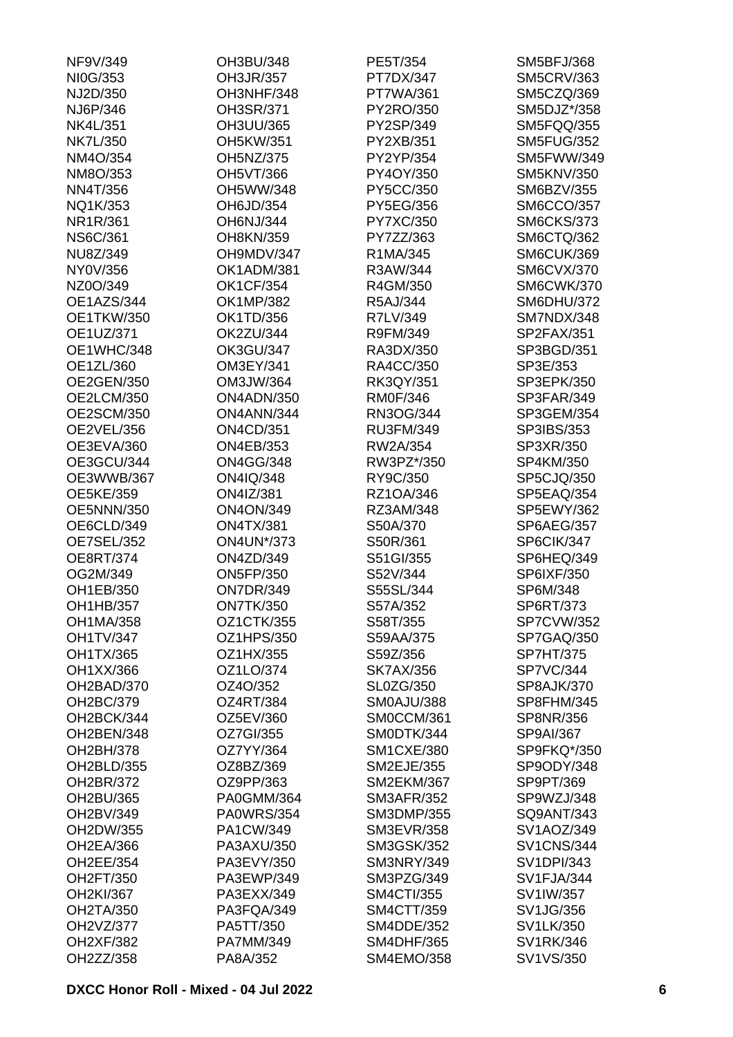| NF9V/349          | OH3BU/348         | PE5T/354          | <b>SM5BFJ/368</b> |
|-------------------|-------------------|-------------------|-------------------|
| NI0G/353          | OH3JR/357         | PT7DX/347         | <b>SM5CRV/363</b> |
| NJ2D/350          | OH3NHF/348        | PT7WA/361         | SM5CZQ/369        |
| NJ6P/346          | OH3SR/371         | PY2RO/350         | SM5DJZ*/358       |
| <b>NK4L/351</b>   | OH3UU/365         | PY2SP/349         | SM5FQQ/355        |
| <b>NK7L/350</b>   | OH5KW/351         | PY2XB/351         | <b>SM5FUG/352</b> |
| NM4O/354          | OH5NZ/375         | PY2YP/354         | SM5FWW/349        |
| NM8O/353          | <b>OH5VT/366</b>  | PY4OY/350         | <b>SM5KNV/350</b> |
| <b>NN4T/356</b>   | OH5WW/348         | PY5CC/350         | <b>SM6BZV/355</b> |
| NQ1K/353          | OH6JD/354         | PY5EG/356         | <b>SM6CCO/357</b> |
| NR1R/361          | <b>OH6NJ/344</b>  | PY7XC/350         | <b>SM6CKS/373</b> |
| <b>NS6C/361</b>   | OH8KN/359         | PY7ZZ/363         | SM6CTQ/362        |
| NU8Z/349          | OH9MDV/347        | R1MA/345          | SM6CUK/369        |
| NY0V/356          | OK1ADM/381        | R3AW/344          | <b>SM6CVX/370</b> |
| NZ0O/349          | <b>OK1CF/354</b>  | R4GM/350          | <b>SM6CWK/370</b> |
| OE1AZS/344        | <b>OK1MP/382</b>  | R5AJ/344          | <b>SM6DHU/372</b> |
| <b>OE1TKW/350</b> | OK1TD/356         | R7LV/349          | SM7NDX/348        |
| OE1UZ/371         | <b>OK2ZU/344</b>  | R9FM/349          | SP2FAX/351        |
| OE1WHC/348        | <b>OK3GU/347</b>  | RA3DX/350         | SP3BGD/351        |
| OE1ZL/360         | OM3EY/341         | RA4CC/350         | SP3E/353          |
| <b>OE2GEN/350</b> | OM3JW/364         | RK3QY/351         | SP3EPK/350        |
| OE2LCM/350        | ON4ADN/350        | <b>RM0F/346</b>   | SP3FAR/349        |
|                   |                   |                   |                   |
| OE2SCM/350        | ON4ANN/344        | RN3OG/344         | SP3GEM/354        |
| OE2VEL/356        | <b>ON4CD/351</b>  | RU3FM/349         | SP3IBS/353        |
| OE3EVA/360        | <b>ON4EB/353</b>  | RW2A/354          | SP3XR/350         |
| OE3GCU/344        | <b>ON4GG/348</b>  | RW3PZ*/350        | SP4KM/350         |
| OE3WWB/367        | ON4IQ/348         | RY9C/350          | SP5CJQ/350        |
| <b>OE5KE/359</b>  | <b>ON4IZ/381</b>  | RZ1OA/346         | SP5EAQ/354        |
| <b>OE5NNN/350</b> | <b>ON4ON/349</b>  | RZ3AM/348         | SP5EWY/362        |
| OE6CLD/349        | <b>ON4TX/381</b>  | S50A/370          | <b>SP6AEG/357</b> |
| OE7SEL/352        | <b>ON4UN*/373</b> | S50R/361          | SP6CIK/347        |
| <b>OE8RT/374</b>  | <b>ON4ZD/349</b>  | S51GI/355         | SP6HEQ/349        |
| OG2M/349          | <b>ON5FP/350</b>  | S52V/344          | SP6IXF/350        |
| OH1EB/350         | <b>ON7DR/349</b>  | S55SL/344         | SP6M/348          |
| OH1HB/357         | <b>ON7TK/350</b>  | S57A/352          | SP6RT/373         |
| OH1MA/358         | OZ1CTK/355        | S58T/355          | <b>SP7CVW/352</b> |
| <b>OH1TV/347</b>  | OZ1HPS/350        | S59AA/375         | SP7GAQ/350        |
| OH1TX/365         | OZ1HX/355         | S59Z/356          | <b>SP7HT/375</b>  |
| OH1XX/366         | OZ1LO/374         | <b>SK7AX/356</b>  | <b>SP7VC/344</b>  |
| OH2BAD/370        | OZ4O/352          | <b>SL0ZG/350</b>  | <b>SP8AJK/370</b> |
| OH2BC/379         | OZ4RT/384         | SM0AJU/388        | SP8FHM/345        |
| OH2BCK/344        | OZ5EV/360         | SM0CCM/361        | SP8NR/356         |
| OH2BEN/348        | OZ7GI/355         | SMODTK/344        | SP9AI/367         |
| OH2BH/378         | OZ7YY/364         | <b>SM1CXE/380</b> | SP9FKQ*/350       |
| OH2BLD/355        | OZ8BZ/369         | <b>SM2EJE/355</b> | SP9ODY/348        |
| OH2BR/372         | OZ9PP/363         | <b>SM2EKM/367</b> | SP9PT/369         |
| OH2BU/365         | PA0GMM/364        | <b>SM3AFR/352</b> | SP9WZJ/348        |
| OH2BV/349         | <b>PA0WRS/354</b> | <b>SM3DMP/355</b> | SQ9ANT/343        |
| OH2DW/355         | PA1CW/349         | <b>SM3EVR/358</b> | SV1AOZ/349        |
| <b>OH2EA/366</b>  | PA3AXU/350        | <b>SM3GSK/352</b> | <b>SV1CNS/344</b> |
| OH2EE/354         | PA3EVY/350        | SM3NRY/349        | <b>SV1DPI/343</b> |
| OH2FT/350         | PA3EWP/349        | SM3PZG/349        | SV1FJA/344        |
| OH2KI/367         | PA3EXX/349        | <b>SM4CTI/355</b> | SV1IW/357         |
| <b>OH2TA/350</b>  | PA3FQA/349        | SM4CTT/359        | SV1JG/356         |
| OH2VZ/377         | PA5TT/350         | <b>SM4DDE/352</b> | SV1LK/350         |
| <b>OH2XF/382</b>  | PA7MM/349         | <b>SM4DHF/365</b> | SV1RK/346         |
| OH2ZZ/358         | PA8A/352          | SM4EMO/358        | SV1VS/350         |
|                   |                   |                   |                   |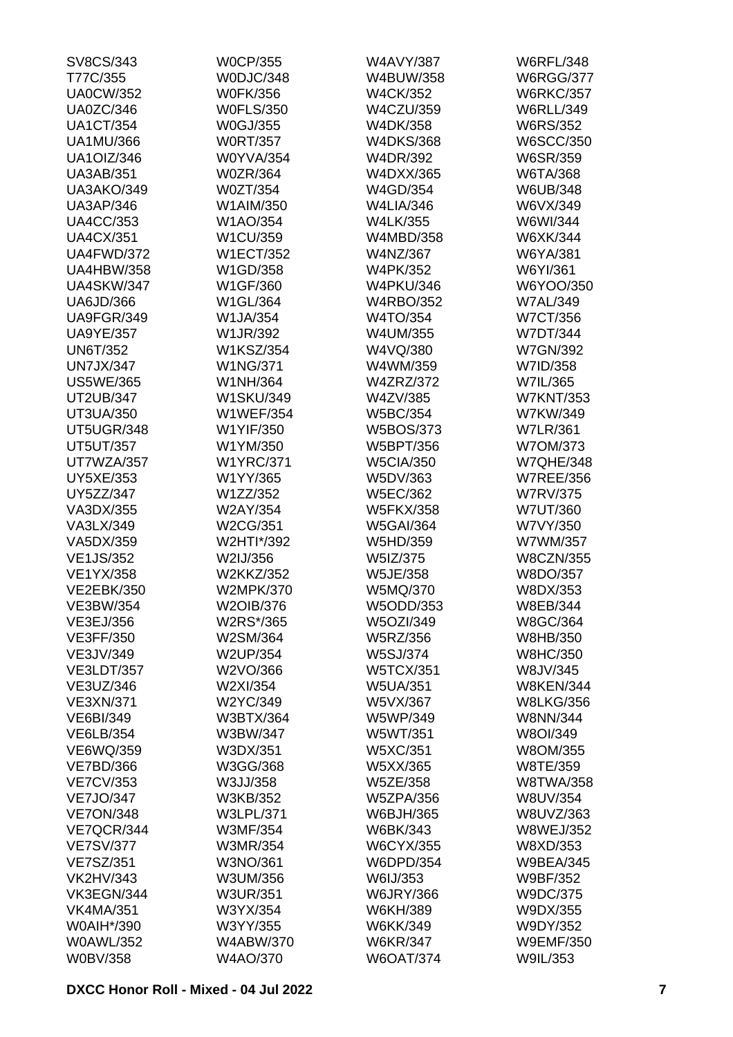| SV8CS/343         | <b>W0CP/355</b>  | <b>W4AVY/387</b> | <b>W6RFL/348</b> |
|-------------------|------------------|------------------|------------------|
| T77C/355          | W0DJC/348        | W4BUW/358        | <b>W6RGG/377</b> |
| <b>UA0CW/352</b>  | <b>W0FK/356</b>  | <b>W4CK/352</b>  | <b>W6RKC/357</b> |
| <b>UA0ZC/346</b>  | <b>W0FLS/350</b> | <b>W4CZU/359</b> | <b>W6RLL/349</b> |
| <b>UA1CT/354</b>  | <b>W0GJ/355</b>  | W4DK/358         | <b>W6RS/352</b>  |
| <b>UA1MU/366</b>  | <b>W0RT/357</b>  | <b>W4DKS/368</b> | <b>W6SCC/350</b> |
| <b>UA1OIZ/346</b> | <b>W0YVA/354</b> | W4DR/392         | W6SR/359         |
| <b>UA3AB/351</b>  | <b>W0ZR/364</b>  | W4DXX/365        | W6TA/368         |
| UA3AKO/349        | W0ZT/354         | W4GD/354         | W6UB/348         |
| <b>UA3AP/346</b>  | W1AIM/350        | <b>W4LIA/346</b> | W6VX/349         |
| <b>UA4CC/353</b>  | W1AO/354         | <b>W4LK/355</b>  | W6WI/344         |
| <b>UA4CX/351</b>  | W1CU/359         | W4MBD/358        | W6XK/344         |
| UA4FWD/372        | <b>W1ECT/352</b> | W4NZ/367         | W6YA/381         |
| <b>UA4HBW/358</b> | W1GD/358         | <b>W4PK/352</b>  | W6YI/361         |
| <b>UA4SKW/347</b> | W1GF/360         | <b>W4PKU/346</b> | W6YOO/350        |
| UA6JD/366         | W1GL/364         | <b>W4RBO/352</b> | <b>W7AL/349</b>  |
| UA9FGR/349        | W1JA/354         | W4TO/354         | <b>W7CT/356</b>  |
| <b>UA9YE/357</b>  | W1JR/392         | W4UM/355         | <b>W7DT/344</b>  |
|                   | <b>W1KSZ/354</b> |                  |                  |
| <b>UN6T/352</b>   |                  | W4VQ/380         | <b>W7GN/392</b>  |
| <b>UN7JX/347</b>  | <b>W1NG/371</b>  | W4WM/359         | W7ID/358         |
| <b>US5WE/365</b>  | W1NH/364         | <b>W4ZRZ/372</b> | W7IL/365         |
| <b>UT2UB/347</b>  | <b>W1SKU/349</b> | W4ZV/385         | <b>W7KNT/353</b> |
| UT3UA/350         | <b>W1WEF/354</b> | <b>W5BC/354</b>  | W7KW/349         |
| UT5UGR/348        | W1YIF/350        | <b>W5BOS/373</b> | <b>W7LR/361</b>  |
| <b>UT5UT/357</b>  | W1YM/350         | W5BPT/356        | W7OM/373         |
| UT7WZA/357        | <b>W1YRC/371</b> | <b>W5CIA/350</b> | <b>W7QHE/348</b> |
| <b>UY5XE/353</b>  | W1YY/365         | W5DV/363         | <b>W7REE/356</b> |
| UY5ZZ/347         | W1ZZ/352         | <b>W5EC/362</b>  | <b>W7RV/375</b>  |
| VA3DX/355         | W2AY/354         | <b>W5FKX/358</b> | <b>W7UT/360</b>  |
| VA3LX/349         | W2CG/351         | <b>W5GAI/364</b> | W7VY/350         |
| VA5DX/359         | W2HTI*/392       | W5HD/359         | W7WM/357         |
| <b>VE1JS/352</b>  | W2IJ/356         | W5IZ/375         | <b>W8CZN/355</b> |
| <b>VE1YX/358</b>  | <b>W2KKZ/352</b> | <b>W5JE/358</b>  | W8DO/357         |
| <b>VE2EBK/350</b> | <b>W2MPK/370</b> | W5MQ/370         | W8DX/353         |
| <b>VE3BW/354</b>  | W2OIB/376        | W5ODD/353        | W8EB/344         |
| VE3EJ/356         | W2RS*/365        | W5OZI/349        | W8GC/364         |
| <b>VE3FF/350</b>  | W2SM/364         | W5RZ/356         | W8HB/350         |
| VE3JV/349         | <b>W2UP/354</b>  | <b>W5SJ/374</b>  | <b>W8HC/350</b>  |
| <b>VE3LDT/357</b> | W2VO/366         | <b>W5TCX/351</b> | W8JV/345         |
| VE3UZ/346         | W2XI/354         | <b>W5UA/351</b>  | <b>W8KEN/344</b> |
| <b>VE3XN/371</b>  | W2YC/349         | W5VX/367         | <b>W8LKG/356</b> |
| <b>VE6BI/349</b>  | W3BTX/364        | W5WP/349         | <b>W8NN/344</b>  |
| VE6LB/354         | W3BW/347         | W5WT/351         | W8OI/349         |
| VE6WQ/359         | W3DX/351         | W5XC/351         | W8OM/355         |
| <b>VE7BD/366</b>  | W3GG/368         | W5XX/365         | W8TE/359         |
| <b>VE7CV/353</b>  | W3JJ/358         | <b>W5ZE/358</b>  | <b>W8TWA/358</b> |
| <b>VE7JO/347</b>  | W3KB/352         | <b>W5ZPA/356</b> | W8UV/354         |
| <b>VE7ON/348</b>  | <b>W3LPL/371</b> | W6BJH/365        | W8UVZ/363        |
| VE7QCR/344        | <b>W3MF/354</b>  | W6BK/343         | <b>W8WEJ/352</b> |
| <b>VE7SV/377</b>  | W3MR/354         | <b>W6CYX/355</b> | W8XD/353         |
|                   |                  |                  |                  |
| <b>VE7SZ/351</b>  | W3NO/361         | W6DPD/354        | <b>W9BEA/345</b> |
| <b>VK2HV/343</b>  | W3UM/356         | W6IJ/353         | W9BF/352         |
| VK3EGN/344        | <b>W3UR/351</b>  | <b>W6JRY/366</b> | W9DC/375         |
| <b>VK4MA/351</b>  | W3YX/354         | W6KH/389         | W9DX/355         |
| W0AIH*/390        | W3YY/355         | W6KK/349         | W9DY/352         |
| <b>W0AWL/352</b>  | <b>W4ABW/370</b> | <b>W6KR/347</b>  | <b>W9EMF/350</b> |
| <b>W0BV/358</b>   | W4AO/370         | <b>W6OAT/374</b> | W9IL/353         |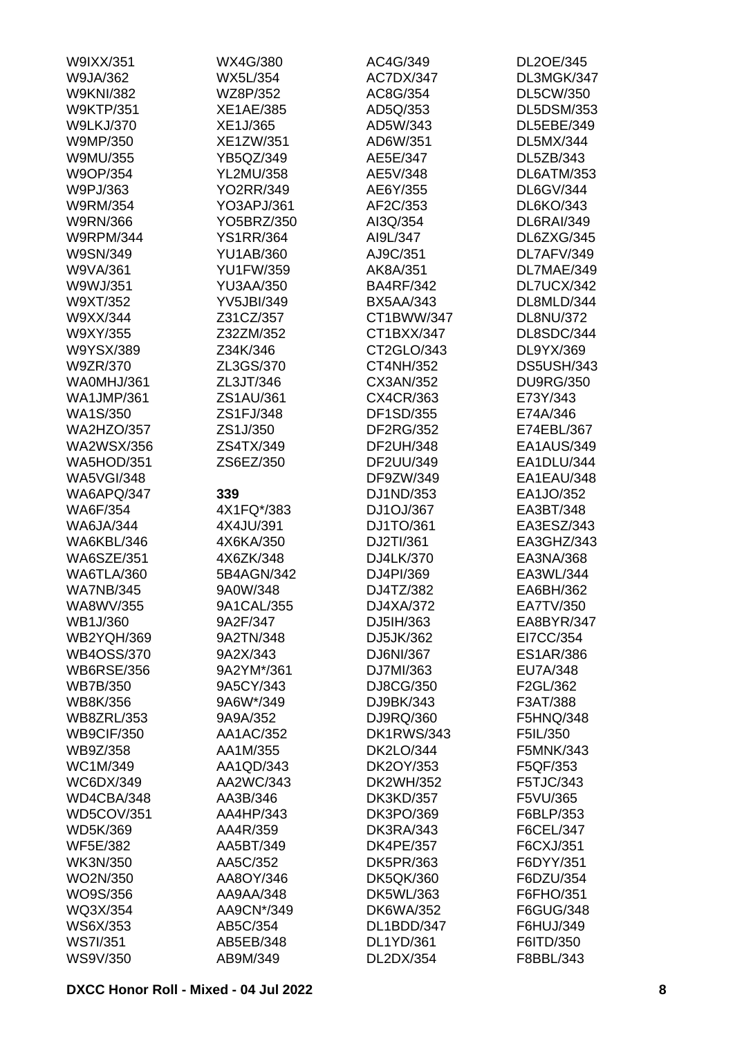| W9IXX/351         | WX4G/380          | AC4G/349          | DL2OE/345         |
|-------------------|-------------------|-------------------|-------------------|
| W9JA/362          | <b>WX5L/354</b>   | AC7DX/347         | DL3MGK/347        |
| <b>W9KNI/382</b>  | WZ8P/352          | AC8G/354          | <b>DL5CW/350</b>  |
| <b>W9KTP/351</b>  | <b>XE1AE/385</b>  | AD5Q/353          | <b>DL5DSM/353</b> |
| <b>W9LKJ/370</b>  | XE1J/365          | AD5W/343          | DL5EBE/349        |
| W9MP/350          | XE1ZW/351         | AD6W/351          | <b>DL5MX/344</b>  |
| W9MU/355          | YB5QZ/349         | AE5E/347          | DL5ZB/343         |
| W9OP/354          | <b>YL2MU/358</b>  | AE5V/348          | DL6ATM/353        |
| W9PJ/363          | <b>YO2RR/349</b>  | AE6Y/355          | <b>DL6GV/344</b>  |
| W9RM/354          | YO3APJ/361        | AF2C/353          | <b>DL6KO/343</b>  |
| <b>W9RN/366</b>   | YO5BRZ/350        | AI3Q/354          | <b>DL6RAI/349</b> |
| <b>W9RPM/344</b>  | <b>YS1RR/364</b>  | AI9L/347          | DL6ZXG/345        |
| W9SN/349          | <b>YU1AB/360</b>  | AJ9C/351          | DL7AFV/349        |
| W9VA/361          | <b>YU1FW/359</b>  | AK8A/351          | DL7MAE/349        |
| W9WJ/351          | <b>YU3AA/350</b>  | <b>BA4RF/342</b>  | DL7UCX/342        |
| W9XT/352          | <b>YV5JBI/349</b> | <b>BX5AA/343</b>  | DL8MLD/344        |
| W9XX/344          | Z31CZ/357         | CT1BWW/347        | <b>DL8NU/372</b>  |
| W9XY/355          |                   | CT1BXX/347        | DL8SDC/344        |
|                   | Z32ZM/352         |                   |                   |
| W9YSX/389         | Z34K/346          | CT2GLO/343        | DL9YX/369         |
| W9ZR/370          | ZL3GS/370         | CT4NH/352         | <b>DS5USH/343</b> |
| WA0MHJ/361        | ZL3JT/346         | CX3AN/352         | <b>DU9RG/350</b>  |
| <b>WA1JMP/361</b> | ZS1AU/361         | CX4CR/363         | E73Y/343          |
| <b>WA1S/350</b>   | ZS1FJ/348         | DF1SD/355         | E74A/346          |
| <b>WA2HZO/357</b> | ZS1J/350          | DF2RG/352         | E74EBL/367        |
| <b>WA2WSX/356</b> | ZS4TX/349         | DF2UH/348         | EA1AUS/349        |
| <b>WA5HOD/351</b> | ZS6EZ/350         | DF2UU/349         | EA1DLU/344        |
| <b>WA5VGI/348</b> |                   | DF9ZW/349         | EA1EAU/348        |
| WA6APQ/347        | 339               | DJ1ND/353         | EA1JO/352         |
| <b>WA6F/354</b>   | 4X1FQ*/383        | DJ1OJ/367         | EA3BT/348         |
| <b>WA6JA/344</b>  | 4X4JU/391         | DJ1TO/361         | EA3ESZ/343        |
| WA6KBL/346        | 4X6KA/350         | DJ2TI/361         | EA3GHZ/343        |
| <b>WA6SZE/351</b> | 4X6ZK/348         | DJ4LK/370         | EA3NA/368         |
| <b>WA6TLA/360</b> | 5B4AGN/342        | DJ4PI/369         | EA3WL/344         |
| <b>WA7NB/345</b>  | 9A0W/348          | DJ4TZ/382         | EA6BH/362         |
| WA8WV/355         | 9A1CAL/355        | DJ4XA/372         | EA7TV/350         |
| WB1J/360          | 9A2F/347          | DJ5IH/363         | EA8BYR/347        |
| <b>WB2YQH/369</b> | 9A2TN/348         | DJ5JK/362         | EI7CC/354         |
| <b>WB4OSS/370</b> | 9A2X/343          | DJ6NI/367         | <b>ES1AR/386</b>  |
| <b>WB6RSE/356</b> | 9A2YM*/361        | DJ7MI/363         | EU7A/348          |
| <b>WB7B/350</b>   | 9A5CY/343         | DJ8CG/350         | F2GL/362          |
| WB8K/356          | 9A6W*/349         | DJ9BK/343         | F3AT/388          |
| <b>WB8ZRL/353</b> | 9A9A/352          | DJ9RQ/360         | F5HNQ/348         |
| <b>WB9CIF/350</b> | AA1AC/352         | <b>DK1RWS/343</b> | F5IL/350          |
| WB9Z/358          | AA1M/355          | <b>DK2LO/344</b>  | F5MNK/343         |
| WC1M/349          | AA1QD/343         | DK2OY/353         | F5QF/353          |
| WC6DX/349         | AA2WC/343         | DK2WH/352         | F5TJC/343         |
| WD4CBA/348        | AA3B/346          | <b>DK3KD/357</b>  | F5VU/365          |
| <b>WD5COV/351</b> | AA4HP/343         | DK3PO/369         | F6BLP/353         |
| WD5K/369          | AA4R/359          | <b>DK3RA/343</b>  | F6CEL/347         |
| <b>WF5E/382</b>   | AA5BT/349         | <b>DK4PE/357</b>  | F6CXJ/351         |
|                   |                   |                   |                   |
| <b>WK3N/350</b>   | AA5C/352          | <b>DK5PR/363</b>  | F6DYY/351         |
| WO2N/350          | AA8OY/346         | <b>DK5QK/360</b>  | F6DZU/354         |
| WO9S/356          | AA9AA/348         | <b>DK5WL/363</b>  | F6FHO/351         |
| WQ3X/354          | AA9CN*/349        | <b>DK6WA/352</b>  | F6GUG/348         |
| WS6X/353          | AB5C/354          | DL1BDD/347        | F6HUJ/349         |
| <b>WS7I/351</b>   | AB5EB/348         | DL1YD/361         | F6ITD/350         |
| <b>WS9V/350</b>   | AB9M/349          | DL2DX/354         | F8BBL/343         |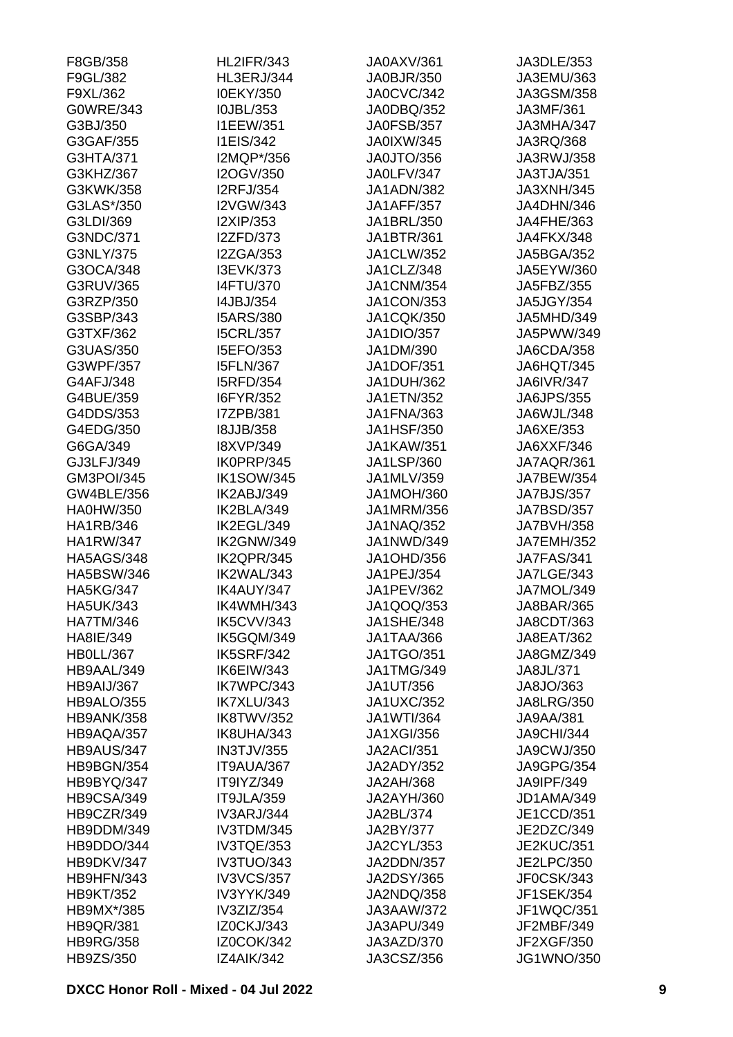| F8GB/358              | <b>HL2IFR/343</b>                    | JA0AXV/361                             | JA3DLE/353              |
|-----------------------|--------------------------------------|----------------------------------------|-------------------------|
| F9GL/382              | HL3ERJ/344                           | JA0BJR/350                             | JA3EMU/363              |
| F9XL/362              | I0EKY/350                            | JA0CVC/342                             | JA3GSM/358              |
| G0WRE/343             | I0JBL/353                            | JA0DBQ/352                             | JA3MF/361               |
| G3BJ/350              | <b>I1EEW/351</b>                     | JA0FSB/357                             | JA3MHA/347              |
| G3GAF/355             | <b>I1EIS/342</b>                     | <b>JA0IXW/345</b>                      | JA3RQ/368               |
| G3HTA/371             | I2MQP*/356                           | JA0JTO/356                             | JA3RWJ/358              |
| G3KHZ/367             | I2OGV/350                            | JA0LFV/347                             | JA3TJA/351              |
| G3KWK/358             | <b>I2RFJ/354</b>                     | JA1ADN/382                             | JA3XNH/345              |
| G3LAS*/350            | I2VGW/343                            | <b>JA1AFF/357</b>                      | JA4DHN/346              |
| G3LDI/369             | I2XIP/353                            | JA1BRL/350                             | JA4FHE/363              |
| G3NDC/371             | <b>I2ZFD/373</b>                     | JA1BTR/361                             | JA4FKX/348              |
| G3NLY/375             | <b>I2ZGA/353</b>                     | JA1CLW/352                             | <b>JA5BGA/352</b>       |
| G3OCA/348             | I3EVK/373                            | JA1CLZ/348                             | JA5EYW/360              |
| G3RUV/365             | <b>I4FTU/370</b>                     | <b>JA1CNM/354</b>                      | JA5FBZ/355              |
| G3RZP/350             | I4JBJ/354                            | <b>JA1CON/353</b>                      | <b>JA5JGY/354</b>       |
| G3SBP/343             | <b>I5ARS/380</b>                     | <b>JA1CQK/350</b>                      | JA5MHD/349              |
| G3TXF/362             | <b>I5CRL/357</b>                     | <b>JA1DIO/357</b>                      | JA5PWW/349              |
| G3UAS/350             | I5EFO/353                            | JA1DM/390                              | JA6CDA/358              |
| G3WPF/357             | <b>I5FLN/367</b>                     | <b>JA1DOF/351</b>                      | JA6HQT/345              |
| G4AFJ/348             | <b>I5RFD/354</b>                     | <b>JA1DUH/362</b>                      | <b>JA6IVR/347</b>       |
| G4BUE/359             | I6FYR/352                            | <b>JA1ETN/352</b>                      | <b>JA6JPS/355</b>       |
| G4DDS/353             | I7ZPB/381                            | <b>JA1FNA/363</b>                      | JA6WJL/348              |
|                       |                                      |                                        |                         |
| G4EDG/350<br>G6GA/349 | <b>I8JJB/358</b><br><b>I8XVP/349</b> | <b>JA1HSF/350</b><br><b>JA1KAW/351</b> | JA6XE/353<br>JA6XXF/346 |
|                       |                                      |                                        |                         |
| GJ3LFJ/349            | IK0PRP/345                           | <b>JA1LSP/360</b>                      | JA7AQR/361              |
| <b>GM3POI/345</b>     | <b>IK1SOW/345</b>                    | JA1MLV/359                             | <b>JA7BEW/354</b>       |
| GW4BLE/356            | IK2ABJ/349                           | <b>JA1MOH/360</b>                      | JA7BJS/357              |
| <b>HA0HW/350</b>      | IK2BLA/349                           | JA1MRM/356                             | JA7BSD/357              |
| HA1RB/346             | IK2EGL/349                           | <b>JA1NAQ/352</b>                      | <b>JA7BVH/358</b>       |
| <b>HA1RW/347</b>      | IK2GNW/349                           | JA1NWD/349                             | <b>JA7EMH/352</b>       |
| <b>HA5AGS/348</b>     | IK2QPR/345                           | <b>JA1OHD/356</b>                      | <b>JA7FAS/341</b>       |
| <b>HA5BSW/346</b>     | IK2WAL/343                           | JA1PEJ/354                             | <b>JA7LGE/343</b>       |
| <b>HA5KG/347</b>      | IK4AUY/347                           | JA1PEV/362                             | JA7MOL/349              |
| <b>HA5UK/343</b>      | IK4WMH/343                           | JA1QOQ/353                             | JA8BAR/365              |
| <b>HA7TM/346</b>      | IK5CVV/343                           | <b>JA1SHE/348</b>                      | JA8CDT/363              |
| HA8IE/349             | IK5GQM/349                           | JA1TAA/366                             | JA8EAT/362              |
| <b>HB0LL/367</b>      | <b>IK5SRF/342</b>                    | <b>JA1TGO/351</b>                      | JA8GMZ/349              |
| HB9AAL/349            | IK6EIW/343                           | <b>JA1TMG/349</b>                      | JA8JL/371               |
| HB9AIJ/367            | IK7WPC/343                           | JA1UT/356                              | JA8JO/363               |
| HB9ALO/355            | IK7XLU/343                           | <b>JA1UXC/352</b>                      | <b>JA8LRG/350</b>       |
| <b>HB9ANK/358</b>     | IK8TWV/352                           | <b>JA1WTI/364</b>                      | <b>JA9AA/381</b>        |
| HB9AQA/357            | IK8UHA/343                           | <b>JA1XGI/356</b>                      | <b>JA9CHI/344</b>       |
| HB9AUS/347            | <b>IN3TJV/355</b>                    | <b>JA2ACI/351</b>                      | <b>JA9CWJ/350</b>       |
| HB9BGN/354            | IT9AUA/367                           | <b>JA2ADY/352</b>                      | <b>JA9GPG/354</b>       |
| HB9BYQ/347            | IT9IYZ/349                           | <b>JA2AH/368</b>                       | JA9IPF/349              |
| HB9CSA/349            | IT9JLA/359                           | JA2AYH/360                             | JD1AMA/349              |
| HB9CZR/349            | <b>IV3ARJ/344</b>                    | JA2BL/374                              | JE1CCD/351              |
| HB9DDM/349            | IV3TDM/345                           | JA2BY/377                              | JE2DZC/349              |
| HB9DDO/344            | IV3TQE/353                           | JA2CYL/353                             | <b>JE2KUC/351</b>       |
| HB9DKV/347            | IV3TUO/343                           | JA2DDN/357                             | <b>JE2LPC/350</b>       |
| HB9HFN/343            | <b>IV3VCS/357</b>                    | <b>JA2DSY/365</b>                      | JF0CSK/343              |
| <b>HB9KT/352</b>      | IV3YYK/349                           | JA2NDQ/358                             | <b>JF1SEK/354</b>       |
| HB9MX*/385            | IV3ZIZ/354                           | JA3AAW/372                             | JF1WQC/351              |
| <b>HB9QR/381</b>      | IZ0CKJ/343                           | JA3APU/349                             | JF2MBF/349              |
| <b>HB9RG/358</b>      | <b>IZ0COK/342</b>                    | JA3AZD/370                             | JF2XGF/350              |
| HB9ZS/350             | IZ4AIK/342                           | JA3CSZ/356                             | <b>JG1WNO/350</b>       |
|                       |                                      |                                        |                         |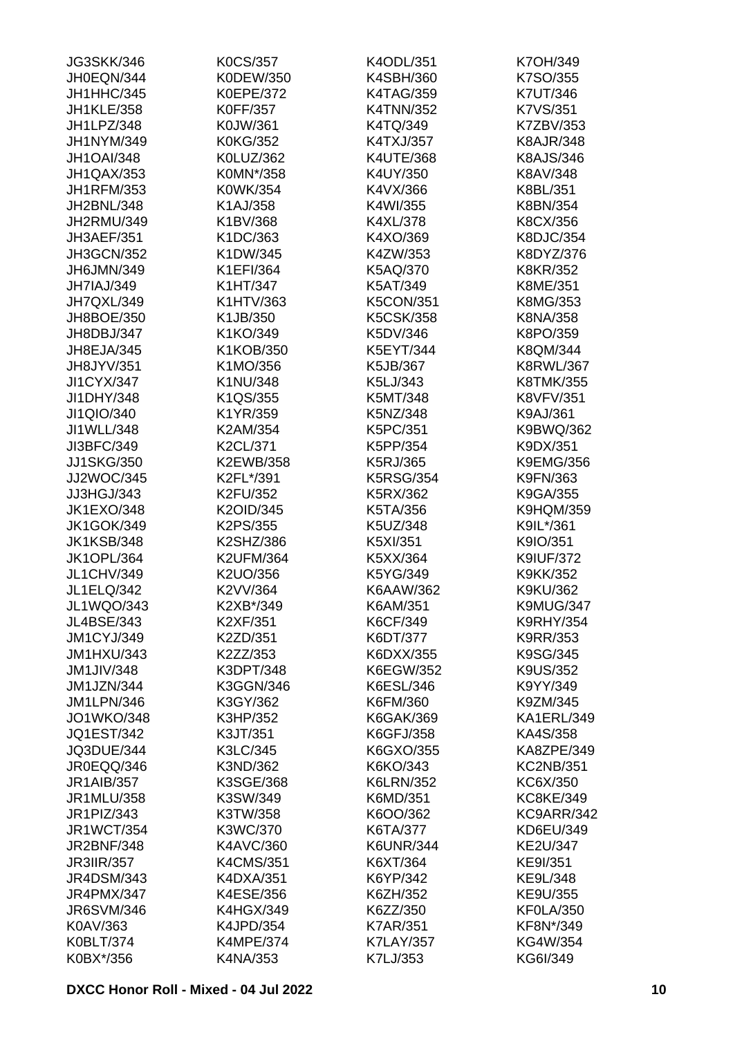| <b>JG3SKK/346</b> | <b>K0CS/357</b>  | K4ODL/351        | K7OH/349         |
|-------------------|------------------|------------------|------------------|
| JH0EQN/344        | K0DEW/350        | K4SBH/360        | K7SO/355         |
| JH1HHC/345        | <b>K0EPE/372</b> | <b>K4TAG/359</b> | <b>K7UT/346</b>  |
| <b>JH1KLE/358</b> | <b>K0FF/357</b>  | <b>K4TNN/352</b> | K7VS/351         |
| JH1LPZ/348        | K0JW/361         | K4TQ/349         | K7ZBV/353        |
| JH1NYM/349        | <b>K0KG/352</b>  | K4TXJ/357        | <b>K8AJR/348</b> |
| <b>JH1OAI/348</b> | K0LUZ/362        | <b>K4UTE/368</b> | <b>K8AJS/346</b> |
| JH1QAX/353        | K0MN*/358        | K4UY/350         | K8AV/348         |
| <b>JH1RFM/353</b> | K0WK/354         | K4VX/366         | K8BL/351         |
| JH2BNL/348        | K1AJ/358         | K4WI/355         | K8BN/354         |
| JH2RMU/349        | K1BV/368         | K4XL/378         | K8CX/356         |
| JH3AEF/351        | K1DC/363         | K4XO/369         | K8DJC/354        |
| <b>JH3GCN/352</b> | K1DW/345         | K4ZW/353         | K8DYZ/376        |
| JH6JMN/349        | K1EFI/364        | K5AQ/370         | <b>K8KR/352</b>  |
| JH7IAJ/349        | K1HT/347         | K5AT/349         | K8ME/351         |
| JH7QXL/349        | K1HTV/363        | <b>K5CON/351</b> | K8MG/353         |
| JH8BOE/350        | K1JB/350         | <b>K5CSK/358</b> | K8NA/358         |
| JH8DBJ/347        | K1KO/349         | K5DV/346         | K8PO/359         |
| JH8EJA/345        | K1KOB/350        | K5EYT/344        | K8QM/344         |
| JH8JYV/351        | K1MO/356         | K5JB/367         | <b>K8RWL/367</b> |
|                   |                  |                  |                  |
| <b>JI1CYX/347</b> | K1NU/348         | K5LJ/343         | K8TMK/355        |
| JI1DHY/348        | K1QS/355         | K5MT/348         | <b>K8VFV/351</b> |
| JI1QIO/340        | K1YR/359         | K5NZ/348         | K9AJ/361         |
| JI1WLL/348        | K2AM/354         | K5PC/351         | K9BWQ/362        |
| JI3BFC/349        | K2CL/371         | K5PP/354         | K9DX/351         |
| <b>JJ1SKG/350</b> | K2EWB/358        | K5RJ/365         | <b>K9EMG/356</b> |
| JJ2WOC/345        | K2FL*/391        | <b>K5RSG/354</b> | K9FN/363         |
| JJ3HGJ/343        | K2FU/352         | K5RX/362         | K9GA/355         |
| <b>JK1EXO/348</b> | K2OID/345        | K5TA/356         | <b>K9HQM/359</b> |
| <b>JK1GOK/349</b> | K2PS/355         | K5UZ/348         | K9IL*/361        |
| <b>JK1KSB/348</b> | K2SHZ/386        | K5XI/351         | K9IO/351         |
| <b>JK1OPL/364</b> | <b>K2UFM/364</b> | K5XX/364         | <b>K9IUF/372</b> |
| <b>JL1CHV/349</b> | K2UO/356         | K5YG/349         | K9KK/352         |
| <b>JL1ELQ/342</b> | K2VV/364         | K6AAW/362        | K9KU/362         |
| JL1WQO/343        | K2XB*/349        | K6AM/351         | K9MUG/347        |
| JL4BSE/343        | K2XF/351         | K6CF/349         | <b>K9RHY/354</b> |
| <b>JM1CYJ/349</b> | K2ZD/351         | K6DT/377         | K9RR/353         |
| <b>JM1HXU/343</b> | K2ZZ/353         | K6DXX/355        | K9SG/345         |
| <b>JM1JIV/348</b> | K3DPT/348        | K6EGW/352        | <b>K9US/352</b>  |
| JM1JZN/344        | K3GGN/346        | K6ESL/346        | K9YY/349         |
| <b>JM1LPN/346</b> | K3GY/362         | K6FM/360         | K9ZM/345         |
| <b>JO1WKO/348</b> | K3HP/352         | <b>K6GAK/369</b> | KA1ERL/349       |
| <b>JQ1EST/342</b> | K3JT/351         | K6GFJ/358        | KA4S/358         |
| JQ3DUE/344        | K3LC/345         | K6GXO/355        | KA8ZPE/349       |
| JR0EQQ/346        | K3ND/362         | K6KO/343         | <b>KC2NB/351</b> |
| <b>JR1AIB/357</b> | K3SGE/368        | <b>K6LRN/352</b> | KC6X/350         |
| JR1MLU/358        | K3SW/349         | K6MD/351         | <b>KC8KE/349</b> |
| JR1PIZ/343        | K3TW/358         | K6OO/362         | KC9ARR/342       |
| <b>JR1WCT/354</b> | K3WC/370         | K6TA/377         | KD6EU/349        |
| <b>JR2BNF/348</b> | K4AVC/360        | <b>K6UNR/344</b> | KE2U/347         |
| <b>JR3IIR/357</b> | <b>K4CMS/351</b> | K6XT/364         | KE9I/351         |
| <b>JR4DSM/343</b> | K4DXA/351        | K6YP/342         | KE9L/348         |
| <b>JR4PMX/347</b> | K4ESE/356        | K6ZH/352         | KE9U/355         |
| <b>JR6SVM/346</b> | <b>K4HGX/349</b> | K6ZZ/350         | KF0LA/350        |
| K0AV/363          | K4JPD/354        | <b>K7AR/351</b>  | KF8N*/349        |
| K0BLT/374         | <b>K4MPE/374</b> | <b>K7LAY/357</b> | KG4W/354         |
| K0BX*/356         | K4NA/353         | K7LJ/353         | KG6I/349         |
|                   |                  |                  |                  |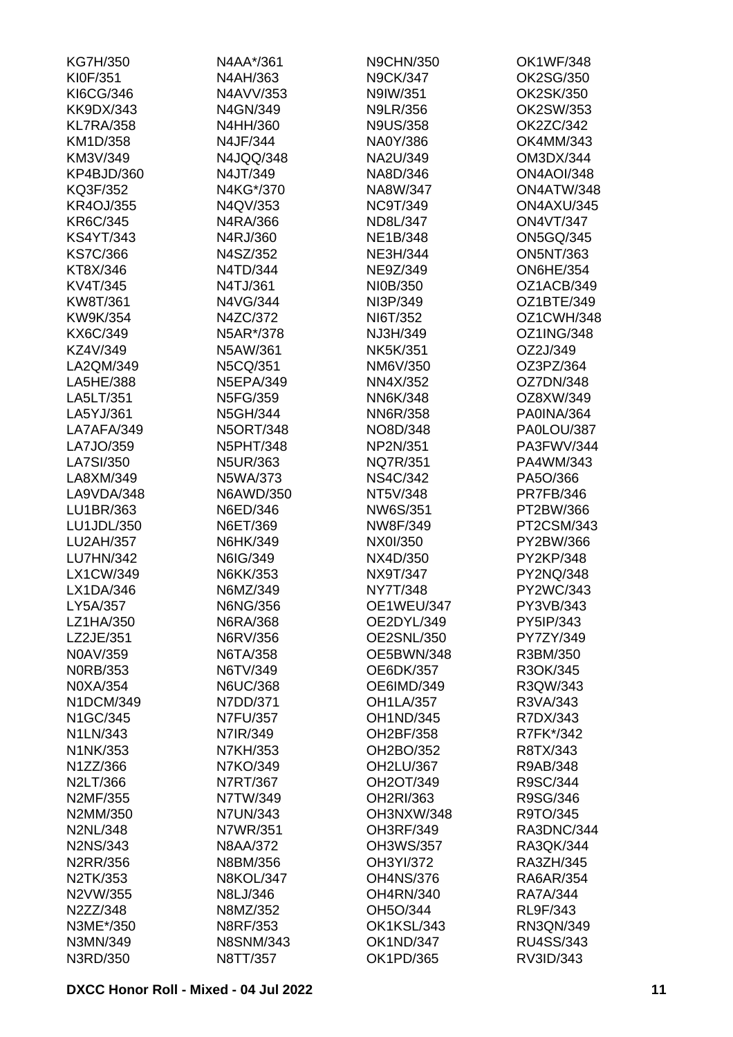| KG7H/350         | N4AA*/361        | <b>N9CHN/350</b>  | OK1WF/348         |
|------------------|------------------|-------------------|-------------------|
| KI0F/351         | N4AH/363         | <b>N9CK/347</b>   | OK2SG/350         |
| KI6CG/346        | N4AVV/353        | N9IW/351          | OK2SK/350         |
| <b>KK9DX/343</b> | N4GN/349         | <b>N9LR/356</b>   | OK2SW/353         |
| <b>KL7RA/358</b> | N4HH/360         | <b>N9US/358</b>   | OK2ZC/342         |
| KM1D/358         | N4JF/344         | NA0Y/386          | OK4MM/343         |
| KM3V/349         | N4JQQ/348        | NA2U/349          | OM3DX/344         |
| KP4BJD/360       | N4JT/349         | NA8D/346          | <b>ON4AOI/348</b> |
| KQ3F/352         | N4KG*/370        | NA8W/347          | ON4ATW/348        |
| <b>KR4OJ/355</b> | N4QV/353         | <b>NC9T/349</b>   | ON4AXU/345        |
| KR6C/345         | N4RA/366         | ND8L/347          | <b>ON4VT/347</b>  |
| <b>KS4YT/343</b> | N4RJ/360         | <b>NE1B/348</b>   | <b>ON5GQ/345</b>  |
| <b>KS7C/366</b>  | N4SZ/352         | <b>NE3H/344</b>   | <b>ON5NT/363</b>  |
| KT8X/346         | N4TD/344         | NE9Z/349          | <b>ON6HE/354</b>  |
| KV4T/345         | N4TJ/361         | NI0B/350          | OZ1ACB/349        |
| KW8T/361         | N4VG/344         | NI3P/349          | OZ1BTE/349        |
| KW9K/354         | N4ZC/372         | NI6T/352          | OZ1CWH/348        |
| KX6C/349         | N5AR*/378        | NJ3H/349          | <b>OZ1ING/348</b> |
| KZ4V/349         | N5AW/361         | <b>NK5K/351</b>   | OZ2J/349          |
| LA2QM/349        | N5CQ/351         | NM6V/350          | OZ3PZ/364         |
| LA5HE/388        | <b>N5EPA/349</b> | NN4X/352          | OZ7DN/348         |
| LA5LT/351        | N5FG/359         | <b>NN6K/348</b>   | OZ8XW/349         |
| LA5YJ/361        | N5GH/344         | <b>NN6R/358</b>   | PA0INA/364        |
| LA7AFA/349       | <b>N5ORT/348</b> | NO8D/348          | PA0LOU/387        |
| LA7JO/359        | <b>N5PHT/348</b> | NP2N/351          | PA3FWV/344        |
| LA7SI/350        | <b>N5UR/363</b>  | <b>NQ7R/351</b>   | PA4WM/343         |
| LA8XM/349        | N5WA/373         | <b>NS4C/342</b>   | PA5O/366          |
| LA9VDA/348       | N6AWD/350        | NT5V/348          | <b>PR7FB/346</b>  |
| LU1BR/363        | N6ED/346         | NW6S/351          | PT2BW/366         |
| LU1JDL/350       | N6ET/369         | NW8F/349          | PT2CSM/343        |
| LU2AH/357        | N6HK/349         | NX0I/350          | PY2BW/366         |
| LU7HN/342        | N6IG/349         | NX4D/350          | PY2KP/348         |
| LX1CW/349        | N6KK/353         | NX9T/347          | PY2NQ/348         |
| LX1DA/346        | N6MZ/349         | <b>NY7T/348</b>   | PY2WC/343         |
| LY5A/357         | <b>N6NG/356</b>  | OE1WEU/347        | PY3VB/343         |
| LZ1HA/350        | N6RA/368         | OE2DYL/349        | PY5IP/343         |
| LZ2JE/351        | N6RV/356         | <b>OE2SNL/350</b> | PY7ZY/349         |
| N0AV/359         | N6TA/358         | OE5BWN/348        | R3BM/350          |
| <b>NORB/353</b>  | N6TV/349         | <b>OE6DK/357</b>  | R3OK/345          |
| N0XA/354         | <b>N6UC/368</b>  | OE6IMD/349        | R3QW/343          |
| N1DCM/349        | N7DD/371         | <b>OH1LA/357</b>  | R3VA/343          |
| N1GC/345         | <b>N7FU/357</b>  | <b>OH1ND/345</b>  | R7DX/343          |
| N1LN/343         | N7IR/349         | OH2BF/358         | R7FK*/342         |
| N1NK/353         | N7KH/353         | OH2BO/352         | R8TX/343          |
| N1ZZ/366         | N7KO/349         | OH2LU/367         | R9AB/348          |
| N2LT/366         | N7RT/367         | OH2OT/349         | R9SC/344          |
| N2MF/355         | N7TW/349         | OH2RI/363         | R9SG/346          |
| N2MM/350         | <b>N7UN/343</b>  | OH3NXW/348        | R9TO/345          |
| <b>N2NL/348</b>  | N7WR/351         | <b>OH3RF/349</b>  | RA3DNC/344        |
| N2NS/343         | <b>N8AA/372</b>  | <b>OH3WS/357</b>  | RA3QK/344         |
| <b>N2RR/356</b>  | N8BM/356         | OH3YI/372         | RA3ZH/345         |
| N2TK/353         | <b>N8KOL/347</b> | <b>OH4NS/376</b>  | <b>RA6AR/354</b>  |
| N2VW/355         | N8LJ/346         | <b>OH4RN/340</b>  | <b>RA7A/344</b>   |
| N2ZZ/348         | N8MZ/352         | OH5O/344          | RL9F/343          |
| N3ME*/350        | N8RF/353         | OK1KSL/343        | RN3QN/349         |
| N3MN/349         | <b>N8SNM/343</b> | <b>OK1ND/347</b>  | RU4SS/343         |
| N3RD/350         | N8TT/357         | OK1PD/365         | RV3ID/343         |
|                  |                  |                   |                   |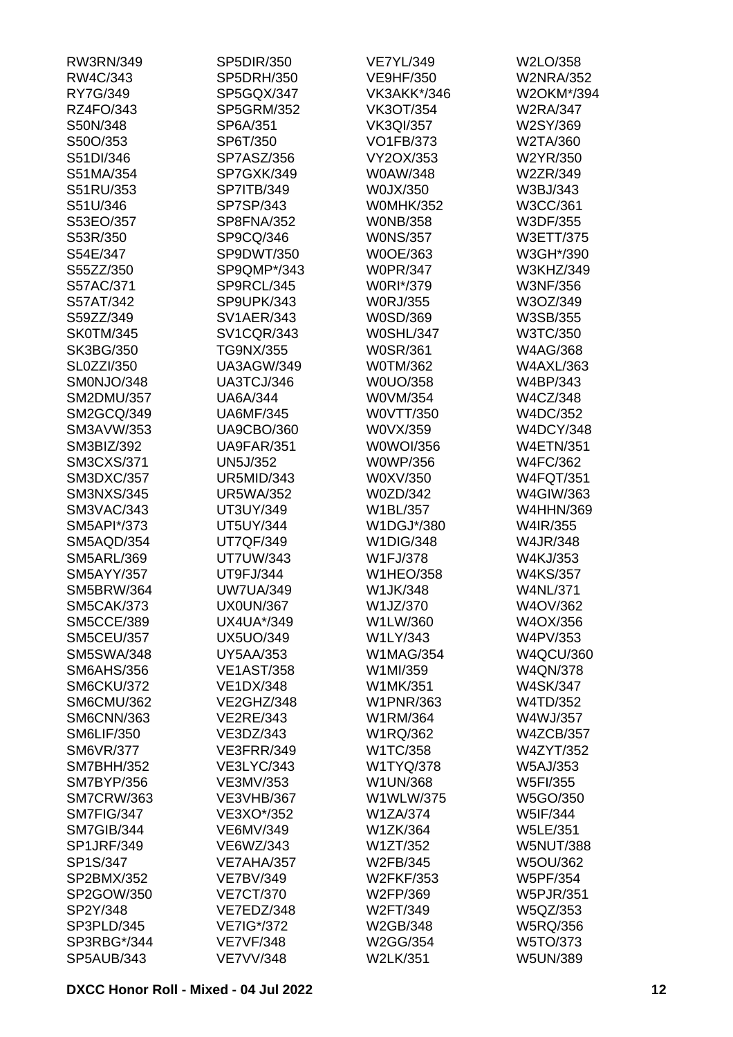| RW3RN/349         | SP5DIR/350        | <b>VE7YL/349</b> | W2LO/358         |
|-------------------|-------------------|------------------|------------------|
| RW4C/343          | SP5DRH/350        | <b>VE9HF/350</b> | <b>W2NRA/352</b> |
| RY7G/349          | SP5GQX/347        | VK3AKK*/346      | W2OKM*/394       |
| RZ4FO/343         | <b>SP5GRM/352</b> | <b>VK3OT/354</b> | <b>W2RA/347</b>  |
| S50N/348          | SP6A/351          | <b>VK3QI/357</b> | W2SY/369         |
| S50O/353          | SP6T/350          | <b>VO1FB/373</b> | W2TA/360         |
| S51DI/346         | SP7ASZ/356        | VY2OX/353        | W2YR/350         |
| S51MA/354         | SP7GXK/349        | W0AW/348         | W2ZR/349         |
| S51RU/353         | SP7ITB/349        | W0JX/350         | W3BJ/343         |
| S51U/346          | SP7SP/343         | <b>W0MHK/352</b> | W3CC/361         |
| S53EO/357         | SP8FNA/352        | <b>WONB/358</b>  | W3DF/355         |
| S53R/350          | SP9CQ/346         | <b>WONS/357</b>  | W3ETT/375        |
| S54E/347          | SP9DWT/350        | W0OE/363         | W3GH*/390        |
| S55ZZ/350         | SP9QMP*/343       | <b>W0PR/347</b>  | W3KHZ/349        |
| S57AC/371         | SP9RCL/345        | W0RI*/379        | <b>W3NF/356</b>  |
| S57AT/342         | SP9UPK/343        | <b>W0RJ/355</b>  | W3OZ/349         |
| S59ZZ/349         | <b>SV1AER/343</b> | W0SD/369         | W3SB/355         |
| <b>SK0TM/345</b>  | <b>SV1CQR/343</b> | <b>W0SHL/347</b> | W3TC/350         |
|                   |                   |                  |                  |
| SK3BG/350         | TG9NX/355         | <b>W0SR/361</b>  | W4AG/368         |
| SL0ZZI/350        | <b>UA3AGW/349</b> | <b>W0TM/362</b>  | <b>W4AXL/363</b> |
| SM0NJO/348        | UA3TCJ/346        | W0UO/358         | W4BP/343         |
| <b>SM2DMU/357</b> | <b>UA6A/344</b>   | W0VM/354         | W4CZ/348         |
| SM2GCQ/349        | <b>UA6MF/345</b>  | W0VTT/350        | W4DC/352         |
| <b>SM3AVW/353</b> | <b>UA9CBO/360</b> | W0VX/359         | <b>W4DCY/348</b> |
| SM3BIZ/392        | <b>UA9FAR/351</b> | W0WOI/356        | <b>W4ETN/351</b> |
| <b>SM3CXS/371</b> | <b>UN5J/352</b>   | <b>W0WP/356</b>  | W4FC/362         |
| <b>SM3DXC/357</b> | <b>UR5MID/343</b> | W0XV/350         | <b>W4FQT/351</b> |
| <b>SM3NXS/345</b> | <b>UR5WA/352</b>  | W0ZD/342         | W4GIW/363        |
| SM3VAC/343        | UT3UY/349         | W1BL/357         | <b>W4HHN/369</b> |
| SM5API*/373       | <b>UT5UY/344</b>  | W1DGJ*/380       | W4IR/355         |
| SM5AQD/354        | <b>UT7QF/349</b>  | <b>W1DIG/348</b> | W4JR/348         |
| <b>SM5ARL/369</b> | <b>UT7UW/343</b>  | W1FJ/378         | W4KJ/353         |
| <b>SM5AYY/357</b> | UT9FJ/344         | <b>W1HEO/358</b> | <b>W4KS/357</b>  |
| <b>SM5BRW/364</b> | <b>UW7UA/349</b>  | W1JK/348         | <b>W4NL/371</b>  |
| <b>SM5CAK/373</b> | <b>UX0UN/367</b>  | W1JZ/370         | W4OV/362         |
| <b>SM5CCE/389</b> | UX4UA*/349        | W1LW/360         | W4OX/356         |
| <b>SM5CEU/357</b> | <b>UX5UO/349</b>  | W1LY/343         | W4PV/353         |
| <b>SM5SWA/348</b> | <b>UY5AA/353</b>  | <b>W1MAG/354</b> | <b>W4QCU/360</b> |
| <b>SM6AHS/356</b> | <b>VE1AST/358</b> | W1MI/359         | <b>W4QN/378</b>  |
| SM6CKU/372        | <b>VE1DX/348</b>  | W1MK/351         | <b>W4SK/347</b>  |
| SM6CMU/362        | VE2GHZ/348        | <b>W1PNR/363</b> | W4TD/352         |
| <b>SM6CNN/363</b> | <b>VE2RE/343</b>  | W1RM/364         | W4WJ/357         |
| <b>SM6LIF/350</b> | VE3DZ/343         | W1RQ/362         | <b>W4ZCB/357</b> |
| <b>SM6VR/377</b>  | VE3FRR/349        | W1TC/358         | <b>W4ZYT/352</b> |
| <b>SM7BHH/352</b> | <b>VE3LYC/343</b> | W1TYQ/378        | <b>W5AJ/353</b>  |
| <b>SM7BYP/356</b> | VE3MV/353         | W1UN/368         | W5FI/355         |
| <b>SM7CRW/363</b> | <b>VE3VHB/367</b> | W1WLW/375        | W5GO/350         |
| SM7FIG/347        | VE3XO*/352        | <b>W1ZA/374</b>  | W5IF/344         |
| SM7GIB/344        | VE6MV/349         | W1ZK/364         | <b>W5LE/351</b>  |
| <b>SP1JRF/349</b> | VE6WZ/343         | W1ZT/352         | <b>W5NUT/388</b> |
| SP1S/347          | VE7AHA/357        | W2FB/345         | <b>W5OU/362</b>  |
| SP2BMX/352        | <b>VE7BV/349</b>  | W2FKF/353        | W5PF/354         |
| SP2GOW/350        | <b>VE7CT/370</b>  | W2FP/369         | <b>W5PJR/351</b> |
| SP2Y/348          | VE7EDZ/348        | W2FT/349         |                  |
|                   |                   |                  | W5QZ/353         |
| SP3PLD/345        | VE7IG*/372        | W2GB/348         | <b>W5RQ/356</b>  |
| SP3RBG*/344       | <b>VE7VF/348</b>  | W2GG/354         | W5TO/373         |
| <b>SP5AUB/343</b> | <b>VE7VV/348</b>  | <b>W2LK/351</b>  | <b>W5UN/389</b>  |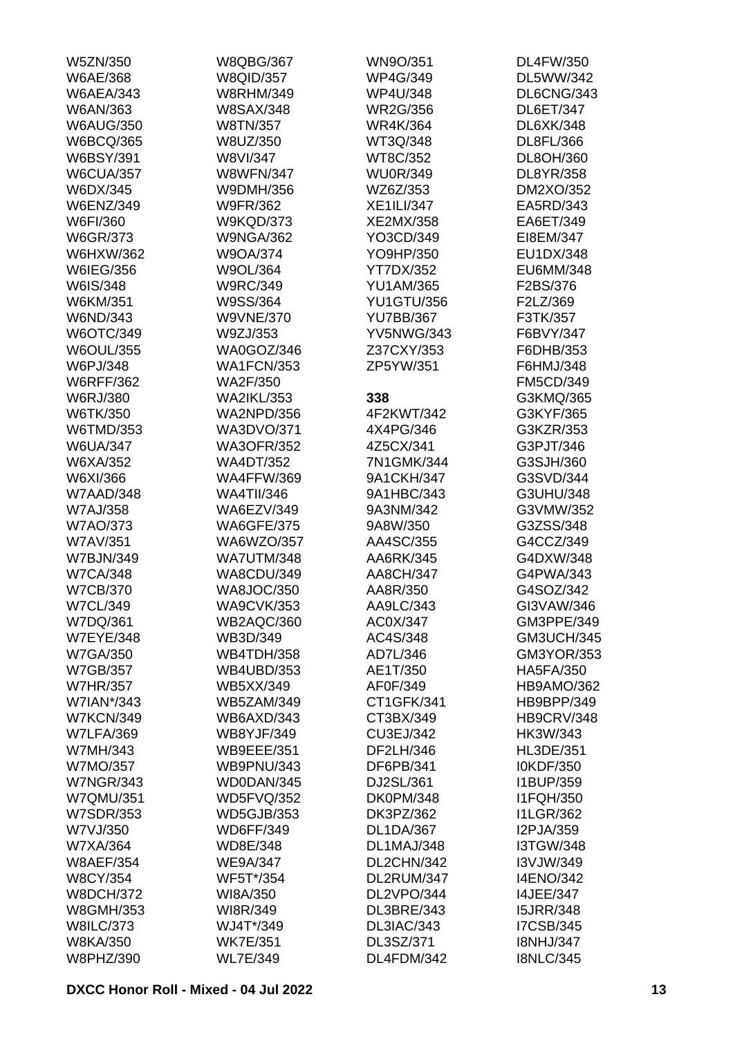| W5ZN/350                     | <b>W8QBG/367</b>  | WN9O/351          | <b>DL4FW/350</b>  |
|------------------------------|-------------------|-------------------|-------------------|
| W6AE/368                     | <b>W8QID/357</b>  | <b>WP4G/349</b>   | DL5WW/342         |
| <b>W6AEA/343</b>             | <b>W8RHM/349</b>  | <b>WP4U/348</b>   | DL6CNG/343        |
| W6AN/363                     | <b>W8SAX/348</b>  | <b>WR2G/356</b>   | <b>DL6ET/347</b>  |
| <b>W6AUG/350</b>             | W8TN/357          | <b>WR4K/364</b>   | DL6XK/348         |
| <b>W6BCQ/365</b>             | W8UZ/350          | WT3Q/348          | DL8FL/366         |
| <b>W6BSY/391</b>             | W8VI/347          | WT8C/352          | DL8OH/360         |
| <b>W6CUA/357</b>             | <b>W8WFN/347</b>  | <b>WU0R/349</b>   | DL8YR/358         |
| W6DX/345                     | W9DMH/356         | WZ6Z/353          | DM2XO/352         |
| <b>W6ENZ/349</b>             | <b>W9FR/362</b>   | <b>XE1ILI/347</b> | EA5RD/343         |
| W6FI/360                     | <b>W9KQD/373</b>  | XE2MX/358         | EA6ET/349         |
| W6GR/373                     | <b>W9NGA/362</b>  | YO3CD/349         | EI8EM/347         |
| <b>W6HXW/362</b>             | W9OA/374          | YO9HP/350         | EU1DX/348         |
| W6IEG/356                    | W9OL/364          | <b>YT7DX/352</b>  | EU6MM/348         |
| W6IS/348                     | <b>W9RC/349</b>   | <b>YU1AM/365</b>  | F2BS/376          |
| W6KM/351                     | W9SS/364          | <b>YU1GTU/356</b> | F2LZ/369          |
| W6ND/343                     | <b>W9VNE/370</b>  | <b>YU7BB/367</b>  | F3TK/357          |
| W6OTC/349                    | W9ZJ/353          | <b>YV5NWG/343</b> | F6BVY/347         |
| <b>W6OUL/355</b>             | WA0GOZ/346        | Z37CXY/353        | F6DHB/353         |
|                              | <b>WA1FCN/353</b> | ZP5YW/351         | F6HMJ/348         |
| W6PJ/348                     |                   |                   |                   |
| <b>W6RFF/362</b><br>W6RJ/380 | WA2F/350          |                   | <b>FM5CD/349</b>  |
|                              | <b>WA2IKL/353</b> | 338               | G3KMQ/365         |
| W6TK/350                     | <b>WA2NPD/356</b> | 4F2KWT/342        | G3KYF/365         |
| W6TMD/353                    | <b>WA3DVO/371</b> | 4X4PG/346         | G3KZR/353         |
| <b>W6UA/347</b>              | <b>WA3OFR/352</b> | 4Z5CX/341         | G3PJT/346         |
| W6XA/352                     | <b>WA4DT/352</b>  | 7N1GMK/344        | G3SJH/360         |
| W6XI/366                     | <b>WA4FFW/369</b> | 9A1CKH/347        | G3SVD/344         |
| W7AAD/348                    | <b>WA4TII/346</b> | 9A1HBC/343        | G3UHU/348         |
| <b>W7AJ/358</b>              | WA6EZV/349        | 9A3NM/342         | G3VMW/352         |
| <b>W7AO/373</b>              | <b>WA6GFE/375</b> | 9A8W/350          | G3ZSS/348         |
| W7AV/351                     | WA6WZO/357        | AA4SC/355         | G4CCZ/349         |
| <b>W7BJN/349</b>             | <b>WA7UTM/348</b> | AA6RK/345         | G4DXW/348         |
| <b>W7CA/348</b>              | <b>WA8CDU/349</b> | AA8CH/347         | G4PWA/343         |
| <b>W7CB/370</b>              | <b>WA8JOC/350</b> | AA8R/350          | G4SOZ/342         |
| <b>W7CL/349</b>              | <b>WA9CVK/353</b> | AA9LC/343         | GI3VAW/346        |
| W7DQ/361                     | WB2AQC/360        | AC0X/347          | GM3PPE/349        |
| <b>W7EYE/348</b>             | WB3D/349          | AC4S/348          | <b>GM3UCH/345</b> |
| <b>W7GA/350</b>              | <b>WB4TDH/358</b> | AD7L/346          | GM3YOR/353        |
| <b>W7GB/357</b>              | <b>WB4UBD/353</b> | AE1T/350          | <b>HA5FA/350</b>  |
| <b>W7HR/357</b>              | <b>WB5XX/349</b>  | AF0F/349          | HB9AMO/362        |
| W7IAN*/343                   | <b>WB5ZAM/349</b> | CT1GFK/341        | HB9BPP/349        |
| <b>W7KCN/349</b>             | WB6AXD/343        | CT3BX/349         | <b>HB9CRV/348</b> |
| <b>W7LFA/369</b>             | <b>WB8YJF/349</b> | CU3EJ/342         | HK3W/343          |
| W7MH/343                     | <b>WB9EEE/351</b> | DF2LH/346         | HL3DE/351         |
| W7MO/357                     | <b>WB9PNU/343</b> | DF6PB/341         | I0KDF/350         |
| <b>W7NGR/343</b>             | WD0DAN/345        | DJ2SL/361         | I1BUP/359         |
| <b>W7QMU/351</b>             | <b>WD5FVQ/352</b> | <b>DK0PM/348</b>  | <b>I1FQH/350</b>  |
| <b>W7SDR/353</b>             | <b>WD5GJB/353</b> | DK3PZ/362         | <b>I1LGR/362</b>  |
| W7VJ/350                     | <b>WD6FF/349</b>  | <b>DL1DA/367</b>  | I2PJA/359         |
| W7XA/364                     | WD8E/348          | DL1MAJ/348        | <b>I3TGW/348</b>  |
| <b>W8AEF/354</b>             | <b>WE9A/347</b>   | DL2CHN/342        | I3VJW/349         |
| <b>W8CY/354</b>              | WF5T*/354         | DL2RUM/347        | <b>I4ENO/342</b>  |
| <b>W8DCH/372</b>             | WI8A/350          | DL2VPO/344        | <b>I4JEE/347</b>  |
| <b>W8GMH/353</b>             | WI8R/349          | DL3BRE/343        | <b>I5JRR/348</b>  |
| <b>W8ILC/373</b>             | WJ4T*/349         | DL3IAC/343        | <b>I7CSB/345</b>  |
| <b>W8KA/350</b>              | <b>WK7E/351</b>   | DL3SZ/371         | <b>I8NHJ/347</b>  |
| W8PHZ/390                    | <b>WL7E/349</b>   | DL4FDM/342        | <b>I8NLC/345</b>  |
|                              |                   |                   |                   |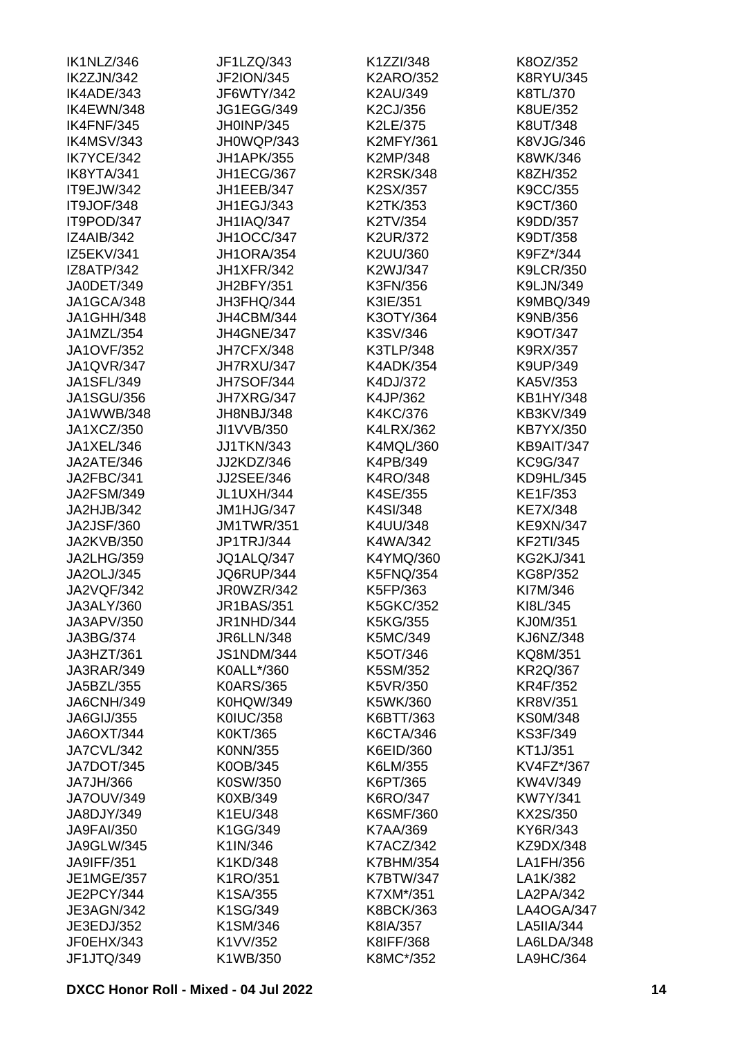| IK1NLZ/346        | JF1LZQ/343        | K1ZZI/348        | K8OZ/352         |
|-------------------|-------------------|------------------|------------------|
| IK2ZJN/342        | <b>JF2ION/345</b> | <b>K2ARO/352</b> | <b>K8RYU/345</b> |
| IK4ADE/343        | JF6WTY/342        | K2AU/349         | K8TL/370         |
| IK4EWN/348        | <b>JG1EGG/349</b> | K2CJ/356         | K8UE/352         |
| IK4FNF/345        | JH0INP/345        | K2LE/375         | K8UT/348         |
| IK4MSV/343        | JH0WQP/343        | <b>K2MFY/361</b> | K8VJG/346        |
| IK7YCE/342        | <b>JH1APK/355</b> | K2MP/348         | K8WK/346         |
| IK8YTA/341        | JH1ECG/367        | <b>K2RSK/348</b> | K8ZH/352         |
| IT9EJW/342        | JH1EEB/347        | K2SX/357         | K9CC/355         |
| IT9JOF/348        | JH1EGJ/343        | K2TK/353         | K9CT/360         |
| IT9POD/347        | <b>JH1IAQ/347</b> | K2TV/354         | K9DD/357         |
| <b>IZ4AIB/342</b> | <b>JH1OCC/347</b> | <b>K2UR/372</b>  | K9DT/358         |
| IZ5EKV/341        | JH1ORA/354        | K2UU/360         | K9FZ*/344        |
| IZ8ATP/342        | <b>JH1XFR/342</b> | K2WJ/347         | <b>K9LCR/350</b> |
| JA0DET/349        | JH2BFY/351        | K3FN/356         | K9LJN/349        |
| JA1GCA/348        | JH3FHQ/344        | K3IE/351         | <b>K9MBQ/349</b> |
| <b>JA1GHH/348</b> | JH4CBM/344        | K3OTY/364        | K9NB/356         |
| JA1MZL/354        | JH4GNE/347        | K3SV/346         | K9OT/347         |
| <b>JA1OVF/352</b> | JH7CFX/348        | K3TLP/348        | K9RX/357         |
| JA1QVR/347        | JH7RXU/347        | <b>K4ADK/354</b> | K9UP/349         |
| JA1SFL/349        |                   |                  | KA5V/353         |
|                   | <b>JH7SOF/344</b> | K4DJ/372         |                  |
| <b>JA1SGU/356</b> | JH7XRG/347        | K4JP/362         | KB1HY/348        |
| JA1WWB/348        | JH8NBJ/348        | K4KC/376         | KB3KV/349        |
| JA1XCZ/350        | JI1VVB/350        | <b>K4LRX/362</b> | KB7YX/350        |
| JA1XEL/346        | <b>JJ1TKN/343</b> | K4MQL/360        | KB9AIT/347       |
| JA2ATE/346        | JJ2KDZ/346        | K4PB/349         | KC9G/347         |
| JA2FBC/341        | <b>JJ2SEE/346</b> | K4RO/348         | KD9HL/345        |
| JA2FSM/349        | JL1UXH/344        | K4SE/355         | KE1F/353         |
| JA2HJB/342        | JM1HJG/347        | K4SI/348         | <b>KE7X/348</b>  |
| <b>JA2JSF/360</b> | <b>JM1TWR/351</b> | K4UU/348         | <b>KE9XN/347</b> |
| JA2KVB/350        | JP1TRJ/344        | K4WA/342         | <b>KF2TI/345</b> |
| JA2LHG/359        | <b>JQ1ALQ/347</b> | K4YMQ/360        | <b>KG2KJ/341</b> |
| JA2OLJ/345        | JQ6RUP/344        | <b>K5FNQ/354</b> | KG8P/352         |
| JA2VQF/342        | JR0WZR/342        | K5FP/363         | KI7M/346         |
| JA3ALY/360        | JR1BAS/351        | <b>K5GKC/352</b> | KI8L/345         |
| JA3APV/350        | JR1NHD/344        | K5KG/355         | KJ0M/351         |
| JA3BG/374         | <b>JR6LLN/348</b> | K5MC/349         | <b>KJ6NZ/348</b> |
| JA3HZT/361        | <b>JS1NDM/344</b> | K5OT/346         | KQ8M/351         |
| JA3RAR/349        | K0ALL*/360        | K5SM/352         | <b>KR2Q/367</b>  |
| JA5BZL/355        | <b>K0ARS/365</b>  | K5VR/350         | <b>KR4F/352</b>  |
| <b>JA6CNH/349</b> | <b>K0HQW/349</b>  | K5WK/360         | <b>KR8V/351</b>  |
| JA6GIJ/355        | <b>K0IUC/358</b>  | K6BTT/363        | <b>KS0M/348</b>  |
| <b>JA6OXT/344</b> | K0KT/365          | K6CTA/346        | KS3F/349         |
| JA7CVL/342        | K0NN/355          | K6EID/360        | KT1J/351         |
| JA7DOT/345        | K0OB/345          | K6LM/355         | KV4FZ*/367       |
| JA7JH/366         | K0SW/350          | K6PT/365         | KW4V/349         |
| <b>JA7OUV/349</b> | K0XB/349          | K6RO/347         | <b>KW7Y/341</b>  |
| JA8DJY/349        | K1EU/348          | <b>K6SMF/360</b> | KX2S/350         |
| <b>JA9FAI/350</b> | K1GG/349          | K7AA/369         | KY6R/343         |
| <b>JA9GLW/345</b> | K1IN/346          | <b>K7ACZ/342</b> | KZ9DX/348        |
| JA9IFF/351        | K1KD/348          | <b>K7BHM/354</b> | LA1FH/356        |
| <b>JE1MGE/357</b> | K1RO/351          | <b>K7BTW/347</b> | LA1K/382         |
| JE2PCY/344        | K1SA/355          | K7XM*/351        | LA2PA/342        |
| JE3AGN/342        | K1SG/349          | <b>K8BCK/363</b> | LA4OGA/347       |
| JE3EDJ/352        | K1SM/346          | K8IA/357         | LA5IIA/344       |
| JF0EHX/343        | K1VV/352          | K8IFF/368        | LA6LDA/348       |
| JF1JTQ/349        | K1WB/350          | K8MC*/352        | LA9HC/364        |
|                   |                   |                  |                  |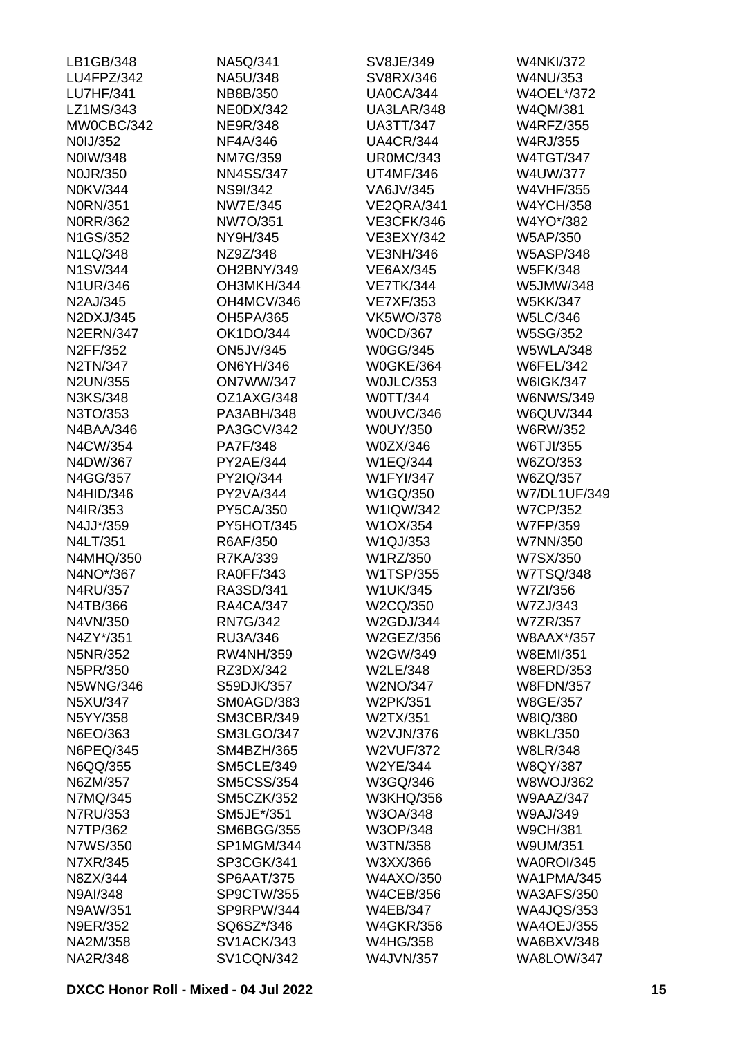| LB1GB/348        | NA5Q/341          | SV8JE/349         | <b>W4NKI/372</b>  |
|------------------|-------------------|-------------------|-------------------|
| LU4FPZ/342       | NA5U/348          | SV8RX/346         | W4NU/353          |
| <b>LU7HF/341</b> | NB8B/350          | <b>UA0CA/344</b>  | W4OEL*/372        |
| LZ1MS/343        | <b>NE0DX/342</b>  | UA3LAR/348        | W4QM/381          |
| MW0CBC/342       | <b>NE9R/348</b>   | <b>UA3TT/347</b>  | <b>W4RFZ/355</b>  |
| N0IJ/352         | NF4A/346          | <b>UA4CR/344</b>  | W4RJ/355          |
| N0IW/348         | <b>NM7G/359</b>   | <b>UR0MC/343</b>  | <b>W4TGT/347</b>  |
| <b>NOJR/350</b>  | <b>NN4SS/347</b>  | <b>UT4MF/346</b>  | W4UW/377          |
| N0KV/344         | <b>NS9I/342</b>   | VA6JV/345         | W4VHF/355         |
| <b>N0RN/351</b>  | <b>NW7E/345</b>   | VE2QRA/341        | <b>W4YCH/358</b>  |
| N0RR/362         | NW7O/351          | <b>VE3CFK/346</b> | W4YO*/382         |
| N1GS/352         | NY9H/345          | VE3EXY/342        | W5AP/350          |
| N1LQ/348         | NZ9Z/348          | <b>VE3NH/346</b>  | <b>W5ASP/348</b>  |
| N1SV/344         | OH2BNY/349        | <b>VE6AX/345</b>  | <b>W5FK/348</b>   |
| N1UR/346         | OH3MKH/344        | <b>VE7TK/344</b>  | W5JMW/348         |
| N2AJ/345         | OH4MCV/346        | <b>VE7XF/353</b>  | <b>W5KK/347</b>   |
| N2DXJ/345        | OH5PA/365         | <b>VK5WO/378</b>  | <b>W5LC/346</b>   |
| <b>N2ERN/347</b> | OK1DO/344         | <b>W0CD/367</b>   | <b>W5SG/352</b>   |
| N2FF/352         | <b>ON5JV/345</b>  | <b>W0GG/345</b>   | <b>W5WLA/348</b>  |
| N2TN/347         | <b>ON6YH/346</b>  | <b>W0GKE/364</b>  | <b>W6FEL/342</b>  |
| <b>N2UN/355</b>  | <b>ON7WW/347</b>  | WOJLC/353         | <b>W6IGK/347</b>  |
| N3KS/348         | OZ1AXG/348        | W0TT/344          | <b>W6NWS/349</b>  |
| N3TO/353         | PA3ABH/348        | W0UVC/346         | <b>W6QUV/344</b>  |
| N4BAA/346        | PA3GCV/342        | W0UY/350          | W6RW/352          |
| N4CW/354         | PA7F/348          | W0ZX/346          | W6TJI/355         |
| N4DW/367         | PY2AE/344         | W1EQ/344          | W6ZO/353          |
| N4GG/357         | PY2IQ/344         | <b>W1FYI/347</b>  | W6ZQ/357          |
| <b>N4HID/346</b> | PY2VA/344         | W1GQ/350          | W7/DL1UF/349      |
| N4IR/353         | PY5CA/350         | W1IQW/342         | <b>W7CP/352</b>   |
| N4JJ*/359        | PY5HOT/345        | W1OX/354          | W7FP/359          |
| N4LT/351         | R6AF/350          | W1QJ/353          | W7NN/350          |
| N4MHQ/350        | R7KA/339          | W1RZ/350          | W7SX/350          |
| N4NO*/367        | <b>RA0FF/343</b>  | W1TSP/355         | W7TSQ/348         |
| N4RU/357         | RA3SD/341         | <b>W1UK/345</b>   | W7ZI/356          |
| N4TB/366         | <b>RA4CA/347</b>  | W2CQ/350          | W7ZJ/343          |
| N4VN/350         | <b>RN7G/342</b>   | <b>W2GDJ/344</b>  | <b>W7ZR/357</b>   |
| N4ZY*/351        | RU3A/346          | W2GEZ/356         | W8AAX*/357        |
| N5NR/352         | <b>RW4NH/359</b>  | W2GW/349          | <b>W8EMI/351</b>  |
| N5PR/350         | RZ3DX/342         | W2LE/348          | <b>W8ERD/353</b>  |
| <b>N5WNG/346</b> | S59DJK/357        | W2NO/347          | <b>W8FDN/357</b>  |
| N5XU/347         | SM0AGD/383        | W2PK/351          | <b>W8GE/357</b>   |
| N5YY/358         | <b>SM3CBR/349</b> | W2TX/351          | W8IQ/380          |
| N6EO/363         | <b>SM3LGO/347</b> | W2VJN/376         | <b>W8KL/350</b>   |
| N6PEQ/345        | <b>SM4BZH/365</b> | <b>W2VUF/372</b>  | <b>W8LR/348</b>   |
| N6QQ/355         | <b>SM5CLE/349</b> | W2YE/344          | <b>W8QY/387</b>   |
| N6ZM/357         | <b>SM5CSS/354</b> | W3GQ/346          | <b>W8WOJ/362</b>  |
| N7MQ/345         | <b>SM5CZK/352</b> | <b>W3KHQ/356</b>  | <b>W9AAZ/347</b>  |
| N7RU/353         | SM5JE*/351        | W3OA/348          | W9AJ/349          |
| N7TP/362         | <b>SM6BGG/355</b> | W3OP/348          | <b>W9CH/381</b>   |
| N7WS/350         | SP1MGM/344        | W3TN/358          | W9UM/351          |
| N7XR/345         | SP3CGK/341        | W3XX/366          | WA0ROI/345        |
| N8ZX/344         | <b>SP6AAT/375</b> | W4AXO/350         | <b>WA1PMA/345</b> |
| N9AI/348         | SP9CTW/355        | <b>W4CEB/356</b>  | <b>WA3AFS/350</b> |
| N9AW/351         | SP9RPW/344        | <b>W4EB/347</b>   | <b>WA4JQS/353</b> |
| N9ER/352         | SQ6SZ*/346        | <b>W4GKR/356</b>  | <b>WA4OEJ/355</b> |
| NA2M/358         | <b>SV1ACK/343</b> | <b>W4HG/358</b>   | <b>WA6BXV/348</b> |
| NA2R/348         | <b>SV1CQN/342</b> | W4JVN/357         | WA8LOW/347        |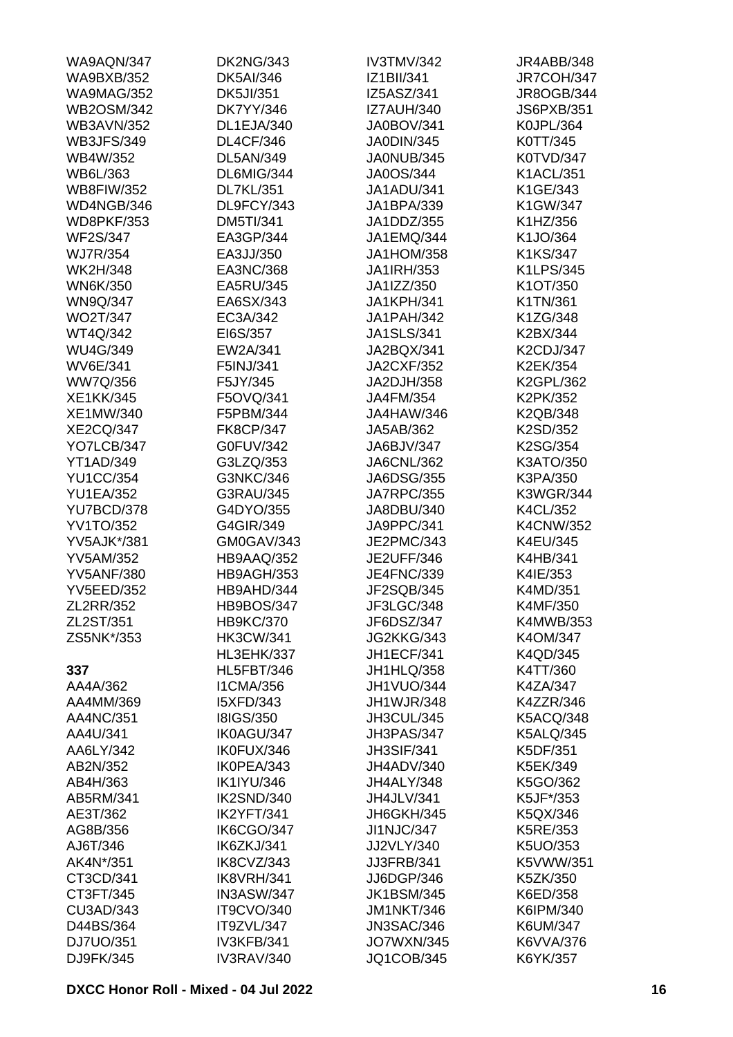| WA9AQN/347         | <b>DK2NG/343</b>  | IV3TMV/342        | JR4ABB/348        |
|--------------------|-------------------|-------------------|-------------------|
| <b>WA9BXB/352</b>  | <b>DK5AI/346</b>  | IZ1BII/341        | <b>JR7COH/347</b> |
| <b>WA9MAG/352</b>  | <b>DK5JI/351</b>  | IZ5ASZ/341        | JR8OGB/344        |
| <b>WB2OSM/342</b>  | <b>DK7YY/346</b>  | <b>IZ7AUH/340</b> | <b>JS6PXB/351</b> |
| <b>WB3AVN/352</b>  | DL1EJA/340        | <b>JA0BOV/341</b> | K0JPL/364         |
| <b>WB3JFS/349</b>  | <b>DL4CF/346</b>  | JA0DIN/345        | K0TT/345          |
| WB4W/352           | <b>DL5AN/349</b>  | JA0NUB/345        | K0TVD/347         |
| WB6L/363           | DL6MIG/344        | JA0OS/344         | <b>K1ACL/351</b>  |
| <b>WB8FIW/352</b>  | <b>DL7KL/351</b>  | JA1ADU/341        | K1GE/343          |
| WD4NGB/346         | DL9FCY/343        | JA1BPA/339        | K1GW/347          |
| <b>WD8PKF/353</b>  | <b>DM5TI/341</b>  | JA1DDZ/355        | K1HZ/356          |
| <b>WF2S/347</b>    | EA3GP/344         | JA1EMQ/344        | K1JO/364          |
| <b>WJ7R/354</b>    | EA3JJ/350         | <b>JA1HOM/358</b> | K1KS/347          |
| <b>WK2H/348</b>    | EA3NC/368         | JA1IRH/353        | K1LPS/345         |
| <b>WN6K/350</b>    | EA5RU/345         | JA1IZZ/350        | K1OT/350          |
| <b>WN9Q/347</b>    | EA6SX/343         | <b>JA1KPH/341</b> | K1TN/361          |
| <b>WO2T/347</b>    | EC3A/342          | <b>JA1PAH/342</b> | K1ZG/348          |
|                    |                   |                   |                   |
| WT4Q/342           | EI6S/357          | <b>JA1SLS/341</b> | K2BX/344          |
| <b>WU4G/349</b>    | EW2A/341          | JA2BQX/341        | K2CDJ/347         |
| <b>WV6E/341</b>    | F5INJ/341         | <b>JA2CXF/352</b> | K2EK/354          |
| WW7Q/356           | F5JY/345          | JA2DJH/358        | K2GPL/362         |
| <b>XE1KK/345</b>   | F5OVQ/341         | JA4FM/354         | K2PK/352          |
| XE1MW/340          | F5PBM/344         | JA4HAW/346        | K2QB/348          |
| <b>XE2CQ/347</b>   | <b>FK8CP/347</b>  | JA5AB/362         | K2SD/352          |
| YO7LCB/347         | G0FUV/342         | JA6BJV/347        | K2SG/354          |
| <b>YT1AD/349</b>   | G3LZQ/353         | JA6CNL/362        | K3ATO/350         |
| <b>YU1CC/354</b>   | G3NKC/346         | <b>JA6DSG/355</b> | K3PA/350          |
| <b>YU1EA/352</b>   | G3RAU/345         | <b>JA7RPC/355</b> | <b>K3WGR/344</b>  |
| YU7BCD/378         | G4DYO/355         | JA8DBU/340        | K4CL/352          |
| <b>YV1TO/352</b>   | G4GIR/349         | JA9PPC/341        | <b>K4CNW/352</b>  |
| <b>YV5AJK*/381</b> | GM0GAV/343        | JE2PMC/343        | K4EU/345          |
| <b>YV5AM/352</b>   | HB9AAQ/352        | <b>JE2UFF/346</b> | K4HB/341          |
| <b>YV5ANF/380</b>  | HB9AGH/353        | <b>JE4FNC/339</b> | K4IE/353          |
| <b>YV5EED/352</b>  | HB9AHD/344        | JF2SQB/345        | K4MD/351          |
| ZL2RR/352          | <b>HB9BOS/347</b> | JF3LGC/348        | K4MF/350          |
| ZL2ST/351          | <b>HB9KC/370</b>  | JF6DSZ/347        | K4MWB/353         |
| ZS5NK*/353         | <b>HK3CW/341</b>  | JG2KKG/343        | K4OM/347          |
|                    | HL3EHK/337        | <b>JH1ECF/341</b> | K4QD/345          |
| 337                | <b>HL5FBT/346</b> | JH1HLQ/358        | K4TT/360          |
| AA4A/362           | <b>I1CMA/356</b>  | JH1VUO/344        | K4ZA/347          |
| AA4MM/369          | <b>I5XFD/343</b>  | <b>JH1WJR/348</b> | K4ZZR/346         |
| AA4NC/351          | <b>I8IGS/350</b>  | JH3CUL/345        | <b>K5ACQ/348</b>  |
| AA4U/341           | IK0AGU/347        | JH3PAS/347        | <b>K5ALQ/345</b>  |
| AA6LY/342          | IK0FUX/346        | <b>JH3SIF/341</b> | K5DF/351          |
| AB2N/352           | IK0PEA/343        | JH4ADV/340        | K5EK/349          |
| AB4H/363           | <b>IK1IYU/346</b> | JH4ALY/348        | K5GO/362          |
| AB5RM/341          | IK2SND/340        | JH4JLV/341        | K5JF*/353         |
|                    | IK2YFT/341        |                   |                   |
| AE3T/362           |                   | JH6GKH/345        | K5QX/346          |
| AG8B/356           | IK6CGO/347        | <b>JI1NJC/347</b> | K5RE/353          |
| AJ6T/346           | IK6ZKJ/341        | JJ2VLY/340        | K5UO/353          |
| AK4N*/351          | IK8CVZ/343        | <b>JJ3FRB/341</b> | K5VWW/351         |
| CT3CD/341          | IK8VRH/341        | JJ6DGP/346        | K5ZK/350          |
| CT3FT/345          | IN3ASW/347        | <b>JK1BSM/345</b> | K6ED/358          |
| CU3AD/343          | <b>IT9CVO/340</b> | <b>JM1NKT/346</b> | K6IPM/340         |
| D44BS/364          | IT9ZVL/347        | <b>JN3SAC/346</b> | K6UM/347          |
| DJ7UO/351          | IV3KFB/341        | <b>JO7WXN/345</b> | K6VVA/376         |
| DJ9FK/345          | IV3RAV/340        | JQ1COB/345        | K6YK/357          |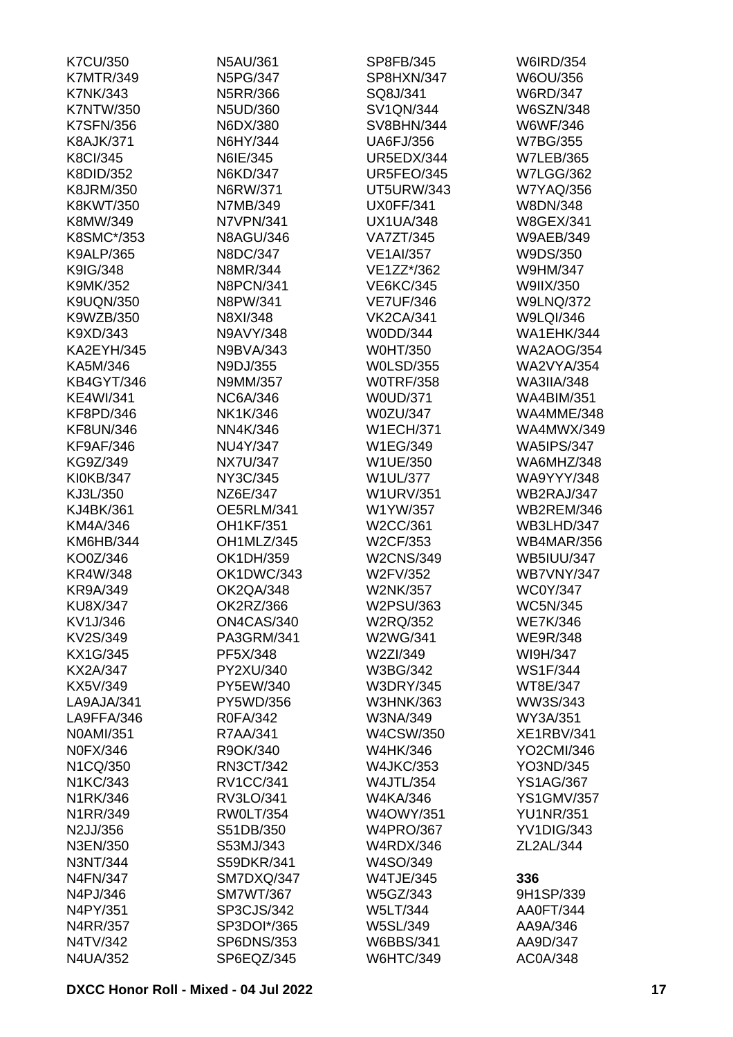| <b>K7CU/350</b>   | N5AU/361         | SP8FB/345         | <b>W6IRD/354</b>  |
|-------------------|------------------|-------------------|-------------------|
| <b>K7MTR/349</b>  | <b>N5PG/347</b>  | SP8HXN/347        | W6OU/356          |
| <b>K7NK/343</b>   | N5RR/366         | SQ8J/341          | <b>W6RD/347</b>   |
| <b>K7NTW/350</b>  | N5UD/360         | <b>SV1QN/344</b>  | <b>W6SZN/348</b>  |
| <b>K7SFN/356</b>  | N6DX/380         | <b>SV8BHN/344</b> | W6WF/346          |
| <b>K8AJK/371</b>  | N6HY/344         | <b>UA6FJ/356</b>  | <b>W7BG/355</b>   |
| <b>K8CI/345</b>   | N6IE/345         | UR5EDX/344        | <b>W7LEB/365</b>  |
| K8DID/352         | N6KD/347         | <b>UR5FEO/345</b> | <b>W7LGG/362</b>  |
| K8JRM/350         | N6RW/371         | <b>UT5URW/343</b> | <b>W7YAQ/356</b>  |
| K8KWT/350         | N7MB/349         | <b>UX0FF/341</b>  | W8DN/348          |
| K8MW/349          | N7VPN/341        | <b>UX1UA/348</b>  | <b>W8GEX/341</b>  |
| K8SMC*/353        | <b>N8AGU/346</b> | <b>VA7ZT/345</b>  | <b>W9AEB/349</b>  |
| K9ALP/365         | N8DC/347         | <b>VE1AI/357</b>  | W9DS/350          |
| K9IG/348          | N8MR/344         | VE1ZZ*/362        | W9HM/347          |
| K9MK/352          | <b>N8PCN/341</b> | <b>VE6KC/345</b>  | W9IIX/350         |
| <b>K9UQN/350</b>  | N8PW/341         | <b>VE7UF/346</b>  | <b>W9LNQ/372</b>  |
| K9WZB/350         | N8XI/348         | <b>VK2CA/341</b>  | W9LQI/346         |
| K9XD/343          | N9AVY/348        | W0DD/344          | <b>WA1EHK/344</b> |
|                   |                  |                   |                   |
| <b>KA2EYH/345</b> | N9BVA/343        | <b>W0HT/350</b>   | <b>WA2AOG/354</b> |
| KA5M/346          | N9DJ/355         | <b>W0LSD/355</b>  | <b>WA2VYA/354</b> |
| <b>KB4GYT/346</b> | N9MM/357         | <b>WOTRF/358</b>  | <b>WA3IIA/348</b> |
| <b>KE4WI/341</b>  | <b>NC6A/346</b>  | <b>W0UD/371</b>   | <b>WA4BIM/351</b> |
| KF8PD/346         | NK1K/346         | W0ZU/347          | WA4MME/348        |
| <b>KF8UN/346</b>  | NN4K/346         | <b>W1ECH/371</b>  | <b>WA4MWX/349</b> |
| <b>KF9AF/346</b>  | NU4Y/347         | W1EG/349          | <b>WA5IPS/347</b> |
| KG9Z/349          | <b>NX7U/347</b>  | W1UE/350          | WA6MHZ/348        |
| KI0KB/347         | NY3C/345         | <b>W1UL/377</b>   | <b>WA9YYY/348</b> |
| KJ3L/350          | NZ6E/347         | <b>W1URV/351</b>  | WB2RAJ/347        |
| KJ4BK/361         | OE5RLM/341       | W1YW/357          | <b>WB2REM/346</b> |
| KM4A/346          | <b>OH1KF/351</b> | W2CC/361          | WB3LHD/347        |
| KM6HB/344         | OH1MLZ/345       | W2CF/353          | <b>WB4MAR/356</b> |
| KO0Z/346          | OK1DH/359        | <b>W2CNS/349</b>  | <b>WB5IUU/347</b> |
| KR4W/348          | OK1DWC/343       | W2FV/352          | <b>WB7VNY/347</b> |
| <b>KR9A/349</b>   | OK2QA/348        | <b>W2NK/357</b>   | <b>WC0Y/347</b>   |
| KU8X/347          | OK2RZ/366        | W2PSU/363         | <b>WC5N/345</b>   |
| KV1J/346          | ON4CAS/340       | W2RQ/352          | <b>WE7K/346</b>   |
| KV2S/349          | PA3GRM/341       | W2WG/341          | <b>WE9R/348</b>   |
| KX1G/345          | PF5X/348         | W2ZI/349          | WI9H/347          |
| <b>KX2A/347</b>   | PY2XU/340        | W3BG/342          | <b>WS1F/344</b>   |
| KX5V/349          | PY5EW/340        | <b>W3DRY/345</b>  | WT8E/347          |
| LA9AJA/341        | PY5WD/356        | W3HNK/363         | WW3S/343          |
| LA9FFA/346        | R0FA/342         | W3NA/349          | WY3A/351          |
| N0AMI/351         | R7AA/341         | W4CSW/350         | <b>XE1RBV/341</b> |
| <b>N0FX/346</b>   | R9OK/340         | W4HK/346          | YO2CMI/346        |
| N1CQ/350          | RN3CT/342        | <b>W4JKC/353</b>  | YO3ND/345         |
| N1KC/343          | <b>RV1CC/341</b> | <b>W4JTL/354</b>  | <b>YS1AG/367</b>  |
| N1RK/346          | RV3LO/341        | W4KA/346          | <b>YS1GMV/357</b> |
| N1RR/349          | <b>RW0LT/354</b> | <b>W4OWY/351</b>  | <b>YU1NR/351</b>  |
| N2JJ/356          | S51DB/350        | <b>W4PRO/367</b>  | YV1DIG/343        |
| N3EN/350          | S53MJ/343        | <b>W4RDX/346</b>  | ZL2AL/344         |
|                   | S59DKR/341       |                   |                   |
| N3NT/344          |                  | W4SO/349          |                   |
| N4FN/347          | SM7DXQ/347       | <b>W4TJE/345</b>  | 336               |
| N4PJ/346          | <b>SM7WT/367</b> | W5GZ/343          | 9H1SP/339         |
| N4PY/351          | SP3CJS/342       | <b>W5LT/344</b>   | AA0FT/344         |
| N4RR/357          | SP3DOI*/365      | <b>W5SL/349</b>   | AA9A/346          |
| N4TV/342          | SP6DNS/353       | <b>W6BBS/341</b>  | AA9D/347          |
| N4UA/352          | SP6EQZ/345       | <b>W6HTC/349</b>  | AC0A/348          |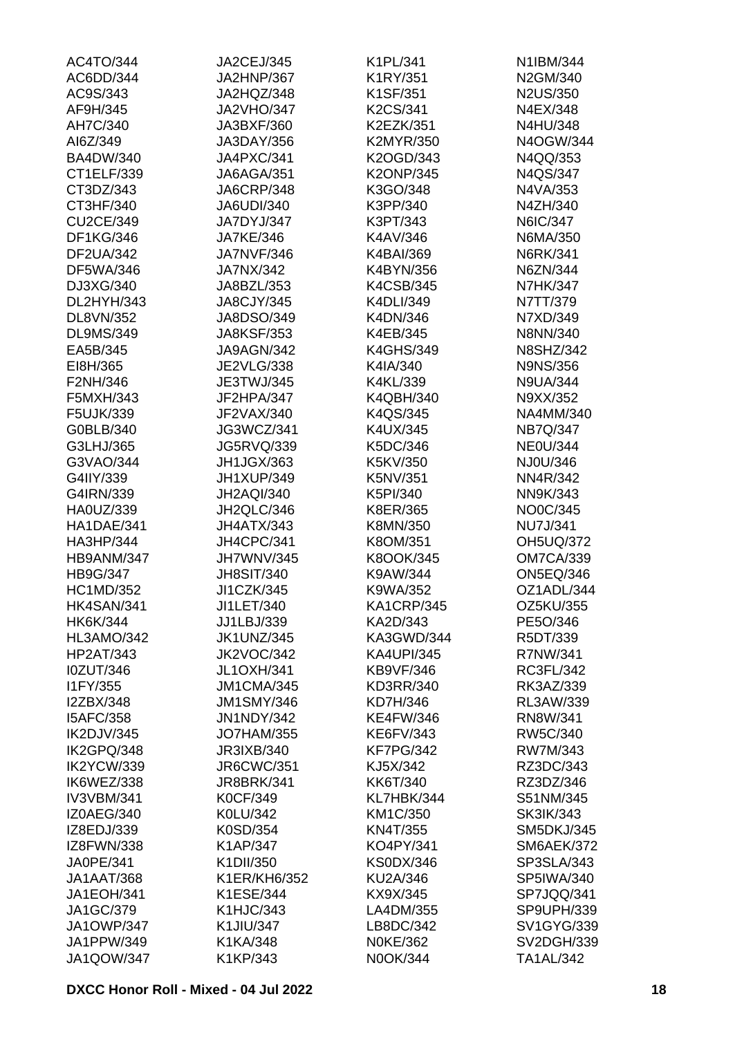| AC4TO/344         | JA2CEJ/345        | K1PL/341          | N1IBM/344         |
|-------------------|-------------------|-------------------|-------------------|
| AC6DD/344         | JA2HNP/367        | K1RY/351          | N2GM/340          |
| AC9S/343          | JA2HQZ/348        | K1SF/351          | N2US/350          |
| AF9H/345          | <b>JA2VHO/347</b> | K2CS/341          | N4EX/348          |
| AH7C/340          | JA3BXF/360        | K2EZK/351         | N4HU/348          |
| AI6Z/349          | JA3DAY/356        | K2MYR/350         | N4OGW/344         |
| <b>BA4DW/340</b>  | JA4PXC/341        | K2OGD/343         | N4QQ/353          |
| CT1ELF/339        | JA6AGA/351        | <b>K2ONP/345</b>  | N4QS/347          |
| CT3DZ/343         | <b>JA6CRP/348</b> | K3GO/348          | N4VA/353          |
| CT3HF/340         | <b>JA6UDI/340</b> | K3PP/340          | N4ZH/340          |
| <b>CU2CE/349</b>  | JA7DYJ/347        | K3PT/343          | N6IC/347          |
| DF1KG/346         | <b>JA7KE/346</b>  | K4AV/346          | N6MA/350          |
| <b>DF2UA/342</b>  | <b>JA7NVF/346</b> | K4BAI/369         | N6RK/341          |
| DF5WA/346         | JA7NX/342         | K4BYN/356         | N6ZN/344          |
| DJ3XG/340         | JA8BZL/353        | K4CSB/345         | <b>N7HK/347</b>   |
| DL2HYH/343        | <b>JA8CJY/345</b> | K4DLI/349         | N7TT/379          |
| DL8VN/352         | JA8DSO/349        | K4DN/346          | N7XD/349          |
|                   | <b>JA8KSF/353</b> |                   | N8NN/340          |
| <b>DL9MS/349</b>  |                   | K4EB/345          |                   |
| EA5B/345          | JA9AGN/342        | <b>K4GHS/349</b>  | <b>N8SHZ/342</b>  |
| EI8H/365          | <b>JE2VLG/338</b> | K4IA/340          | <b>N9NS/356</b>   |
| F2NH/346          | JE3TWJ/345        | K4KL/339          | <b>N9UA/344</b>   |
| F5MXH/343         | JF2HPA/347        | K4QBH/340         | N9XX/352          |
| F5UJK/339         | JF2VAX/340        | K4QS/345          | NA4MM/340         |
| G0BLB/340         | JG3WCZ/341        | K4UX/345          | <b>NB7Q/347</b>   |
| G3LHJ/365         | <b>JG5RVQ/339</b> | K5DC/346          | <b>NE0U/344</b>   |
| G3VAO/344         | JH1JGX/363        | K5KV/350          | NJ0U/346          |
| G4IIY/339         | JH1XUP/349        | K5NV/351          | NN4R/342          |
| G4IRN/339         | <b>JH2AQI/340</b> | K5PI/340          | NN9K/343          |
| HA0UZ/339         | JH2QLC/346        | K8ER/365          | NO0C/345          |
| HA1DAE/341        | JH4ATX/343        | K8MN/350          | <b>NU7J/341</b>   |
| HA3HP/344         | JH4CPC/341        | K8OM/351          | <b>OH5UQ/372</b>  |
| HB9ANM/347        | JH7WNV/345        | K8OOK/345         | <b>OM7CA/339</b>  |
| HB9G/347          | <b>JH8SIT/340</b> | K9AW/344          | <b>ON5EQ/346</b>  |
| <b>HC1MD/352</b>  | JI1CZK/345        | K9WA/352          | OZ1ADL/344        |
| <b>HK4SAN/341</b> | JI1LET/340        | KA1CRP/345        | <b>OZ5KU/355</b>  |
| <b>HK6K/344</b>   | JJ1LBJ/339        | KA2D/343          | PE5O/346          |
| HL3AMO/342        | <b>JK1UNZ/345</b> | KA3GWD/344        | R5DT/339          |
| <b>HP2AT/343</b>  | JK2VOC/342        | <b>KA4UPI/345</b> | R7NW/341          |
| <b>I0ZUT/346</b>  | <b>JL1OXH/341</b> | <b>KB9VF/346</b>  | RC3FL/342         |
| I1FY/355          | JM1CMA/345        | KD3RR/340         | RK3AZ/339         |
| I2ZBX/348         | <b>JM1SMY/346</b> | KD7H/346          | RL3AW/339         |
| <b>I5AFC/358</b>  | <b>JN1NDY/342</b> | <b>KE4FW/346</b>  | RN8W/341          |
| IK2DJV/345        | <b>JO7HAM/355</b> | KE6FV/343         | RW5C/340          |
| IK2GPQ/348        | JR3IXB/340        | <b>KF7PG/342</b>  | RW7M/343          |
| IK2YCW/339        |                   |                   | RZ3DC/343         |
|                   | <b>JR6CWC/351</b> | KJ5X/342          |                   |
| IK6WEZ/338        | <b>JR8BRK/341</b> | KK6T/340          | RZ3DZ/346         |
| <b>IV3VBM/341</b> | <b>K0CF/349</b>   | KL7HBK/344        | S51NM/345         |
| IZ0AEG/340        | K0LU/342          | KM1C/350          | <b>SK3IK/343</b>  |
| IZ8EDJ/339        | K0SD/354          | <b>KN4T/355</b>   | <b>SM5DKJ/345</b> |
| IZ8FWN/338        | K1AP/347          | KO4PY/341         | <b>SM6AEK/372</b> |
| JA0PE/341         | K1DII/350         | <b>KS0DX/346</b>  | SP3SLA/343        |
| JA1AAT/368        | K1ER/KH6/352      | KU2A/346          | <b>SP5IWA/340</b> |
| <b>JA1EOH/341</b> | K1ESE/344         | KX9X/345          | SP7JQQ/341        |
| JA1GC/379         | <b>K1HJC/343</b>  | LA4DM/355         | SP9UPH/339        |
| <b>JA1OWP/347</b> | K1JIU/347         | LB8DC/342         | <b>SV1GYG/339</b> |
| JA1PPW/349        | K1KA/348          | <b>N0KE/362</b>   | <b>SV2DGH/339</b> |
| <b>JA1QOW/347</b> | K1KP/343          | N0OK/344          | TA1AL/342         |
|                   |                   |                   |                   |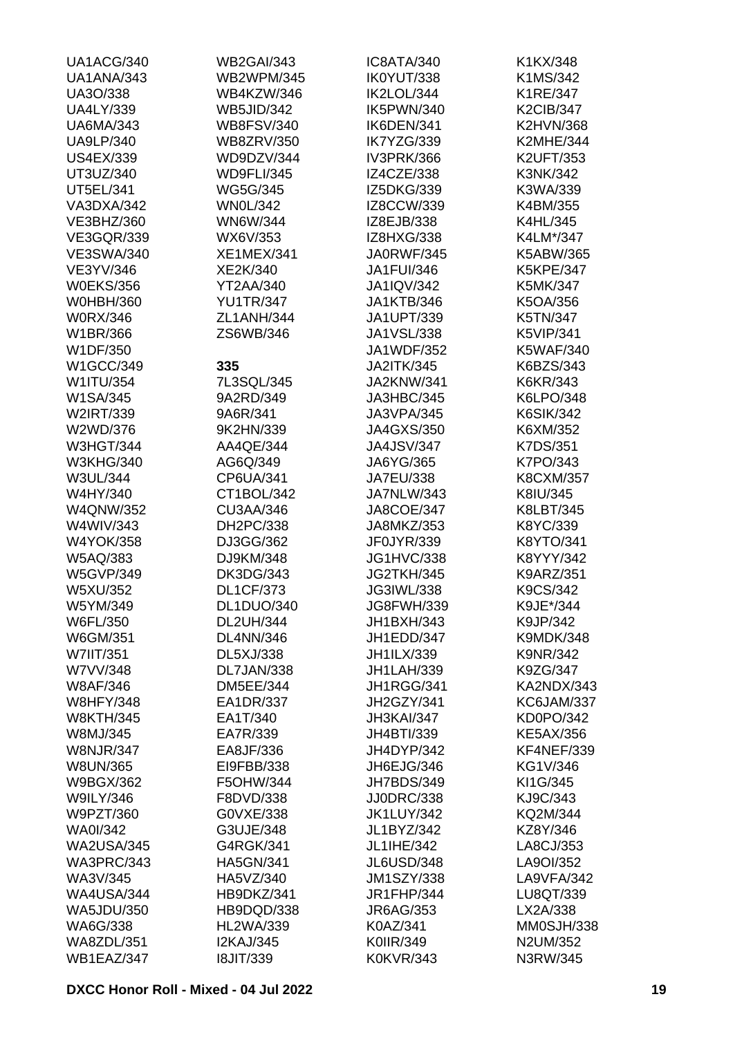| UA1ACG/340        | <b>WB2GAI/343</b> | IC8ATA/340        | K1KX/348         |
|-------------------|-------------------|-------------------|------------------|
| UA1ANA/343        | <b>WB2WPM/345</b> | IK0YUT/338        | K1MS/342         |
| UA3O/338          | WB4KZW/346        | IK2LOL/344        | K1RE/347         |
| <b>UA4LY/339</b>  | <b>WB5JID/342</b> | IK5PWN/340        | <b>K2CIB/347</b> |
| <b>UA6MA/343</b>  | <b>WB8FSV/340</b> | IK6DEN/341        | <b>K2HVN/368</b> |
| <b>UA9LP/340</b>  | <b>WB8ZRV/350</b> | IK7YZG/339        | <b>K2MHE/344</b> |
| <b>US4EX/339</b>  | WD9DZV/344        | IV3PRK/366        | <b>K2UFT/353</b> |
| UT3UZ/340         | <b>WD9FLI/345</b> | IZ4CZE/338        | K3NK/342         |
| UT5EL/341         | <b>WG5G/345</b>   | IZ5DKG/339        | K3WA/339         |
| VA3DXA/342        | <b>WN0L/342</b>   | IZ8CCW/339        | K4BM/355         |
| VE3BHZ/360        | <b>WN6W/344</b>   | IZ8EJB/338        | K4HL/345         |
| <b>VE3GQR/339</b> | WX6V/353          | IZ8HXG/338        | K4LM*/347        |
| <b>VE3SWA/340</b> | <b>XE1MEX/341</b> | JA0RWF/345        | K5ABW/365        |
| VE3YV/346         | XE2K/340          | <b>JA1FUI/346</b> | <b>K5KPE/347</b> |
| <b>W0EKS/356</b>  | YT2AA/340         | <b>JA1IQV/342</b> | K5MK/347         |
| <b>W0HBH/360</b>  | <b>YU1TR/347</b>  | <b>JA1KTB/346</b> | K5OA/356         |
|                   |                   |                   |                  |
| <b>W0RX/346</b>   | ZL1ANH/344        | JA1UPT/339        | K5TN/347         |
| W1BR/366          | ZS6WB/346         | JA1VSL/338        | <b>K5VIP/341</b> |
| W1DF/350          |                   | JA1WDF/352        | <b>K5WAF/340</b> |
| W1GCC/349         | 335               | <b>JA2ITK/345</b> | K6BZS/343        |
| W1ITU/354         | 7L3SQL/345        | JA2KNW/341        | K6KR/343         |
| W1SA/345          | 9A2RD/349         | JA3HBC/345        | K6LPO/348        |
| W2IRT/339         | 9A6R/341          | JA3VPA/345        | <b>K6SIK/342</b> |
| W2WD/376          | 9K2HN/339         | <b>JA4GXS/350</b> | K6XM/352         |
| <b>W3HGT/344</b>  | AA4QE/344         | <b>JA4JSV/347</b> | K7DS/351         |
| <b>W3KHG/340</b>  | AG6Q/349          | JA6YG/365         | K7PO/343         |
| W3UL/344          | CP6UA/341         | <b>JA7EU/338</b>  | <b>K8CXM/357</b> |
| W4HY/340          | CT1BOL/342        | <b>JA7NLW/343</b> | K8IU/345         |
| <b>W4QNW/352</b>  | <b>CU3AA/346</b>  | <b>JA8COE/347</b> | K8LBT/345        |
| W4WIV/343         | DH2PC/338         | JA8MKZ/353        | K8YC/339         |
| <b>W4YOK/358</b>  | DJ3GG/362         | JF0JYR/339        | K8YTO/341        |
| W5AQ/383          | DJ9KM/348         | <b>JG1HVC/338</b> | K8YYY/342        |
| <b>W5GVP/349</b>  | <b>DK3DG/343</b>  | JG2TKH/345        | <b>K9ARZ/351</b> |
| W5XU/352          | <b>DL1CF/373</b>  | JG3IWL/338        | K9CS/342         |
| W5YM/349          | DL1DUO/340        | JG8FWH/339        | K9JE*/344        |
| W6FL/350          | <b>DL2UH/344</b>  | JH1BXH/343        | K9JP/342         |
| W6GM/351          | <b>DL4NN/346</b>  | JH1EDD/347        | <b>K9MDK/348</b> |
| W7IIT/351         | DL5XJ/338         | JH1ILX/339        | <b>K9NR/342</b>  |
| W7VV/348          | DL7JAN/338        | <b>JH1LAH/339</b> | K9ZG/347         |
| <b>W8AF/346</b>   | <b>DM5EE/344</b>  | JH1RGG/341        | KA2NDX/343       |
| <b>W8HFY/348</b>  | EA1DR/337         | JH2GZY/341        | KC6JAM/337       |
| <b>W8KTH/345</b>  | EA1T/340          | JH3KAI/347        | KD0PO/342        |
| W8MJ/345          | EA7R/339          | JH4BTI/339        | <b>KE5AX/356</b> |
| <b>W8NJR/347</b>  | EA8JF/336         | JH4DYP/342        | KF4NEF/339       |
| <b>W8UN/365</b>   | EI9FBB/338        | JH6EJG/346        | KG1V/346         |
| W9BGX/362         | F5OHW/344         | JH7BDS/349        | KI1G/345         |
| <b>W9ILY/346</b>  |                   |                   |                  |
|                   | F8DVD/338         | <b>JJ0DRC/338</b> | KJ9C/343         |
| W9PZT/360         | G0VXE/338         | <b>JK1LUY/342</b> | KQ2M/344         |
| <b>WA0I/342</b>   | G3UJE/348         | JL1BYZ/342        | KZ8Y/346         |
| <b>WA2USA/345</b> | G4RGK/341         | JL1IHE/342        | LA8CJ/353        |
| WA3PRC/343        | <b>HA5GN/341</b>  | JL6USD/348        | LA9OI/352        |
| WA3V/345          | HA5VZ/340         | <b>JM1SZY/338</b> | LA9VFA/342       |
| <b>WA4USA/344</b> | HB9DKZ/341        | <b>JR1FHP/344</b> | LU8QT/339        |
| <b>WA5JDU/350</b> | HB9DQD/338        | JR6AG/353         | LX2A/338         |
| WA6G/338          | <b>HL2WA/339</b>  | K0AZ/341          | MM0SJH/338       |
| <b>WA8ZDL/351</b> | <b>I2KAJ/345</b>  | K0IIR/349         | N2UM/352         |
| WB1EAZ/347        | <b>I8JIT/339</b>  | <b>K0KVR/343</b>  | N3RW/345         |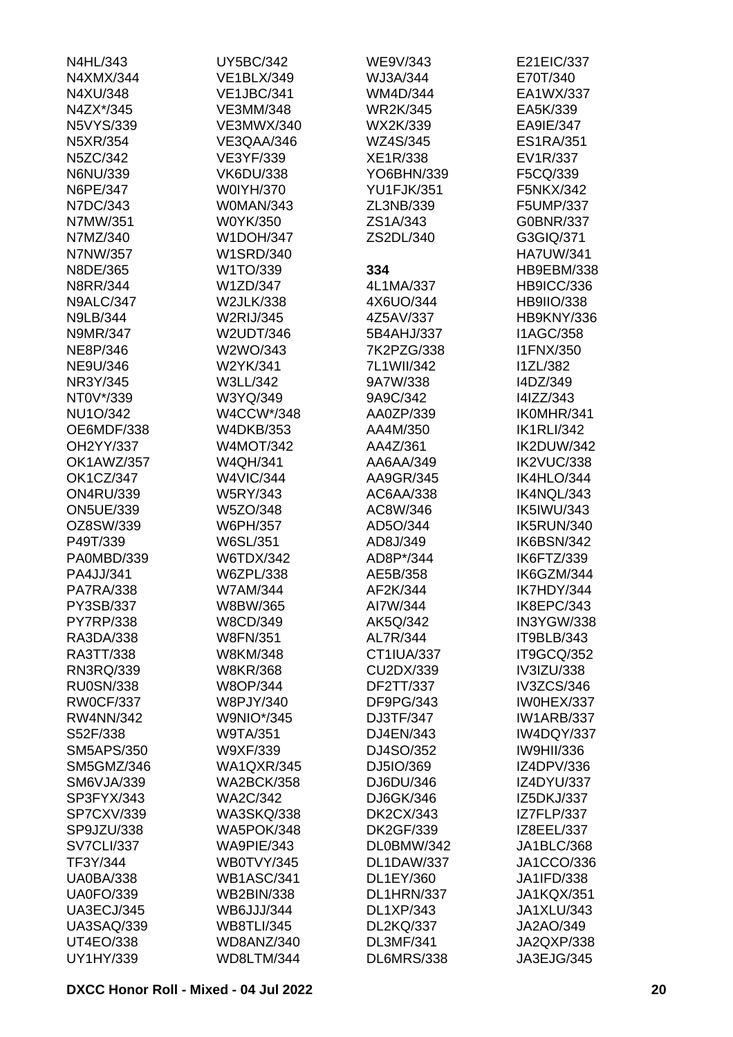| N4HL/343          | <b>UY5BC/342</b>  | WE9V/343          | E21EIC/337        |
|-------------------|-------------------|-------------------|-------------------|
| N4XMX/344         | <b>VE1BLX/349</b> | WJ3A/344          | E70T/340          |
| N4XU/348          | <b>VE1JBC/341</b> | WM4D/344          | EA1WX/337         |
| N4ZX*/345         | <b>VE3MM/348</b>  | <b>WR2K/345</b>   | EA5K/339          |
| <b>N5VYS/339</b>  | <b>VE3MWX/340</b> | WX2K/339          | EA9IE/347         |
| N5XR/354          | VE3QAA/346        | WZ4S/345          | <b>ES1RA/351</b>  |
| N5ZC/342          | VE3YF/339         | XE1R/338          | EV1R/337          |
| N6NU/339          | <b>VK6DU/338</b>  | YO6BHN/339        | F5CQ/339          |
| N6PE/347          | W0IYH/370         | <b>YU1FJK/351</b> | F5NKX/342         |
| N7DC/343          | W0MAN/343         | ZL3NB/339         | F5UMP/337         |
| N7MW/351          | W0YK/350          | ZS1A/343          | G0BNR/337         |
| N7MZ/340          | <b>W1DOH/347</b>  | ZS2DL/340         | G3GIQ/371         |
| N7NW/357          | <b>W1SRD/340</b>  |                   | <b>HA7UW/341</b>  |
| N8DE/365          | W1TO/339          | 334               | <b>HB9EBM/338</b> |
| <b>N8RR/344</b>   | W1ZD/347          | 4L1MA/337         | <b>HB9ICC/336</b> |
| <b>N9ALC/347</b>  | <b>W2JLK/338</b>  | 4X6UO/344         | <b>HB9IIO/338</b> |
| <b>N9LB/344</b>   | <b>W2RIJ/345</b>  | 4Z5AV/337         | HB9KNY/336        |
| N9MR/347          | W2UDT/346         | 5B4AHJ/337        | <b>I1AGC/358</b>  |
|                   |                   | 7K2PZG/338        |                   |
| NE8P/346          | W2WO/343          |                   | <b>I1FNX/350</b>  |
| <b>NE9U/346</b>   | W2YK/341          | 7L1WII/342        | <b>I1ZL/382</b>   |
| NR3Y/345          | W3LL/342          | 9A7W/338          | I4DZ/349          |
| NT0V*/339         | W3YQ/349          | 9A9C/342          | I4IZZ/343         |
| <b>NU1O/342</b>   | W4CCW*/348        | AA0ZP/339         | IK0MHR/341        |
| OE6MDF/338        | <b>W4DKB/353</b>  | AA4M/350          | <b>IK1RLI/342</b> |
| OH2YY/337         | <b>W4MOT/342</b>  | AA4Z/361          | IK2DUW/342        |
| OK1AWZ/357        | <b>W4QH/341</b>   | AA6AA/349         | IK2VUC/338        |
| <b>OK1CZ/347</b>  | <b>W4VIC/344</b>  | AA9GR/345         | IK4HLO/344        |
| <b>ON4RU/339</b>  | <b>W5RY/343</b>   | AC6AA/338         | IK4NQL/343        |
| <b>ON5UE/339</b>  | W5ZO/348          | AC8W/346          | <b>IK5IWU/343</b> |
| OZ8SW/339         | W6PH/357          | AD5O/344          | IK5RUN/340        |
| P49T/339          | W6SL/351          | AD8J/349          | IK6BSN/342        |
| PA0MBD/339        | <b>W6TDX/342</b>  | AD8P*/344         | IK6FTZ/339        |
| PA4JJ/341         | W6ZPL/338         | AE5B/358          | IK6GZM/344        |
| <b>PA7RA/338</b>  | <b>W7AM/344</b>   | AF2K/344          | IK7HDY/344        |
| PY3SB/337         | W8BW/365          | AI7W/344          | IK8EPC/343        |
| <b>PY7RP/338</b>  | W8CD/349          | AK5Q/342          | IN3YGW/338        |
| RA3DA/338         | <b>W8FN/351</b>   | AL7R/344          | IT9BLB/343        |
| RA3TT/338         | W8KM/348          | CT1IUA/337        | IT9GCQ/352        |
| RN3RQ/339         | <b>W8KR/368</b>   | CU2DX/339         | IV3IZU/338        |
| <b>RU0SN/338</b>  | <b>W8OP/344</b>   | DF2TT/337         | IV3ZCS/346        |
| <b>RW0CF/337</b>  | W8PJY/340         | DF9PG/343         | IW0HEX/337        |
| <b>RW4NN/342</b>  | <b>W9NIO*/345</b> | DJ3TF/347         | <b>IW1ARB/337</b> |
| S52F/338          | <b>W9TA/351</b>   | DJ4EN/343         | IW4DQY/337        |
| <b>SM5APS/350</b> | W9XF/339          | DJ4SO/352         | <b>IW9HII/336</b> |
| SM5GMZ/346        | <b>WA1QXR/345</b> | DJ5IO/369         | IZ4DPV/336        |
| <b>SM6VJA/339</b> | <b>WA2BCK/358</b> | DJ6DU/346         | IZ4DYU/337        |
| SP3FYX/343        | <b>WA2C/342</b>   | DJ6GK/346         | IZ5DKJ/337        |
| SP7CXV/339        | <b>WA3SKQ/338</b> | <b>DK2CX/343</b>  | IZ7FLP/337        |
| SP9JZU/338        | <b>WA5POK/348</b> | <b>DK2GF/339</b>  | IZ8EEL/337        |
| <b>SV7CLI/337</b> | WA9PIE/343        | DL0BMW/342        | JA1BLC/368        |
| TF3Y/344          | WB0TVY/345        | DL1DAW/337        | JA1CCO/336        |
| <b>UA0BA/338</b>  | <b>WB1ASC/341</b> | DL1EY/360         | JA1IFD/338        |
| <b>UA0FO/339</b>  | <b>WB2BIN/338</b> | DL1HRN/337        | <b>JA1KQX/351</b> |
| <b>UA3ECJ/345</b> | WB6JJJ/344        | DL1XP/343         | JA1XLU/343        |
| <b>UA3SAQ/339</b> | <b>WB8TLI/345</b> | <b>DL2KQ/337</b>  | JA2AO/349         |
| <b>UT4EO/338</b>  | WD8ANZ/340        | <b>DL3MF/341</b>  | JA2QXP/338        |
|                   |                   |                   |                   |
| UY1HY/339         | WD8LTM/344        | DL6MRS/338        | JA3EJG/345        |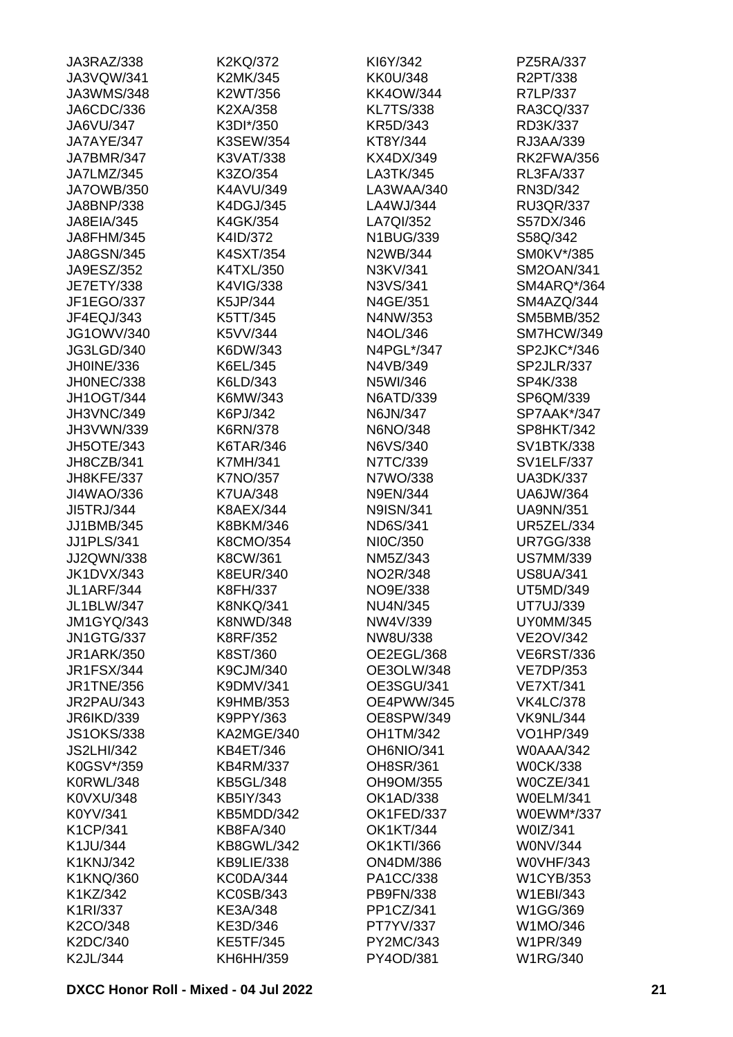| JA3RAZ/338            | K2KQ/372          | KI6Y/342          | PZ5RA/337         |
|-----------------------|-------------------|-------------------|-------------------|
| JA3VQW/341            | K2MK/345          | <b>KK0U/348</b>   | R2PT/338          |
| JA3WMS/348            | K2WT/356          | <b>KK4OW/344</b>  | R7LP/337          |
| JA6CDC/336            | K2XA/358          | <b>KL7TS/338</b>  | RA3CQ/337         |
| JA6VU/347             | K3DI*/350         | KR5D/343          | RD3K/337          |
| JA7AYE/347            | K3SEW/354         | KT8Y/344          | RJ3AA/339         |
| JA7BMR/347            | K3VAT/338         | KX4DX/349         | <b>RK2FWA/356</b> |
| JA7LMZ/345            | K3ZO/354          | LA3TK/345         | <b>RL3FA/337</b>  |
| <b>JA7OWB/350</b>     | K4AVU/349         | LA3WAA/340        | RN3D/342          |
| JA8BNP/338            | K4DGJ/345         | LA4WJ/344         | <b>RU3QR/337</b>  |
| JA8EIA/345            | K4GK/354          | LA7QI/352         | S57DX/346         |
| JA8FHM/345            | K4ID/372          | N1BUG/339         | S58Q/342          |
| <b>JA8GSN/345</b>     | K4SXT/354         | N2WB/344          | SM0KV*/385        |
| JA9ESZ/352            | K4TXL/350         | N3KV/341          | <b>SM2OAN/341</b> |
| <b>JE7ETY/338</b>     | K4VIG/338         | N3VS/341          | SM4ARQ*/364       |
| JF1EGO/337            | K5JP/344          | N4GE/351          | SM4AZQ/344        |
| JF4EQJ/343            | K5TT/345          | N4NW/353          | SM5BMB/352        |
| <b>JG1OWV/340</b>     | K5VV/344          | N4OL/346          | SM7HCW/349        |
|                       | K6DW/343          | N4PGL*/347        | SP2JKC*/346       |
| JG3LGD/340            |                   |                   |                   |
| JH0INE/336            | K6EL/345          | N4VB/349          | SP2JLR/337        |
| JH0NEC/338            | K6LD/343          | N5WI/346          | SP4K/338          |
| <b>JH1OGT/344</b>     | K6MW/343          | N6ATD/339         | SP6QM/339         |
| JH3VNC/349            | K6PJ/342          | N6JN/347          | SP7AAK*/347       |
| JH3VWN/339            | <b>K6RN/378</b>   | N6NO/348          | SP8HKT/342        |
| JH5OTE/343            | K6TAR/346         | N6VS/340          | SV1BTK/338        |
| JH8CZB/341            | <b>K7MH/341</b>   | N7TC/339          | <b>SV1ELF/337</b> |
| JH8KFE/337            | K7NO/357          | N7WO/338          | <b>UA3DK/337</b>  |
| JI4WAO/336            | <b>K7UA/348</b>   | <b>N9EN/344</b>   | <b>UA6JW/364</b>  |
| <b>JI5TRJ/344</b>     | <b>K8AEX/344</b>  | <b>N9ISN/341</b>  | <b>UA9NN/351</b>  |
| JJ1BMB/345            | K8BKM/346         | <b>ND6S/341</b>   | <b>UR5ZEL/334</b> |
| <b>JJ1PLS/341</b>     | K8CMO/354         | NI0C/350          | <b>UR7GG/338</b>  |
| JJ2QWN/338            | K8CW/361          | NM5Z/343          | <b>US7MM/339</b>  |
| <b>JK1DVX/343</b>     | <b>K8EUR/340</b>  | NO2R/348          | <b>US8UA/341</b>  |
| <b>JL1ARF/344</b>     | K8FH/337          | NO9E/338          | UT5MD/349         |
| JL1BLW/347            | <b>K8NKQ/341</b>  | <b>NU4N/345</b>   | UT7UJ/339         |
| <b>JM1GYQ/343</b>     | <b>K8NWD/348</b>  | NW4V/339          | <b>UY0MM/345</b>  |
| <b>JN1GTG/337</b>     | K8RF/352          | NW8U/338          | <b>VE2OV/342</b>  |
| <b>JR1ARK/350</b>     | K8ST/360          | OE2EGL/368        | <b>VE6RST/336</b> |
| <b>JR1FSX/344</b>     | K9CJM/340         | OE3OLW/348        | <b>VE7DP/353</b>  |
| <b>JR1TNE/356</b>     | K9DMV/341         | OE3SGU/341        | <b>VE7XT/341</b>  |
| <b>JR2PAU/343</b>     | <b>K9HMB/353</b>  | OE4PWW/345        | <b>VK4LC/378</b>  |
| JR6IKD/339            | K9PPY/363         | OE8SPW/349        | <b>VK9NL/344</b>  |
| <b>JS1OKS/338</b>     | KA2MGE/340        | <b>OH1TM/342</b>  | VO1HP/349         |
| <b>JS2LHI/342</b>     | KB4ET/346         | OH6NIO/341        | <b>W0AAA/342</b>  |
| K0GSV*/359            | <b>KB4RM/337</b>  | OH8SR/361         | <b>W0CK/338</b>   |
| <b>K0RWL/348</b>      | <b>KB5GL/348</b>  | OH9OM/355         | W0CZE/341         |
| K0VXU/348             | KB5IY/343         | OK1AD/338         | <b>W0ELM/341</b>  |
| K0YV/341              | KB5MDD/342        | OK1FED/337        | W0EWM*/337        |
| K1CP/341              | <b>KB8FA/340</b>  | <b>OK1KT/344</b>  | W0IZ/341          |
| K1JU/344              | <b>KB8GWL/342</b> | <b>OK1KTI/366</b> | <b>WONV/344</b>   |
| K1KNJ/342             | KB9LIE/338        | <b>ON4DM/386</b>  | <b>W0VHF/343</b>  |
|                       | KC0DA/344         | PA1CC/338         | <b>W1CYB/353</b>  |
| K1KNQ/360<br>K1KZ/342 | <b>KC0SB/343</b>  | PB9FN/338         | W1EBI/343         |
|                       |                   |                   |                   |
| K1RI/337              | KE3A/348          | PP1CZ/341         | W1GG/369          |
| K2CO/348              | KE3D/346          | PT7YV/337         | W1MO/346          |
| K2DC/340              | <b>KE5TF/345</b>  | PY2MC/343         | W1PR/349          |
| K2JL/344              | KH6HH/359         | PY4OD/381         | <b>W1RG/340</b>   |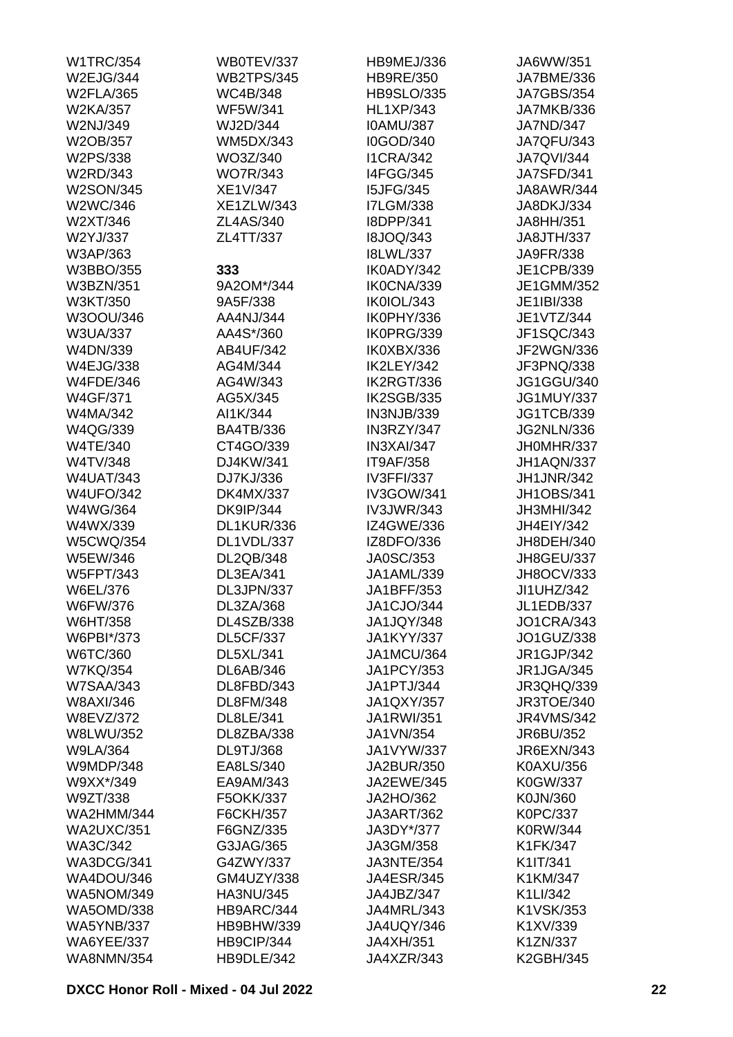| <b>W1TRC/354</b>  | WB0TEV/337        | HB9MEJ/336        | JA6WW/351         |
|-------------------|-------------------|-------------------|-------------------|
| W2EJG/344         | <b>WB2TPS/345</b> | <b>HB9RE/350</b>  | JA7BME/336        |
| <b>W2FLA/365</b>  | WC4B/348          | <b>HB9SLO/335</b> | <b>JA7GBS/354</b> |
| W2KA/357          | <b>WF5W/341</b>   | <b>HL1XP/343</b>  | JA7MKB/336        |
| W2NJ/349          | WJ2D/344          | <b>IOAMU/387</b>  | JA7ND/347         |
| W2OB/357          | <b>WM5DX/343</b>  | I0GOD/340         | <b>JA7QFU/343</b> |
| W2PS/338          | WO3Z/340          | <b>I1CRA/342</b>  | <b>JA7QVI/344</b> |
| W2RD/343          | <b>WO7R/343</b>   | <b>I4FGG/345</b>  | <b>JA7SFD/341</b> |
| <b>W2SON/345</b>  | XE1V/347          | <b>I5JFG/345</b>  | JA8AWR/344        |
| W2WC/346          | <b>XE1ZLW/343</b> | <b>I7LGM/338</b>  | JA8DKJ/334        |
| W2XT/346          | ZL4AS/340         | I8DPP/341         | JA8HH/351         |
| W2YJ/337          | ZL4TT/337         | <b>I8JOQ/343</b>  | JA8JTH/337        |
| W3AP/363          |                   | <b>I8LWL/337</b>  | JA9FR/338         |
| W3BBO/355         | 333               | IK0ADY/342        | JE1CPB/339        |
| <b>W3BZN/351</b>  | 9A2OM*/344        | IK0CNA/339        | JE1GMM/352        |
| W3KT/350          | 9A5F/338          | IK0IOL/343        | JE1IBI/338        |
| W3OOU/346         | AA4NJ/344         | IK0PHY/336        | JE1VTZ/344        |
|                   | AA4S*/360         | IK0PRG/339        |                   |
| <b>W3UA/337</b>   |                   |                   | JF1SQC/343        |
| W4DN/339          | AB4UF/342         | IK0XBX/336        | JF2WGN/336        |
| <b>W4EJG/338</b>  | AG4M/344          | IK2LEY/342        | JF3PNQ/338        |
| <b>W4FDE/346</b>  | AG4W/343          | IK2RGT/336        | JG1GGU/340        |
| <b>W4GF/371</b>   | AG5X/345          | IK2SGB/335        | <b>JG1MUY/337</b> |
| W4MA/342          | AI1K/344          | IN3NJB/339        | <b>JG1TCB/339</b> |
| W4QG/339          | <b>BA4TB/336</b>  | IN3RZY/347        | <b>JG2NLN/336</b> |
| <b>W4TE/340</b>   | CT4GO/339         | IN3XAI/347        | JH0MHR/337        |
| W4TV/348          | DJ4KW/341         | <b>IT9AF/358</b>  | JH1AQN/337        |
| <b>W4UAT/343</b>  | DJ7KJ/336         | <b>IV3FFI/337</b> | <b>JH1JNR/342</b> |
| <b>W4UFO/342</b>  | <b>DK4MX/337</b>  | IV3GOW/341        | <b>JH1OBS/341</b> |
| W4WG/364          | <b>DK9IP/344</b>  | <b>IV3JWR/343</b> | JH3MHI/342        |
| W4WX/339          | <b>DL1KUR/336</b> | <b>IZ4GWE/336</b> | JH4EIY/342        |
| <b>W5CWQ/354</b>  | DL1VDL/337        | IZ8DFO/336        | JH8DEH/340        |
| W5EW/346          | DL2QB/348         | JA0SC/353         | JH8GEU/337        |
| <b>W5FPT/343</b>  | DL3EA/341         | JA1AML/339        | JH8OCV/333        |
| W6EL/376          | DL3JPN/337        | JA1BFF/353        | JI1UHZ/342        |
| W6FW/376          | DL3ZA/368         | JA1CJO/344        | <b>JL1EDB/337</b> |
| W6HT/358          | DL4SZB/338        | JA1JQY/348        | <b>JO1CRA/343</b> |
| W6PBI*/373        | <b>DL5CF/337</b>  | <b>JA1KYY/337</b> | JO1GUZ/338        |
| W6TC/360          | DL5XL/341         | <b>JA1MCU/364</b> | JR1GJP/342        |
| <b>W7KQ/354</b>   | <b>DL6AB/346</b>  | <b>JA1PCY/353</b> | JR1JGA/345        |
| <b>W7SAA/343</b>  | DL8FBD/343        | JA1PTJ/344        | <b>JR3QHQ/339</b> |
| W8AXI/346         | DL8FM/348         | <b>JA1QXY/357</b> | JR3TOE/340        |
| W8EVZ/372         | DL8LE/341         | JA1RWI/351        | <b>JR4VMS/342</b> |
| W8LWU/352         | DL8ZBA/338        | JA1VN/354         | JR6BU/352         |
| <b>W9LA/364</b>   | <b>DL9TJ/368</b>  | JA1VYW/337        | JR6EXN/343        |
| <b>W9MDP/348</b>  | EA8LS/340         | JA2BUR/350        | K0AXU/356         |
| W9XX*/349         | EA9AM/343         | JA2EWE/345        | K0GW/337          |
| W9ZT/338          | F5OKK/337         | JA2HO/362         | K0JN/360          |
| <b>WA2HMM/344</b> | F6CKH/357         | JA3ART/362        | K0PC/337          |
|                   |                   |                   |                   |
| <b>WA2UXC/351</b> | F6GNZ/335         | JA3DY*/377        | K0RW/344          |
| WA3C/342          | G3JAG/365         | JA3GM/358         | K1FK/347          |
| WA3DCG/341        | G4ZWY/337         | JA3NTE/354        | K1IT/341          |
| WA4DOU/346        | GM4UZY/338        | <b>JA4ESR/345</b> | K1KM/347          |
| <b>WA5NOM/349</b> | HA3NU/345         | JA4JBZ/347        | K1LI/342          |
| <b>WA5OMD/338</b> | HB9ARC/344        | JA4MRL/343        | K1VSK/353         |
| <b>WA5YNB/337</b> | HB9BHW/339        | JA4UQY/346        | K1XV/339          |
| <b>WA6YEE/337</b> | HB9CIP/344        | JA4XH/351         | K1ZN/337          |
| <b>WA8NMN/354</b> | HB9DLE/342        | JA4XZR/343        | <b>K2GBH/345</b>  |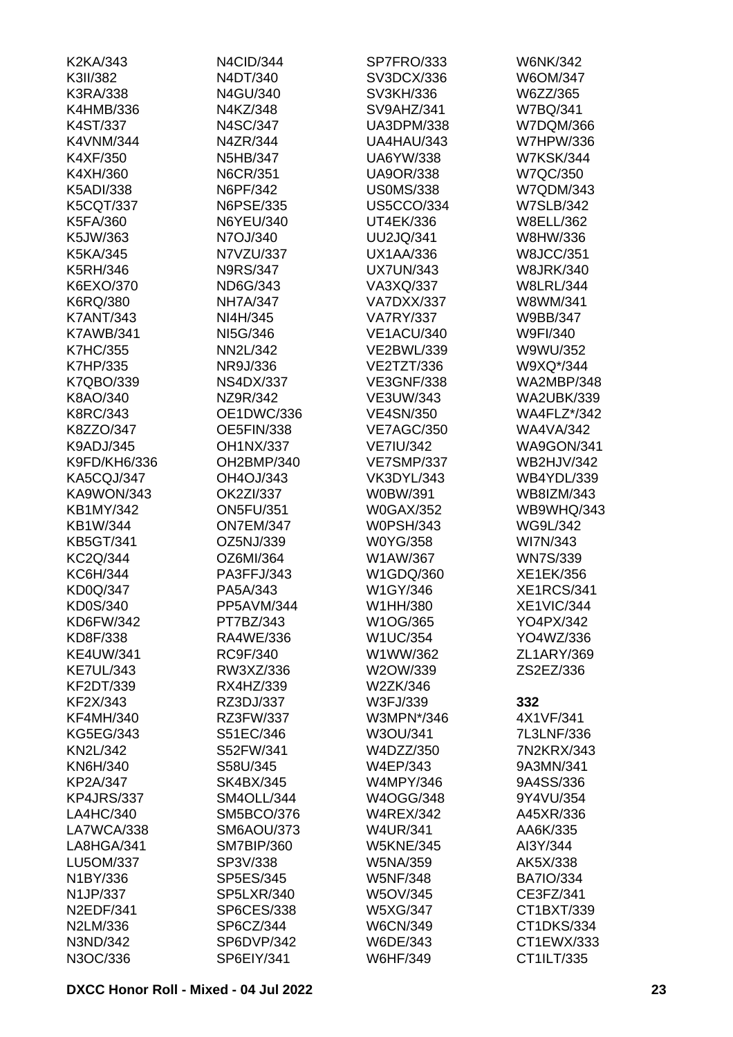| K2KA/343         | N4CID/344         | SP7FRO/333        | <b>W6NK/342</b>    |
|------------------|-------------------|-------------------|--------------------|
| K3II/382         | N4DT/340          | SV3DCX/336        | W6OM/347           |
| K3RA/338         | N4GU/340          | SV3KH/336         | W6ZZ/365           |
| K4HMB/336        | N4KZ/348          | SV9AHZ/341        | W7BQ/341           |
| K4ST/337         | N4SC/347          | <b>UA3DPM/338</b> | W7DQM/366          |
| <b>K4VNM/344</b> | N4ZR/344          | UA4HAU/343        | <b>W7HPW/336</b>   |
| K4XF/350         | N5HB/347          | <b>UA6YW/338</b>  | <b>W7KSK/344</b>   |
| K4XH/360         | <b>N6CR/351</b>   | <b>UA9OR/338</b>  | <b>W7QC/350</b>    |
| <b>K5ADI/338</b> | N6PF/342          | <b>US0MS/338</b>  | W7QDM/343          |
| <b>K5CQT/337</b> | N6PSE/335         | <b>US5CCO/334</b> | <b>W7SLB/342</b>   |
| K5FA/360         | N6YEU/340         | UT4EK/336         | <b>W8ELL/362</b>   |
| K5JW/363         | N7OJ/340          | <b>UU2JQ/341</b>  | W8HW/336           |
| K5KA/345         | N7VZU/337         | <b>UX1AA/336</b>  | <b>W8JCC/351</b>   |
| <b>K5RH/346</b>  | <b>N9RS/347</b>   | <b>UX7UN/343</b>  | <b>W8JRK/340</b>   |
| K6EXO/370        | ND6G/343          | VA3XQ/337         | <b>W8LRL/344</b>   |
| K6RQ/380         | <b>NH7A/347</b>   | VA7DXX/337        | W8WM/341           |
| <b>K7ANT/343</b> | NI4H/345          | <b>VA7RY/337</b>  | W9BB/347           |
| <b>K7AWB/341</b> | NI5G/346          | <b>VE1ACU/340</b> | W9FI/340           |
| <b>K7HC/355</b>  | NN2L/342          | <b>VE2BWL/339</b> | W9WU/352           |
| <b>K7HP/335</b>  | NR9J/336          | VE2TZT/336        | W9XQ*/344          |
|                  |                   |                   |                    |
| K7QBO/339        | <b>NS4DX/337</b>  | <b>VE3GNF/338</b> | <b>WA2MBP/348</b>  |
| K8AO/340         | NZ9R/342          | VE3UW/343         | <b>WA2UBK/339</b>  |
| <b>K8RC/343</b>  | OE1DWC/336        | <b>VE4SN/350</b>  | <b>WA4FLZ*/342</b> |
| K8ZZO/347        | <b>OE5FIN/338</b> | <b>VE7AGC/350</b> | <b>WA4VA/342</b>   |
| K9ADJ/345        | <b>OH1NX/337</b>  | <b>VE7IU/342</b>  | <b>WA9GON/341</b>  |
| K9FD/KH6/336     | OH2BMP/340        | <b>VE7SMP/337</b> | <b>WB2HJV/342</b>  |
| KA5CQJ/347       | OH4OJ/343         | VK3DYL/343        | WB4YDL/339         |
| KA9WON/343       | OK2ZI/337         | W0BW/391          | WB8IZM/343         |
| <b>KB1MY/342</b> | <b>ON5FU/351</b>  | <b>W0GAX/352</b>  | WB9WHQ/343         |
| KB1W/344         | <b>ON7EM/347</b>  | <b>W0PSH/343</b>  | <b>WG9L/342</b>    |
| <b>KB5GT/341</b> | OZ5NJ/339         | W0YG/358          | WI7N/343           |
| KC2Q/344         | OZ6MI/364         | W1AW/367          | <b>WN7S/339</b>    |
| KC6H/344         | PA3FFJ/343        | W1GDQ/360         | XE1EK/356          |
| <b>KD0Q/347</b>  | PA5A/343          | W1GY/346          | <b>XE1RCS/341</b>  |
| KD0S/340         | PP5AVM/344        | W1HH/380          | XE1VIC/344         |
| KD6FW/342        | PT7BZ/343         | W1OG/365          | YO4PX/342          |
| KD8F/338         | RA4WE/336         | <b>W1UC/354</b>   | YO4WZ/336          |
| <b>KE4UW/341</b> | RC9F/340          | W1WW/362          | ZL1ARY/369         |
| <b>KE7UL/343</b> | RW3XZ/336         | W2OW/339          | ZS2EZ/336          |
| KF2DT/339        | RX4HZ/339         | W2ZK/346          |                    |
| KF2X/343         | RZ3DJ/337         | W3FJ/339          | 332                |
| <b>KF4MH/340</b> | RZ3FW/337         | W3MPN*/346        | 4X1VF/341          |
| <b>KG5EG/343</b> | S51EC/346         | W3OU/341          | 7L3LNF/336         |
| <b>KN2L/342</b>  | S52FW/341         | W4DZZ/350         | 7N2KRX/343         |
| KN6H/340         | S58U/345          | W4EP/343          | 9A3MN/341          |
| KP2A/347         | <b>SK4BX/345</b>  | <b>W4MPY/346</b>  | 9A4SS/336          |
| KP4JRS/337       | SM4OLL/344        | W4OGG/348         | 9Y4VU/354          |
| LA4HC/340        | SM5BCO/376        | <b>W4REX/342</b>  | A45XR/336          |
| LA7WCA/338       | <b>SM6AOU/373</b> | <b>W4UR/341</b>   | AA6K/335           |
| LA8HGA/341       | SM7BIP/360        | <b>W5KNE/345</b>  | AI3Y/344           |
| LU5OM/337        | SP3V/338          | W5NA/359          | AK5X/338           |
| N1BY/336         | SP5ES/345         | <b>W5NF/348</b>   | <b>BA7IO/334</b>   |
| N1JP/337         | <b>SP5LXR/340</b> | W5OV/345          | CE3FZ/341          |
| <b>N2EDF/341</b> | <b>SP6CES/338</b> | <b>W5XG/347</b>   | CT1BXT/339         |
| N2LM/336         | SP6CZ/344         | <b>W6CN/349</b>   | CT1DKS/334         |
| N3ND/342         | SP6DVP/342        | W6DE/343          | CT1EWX/333         |
| N3OC/336         | SP6EIY/341        | W6HF/349          | CT1ILT/335         |
|                  |                   |                   |                    |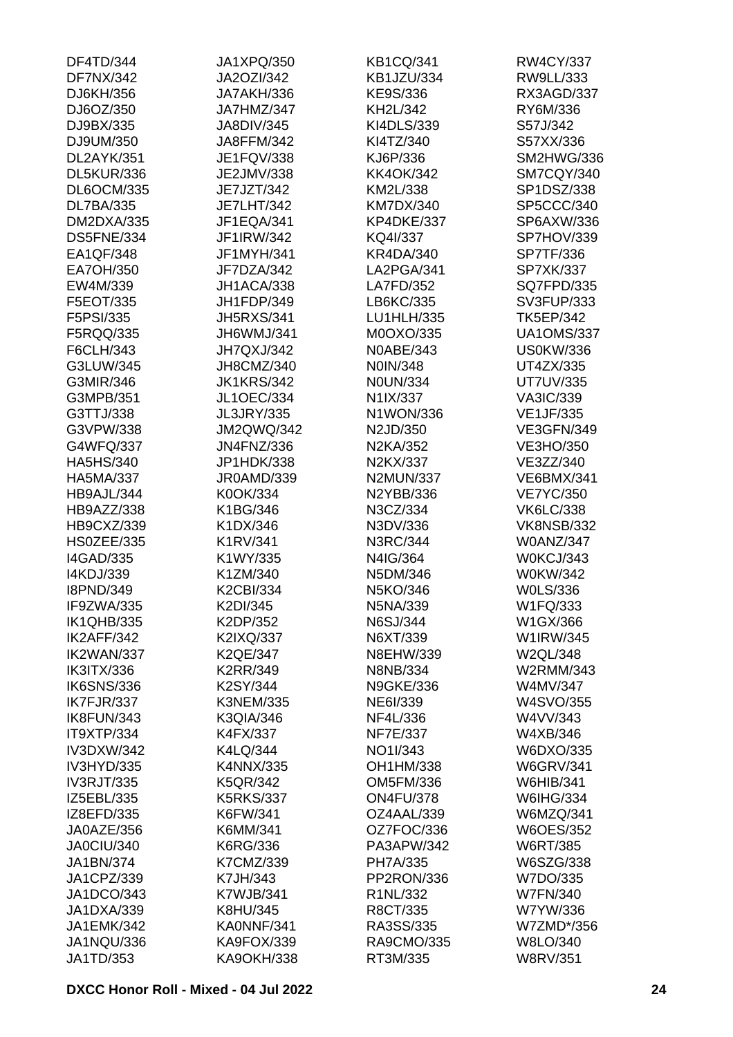| DF4TD/344         | JA1XPQ/350        | <b>KB1CQ/341</b>  | RW4CY/337         |
|-------------------|-------------------|-------------------|-------------------|
| <b>DF7NX/342</b>  | JA2OZI/342        | <b>KB1JZU/334</b> | RW9LL/333         |
| DJ6KH/356         | JA7AKH/336        | KE9S/336          | RX3AGD/337        |
| DJ6OZ/350         | JA7HMZ/347        | KH2L/342          | RY6M/336          |
| DJ9BX/335         | <b>JA8DIV/345</b> | KI4DLS/339        | S57J/342          |
| DJ9UM/350         | JA8FFM/342        | KI4TZ/340         | S57XX/336         |
| DL2AYK/351        | JE1FQV/338        | KJ6P/336          | SM2HWG/336        |
| DL5KUR/336        | JE2JMV/338        | <b>KK4OK/342</b>  | SM7CQY/340        |
| <b>DL6OCM/335</b> | JE7JZT/342        | KM2L/338          | SP1DSZ/338        |
| <b>DL7BA/335</b>  | <b>JE7LHT/342</b> | <b>KM7DX/340</b>  | SP5CCC/340        |
| DM2DXA/335        | JF1EQA/341        | KP4DKE/337        | SP6AXW/336        |
| DS5FNE/334        | JF1IRW/342        | KQ4I/337          | SP7HOV/339        |
| EA1QF/348         | JF1MYH/341        | <b>KR4DA/340</b>  | SP7TF/336         |
| EA7OH/350         | JF7DZA/342        | LA2PGA/341        | SP7XK/337         |
| EW4M/339          | JH1ACA/338        | LA7FD/352         | <b>SQ7FPD/335</b> |
| F5EOT/335         | JH1FDP/349        | LB6KC/335         | SV3FUP/333        |
| F5PSI/335         | <b>JH5RXS/341</b> | LU1HLH/335        | <b>TK5EP/342</b>  |
|                   |                   | M0OXO/335         |                   |
| F5RQQ/335         | JH6WMJ/341        |                   | <b>UA1OMS/337</b> |
| F6CLH/343         | JH7QXJ/342        | N0ABE/343         | <b>US0KW/336</b>  |
| G3LUW/345         | JH8CMZ/340        | N0IN/348          | UT4ZX/335         |
| G3MIR/346         | <b>JK1KRS/342</b> | <b>N0UN/334</b>   | <b>UT7UV/335</b>  |
| G3MPB/351         | <b>JL1OEC/334</b> | N1IX/337          | <b>VA3IC/339</b>  |
| G3TTJ/338         | <b>JL3JRY/335</b> | N1WON/336         | <b>VE1JF/335</b>  |
| G3VPW/338         | <b>JM2QWQ/342</b> | N2JD/350          | <b>VE3GFN/349</b> |
| G4WFQ/337         | <b>JN4FNZ/336</b> | N2KA/352          | VE3HO/350         |
| <b>HA5HS/340</b>  | JP1HDK/338        | N2KX/337          | VE3ZZ/340         |
| <b>HA5MA/337</b>  | JR0AMD/339        | <b>N2MUN/337</b>  | <b>VE6BMX/341</b> |
| HB9AJL/344        | K0OK/334          | N2YBB/336         | <b>VE7YC/350</b>  |
| HB9AZZ/338        | K1BG/346          | N3CZ/334          | <b>VK6LC/338</b>  |
| HB9CXZ/339        | K1DX/346          | N3DV/336          | <b>VK8NSB/332</b> |
| HS0ZEE/335        | K1RV/341          | N3RC/344          | <b>W0ANZ/347</b>  |
| <b>I4GAD/335</b>  | K1WY/335          | N4IG/364          | W0KCJ/343         |
| I4KDJ/339         | K1ZM/340          | N5DM/346          | W0KW/342          |
| <b>I8PND/349</b>  | <b>K2CBI/334</b>  | N5KO/346          | <b>WOLS/336</b>   |
| IF9ZWA/335        | K2DI/345          | N5NA/339          | W1FQ/333          |
| <b>IK1QHB/335</b> | K2DP/352          | N6SJ/344          | W1GX/366          |
| IK2AFF/342        | K2IXQ/337         | N6XT/339          | W1IRW/345         |
| IK2WAN/337        | <b>K2QE/347</b>   | N8EHW/339         | W2QL/348          |
| <b>IK3ITX/336</b> | K2RR/349          | N8NB/334          | W2RMM/343         |
| <b>IK6SNS/336</b> | K2SY/344          | <b>N9GKE/336</b>  | W4MV/347          |
| IK7FJR/337        | <b>K3NEM/335</b>  | NE6I/339          | W4SVO/355         |
| IK8FUN/343        | <b>K3QIA/346</b>  | NF4L/336          | W4VV/343          |
| IT9XTP/334        | K4FX/337          | NF7E/337          | W4XB/346          |
| <b>IV3DXW/342</b> | K4LQ/344          | NO1I/343          | W6DXO/335         |
| IV3HYD/335        | K4NNX/335         | OH1HM/338         | <b>W6GRV/341</b>  |
| <b>IV3RJT/335</b> | <b>K5QR/342</b>   | OM5FM/336         | W6HIB/341         |
| IZ5EBL/335        | <b>K5RKS/337</b>  | <b>ON4FU/378</b>  | W6IHG/334         |
| IZ8EFD/335        | K6FW/341          | OZ4AAL/339        | W6MZQ/341         |
| JA0AZE/356        | K6MM/341          | OZ7FOC/336        | <b>W6OES/352</b>  |
| JA0CIU/340        | K6RG/336          | PA3APW/342        | <b>W6RT/385</b>   |
|                   |                   |                   |                   |
| JA1BN/374         | K7CMZ/339         | PH7A/335          | W6SZG/338         |
| JA1CPZ/339        | K7JH/343          | PP2RON/336        | W7DO/335          |
| JA1DCO/343        | K7WJB/341         | R1NL/332          | <b>W7FN/340</b>   |
| JA1DXA/339        | K8HU/345          | R8CT/335          | W7YW/336          |
| JA1EMK/342        | KA0NNF/341        | RA3SS/335         | W7ZMD*/356        |
| JA1NQU/336        | KA9FOX/339        | RA9CMO/335        | W8LO/340          |
| JA1TD/353         | <b>KA9OKH/338</b> | RT3M/335          | <b>W8RV/351</b>   |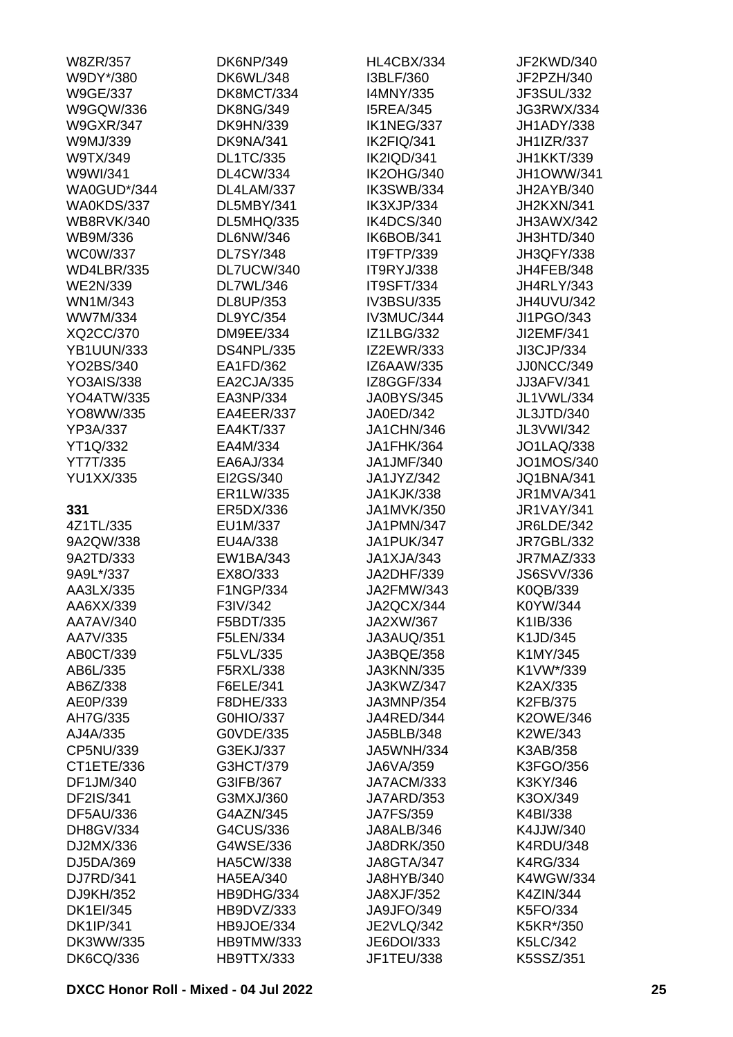| W8ZR/357          | <b>DK6NP/349</b>  | HL4CBX/334        | JF2KWD/340        |
|-------------------|-------------------|-------------------|-------------------|
| W9DY*/380         | <b>DK6WL/348</b>  | I3BLF/360         | JF2PZH/340        |
| <b>W9GE/337</b>   | DK8MCT/334        | I4MNY/335         | JF3SUL/332        |
| W9GQW/336         | <b>DK8NG/349</b>  | <b>I5REA/345</b>  | JG3RWX/334        |
| <b>W9GXR/347</b>  | <b>DK9HN/339</b>  | IK1NEG/337        | JH1ADY/338        |
| W9MJ/339          | DK9NA/341         | IK2FIQ/341        | <b>JH1IZR/337</b> |
| W9TX/349          | <b>DL1TC/335</b>  | IK2IQD/341        | <b>JH1KKT/339</b> |
| W9WI/341          | <b>DL4CW/334</b>  | <b>IK2OHG/340</b> | JH1OWW/341        |
| WA0GUD*/344       | DL4LAM/337        | IK3SWB/334        | JH2AYB/340        |
| WA0KDS/337        | DL5MBY/341        | IK3XJP/334        | JH2KXN/341        |
| <b>WB8RVK/340</b> | <b>DL5MHQ/335</b> | IK4DCS/340        | JH3AWX/342        |
| WB9M/336          | <b>DL6NW/346</b>  | IK6BOB/341        | JH3HTD/340        |
| <b>WC0W/337</b>   | <b>DL7SY/348</b>  | IT9FTP/339        | JH3QFY/338        |
| <b>WD4LBR/335</b> | DL7UCW/340        | IT9RYJ/338        | JH4FEB/348        |
| <b>WE2N/339</b>   | <b>DL7WL/346</b>  | IT9SFT/334        | <b>JH4RLY/343</b> |
| WN1M/343          | DL8UP/353         | IV3BSU/335        | JH4UVU/342        |
| <b>WW7M/334</b>   | DL9YC/354         | IV3MUC/344        | JI1PGO/343        |
|                   |                   |                   |                   |
| XQ2CC/370         | <b>DM9EE/334</b>  | <b>IZ1LBG/332</b> | JI2EMF/341        |
| <b>YB1UUN/333</b> | <b>DS4NPL/335</b> | <b>IZ2EWR/333</b> | JI3CJP/334        |
| YO2BS/340         | EA1FD/362         | IZ6AAW/335        | JJ0NCC/349        |
| <b>YO3AIS/338</b> | EA2CJA/335        | IZ8GGF/334        | <b>JJ3AFV/341</b> |
| <b>YO4ATW/335</b> | EA3NP/334         | <b>JA0BYS/345</b> | JL1VWL/334        |
| YO8WW/335         | EA4EER/337        | JA0ED/342         | JL3JTD/340        |
| YP3A/337          | EA4KT/337         | JA1CHN/346        | JL3VWI/342        |
| YT1Q/332          | EA4M/334          | JA1FHK/364        | <b>JO1LAQ/338</b> |
| YT7T/335          | EA6AJ/334         | JA1JMF/340        | JO1MOS/340        |
| <b>YU1XX/335</b>  | EI2GS/340         | JA1JYZ/342        | <b>JQ1BNA/341</b> |
|                   | ER1LW/335         | <b>JA1KJK/338</b> | <b>JR1MVA/341</b> |
| 331               | ER5DX/336         | JA1MVK/350        | <b>JR1VAY/341</b> |
| 4Z1TL/335         | EU1M/337          | JA1PMN/347        | <b>JR6LDE/342</b> |
| 9A2QW/338         | EU4A/338          | JA1PUK/347        | <b>JR7GBL/332</b> |
| 9A2TD/333         | EW1BA/343         | JA1XJA/343        | JR7MAZ/333        |
| 9A9L*/337         | EX8O/333          | JA2DHF/339        | <b>JS6SVV/336</b> |
| AA3LX/335         | F1NGP/334         | JA2FMW/343        | K0QB/339          |
| AA6XX/339         | F3IV/342          | JA2QCX/344        | K0YW/344          |
| AA7AV/340         | F5BDT/335         | JA2XW/367         | K1IB/336          |
| AA7V/335          | F5LEN/334         | JA3AUQ/351        | K1JD/345          |
| AB0CT/339         | F5LVL/335         | JA3BQE/358        | K1MY/345          |
| AB6L/335          | F5RXL/338         | <b>JA3KNN/335</b> | K1VW*/339         |
| AB6Z/338          | F6ELE/341         | JA3KWZ/347        | K2AX/335          |
| AE0P/339          | F8DHE/333         | JA3MNP/354        | K2FB/375          |
| AH7G/335          | G0HIO/337         | JA4RED/344        | <b>K2OWE/346</b>  |
| AJ4A/335          | G0VDE/335         | JA5BLB/348        | K2WE/343          |
| CP5NU/339         | G3EKJ/337         | <b>JA5WNH/334</b> | K3AB/358          |
| CT1ETE/336        | G3HCT/379         | JA6VA/359         | K3FGO/356         |
| DF1JM/340         | G3IFB/367         | JA7ACM/333        | K3KY/346          |
|                   |                   |                   |                   |
| DF2IS/341         | G3MXJ/360         | JA7ARD/353        | K3OX/349          |
| <b>DF5AU/336</b>  | G4AZN/345         | <b>JA7FS/359</b>  | K4BI/338          |
| DH8GV/334         | G4CUS/336         | JA8ALB/346        | K4JJW/340         |
| DJ2MX/336         | G4WSE/336         | JA8DRK/350        | <b>K4RDU/348</b>  |
| DJ5DA/369         | <b>HA5CW/338</b>  | JA8GTA/347        | <b>K4RG/334</b>   |
| DJ7RD/341         | <b>HA5EA/340</b>  | JA8HYB/340        | <b>K4WGW/334</b>  |
| DJ9KH/352         | HB9DHG/334        | JA8XJF/352        | <b>K4ZIN/344</b>  |
| <b>DK1EI/345</b>  | HB9DVZ/333        | JA9JFO/349        | K5FO/334          |
| <b>DK1IP/341</b>  | HB9JOE/334        | <b>JE2VLQ/342</b> | K5KR*/350         |
| DK3WW/335         | <b>HB9TMW/333</b> | JE6DOI/333        | K5LC/342          |
| <b>DK6CQ/336</b>  | HB9TTX/333        | JF1TEU/338        | K5SSZ/351         |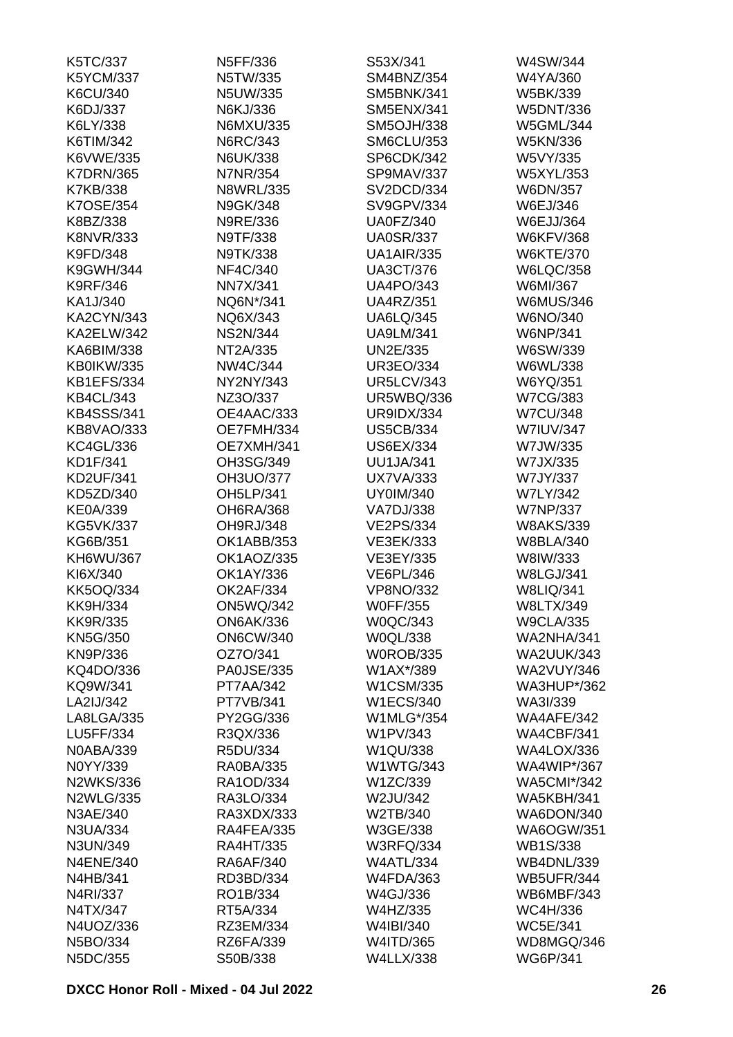| K5TC/337          | N5FF/336          | S53X/341          | W4SW/344           |
|-------------------|-------------------|-------------------|--------------------|
| <b>K5YCM/337</b>  | N5TW/335          | SM4BNZ/354        | W4YA/360           |
| K6CU/340          | N5UW/335          | <b>SM5BNK/341</b> | W5BK/339           |
| K6DJ/337          | N6KJ/336          | <b>SM5ENX/341</b> | <b>W5DNT/336</b>   |
| K6LY/338          | N6MXU/335         | <b>SM5OJH/338</b> | <b>W5GML/344</b>   |
| K6TIM/342         | N6RC/343          | <b>SM6CLU/353</b> | <b>W5KN/336</b>    |
| K6VWE/335         | <b>N6UK/338</b>   | SP6CDK/342        | W5VY/335           |
| <b>K7DRN/365</b>  | <b>N7NR/354</b>   | SP9MAV/337        | W5XYL/353          |
| K7KB/338          | <b>N8WRL/335</b>  | SV2DCD/334        | W6DN/357           |
| K7OSE/354         | N9GK/348          | SV9GPV/334        | W6EJ/346           |
| K8BZ/338          | N9RE/336          | <b>UA0FZ/340</b>  | <b>W6EJJ/364</b>   |
| <b>K8NVR/333</b>  | N9TF/338          | <b>UA0SR/337</b>  | <b>W6KFV/368</b>   |
| K9FD/348          | N9TK/338          | <b>UA1AIR/335</b> | <b>W6KTE/370</b>   |
| K9GWH/344         | NF4C/340          | <b>UA3CT/376</b>  | <b>W6LQC/358</b>   |
| <b>K9RF/346</b>   | <b>NN7X/341</b>   | <b>UA4PO/343</b>  | W6MI/367           |
| KA1J/340          | NQ6N*/341         | <b>UA4RZ/351</b>  | <b>W6MUS/346</b>   |
| <b>KA2CYN/343</b> | NQ6X/343          | <b>UA6LQ/345</b>  | W6NO/340           |
| <b>KA2ELW/342</b> | <b>NS2N/344</b>   | <b>UA9LM/341</b>  | W6NP/341           |
| KA6BIM/338        | NT2A/335          | UN2E/335          | W6SW/339           |
| KB0IKW/335        | NW4C/344          | <b>UR3EO/334</b>  | W6WL/338           |
| <b>KB1EFS/334</b> | NY2NY/343         | <b>UR5LCV/343</b> | W6YQ/351           |
| <b>KB4CL/343</b>  | NZ3O/337          | <b>UR5WBQ/336</b> | <b>W7CG/383</b>    |
| <b>KB4SSS/341</b> |                   | <b>UR9IDX/334</b> |                    |
|                   | OE4AAC/333        |                   | <b>W7CU/348</b>    |
| KB8VAO/333        | OE7FMH/334        | <b>US5CB/334</b>  | <b>W7IUV/347</b>   |
| <b>KC4GL/336</b>  | OE7XMH/341        | <b>US6EX/334</b>  | W7JW/335           |
| KD1F/341          | OH3SG/349         | <b>UU1JA/341</b>  | W7JX/335           |
| <b>KD2UF/341</b>  | OH3UO/377         | <b>UX7VA/333</b>  | W7JY/337           |
| KD5ZD/340         | OH5LP/341         | <b>UY0IM/340</b>  | <b>W7LY/342</b>    |
| <b>KE0A/339</b>   | <b>OH6RA/368</b>  | <b>VA7DJ/338</b>  | <b>W7NP/337</b>    |
| <b>KG5VK/337</b>  | OH9RJ/348         | <b>VE2PS/334</b>  | <b>W8AKS/339</b>   |
| KG6B/351          | OK1ABB/353        | VE3EK/333         | <b>W8BLA/340</b>   |
| KH6WU/367         | OK1AOZ/335        | VE3EY/335         | W8IW/333           |
| KI6X/340          | OK1AY/336         | <b>VE6PL/346</b>  | <b>W8LGJ/341</b>   |
| <b>KK5OQ/334</b>  | <b>OK2AF/334</b>  | <b>VP8NO/332</b>  | <b>W8LIQ/341</b>   |
| <b>KK9H/334</b>   | <b>ON5WQ/342</b>  | <b>W0FF/355</b>   | <b>W8LTX/349</b>   |
| <b>KK9R/335</b>   | <b>ON6AK/336</b>  | <b>W0QC/343</b>   | <b>W9CLA/335</b>   |
| <b>KN5G/350</b>   | <b>ON6CW/340</b>  | W0QL/338          | <b>WA2NHA/341</b>  |
| KN9P/336          | OZ7O/341          | <b>W0ROB/335</b>  | <b>WA2UUK/343</b>  |
| KQ4DO/336         | <b>PA0JSE/335</b> | W1AX*/389         | <b>WA2VUY/346</b>  |
| KQ9W/341          | <b>PT7AA/342</b>  | W1CSM/335         | <b>WA3HUP*/362</b> |
| LA2IJ/342         | <b>PT7VB/341</b>  | <b>W1ECS/340</b>  | WA3I/339           |
| LA8LGA/335        | PY2GG/336         | W1MLG*/354        | WA4AFE/342         |
| LU5FF/334         | R3QX/336          | W1PV/343          | WA4CBF/341         |
| <b>N0ABA/339</b>  | R5DU/334          | W1QU/338          | <b>WA4LOX/336</b>  |
| N0YY/339          | <b>RA0BA/335</b>  | <b>W1WTG/343</b>  | <b>WA4WIP*/367</b> |
| <b>N2WKS/336</b>  | RA1OD/334         | W1ZC/339          | <b>WA5CMI*/342</b> |
| <b>N2WLG/335</b>  | RA3LO/334         | W2JU/342          | <b>WA5KBH/341</b>  |
| N3AE/340          | RA3XDX/333        | W2TB/340          | WA6DON/340         |
| N3UA/334          | RA4FEA/335        | W3GE/338          | <b>WA6OGW/351</b>  |
| N3UN/349          | <b>RA4HT/335</b>  | <b>W3RFQ/334</b>  | <b>WB1S/338</b>    |
| <b>N4ENE/340</b>  | RA6AF/340         | <b>W4ATL/334</b>  | <b>WB4DNL/339</b>  |
| N4HB/341          | RD3BD/334         | <b>W4FDA/363</b>  | <b>WB5UFR/344</b>  |
| N4RI/337          | RO1B/334          | W4GJ/336          | WB6MBF/343         |
| N4TX/347          | RT5A/334          | W4HZ/335          | WC4H/336           |
| N4UOZ/336         | RZ3EM/334         | W4IBI/340         | <b>WC5E/341</b>    |
| N5BO/334          | RZ6FA/339         | W4ITD/365         | WD8MGQ/346         |
| N5DC/355          | S50B/338          | <b>W4LLX/338</b>  | <b>WG6P/341</b>    |
|                   |                   |                   |                    |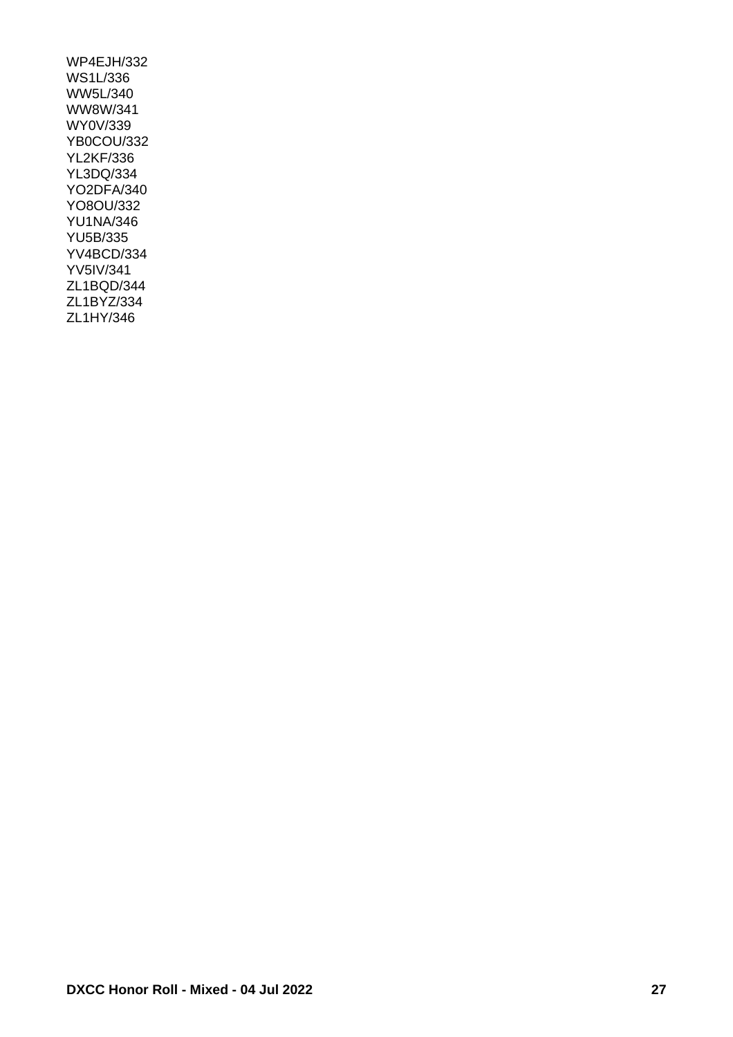WP4EJH/332 WS1L/336 WW5L/340 WW8W/341 WY0V/339 YB0COU/332 YL2KF/336 YL3DQ/334 YO2DFA/340 YO8OU/332 YU1NA/346 YU5B/335 YV4BCD/334 YV5IV/341 ZL1BQD/344 ZL1BYZ/334 ZL1HY/346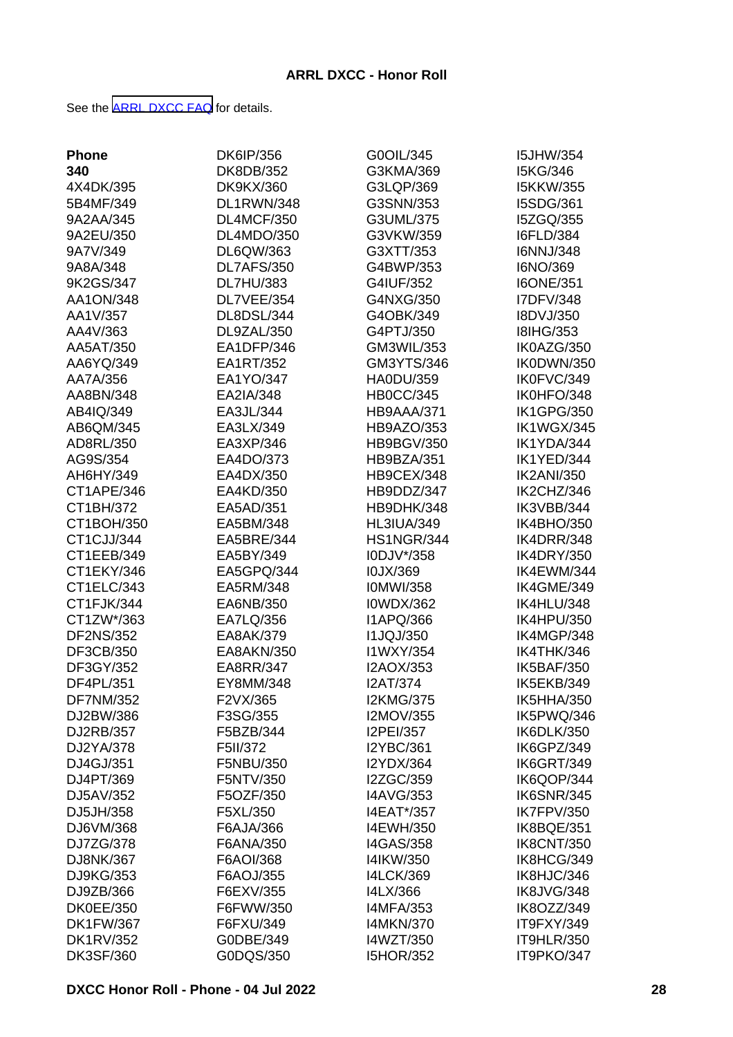See the [ARRL DXCC FAQ](http://www.arrl.org/dxcc-faq/) for details.

| <b>Phone</b>     | DK6IP/356        | G0OIL/345         | <b>I5JHW/354</b>  |
|------------------|------------------|-------------------|-------------------|
| 340              | DK8DB/352        | G3KMA/369         | I5KG/346          |
| 4X4DK/395        | <b>DK9KX/360</b> | G3LQP/369         | <b>I5KKW/355</b>  |
| 5B4MF/349        | DL1RWN/348       | G3SNN/353         | I5SDG/361         |
| 9A2AA/345        | DL4MCF/350       | G3UML/375         | I5ZGQ/355         |
| 9A2EU/350        | DL4MDO/350       | G3VKW/359         | <b>I6FLD/384</b>  |
| 9A7V/349         | DL6QW/363        | G3XTT/353         | I6NNJ/348         |
| 9A8A/348         | DL7AFS/350       | G4BWP/353         | I6NO/369          |
| 9K2GS/347        | <b>DL7HU/383</b> | G4IUF/352         | <b>I6ONE/351</b>  |
| AA1ON/348        | DL7VEE/354       | G4NXG/350         | I7DFV/348         |
| AA1V/357         | DL8DSL/344       | G4OBK/349         | I8DVJ/350         |
| AA4V/363         | DL9ZAL/350       | G4PTJ/350         | <b>I8IHG/353</b>  |
| AA5AT/350        | EA1DFP/346       | GM3WIL/353        | IK0AZG/350        |
| AA6YQ/349        | EA1RT/352        | GM3YTS/346        | IK0DWN/350        |
| AA7A/356         | EA1YO/347        | <b>HA0DU/359</b>  | IK0FVC/349        |
| AA8BN/348        | EA2IA/348        | <b>HB0CC/345</b>  | IK0HFO/348        |
| AB4IQ/349        | EA3JL/344        | HB9AAA/371        | <b>IK1GPG/350</b> |
| AB6QM/345        | EA3LX/349        |                   | <b>IK1WGX/345</b> |
| AD8RL/350        |                  | HB9AZO/353        | IK1YDA/344        |
|                  | EA3XP/346        | <b>HB9BGV/350</b> |                   |
| AG9S/354         | EA4DO/373        | HB9BZA/351        | IK1YED/344        |
| AH6HY/349        | EA4DX/350        | HB9CEX/348        | <b>IK2ANI/350</b> |
| CT1APE/346       | EA4KD/350        | HB9DDZ/347        | IK2CHZ/346        |
| CT1BH/372        | EA5AD/351        | HB9DHK/348        | IK3VBB/344        |
| CT1BOH/350       | EA5BM/348        | <b>HL3IUA/349</b> | IK4BHO/350        |
| CT1CJJ/344       | EA5BRE/344       | <b>HS1NGR/344</b> | IK4DRR/348        |
| CT1EEB/349       | EA5BY/349        | I0DJV*/358        | <b>IK4DRY/350</b> |
| CT1EKY/346       | EA5GPQ/344       | I0JX/369          | IK4EWM/344        |
| CT1ELC/343       | EA5RM/348        | <b>IOMWI/358</b>  | IK4GME/349        |
| CT1FJK/344       | EA6NB/350        | <b>I0WDX/362</b>  | IK4HLU/348        |
| CT1ZW*/363       | EA7LQ/356        | I1APQ/366         | IK4HPU/350        |
| <b>DF2NS/352</b> | EA8AK/379        | <b>I1JQJ/350</b>  | IK4MGP/348        |
| DF3CB/350        | EA8AKN/350       | I1WXY/354         | IK4THK/346        |
| DF3GY/352        | EA8RR/347        | I2AOX/353         | <b>IK5BAF/350</b> |
| DF4PL/351        | EY8MM/348        | <b>I2AT/374</b>   | IK5EKB/349        |
| <b>DF7NM/352</b> | F2VX/365         | <b>I2KMG/375</b>  | IK5HHA/350        |
| DJ2BW/386        | F3SG/355         | I2MOV/355         | IK5PWQ/346        |
| DJ2RB/357        | F5BZB/344        | I2PEI/357         | IK6DLK/350        |
| DJ2YA/378        | F5II/372         | <b>I2YBC/361</b>  | IK6GPZ/349        |
| DJ4GJ/351        | F5NBU/350        | I2YDX/364         | IK6GRT/349        |
| DJ4PT/369        | F5NTV/350        | I2ZGC/359         | IK6QOP/344        |
| DJ5AV/352        | F5OZF/350        | <b>I4AVG/353</b>  | <b>IK6SNR/345</b> |
| DJ5JH/358        | F5XL/350         | I4EAT*/357        | <b>IK7FPV/350</b> |
| DJ6VM/368        | F6AJA/366        | I4EWH/350         | IK8BQE/351        |
| DJ7ZG/378        | F6ANA/350        | <b>I4GAS/358</b>  | <b>IK8CNT/350</b> |
| DJ8NK/367        | F6AOI/368        | I4IKW/350         | IK8HCG/349        |
| DJ9KG/353        | F6AOJ/355        | <b>I4LCK/369</b>  | IK8HJC/346        |
| DJ9ZB/366        | F6EXV/355        | I4LX/366          | IK8JVG/348        |
| <b>DK0EE/350</b> | F6FWW/350        | <b>I4MFA/353</b>  | IK8OZZ/349        |
| <b>DK1FW/367</b> | F6FXU/349        | <b>I4MKN/370</b>  | IT9FXY/349        |
| <b>DK1RV/352</b> | G0DBE/349        | I4WZT/350         | IT9HLR/350        |
| <b>DK3SF/360</b> | G0DQS/350        | <b>I5HOR/352</b>  | IT9PKO/347        |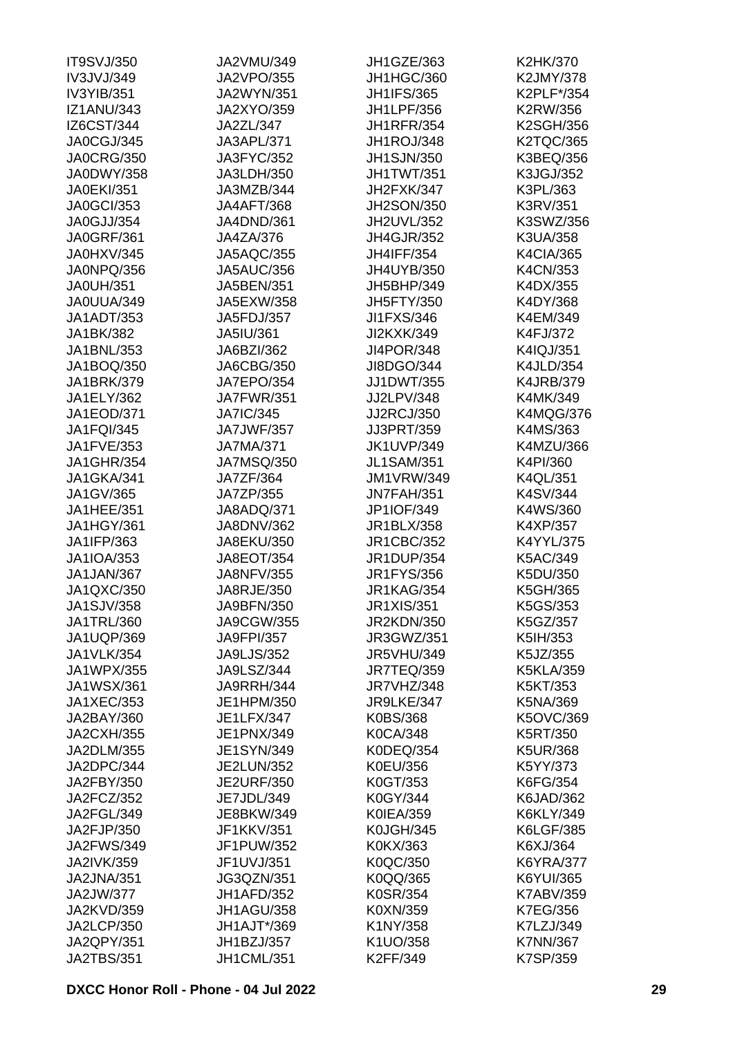| <b>IT9SVJ/350</b> | JA2VMU/349        | <b>JH1GZE/363</b> | K2HK/370         |
|-------------------|-------------------|-------------------|------------------|
| IV3JVJ/349        | <b>JA2VPO/355</b> | JH1HGC/360        | K2JMY/378        |
| IV3YIB/351        | JA2WYN/351        | <b>JH1IFS/365</b> | K2PLF*/354       |
| <b>IZ1ANU/343</b> | JA2XYO/359        | <b>JH1LPF/356</b> | K2RW/356         |
| IZ6CST/344        | JA2ZL/347         | <b>JH1RFR/354</b> | <b>K2SGH/356</b> |
| JA0CGJ/345        | JA3APL/371        | JH1ROJ/348        | <b>K2TQC/365</b> |
| <b>JA0CRG/350</b> | JA3FYC/352        | <b>JH1SJN/350</b> | K3BEQ/356        |
| <b>JA0DWY/358</b> | JA3LDH/350        | JH1TWT/351        | K3JGJ/352        |
| <b>JA0EKI/351</b> | JA3MZB/344        | JH2FXK/347        | K3PL/363         |
| <b>JA0GCI/353</b> | <b>JA4AFT/368</b> | <b>JH2SON/350</b> | K3RV/351         |
| JA0GJJ/354        | JA4DND/361        | JH2UVL/352        | K3SWZ/356        |
| <b>JA0GRF/361</b> | JA4ZA/376         | <b>JH4GJR/352</b> | K3UA/358         |
| JA0HXV/345        | <b>JA5AQC/355</b> | <b>JH4IFF/354</b> | <b>K4CIA/365</b> |
| JA0NPQ/356        | <b>JA5AUC/356</b> | JH4UYB/350        | K4CN/353         |
| <b>JA0UH/351</b>  | JA5BEN/351        | JH5BHP/349        | K4DX/355         |
|                   | JA5EXW/358        |                   | K4DY/368         |
| JA0UUA/349        |                   | <b>JH5FTY/350</b> |                  |
| JA1ADT/353        | JA5FDJ/357        | JI1FXS/346        | K4EM/349         |
| JA1BK/382         | JA5IU/361         | JI2KXK/349        | K4FJ/372         |
| JA1BNL/353        | JA6BZI/362        | <b>JI4POR/348</b> | K4IQJ/351        |
| JA1BOQ/350        | JA6CBG/350        | JI8DGO/344        | <b>K4JLD/354</b> |
| <b>JA1BRK/379</b> | JA7EPO/354        | <b>JJ1DWT/355</b> | <b>K4JRB/379</b> |
| JA1ELY/362        | <b>JA7FWR/351</b> | JJ2LPV/348        | K4MK/349         |
| JA1EOD/371        | <b>JA7IC/345</b>  | <b>JJ2RCJ/350</b> | <b>K4MQG/376</b> |
| <b>JA1FQI/345</b> | <b>JA7JWF/357</b> | JJ3PRT/359        | K4MS/363         |
| JA1FVE/353        | <b>JA7MA/371</b>  | <b>JK1UVP/349</b> | K4MZU/366        |
| <b>JA1GHR/354</b> | <b>JA7MSQ/350</b> | <b>JL1SAM/351</b> | K4PI/360         |
| JA1GKA/341        | JA7ZF/364         | <b>JM1VRW/349</b> | K4QL/351         |
| JA1GV/365         | JA7ZP/355         | <b>JN7FAH/351</b> | K4SV/344         |
| JA1HEE/351        | JA8ADQ/371        | JP1IOF/349        | K4WS/360         |
| JA1HGY/361        | JA8DNV/362        | JR1BLX/358        | K4XP/357         |
| JA1IFP/363        | JA8EKU/350        | <b>JR1CBC/352</b> | K4YYL/375        |
| JA1IOA/353        | <b>JA8EOT/354</b> | <b>JR1DUP/354</b> | K5AC/349         |
| JA1JAN/367        | <b>JA8NFV/355</b> | <b>JR1FYS/356</b> | K5DU/350         |
| JA1QXC/350        | JA8RJE/350        | <b>JR1KAG/354</b> | K5GH/365         |
| JA1SJV/358        | JA9BFN/350        | JR1XIS/351        | K5GS/353         |
| JA1TRL/360        | JA9CGW/355        | <b>JR2KDN/350</b> | K5GZ/357         |
| JA1UQP/369        | <b>JA9FPI/357</b> | JR3GWZ/351        | K5IH/353         |
| <b>JA1VLK/354</b> | <b>JA9LJS/352</b> | <b>JR5VHU/349</b> | K5JZ/355         |
| JA1WPX/355        | JA9LSZ/344        | <b>JR7TEQ/359</b> | <b>K5KLA/359</b> |
| <b>JA1WSX/361</b> | JA9RRH/344        | JR7VHZ/348        | K5KT/353         |
| <b>JA1XEC/353</b> | JE1HPM/350        | JR9LKE/347        | K5NA/369         |
| JA2BAY/360        | JE1LFX/347        | <b>K0BS/368</b>   | K5OVC/369        |
| <b>JA2CXH/355</b> | JE1PNX/349        | <b>K0CA/348</b>   | K5RT/350         |
| JA2DLM/355        | JE1SYN/349        | K0DEQ/354         | <b>K5UR/368</b>  |
| JA2DPC/344        | <b>JE2LUN/352</b> | K0EU/356          | K5YY/373         |
| JA2FBY/350        | <b>JE2URF/350</b> | K0GT/353          | K6FG/354         |
| JA2FCZ/352        | JE7JDL/349        | K0GY/344          | K6JAD/362        |
| JA2FGL/349        | JE8BKW/349        | <b>K0IEA/359</b>  | K6KLY/349        |
|                   |                   |                   |                  |
| JA2FJP/350        | JF1KKV/351        | <b>K0JGH/345</b>  | K6LGF/385        |
| <b>JA2FWS/349</b> | JF1PUW/352        | K0KX/363          | K6XJ/364         |
| <b>JA2IVK/359</b> | JF1UVJ/351        | K0QC/350          | <b>K6YRA/377</b> |
| JA2JNA/351        | <b>JG3QZN/351</b> | K0QQ/365          | K6YUI/365        |
| JA2JW/377         | JH1AFD/352        | K0SR/354          | <b>K7ABV/359</b> |
| JA2KVD/359        | JH1AGU/358        | K0XN/359          | K7EG/356         |
| <b>JA2LCP/350</b> | JH1AJT*/369       | K1NY/358          | K7LZJ/349        |
| JA2QPY/351        | JH1BZJ/357        | K1UO/358          | K7NN/367         |
| <b>JA2TBS/351</b> | JH1CML/351        | K2FF/349          | K7SP/359         |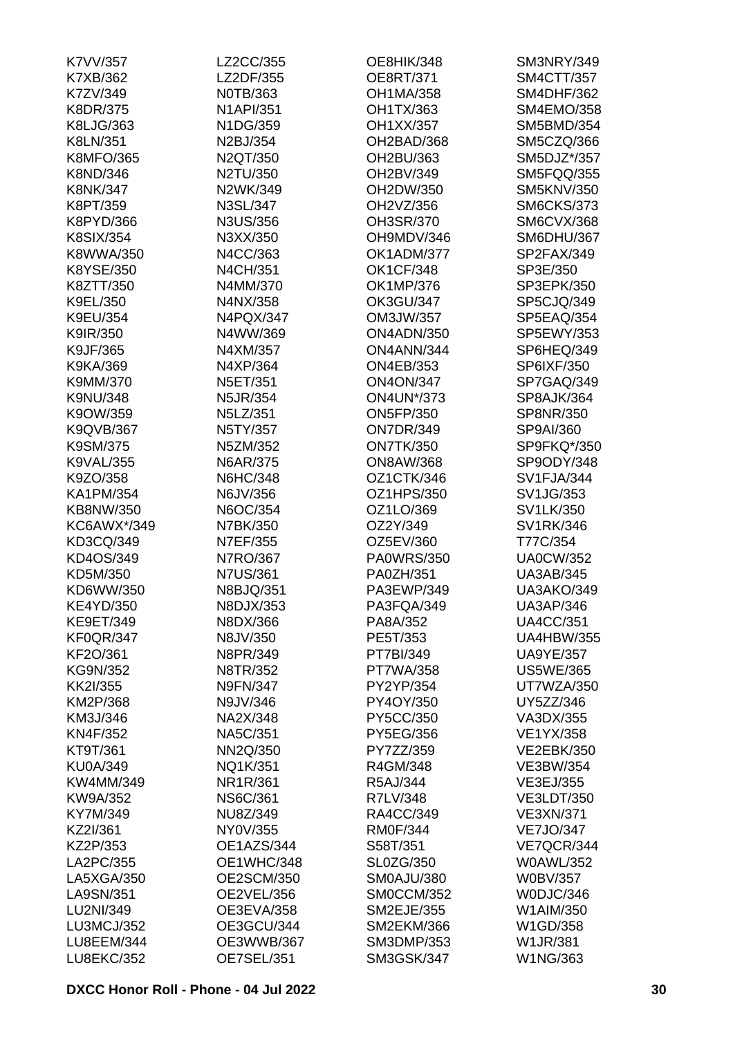| K7VV/357          | LZ2CC/355         | OE8HIK/348        | <b>SM3NRY/349</b> |
|-------------------|-------------------|-------------------|-------------------|
| K7XB/362          | LZ2DF/355         | OE8RT/371         | <b>SM4CTT/357</b> |
| K7ZV/349          | N0TB/363          | <b>OH1MA/358</b>  | <b>SM4DHF/362</b> |
| K8DR/375          | <b>N1API/351</b>  | OH1TX/363         | SM4EMO/358        |
| K8LJG/363         | N1DG/359          | OH1XX/357         | <b>SM5BMD/354</b> |
| K8LN/351          | N2BJ/354          | OH2BAD/368        | SM5CZQ/366        |
| <b>K8MFO/365</b>  | N2QT/350          | OH2BU/363         | SM5DJZ*/357       |
| K8ND/346          | N2TU/350          | OH2BV/349         | SM5FQQ/355        |
| <b>K8NK/347</b>   | N2WK/349          | OH2DW/350         | <b>SM5KNV/350</b> |
| K8PT/359          | N3SL/347          | OH2VZ/356         | <b>SM6CKS/373</b> |
| K8PYD/366         | N3US/356          | OH3SR/370         | <b>SM6CVX/368</b> |
| <b>K8SIX/354</b>  | N3XX/350          | OH9MDV/346        | SM6DHU/367        |
| K8WWA/350         | N4CC/363          | OK1ADM/377        | SP2FAX/349        |
| K8YSE/350         | N4CH/351          | <b>OK1CF/348</b>  | SP3E/350          |
| K8ZTT/350         | N4MM/370          | OK1MP/376         | SP3EPK/350        |
| K9EL/350          | N4NX/358          | <b>OK3GU/347</b>  | SP5CJQ/349        |
| K9EU/354          | N4PQX/347         | OM3JW/357         | SP5EAQ/354        |
| K9IR/350          | N4WW/369          | ON4ADN/350        | SP5EWY/353        |
| K9JF/365          |                   | ON4ANN/344        |                   |
|                   | N4XM/357          |                   | SP6HEQ/349        |
| K9KA/369          | N4XP/364          | <b>ON4EB/353</b>  | SP6IXF/350        |
| K9MM/370          | N5ET/351          | <b>ON4ON/347</b>  | SP7GAQ/349        |
| <b>K9NU/348</b>   | N5JR/354          | <b>ON4UN*/373</b> | SP8AJK/364        |
| K9OW/359          | N5LZ/351          | <b>ON5FP/350</b>  | SP8NR/350         |
| <b>K9QVB/367</b>  | N5TY/357          | <b>ON7DR/349</b>  | SP9AI/360         |
| K9SM/375          | N5ZM/352          | <b>ON7TK/350</b>  | SP9FKQ*/350       |
| <b>K9VAL/355</b>  | N6AR/375          | <b>ON8AW/368</b>  | SP9ODY/348        |
| K9ZO/358          | <b>N6HC/348</b>   | OZ1CTK/346        | SV1FJA/344        |
| <b>KA1PM/354</b>  | N6JV/356          | OZ1HPS/350        | SV1JG/353         |
| KB8NW/350         | N6OC/354          | OZ1LO/369         | SV1LK/350         |
| KC6AWX*/349       | N7BK/350          | OZ2Y/349          | <b>SV1RK/346</b>  |
| KD3CQ/349         | N7EF/355          | OZ5EV/360         | T77C/354          |
| KD4OS/349         | N7RO/367          | <b>PA0WRS/350</b> | <b>UA0CW/352</b>  |
| KD5M/350          | <b>N7US/361</b>   | PA0ZH/351         | <b>UA3AB/345</b>  |
| KD6WW/350         | N8BJQ/351         | PA3EWP/349        | <b>UA3AKO/349</b> |
| <b>KE4YD/350</b>  | N8DJX/353         | PA3FQA/349        | <b>UA3AP/346</b>  |
| <b>KE9ET/349</b>  | N8DX/366          | PA8A/352          | <b>UA4CC/351</b>  |
| <b>KF0QR/347</b>  | N8JV/350          | PE5T/353          | <b>UA4HBW/355</b> |
| KF2O/361          | N8PR/349          | PT7BI/349         | <b>UA9YE/357</b>  |
| KG9N/352          | N8TR/352          | PT7WA/358         | <b>US5WE/365</b>  |
| KK2I/355          | <b>N9FN/347</b>   | PY2YP/354         | UT7WZA/350        |
| KM2P/368          | N9JV/346          | PY4OY/350         | UY5ZZ/346         |
| KM3J/346          | NA2X/348          | PY5CC/350         | VA3DX/355         |
| KN4F/352          | NA5C/351          | PY5EG/356         | <b>VE1YX/358</b>  |
| KT9T/361          | NN2Q/350          | PY7ZZ/359         | <b>VE2EBK/350</b> |
| <b>KU0A/349</b>   | NQ1K/351          | R4GM/348          | VE3BW/354         |
| KW4MM/349         | NR1R/361          | R5AJ/344          | VE3EJ/355         |
| KW9A/352          | <b>NS6C/361</b>   | R7LV/348          | <b>VE3LDT/350</b> |
| KY7M/349          | NU8Z/349          | RA4CC/349         | <b>VE3XN/371</b>  |
| KZ2I/361          | NY0V/355          | <b>RM0F/344</b>   | <b>VE7JO/347</b>  |
| KZ2P/353          | OE1AZS/344        | S58T/351          | VE7QCR/344        |
| LA2PC/355         | OE1WHC/348        | SL0ZG/350         | <b>W0AWL/352</b>  |
| LA5XGA/350        | <b>OE2SCM/350</b> | SM0AJU/380        | <b>W0BV/357</b>   |
| LA9SN/351         | OE2VEL/356        | SM0CCM/352        | W0DJC/346         |
|                   |                   |                   |                   |
| LU2NI/349         | OE3EVA/358        | <b>SM2EJE/355</b> | W1AIM/350         |
| LU3MCJ/352        | OE3GCU/344        | <b>SM2EKM/366</b> | W1GD/358          |
| LU8EEM/344        | OE3WWB/367        | <b>SM3DMP/353</b> | <b>W1JR/381</b>   |
| <b>LU8EKC/352</b> | OE7SEL/351        | <b>SM3GSK/347</b> | W1NG/363          |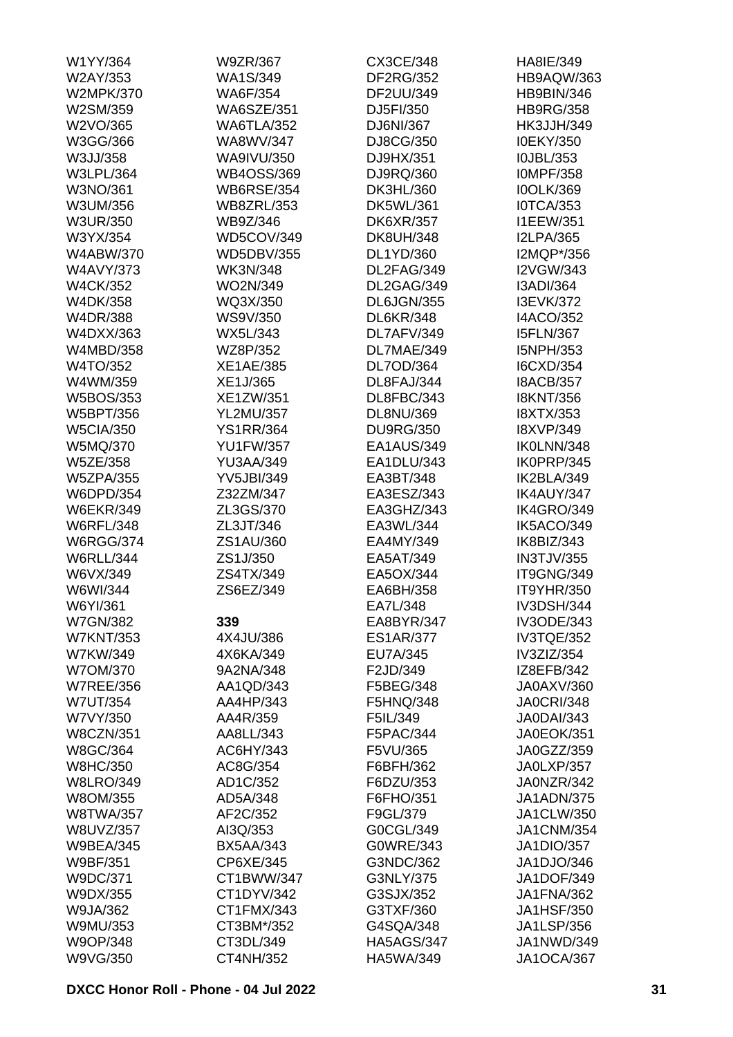| W1YY/364         | W9ZR/367          | CX3CE/348         | HA8IE/349         |
|------------------|-------------------|-------------------|-------------------|
| W2AY/353         | WA1S/349          | <b>DF2RG/352</b>  | HB9AQW/363        |
| <b>W2MPK/370</b> | <b>WA6F/354</b>   | DF2UU/349         | HB9BIN/346        |
| W2SM/359         | <b>WA6SZE/351</b> | DJ5FI/350         | <b>HB9RG/358</b>  |
| W2VO/365         | <b>WA6TLA/352</b> | DJ6NI/367         | <b>HK3JJH/349</b> |
| W3GG/366         | WA8WV/347         | DJ8CG/350         | <b>I0EKY/350</b>  |
| W3JJ/358         | <b>WA9IVU/350</b> | DJ9HX/351         | I0JBL/353         |
| <b>W3LPL/364</b> | <b>WB4OSS/369</b> | DJ9RQ/360         | <b>IOMPF/358</b>  |
| W3NO/361         | <b>WB6RSE/354</b> | DK3HL/360         | <b>IOOLK/369</b>  |
| W3UM/356         | <b>WB8ZRL/353</b> | DK5WL/361         | <b>IOTCA/353</b>  |
| <b>W3UR/350</b>  | WB9Z/346          | <b>DK6XR/357</b>  | <b>I1EEW/351</b>  |
| W3YX/354         | WD5COV/349        | <b>DK8UH/348</b>  | <b>I2LPA/365</b>  |
| <b>W4ABW/370</b> | <b>WD5DBV/355</b> | DL1YD/360         | I2MQP*/356        |
| <b>W4AVY/373</b> | <b>WK3N/348</b>   | DL2FAG/349        | <b>I2VGW/343</b>  |
| <b>W4CK/352</b>  | WO2N/349          | DL2GAG/349        | I3ADI/364         |
| W4DK/358         | WQ3X/350          | DL6JGN/355        | <b>I3EVK/372</b>  |
| W4DR/388         | WS9V/350          | <b>DL6KR/348</b>  | <b>I4ACO/352</b>  |
|                  |                   |                   | <b>I5FLN/367</b>  |
| W4DXX/363        | WX5L/343          | DL7AFV/349        |                   |
| W4MBD/358        | WZ8P/352          | DL7MAE/349        | I5NPH/353         |
| W4TO/352         | <b>XE1AE/385</b>  | DL7OD/364         | I6CXD/354         |
| W4WM/359         | XE1J/365          | DL8FAJ/344        | <b>I8ACB/357</b>  |
| W5BOS/353        | XE1ZW/351         | DL8FBC/343        | <b>I8KNT/356</b>  |
| W5BPT/356        | <b>YL2MU/357</b>  | DL8NU/369         | <b>I8XTX/353</b>  |
| <b>W5CIA/350</b> | <b>YS1RR/364</b>  | <b>DU9RG/350</b>  | <b>I8XVP/349</b>  |
| W5MQ/370         | <b>YU1FW/357</b>  | EA1AUS/349        | IK0LNN/348        |
| W5ZE/358         | <b>YU3AA/349</b>  | EA1DLU/343        | IK0PRP/345        |
| <b>W5ZPA/355</b> | <b>YV5JBI/349</b> | EA3BT/348         | IK2BLA/349        |
| W6DPD/354        | Z32ZM/347         | EA3ESZ/343        | IK4AUY/347        |
| <b>W6EKR/349</b> | ZL3GS/370         | EA3GHZ/343        | IK4GRO/349        |
| <b>W6RFL/348</b> | ZL3JT/346         | EA3WL/344         | IK5ACO/349        |
| <b>W6RGG/374</b> | ZS1AU/360         | EA4MY/349         | IK8BIZ/343        |
| <b>W6RLL/344</b> | ZS1J/350          | EA5AT/349         | <b>IN3TJV/355</b> |
| W6VX/349         | ZS4TX/349         | EA5OX/344         | IT9GNG/349        |
| W6WI/344         | ZS6EZ/349         | EA6BH/358         | <b>IT9YHR/350</b> |
| W6YI/361         |                   | FA71 /348         | <b>IV3DSH/344</b> |
| <b>W7GN/382</b>  | 339               | EA8BYR/347        | <b>IV3ODE/343</b> |
| <b>W7KNT/353</b> | 4X4JU/386         | <b>ES1AR/377</b>  | IV3TQE/352        |
| W7KW/349         | 4X6KA/349         | EU7A/345          | IV3ZIZ/354        |
| W7OM/370         | 9A2NA/348         | F2JD/349          | IZ8EFB/342        |
| <b>W7REE/356</b> | AA1QD/343         | F5BEG/348         | JA0AXV/360        |
| <b>W7UT/354</b>  | AA4HP/343         | F5HNQ/348         | <b>JA0CRI/348</b> |
| W7VY/350         | AA4R/359          | F5IL/349          | <b>JA0DAI/343</b> |
| <b>W8CZN/351</b> | AA8LL/343         | F5PAC/344         | JA0EOK/351        |
| W8GC/364         | AC6HY/343         | F5VU/365          | JA0GZZ/359        |
| <b>W8HC/350</b>  | AC8G/354          | F6BFH/362         | JA0LXP/357        |
| <b>W8LRO/349</b> | AD1C/352          | F6DZU/353         | JA0NZR/342        |
| W8OM/355         | AD5A/348          | F6FHO/351         | <b>JA1ADN/375</b> |
| <b>W8TWA/357</b> | AF2C/352          | F9GL/379          | JA1CLW/350        |
|                  |                   |                   |                   |
| W8UVZ/357        | AI3Q/353          | G0CGL/349         | <b>JA1CNM/354</b> |
| <b>W9BEA/345</b> | <b>BX5AA/343</b>  | G0WRE/343         | JA1DIO/357        |
| W9BF/351         | CP6XE/345         | G3NDC/362         | JA1DJO/346        |
| W9DC/371         | CT1BWW/347        | G3NLY/375         | <b>JA1DOF/349</b> |
| W9DX/355         | CT1DYV/342        | G3SJX/352         | JA1FNA/362        |
| W9JA/362         | CT1FMX/343        | G3TXF/360         | <b>JA1HSF/350</b> |
| W9MU/353         | CT3BM*/352        | G4SQA/348         | <b>JA1LSP/356</b> |
| W9OP/348         | CT3DL/349         | <b>HA5AGS/347</b> | JA1NWD/349        |
| W9VG/350         | CT4NH/352         | HA5WA/349         | <b>JA1OCA/367</b> |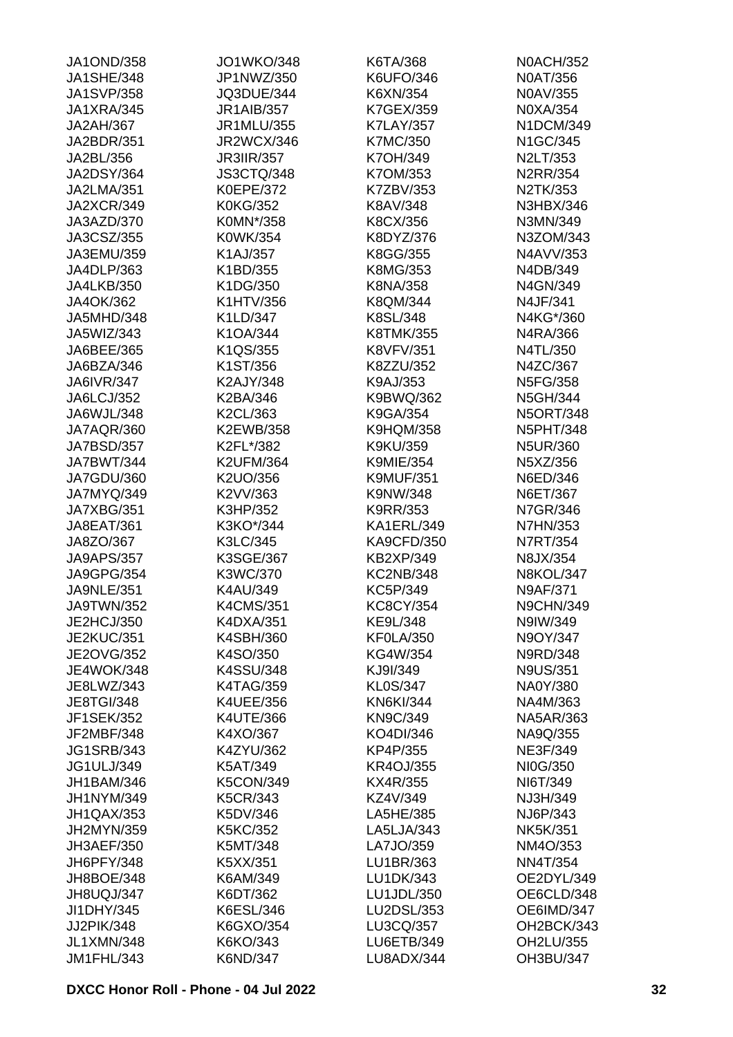| <b>JA1OND/358</b> | <b>JO1WKO/348</b> | K6TA/368          | <b>N0ACH/352</b> |
|-------------------|-------------------|-------------------|------------------|
| <b>JA1SHE/348</b> | JP1NWZ/350        | K6UFO/346         | <b>N0AT/356</b>  |
| <b>JA1SVP/358</b> | JQ3DUE/344        | K6XN/354          | N0AV/355         |
| JA1XRA/345        | <b>JR1AIB/357</b> | K7GEX/359         | N0XA/354         |
| <b>JA2AH/367</b>  | JR1MLU/355        | <b>K7LAY/357</b>  | N1DCM/349        |
| JA2BDR/351        | <b>JR2WCX/346</b> | <b>K7MC/350</b>   | N1GC/345         |
| JA2BL/356         | <b>JR3IIR/357</b> | K7OH/349          | N2LT/353         |
| <b>JA2DSY/364</b> | <b>JS3CTQ/348</b> | K7OM/353          | <b>N2RR/354</b>  |
| JA2LMA/351        | <b>K0EPE/372</b>  | K7ZBV/353         | N2TK/353         |
| JA2XCR/349        | <b>K0KG/352</b>   | K8AV/348          | N3HBX/346        |
| JA3AZD/370        | K0MN*/358         | K8CX/356          | N3MN/349         |
| JA3CSZ/355        | K0WK/354          | K8DYZ/376         | N3ZOM/343        |
| JA3EMU/359        | K1AJ/357          | K8GG/355          | N4AVV/353        |
| JA4DLP/363        | K1BD/355          | K8MG/353          | N4DB/349         |
| <b>JA4LKB/350</b> | K1DG/350          | K8NA/358          | N4GN/349         |
| JA4OK/362         | K1HTV/356         | K8QM/344          | N4JF/341         |
| JA5MHD/348        | K1LD/347          | K8SL/348          | N4KG*/360        |
| JA5WIZ/343        | K1OA/344          | <b>K8TMK/355</b>  | N4RA/366         |
| JA6BEE/365        | K1QS/355          | <b>K8VFV/351</b>  | N4TL/350         |
| JA6BZA/346        |                   | K8ZZU/352         |                  |
|                   | K1ST/356          |                   | N4ZC/367         |
| <b>JA6IVR/347</b> | K2AJY/348         | K9AJ/353          | N5FG/358         |
| JA6LCJ/352        | K2BA/346          | K9BWQ/362         | N5GH/344         |
| JA6WJL/348        | K2CL/363          | K9GA/354          | <b>N5ORT/348</b> |
| JA7AQR/360        | K2EWB/358         | <b>K9HQM/358</b>  | <b>N5PHT/348</b> |
| JA7BSD/357        | K2FL*/382         | K9KU/359          | N5UR/360         |
| JA7BWT/344        | <b>K2UFM/364</b>  | <b>K9MIE/354</b>  | N5XZ/356         |
| JA7GDU/360        | K2UO/356          | <b>K9MUF/351</b>  | N6ED/346         |
| JA7MYQ/349        | K2VV/363          | K9NW/348          | N6ET/367         |
| JA7XBG/351        | K3HP/352          | K9RR/353          | N7GR/346         |
| JA8EAT/361        | K3KO*/344         | KA1ERL/349        | <b>N7HN/353</b>  |
| JA8ZO/367         | K3LC/345          | <b>KA9CFD/350</b> | N7RT/354         |
| <b>JA9APS/357</b> | K3SGE/367         | <b>KB2XP/349</b>  | N8JX/354         |
| <b>JA9GPG/354</b> | K3WC/370          | <b>KC2NB/348</b>  | <b>N8KOL/347</b> |
| <b>JA9NLE/351</b> | K4AU/349          | KC5P/349          | <b>N9AF/371</b>  |
| JA9TWN/352        | <b>K4CMS/351</b>  | KC8CY/354         | <b>N9CHN/349</b> |
| JE2HCJ/350        | K4DXA/351         | KE9L/348          | N9IW/349         |
| <b>JE2KUC/351</b> | K4SBH/360         | <b>KF0LA/350</b>  | N9OY/347         |
| <b>JE2OVG/352</b> | K4SO/350          | KG4W/354          | N9RD/348         |
| <b>JE4WOK/348</b> | K4SSU/348         | KJ9I/349          | <b>N9US/351</b>  |
| JE8LWZ/343        | <b>K4TAG/359</b>  | <b>KL0S/347</b>   | NA0Y/380         |
| <b>JE8TGI/348</b> | <b>K4UEE/356</b>  | <b>KN6KI/344</b>  | NA4M/363         |
| <b>JF1SEK/352</b> | <b>K4UTE/366</b>  | <b>KN9C/349</b>   | <b>NA5AR/363</b> |
| JF2MBF/348        | K4XO/367          | KO4DI/346         | NA9Q/355         |
| <b>JG1SRB/343</b> | K4ZYU/362         | KP4P/355          | <b>NE3F/349</b>  |
| <b>JG1ULJ/349</b> | K5AT/349          | <b>KR4OJ/355</b>  | NI0G/350         |
| <b>JH1BAM/346</b> | <b>K5CON/349</b>  | KX4R/355          | NI6T/349         |
| JH1NYM/349        | <b>K5CR/343</b>   | KZ4V/349          | NJ3H/349         |
| JH1QAX/353        | K5DV/346          | LA5HE/385         | NJ6P/343         |
| JH2MYN/359        | <b>K5KC/352</b>   | LA5LJA/343        | <b>NK5K/351</b>  |
| JH3AEF/350        | K5MT/348          | LA7JO/359         | NM4O/353         |
| JH6PFY/348        | K5XX/351          | LU1BR/363         | <b>NN4T/354</b>  |
| JH8BOE/348        | K6AM/349          | LU1DK/343         | OE2DYL/349       |
| JH8UQJ/347        | K6DT/362          | LU1JDL/350        | OE6CLD/348       |
| JI1DHY/345        | K6ESL/346         | LU2DSL/353        | OE6IMD/347       |
| JJ2PIK/348        | K6GXO/354         | LU3CQ/357         | OH2BCK/343       |
| <b>JL1XMN/348</b> | K6KO/343          | <b>LU6ETB/349</b> | OH2LU/355        |
| JM1FHL/343        | K6ND/347          | LU8ADX/344        | OH3BU/347        |
|                   |                   |                   |                  |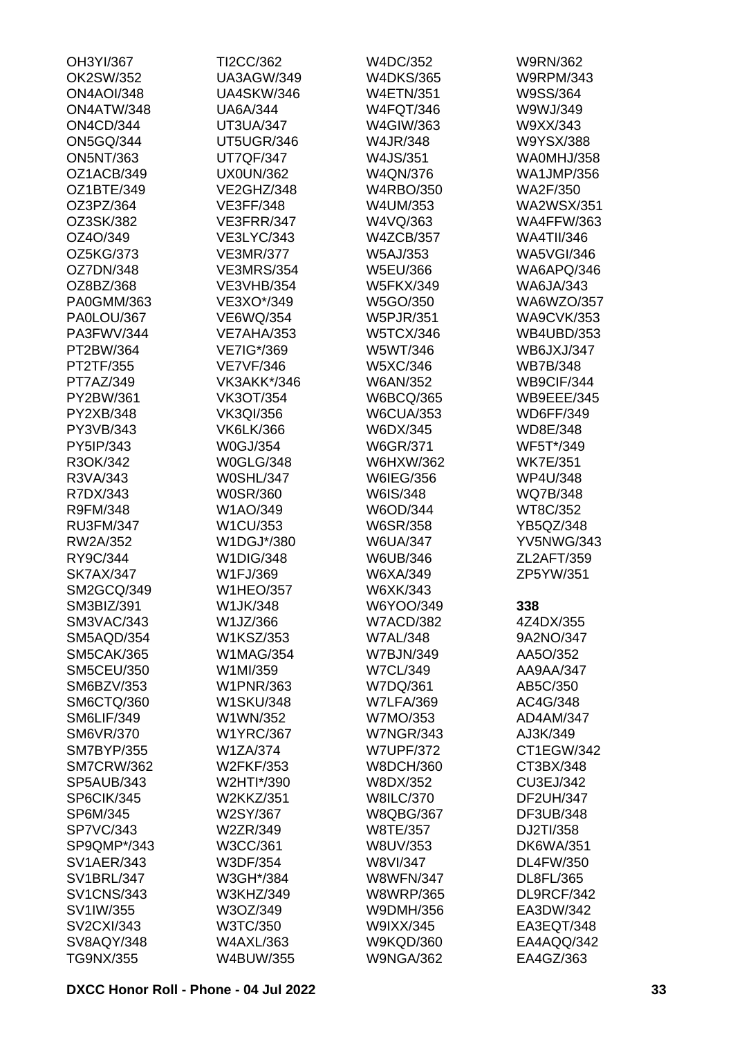| OH3YI/367         | TI2CC/362         | W4DC/352         | W9RN/362          |
|-------------------|-------------------|------------------|-------------------|
| OK2SW/352         | <b>UA3AGW/349</b> | <b>W4DKS/365</b> | <b>W9RPM/343</b>  |
| <b>ON4AOI/348</b> | <b>UA4SKW/346</b> | <b>W4ETN/351</b> | W9SS/364          |
| ON4ATW/348        | <b>UA6A/344</b>   | <b>W4FQT/346</b> | W9WJ/349          |
| <b>ON4CD/344</b>  | <b>UT3UA/347</b>  | W4GIW/363        | W9XX/343          |
| <b>ON5GQ/344</b>  | UT5UGR/346        | W4JR/348         | W9YSX/388         |
| <b>ON5NT/363</b>  | <b>UT7QF/347</b>  | W4JS/351         | WA0MHJ/358        |
| OZ1ACB/349        | <b>UX0UN/362</b>  | W4QN/376         | <b>WA1JMP/356</b> |
| OZ1BTE/349        | VE2GHZ/348        | <b>W4RBO/350</b> | <b>WA2F/350</b>   |
| OZ3PZ/364         | <b>VE3FF/348</b>  | W4UM/353         | <b>WA2WSX/351</b> |
| OZ3SK/382         | VE3FRR/347        | W4VQ/363         | <b>WA4FFW/363</b> |
| OZ4O/349          | <b>VE3LYC/343</b> | <b>W4ZCB/357</b> | <b>WA4TII/346</b> |
| OZ5KG/373         | <b>VE3MR/377</b>  | <b>W5AJ/353</b>  | <b>WA5VGI/346</b> |
| OZ7DN/348         | <b>VE3MRS/354</b> | W5EU/366         | WA6APQ/346        |
| OZ8BZ/368         | <b>VE3VHB/354</b> | <b>W5FKX/349</b> | <b>WA6JA/343</b>  |
| PA0GMM/363        | VE3XO*/349        | W5GO/350         | WA6WZO/357        |
| PA0LOU/367        | <b>VE6WQ/354</b>  | <b>W5PJR/351</b> | <b>WA9CVK/353</b> |
| PA3FWV/344        | <b>VE7AHA/353</b> | <b>W5TCX/346</b> | <b>WB4UBD/353</b> |
| PT2BW/364         | VE7IG*/369        | W5WT/346         | <b>WB6JXJ/347</b> |
| PT2TF/355         | <b>VE7VF/346</b>  | W5XC/346         | <b>WB7B/348</b>   |
| PT7AZ/349         | VK3AKK*/346       | <b>W6AN/352</b>  | WB9CIF/344        |
| PY2BW/361         | <b>VK3OT/354</b>  | <b>W6BCQ/365</b> | WB9EEE/345        |
| PY2XB/348         | <b>VK3QI/356</b>  | <b>W6CUA/353</b> | <b>WD6FF/349</b>  |
| PY3VB/343         | <b>VK6LK/366</b>  | W6DX/345         | WD8E/348          |
| PY5IP/343         | W0GJ/354          |                  | WF5T*/349         |
|                   |                   | W6GR/371         |                   |
| R3OK/342          | <b>W0GLG/348</b>  | W6HXW/362        | <b>WK7E/351</b>   |
| R3VA/343          | <b>W0SHL/347</b>  | W6IEG/356        | <b>WP4U/348</b>   |
| R7DX/343          | <b>W0SR/360</b>   | W6IS/348         | WQ7B/348          |
| R9FM/348          | W1AO/349          | W6OD/344         | WT8C/352          |
| <b>RU3FM/347</b>  | W1CU/353          | <b>W6SR/358</b>  | YB5QZ/348         |
| RW2A/352          | W1DGJ*/380        | <b>W6UA/347</b>  | <b>YV5NWG/343</b> |
| RY9C/344          | <b>W1DIG/348</b>  | W6UB/346         | ZL2AFT/359        |
| <b>SK7AX/347</b>  | W1FJ/369          | W6XA/349         | ZP5YW/351         |
| SM2GCQ/349        | <b>W1HEO/357</b>  | W6XK/343         |                   |
| SM3BIZ/391        | W1JK/348          | W6YOO/349        | 338               |
| SM3VAC/343        | W1JZ/366          | <b>W7ACD/382</b> | 4Z4DX/355         |
| SM5AQD/354        | W1KSZ/353         | <b>W7AL/348</b>  | 9A2NO/347         |
| <b>SM5CAK/365</b> | <b>W1MAG/354</b>  | <b>W7BJN/349</b> | AA5O/352          |
| <b>SM5CEU/350</b> | W1MI/359          | <b>W7CL/349</b>  | AA9AA/347         |
| SM6BZV/353        | <b>W1PNR/363</b>  | W7DQ/361         | AB5C/350          |
| SM6CTQ/360        | <b>W1SKU/348</b>  | <b>W7LFA/369</b> | AC4G/348          |
| SM6LIF/349        | W1WN/352          | W7MO/353         | AD4AM/347         |
| <b>SM6VR/370</b>  | <b>W1YRC/367</b>  | <b>W7NGR/343</b> | AJ3K/349          |
| <b>SM7BYP/355</b> | W1ZA/374          | <b>W7UPF/372</b> | CT1EGW/342        |
| <b>SM7CRW/362</b> | W2FKF/353         | <b>W8DCH/360</b> | CT3BX/348         |
| SP5AUB/343        | W2HTI*/390        | W8DX/352         | CU3EJ/342         |
| SP6CIK/345        | <b>W2KKZ/351</b>  | <b>W8ILC/370</b> | <b>DF2UH/347</b>  |
| SP6M/345          | W2SY/367          | <b>W8QBG/367</b> | DF3UB/348         |
| <b>SP7VC/343</b>  | W2ZR/349          | W8TE/357         | DJ2TI/358         |
| SP9QMP*/343       | W3CC/361          | W8UV/353         | <b>DK6WA/351</b>  |
| <b>SV1AER/343</b> | W3DF/354          | W8VI/347         | DL4FW/350         |
| <b>SV1BRL/347</b> | W3GH*/384         | <b>W8WFN/347</b> | DL8FL/365         |
| <b>SV1CNS/343</b> | W3KHZ/349         | <b>W8WRP/365</b> | DL9RCF/342        |
| SV1IW/355         | W3OZ/349          | W9DMH/356        | EA3DW/342         |
| <b>SV2CXI/343</b> | W3TC/350          | W9IXX/345        | EA3EQT/348        |
| SV8AQY/348        | <b>W4AXL/363</b>  | <b>W9KQD/360</b> | EA4AQQ/342        |
| TG9NX/355         | W4BUW/355         | <b>W9NGA/362</b> | EA4GZ/363         |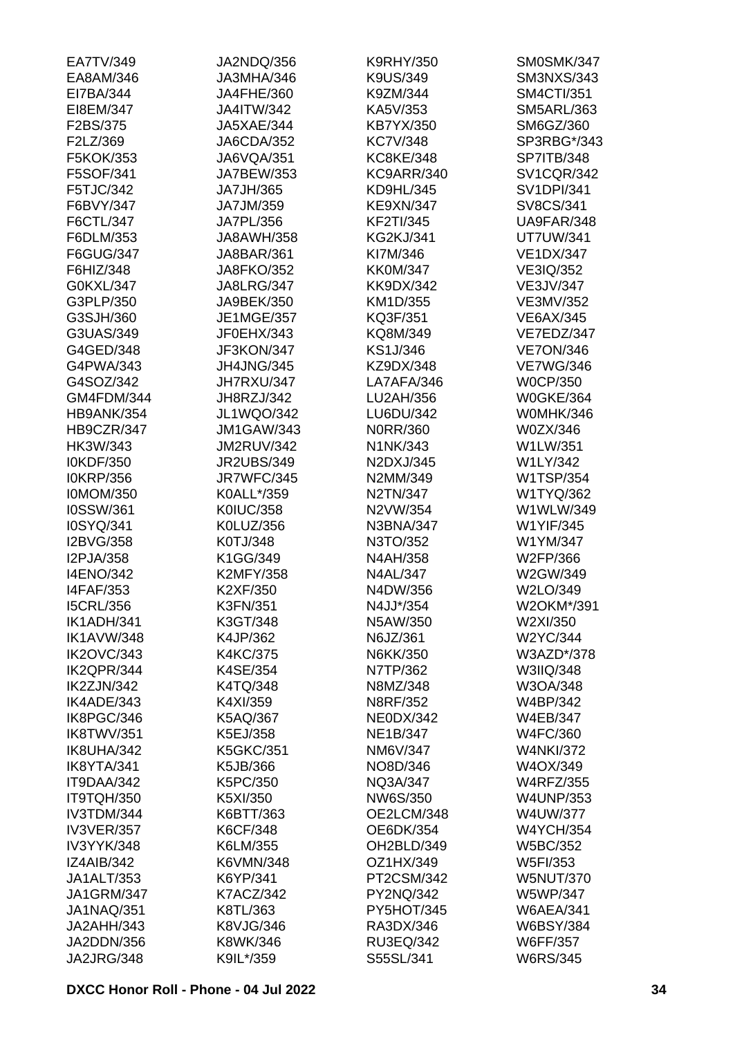| EA7TV/349         | JA2NDQ/356        | <b>K9RHY/350</b>        | SM0SMK/347        |
|-------------------|-------------------|-------------------------|-------------------|
| EA8AM/346         | JA3MHA/346        | K9US/349                | <b>SM3NXS/343</b> |
| EI7BA/344         | JA4FHE/360        | K9ZM/344                | <b>SM4CTI/351</b> |
| EI8EM/347         | <b>JA4ITW/342</b> | KA5V/353                | <b>SM5ARL/363</b> |
| F2BS/375          | JA5XAE/344        | KB7YX/350               | SM6GZ/360         |
| F2LZ/369          | JA6CDA/352        | <b>KC7V/348</b>         | SP3RBG*/343       |
| F5KOK/353         | JA6VQA/351        | <b>KC8KE/348</b>        | <b>SP7ITB/348</b> |
| F5SOF/341         | JA7BEW/353        | KC9ARR/340              | <b>SV1CQR/342</b> |
| F5TJC/342         | JA7JH/365         | KD9HL/345               | <b>SV1DPI/341</b> |
| F6BVY/347         | JA7JM/359         | <b>KE9XN/347</b>        | SV8CS/341         |
| F6CTL/347         | JA7PL/356         | <b>KF2TI/345</b>        | UA9FAR/348        |
| F6DLM/353         | <b>JA8AWH/358</b> | <b>KG2KJ/341</b>        | <b>UT7UW/341</b>  |
| F6GUG/347         | JA8BAR/361        | KI7M/346                | <b>VE1DX/347</b>  |
| F6HIZ/348         | <b>JA8FKO/352</b> | <b>KK0M/347</b>         | VE3IQ/352         |
| G0KXL/347         | <b>JA8LRG/347</b> | <b>KK9DX/342</b>        | <b>VE3JV/347</b>  |
| G3PLP/350         | JA9BEK/350        | KM1D/355                | VE3MV/352         |
| G3SJH/360         | <b>JE1MGE/357</b> | KQ3F/351                | <b>VE6AX/345</b>  |
| G3UAS/349         | JF0EHX/343        | KQ8M/349                | VE7EDZ/347        |
| G4GED/348         | JF3KON/347        | KS1J/346                | <b>VE7ON/346</b>  |
| G4PWA/343         | <b>JH4JNG/345</b> |                         |                   |
|                   |                   | KZ9DX/348<br>LA7AFA/346 | <b>VE7WG/346</b>  |
| G4SOZ/342         | JH7RXU/347        |                         | <b>W0CP/350</b>   |
| GM4FDM/344        | JH8RZJ/342        | LU2AH/356               | <b>W0GKE/364</b>  |
| HB9ANK/354        | <b>JL1WQO/342</b> | LU6DU/342               | W0MHK/346         |
| HB9CZR/347        | <b>JM1GAW/343</b> | N0RR/360                | W0ZX/346          |
| HK3W/343          | <b>JM2RUV/342</b> | N1NK/343                | W1LW/351          |
| I0KDF/350         | <b>JR2UBS/349</b> | N2DXJ/345               | W1LY/342          |
| <b>I0KRP/356</b>  | JR7WFC/345        | N2MM/349                | <b>W1TSP/354</b>  |
| <b>I0MOM/350</b>  | K0ALL*/359        | N2TN/347                | W1TYQ/362         |
| I0SSW/361         | <b>K0IUC/358</b>  | N2VW/354                | W1WLW/349         |
| I0SYQ/341         | K0LUZ/356         | N3BNA/347               | <b>W1YIF/345</b>  |
| I2BVG/358         | K0TJ/348          | N3TO/352                | W1YM/347          |
| I2PJA/358         | K1GG/349          | N4AH/358                | W2FP/366          |
| <b>I4ENO/342</b>  | <b>K2MFY/358</b>  | <b>N4AL/347</b>         | W2GW/349          |
| <b>I4FAF/353</b>  | K2XF/350          | N4DW/356                | W2LO/349          |
| <b>I5CRL/356</b>  | K3FN/351          | N4JJ*/354               | W2OKM*/391        |
| IK1ADH/341        | K3GT/348          | N5AW/350                | W2XI/350          |
| <b>IK1AVW/348</b> | K4JP/362          | N6JZ/361                | W2YC/344          |
| <b>IK2OVC/343</b> | <b>K4KC/375</b>   | N6KK/350                | W3AZD*/378        |
| IK2QPR/344        | K4SE/354          | N7TP/362                | W3IIQ/348         |
| IK2ZJN/342        | K4TQ/348          | N8MZ/348                | W3OA/348          |
| IK4ADE/343        | K4XI/359          | N8RF/352                | W4BP/342          |
| IK8PGC/346        | K5AQ/367          | <b>NE0DX/342</b>        | <b>W4EB/347</b>   |
| IK8TWV/351        | K5EJ/358          | NE1B/347                | <b>W4FC/360</b>   |
| IK8UHA/342        | <b>K5GKC/351</b>  | NM6V/347                | <b>W4NKI/372</b>  |
| IK8YTA/341        | K5JB/366          | NO8D/346                | W4OX/349          |
| IT9DAA/342        | K5PC/350          | NQ3A/347                | <b>W4RFZ/355</b>  |
| IT9TQH/350        | K5XI/350          | NW6S/350                | <b>W4UNP/353</b>  |
| IV3TDM/344        | K6BTT/363         | OE2LCM/348              | <b>W4UW/377</b>   |
| <b>IV3VER/357</b> | K6CF/348          | OE6DK/354               | <b>W4YCH/354</b>  |
| IV3YYK/348        | K6LM/355          | OH2BLD/349              | <b>W5BC/352</b>   |
| <b>IZ4AIB/342</b> | K6VMN/348         | OZ1HX/349               | W5FI/353          |
| JA1ALT/353        | K6YP/341          | PT2CSM/342              | <b>W5NUT/370</b>  |
| <b>JA1GRM/347</b> | <b>K7ACZ/342</b>  | PY2NQ/342               | <b>W5WP/347</b>   |
| <b>JA1NAQ/351</b> | K8TL/363          | PY5HOT/345              | <b>W6AEA/341</b>  |
| JA2AHH/343        | K8VJG/346         | RA3DX/346               | <b>W6BSY/384</b>  |
| JA2DDN/356        | K8WK/346          | RU3EQ/342               | <b>W6FF/357</b>   |
| JA2JRG/348        | K9IL*/359         | S55SL/341               | <b>W6RS/345</b>   |
|                   |                   |                         |                   |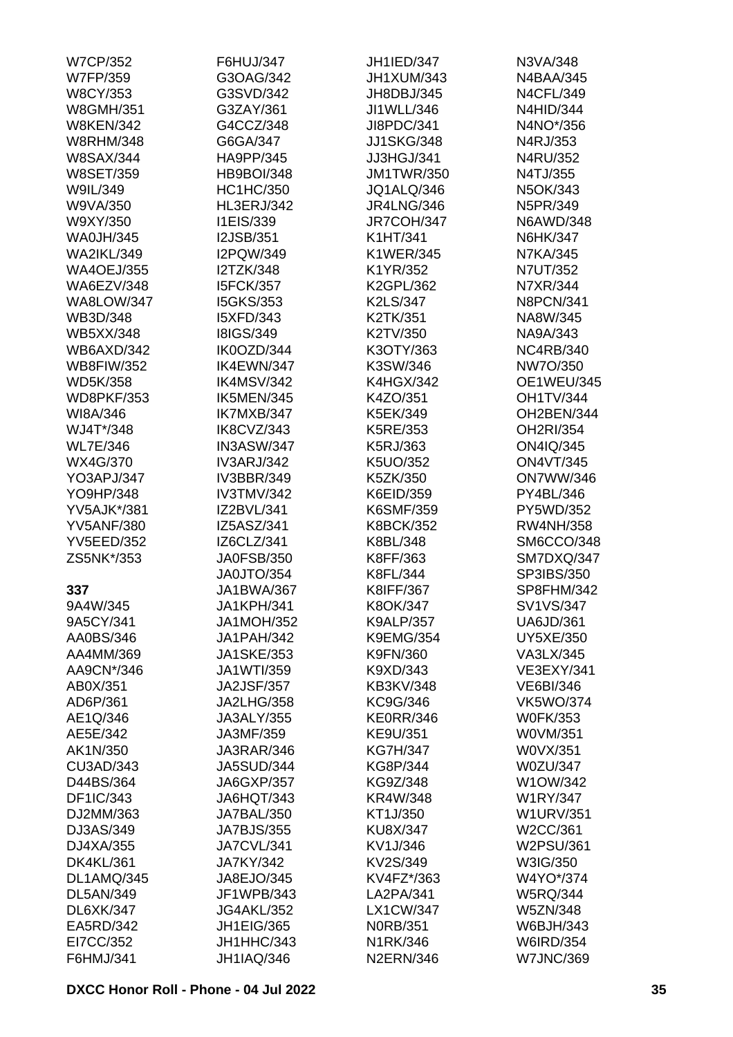| <b>W7CP/352</b>                | F6HUJ/347         | <b>JH1IED/347</b> | N3VA/348          |
|--------------------------------|-------------------|-------------------|-------------------|
| <b>W7FP/359</b>                | G3OAG/342         | JH1XUM/343        | <b>N4BAA/345</b>  |
| <b>W8CY/353</b>                | G3SVD/342         | JH8DBJ/345        | <b>N4CFL/349</b>  |
| <b>W8GMH/351</b>               | G3ZAY/361         | JI1WLL/346        | <b>N4HID/344</b>  |
| <b>W8KEN/342</b>               | G4CCZ/348         | JI8PDC/341        | N4NO*/356         |
| <b>W8RHM/348</b>               | G6GA/347          | <b>JJ1SKG/348</b> | N4RJ/353          |
| <b>W8SAX/344</b>               | HA9PP/345         | JJ3HGJ/341        | N4RU/352          |
| <b>W8SET/359</b>               | <b>HB9BOI/348</b> | <b>JM1TWR/350</b> | N4TJ/355          |
| W9IL/349                       | <b>HC1HC/350</b>  | JQ1ALQ/346        | N5OK/343          |
| W9VA/350                       | <b>HL3ERJ/342</b> | <b>JR4LNG/346</b> | N5PR/349          |
| W9XY/350                       | I1EIS/339         | JR7COH/347        | <b>N6AWD/348</b>  |
| <b>WA0JH/345</b>               | <b>I2JSB/351</b>  | K1HT/341          | N6HK/347          |
| <b>WA2IKL/349</b>              | I2PQW/349         | <b>K1WER/345</b>  | <b>N7KA/345</b>   |
| <b>WA4OEJ/355</b>              | <b>I2TZK/348</b>  | K1YR/352          | N7UT/352          |
| WA6EZV/348                     | <b>I5FCK/357</b>  | K2GPL/362         | N7XR/344          |
| <b>WA8LOW/347</b>              | <b>I5GKS/353</b>  | K2LS/347          | <b>N8PCN/341</b>  |
| WB3D/348                       | <b>I5XFD/343</b>  | K2TK/351          | NA8W/345          |
|                                | <b>I8IGS/349</b>  |                   |                   |
| <b>WB5XX/348</b><br>WB6AXD/342 |                   | K2TV/350          | NA9A/343          |
|                                | IK0OZD/344        | K3OTY/363         | <b>NC4RB/340</b>  |
| <b>WB8FIW/352</b>              | IK4EWN/347        | K3SW/346          | NW7O/350          |
| <b>WD5K/358</b>                | IK4MSV/342        | <b>K4HGX/342</b>  | <b>OE1WEU/345</b> |
| <b>WD8PKF/353</b>              | IK5MEN/345        | K4ZO/351          | <b>OH1TV/344</b>  |
| WI8A/346                       | IK7MXB/347        | K5EK/349          | OH2BEN/344        |
| WJ4T*/348                      | IK8CVZ/343        | K5RE/353          | OH2RI/354         |
| <b>WL7E/346</b>                | IN3ASW/347        | K5RJ/363          | <b>ON4IQ/345</b>  |
| WX4G/370                       | <b>IV3ARJ/342</b> | K5UO/352          | <b>ON4VT/345</b>  |
| YO3APJ/347                     | <b>IV3BBR/349</b> | K5ZK/350          | <b>ON7WW/346</b>  |
| YO9HP/348                      | <b>IV3TMV/342</b> | K6EID/359         | PY4BL/346         |
| <b>YV5AJK*/381</b>             | IZ2BVL/341        | K6SMF/359         | PY5WD/352         |
| <b>YV5ANF/380</b>              | IZ5ASZ/341        | <b>K8BCK/352</b>  | <b>RW4NH/358</b>  |
| <b>YV5EED/352</b>              | IZ6CLZ/341        | K8BL/348          | SM6CCO/348        |
| ZS5NK*/353                     | <b>JA0FSB/350</b> | K8FF/363          | SM7DXQ/347        |
|                                | JA0JTO/354        | K8FL/344          | SP3IBS/350        |
| 337                            | <b>JA1BWA/367</b> | K8IFF/367         | SP8FHM/342        |
| 9A4W/345                       | JA1KPH/341        | K8OK/347          | SV1VS/347         |
| 9A5CY/341                      | <b>JA1MOH/352</b> | <b>K9ALP/357</b>  | <b>UA6JD/361</b>  |
| AA0BS/346                      | JA1PAH/342        | <b>K9EMG/354</b>  | <b>UY5XE/350</b>  |
| AA4MM/369                      | <b>JA1SKE/353</b> | K9FN/360          | VA3LX/345         |
| AA9CN*/346                     | JA1WTI/359        | K9XD/343          | <b>VE3EXY/341</b> |
| AB0X/351                       | <b>JA2JSF/357</b> | <b>KB3KV/348</b>  | <b>VE6BI/346</b>  |
| AD6P/361                       | <b>JA2LHG/358</b> | KC9G/346          | <b>VK5WO/374</b>  |
| AE1Q/346                       | <b>JA3ALY/355</b> | <b>KE0RR/346</b>  | <b>W0FK/353</b>   |
| AE5E/342                       | JA3MF/359         | KE9U/351          | W0VM/351          |
| AK1N/350                       | JA3RAR/346        | <b>KG7H/347</b>   | W0VX/351          |
| CU3AD/343                      | <b>JA5SUD/344</b> | KG8P/344          | <b>W0ZU/347</b>   |
| D44BS/364                      | <b>JA6GXP/357</b> | KG9Z/348          | W1OW/342          |
| DF1IC/343                      | JA6HQT/343        | KR4W/348          | <b>W1RY/347</b>   |
| DJ2MM/363                      | JA7BAL/350        | KT1J/350          | <b>W1URV/351</b>  |
| DJ3AS/349                      | <b>JA7BJS/355</b> | <b>KU8X/347</b>   | W2CC/361          |
| DJ4XA/355                      | JA7CVL/341        | KV1J/346          | W2PSU/361         |
| <b>DK4KL/361</b>               | <b>JA7KY/342</b>  | KV2S/349          | W3IG/350          |
| DL1AMQ/345                     | JA8EJO/345        | KV4FZ*/363        | W4YO*/374         |
| DL5AN/349                      | JF1WPB/343        | LA2PA/341         | <b>W5RQ/344</b>   |
| DL6XK/347                      | <b>JG4AKL/352</b> | <b>LX1CW/347</b>  | <b>W5ZN/348</b>   |
| EA5RD/342                      | <b>JH1EIG/365</b> | <b>N0RB/351</b>   | W6BJH/343         |
| EI7CC/352                      | JH1HHC/343        | N1RK/346          | <b>W6IRD/354</b>  |
| F6HMJ/341                      | <b>JH1IAQ/346</b> | <b>N2ERN/346</b>  | <b>W7JNC/369</b>  |
|                                |                   |                   |                   |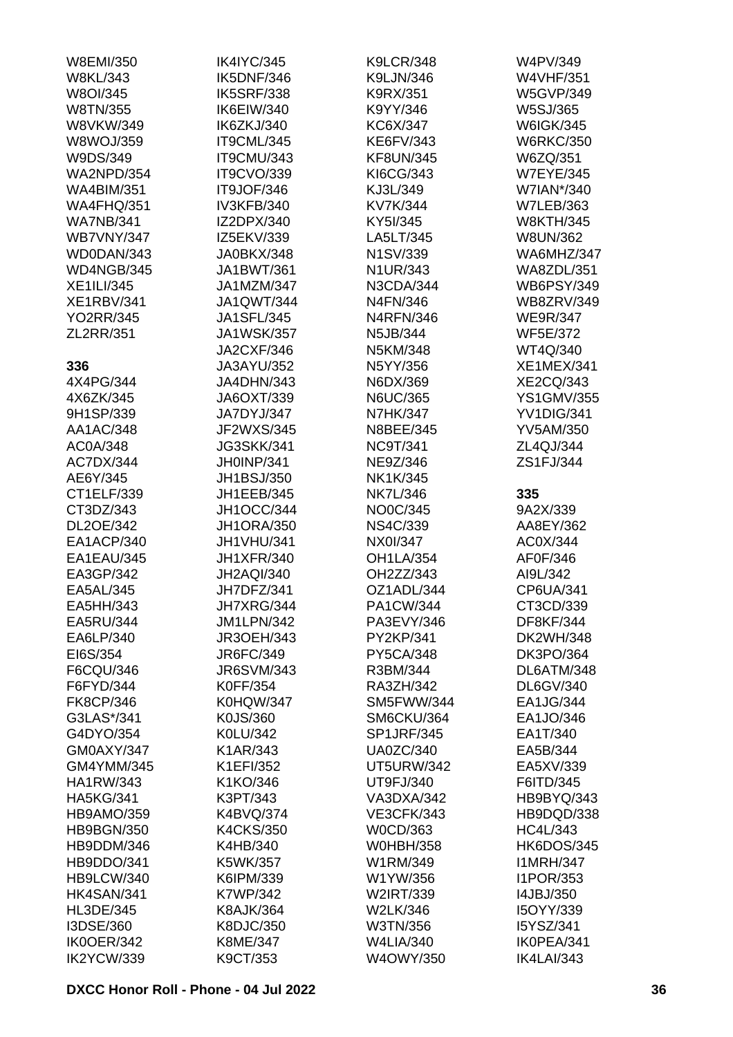| W8EMI/350         | <b>IK4IYC/345</b> | <b>K9LCR/348</b>  | W4PV/349          |
|-------------------|-------------------|-------------------|-------------------|
| <b>W8KL/343</b>   | IK5DNF/346        | K9LJN/346         | <b>W4VHF/351</b>  |
| W8OI/345          | <b>IK5SRF/338</b> | K9RX/351          | <b>W5GVP/349</b>  |
| W8TN/355          | IK6EIW/340        | K9YY/346          | W5SJ/365          |
| W8VKW/349         | IK6ZKJ/340        | KC6X/347          | <b>W6IGK/345</b>  |
| <b>W8WOJ/359</b>  | IT9CML/345        | <b>KE6FV/343</b>  | <b>W6RKC/350</b>  |
| W9DS/349          | IT9CMU/343        | <b>KF8UN/345</b>  | W6ZQ/351          |
| <b>WA2NPD/354</b> | IT9CVO/339        | KI6CG/343         | <b>W7EYE/345</b>  |
| <b>WA4BIM/351</b> | IT9JOF/346        | KJ3L/349          | W7IAN*/340        |
| <b>WA4FHQ/351</b> | IV3KFB/340        | KV7K/344          | <b>W7LEB/363</b>  |
| <b>WA7NB/341</b>  | IZ2DPX/340        | KY5I/345          | <b>W8KTH/345</b>  |
| <b>WB7VNY/347</b> | IZ5EKV/339        | LA5LT/345         | W8UN/362          |
| WD0DAN/343        | JA0BKX/348        | N1SV/339          | WA6MHZ/347        |
| WD4NGB/345        | JA1BWT/361        | N1UR/343          | <b>WA8ZDL/351</b> |
| <b>XE1ILI/345</b> | JA1MZM/347        | N3CDA/344         | <b>WB6PSY/349</b> |
| <b>XE1RBV/341</b> | <b>JA1QWT/344</b> | N4FN/346          | <b>WB8ZRV/349</b> |
|                   | <b>JA1SFL/345</b> |                   |                   |
| <b>YO2RR/345</b>  |                   | <b>N4RFN/346</b>  | <b>WE9R/347</b>   |
| ZL2RR/351         | <b>JA1WSK/357</b> | N5JB/344          | <b>WF5E/372</b>   |
|                   | <b>JA2CXF/346</b> | N5KM/348          | WT4Q/340          |
| 336               | JA3AYU/352        | N5YY/356          | <b>XE1MEX/341</b> |
| 4X4PG/344         | JA4DHN/343        | N6DX/369          | <b>XE2CQ/343</b>  |
| 4X6ZK/345         | JA6OXT/339        | <b>N6UC/365</b>   | <b>YS1GMV/355</b> |
| 9H1SP/339         | JA7DYJ/347        | <b>N7HK/347</b>   | YV1DIG/341        |
| AA1AC/348         | JF2WXS/345        | N8BEE/345         | <b>YV5AM/350</b>  |
| AC0A/348          | <b>JG3SKK/341</b> | <b>NC9T/341</b>   | ZL4QJ/344         |
| AC7DX/344         | JH0INP/341        | NE9Z/346          | ZS1FJ/344         |
| AE6Y/345          | JH1BSJ/350        | NK1K/345          |                   |
| CT1ELF/339        | JH1EEB/345        | <b>NK7L/346</b>   | 335               |
| CT3DZ/343         | JH1OCC/344        | NO0C/345          | 9A2X/339          |
| DL2OE/342         | <b>JH1ORA/350</b> | <b>NS4C/339</b>   | AA8EY/362         |
| EA1ACP/340        | JH1VHU/341        | NX0I/347          | AC0X/344          |
| EA1EAU/345        | <b>JH1XFR/340</b> | <b>OH1LA/354</b>  | AF0F/346          |
| EA3GP/342         | <b>JH2AQI/340</b> | OH2ZZ/343         | AI9L/342          |
| EA5AL/345         | JH7DFZ/341        | OZ1ADL/344        | CP6UA/341         |
| EA5HH/343         | JH7XRG/344        | PA1CW/344         | CT3CD/339         |
| EA5RU/344         | <b>JM1LPN/342</b> | PA3EVY/346        | <b>DF8KF/344</b>  |
| EA6LP/340         | <b>JR3OEH/343</b> | PY2KP/341         | <b>DK2WH/348</b>  |
| EI6S/354          | JR6FC/349         | <b>PY5CA/348</b>  | <b>DK3PO/364</b>  |
| F6CQU/346         | <b>JR6SVM/343</b> | R3BM/344          | DL6ATM/348        |
| F6FYD/344         | <b>K0FF/354</b>   | RA3ZH/342         | DL6GV/340         |
| <b>FK8CP/346</b>  | <b>K0HQW/347</b>  | SM5FWW/344        | EA1JG/344         |
| G3LAS*/341        | K0JS/360          | SM6CKU/364        | EA1JO/346         |
| G4DYO/354         | K0LU/342          | <b>SP1JRF/345</b> | EA1T/340          |
| GM0AXY/347        | K1AR/343          | <b>UA0ZC/340</b>  | EA5B/344          |
| GM4YMM/345        |                   |                   |                   |
|                   | K1EFI/352         | <b>UT5URW/342</b> | EA5XV/339         |
| <b>HA1RW/343</b>  | K1KO/346          | UT9FJ/340         | F6ITD/345         |
| <b>HA5KG/341</b>  | K3PT/343          | VA3DXA/342        | HB9BYQ/343        |
| <b>HB9AMO/359</b> | K4BVQ/374         | <b>VE3CFK/343</b> | HB9DQD/338        |
| <b>HB9BGN/350</b> | <b>K4CKS/350</b>  | W0CD/363          | <b>HC4L/343</b>   |
| HB9DDM/346        | K4HB/340          | <b>W0HBH/358</b>  | HK6DOS/345        |
| HB9DDO/341        | K5WK/357          | W1RM/349          | <b>I1MRH/347</b>  |
| HB9LCW/340        | K6IPM/339         | W1YW/356          | <b>I1POR/353</b>  |
| HK4SAN/341        | K7WP/342          | W2IRT/339         | 14JBJ/350         |
| <b>HL3DE/345</b>  | <b>K8AJK/364</b>  | W2LK/346          | I5OYY/339         |
| I3DSE/360         | K8DJC/350         | W3TN/356          | I5YSZ/341         |
| IK0OER/342        | K8ME/347          | <b>W4LIA/340</b>  | IK0PEA/341        |
| IK2YCW/339        | K9CT/353          | W4OWY/350         | IK4LAI/343        |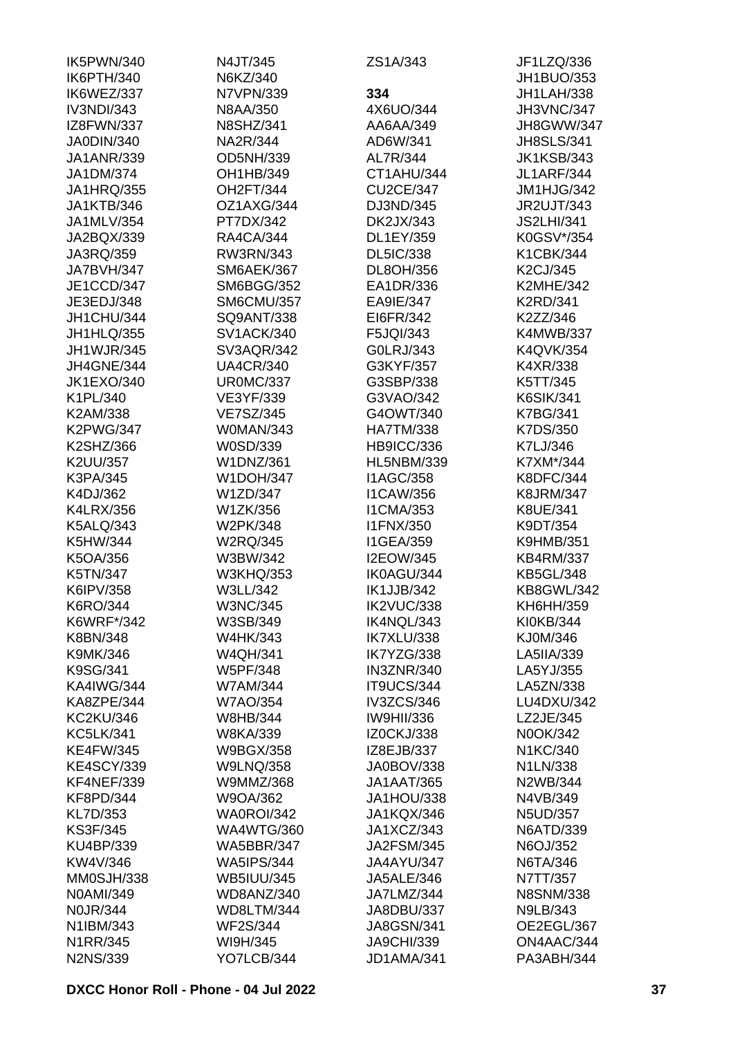| IK5PWN/340        | N4JT/345          | ZS1A/343          | JF1LZQ/336                   |
|-------------------|-------------------|-------------------|------------------------------|
| IK6PTH/340        | N6KZ/340          |                   | JH1BUO/353                   |
| IK6WEZ/337        | N7VPN/339         | 334               | JH1LAH/338                   |
| IV3NDI/343        | N8AA/350          | 4X6UO/344         | <b>JH3VNC/347</b>            |
| IZ8FWN/337        | <b>N8SHZ/341</b>  | AA6AA/349         | JH8GWW/347                   |
| JA0DIN/340        | NA2R/344          | AD6W/341          | <b>JH8SLS/341</b>            |
| <b>JA1ANR/339</b> | OD5NH/339         | AL7R/344          | <b>JK1KSB/343</b>            |
| JA1DM/374         | OH1HB/349         | CT1AHU/344        | <b>JL1ARF/344</b>            |
| <b>JA1HRQ/355</b> | OH2FT/344         | <b>CU2CE/347</b>  | JM1HJG/342                   |
| <b>JA1KTB/346</b> | OZ1AXG/344        | DJ3ND/345         | <b>JR2UJT/343</b>            |
| JA1MLV/354        | PT7DX/342         | DK2JX/343         | <b>JS2LHI/341</b>            |
| JA2BQX/339        | <b>RA4CA/344</b>  | DL1EY/359         | K0GSV*/354                   |
| JA3RQ/359         | RW3RN/343         | <b>DL5IC/338</b>  | K1CBK/344                    |
| JA7BVH/347        | SM6AEK/367        | DL8OH/356         | K2CJ/345                     |
| JE1CCD/347        | <b>SM6BGG/352</b> | EA1DR/336         | <b>K2MHE/342</b>             |
| JE3EDJ/348        | <b>SM6CMU/357</b> | EA9IE/347         | <b>K2RD/341</b>              |
| JH1CHU/344        | SQ9ANT/338        | EI6FR/342         | K2ZZ/346                     |
| JH1HLQ/355        | <b>SV1ACK/340</b> | F5JQI/343         | <b>K4MWB/337</b>             |
| <b>JH1WJR/345</b> | SV3AQR/342        | G0LRJ/343         | K4QVK/354                    |
| JH4GNE/344        | <b>UA4CR/340</b>  | G3KYF/357         | K4XR/338                     |
| <b>JK1EXO/340</b> | <b>UR0MC/337</b>  | G3SBP/338         |                              |
| K1PL/340          |                   | G3VAO/342         | K5TT/345<br><b>K6SIK/341</b> |
|                   | VE3YF/339         |                   |                              |
| K2AM/338          | <b>VE7SZ/345</b>  | G4OWT/340         | K7BG/341                     |
| <b>K2PWG/347</b>  | W0MAN/343         | <b>HA7TM/338</b>  | K7DS/350                     |
| K2SHZ/366         | W0SD/339          | HB9ICC/336        | K7LJ/346                     |
| K2UU/357          | <b>W1DNZ/361</b>  | <b>HL5NBM/339</b> | K7XM*/344                    |
| K3PA/345          | <b>W1DOH/347</b>  | <b>I1AGC/358</b>  | <b>K8DFC/344</b>             |
| K4DJ/362          | W1ZD/347          | <b>I1CAW/356</b>  | <b>K8JRM/347</b>             |
| <b>K4LRX/356</b>  | W1ZK/356          | <b>I1CMA/353</b>  | K8UE/341                     |
| <b>K5ALQ/343</b>  | W2PK/348          | <b>I1FNX/350</b>  | K9DT/354                     |
| K5HW/344          | <b>W2RQ/345</b>   | <b>I1GEA/359</b>  | <b>K9HMB/351</b>             |
| K5OA/356          | W3BW/342          | <b>I2EOW/345</b>  | <b>KB4RM/337</b>             |
| K5TN/347          | <b>W3KHQ/353</b>  | IK0AGU/344        | <b>KB5GL/348</b>             |
| K6IPV/358         | W3LL/342          | <b>IK1JJB/342</b> | KB8GWL/342                   |
| K6RO/344          | <b>W3NC/345</b>   | IK2VUC/338        | KH6HH/359                    |
| K6WRF*/342        | W3SB/349          | IK4NQL/343        | KI0KB/344                    |
| K8BN/348          | <b>W4HK/343</b>   | IK7XLU/338        | KJ0M/346                     |
| K9MK/346          | <b>W4QH/341</b>   | IK7YZG/338        | LA5IIA/339                   |
| K9SG/341          | <b>W5PF/348</b>   | <b>IN3ZNR/340</b> | LA5YJ/355                    |
| <b>KA4IWG/344</b> | <b>W7AM/344</b>   | IT9UCS/344        | LA5ZN/338                    |
| KA8ZPE/344        | <b>W7AO/354</b>   | IV3ZCS/346        | LU4DXU/342                   |
| <b>KC2KU/346</b>  | W8HB/344          | <b>IW9HII/336</b> | LZ2JE/345                    |
| <b>KC5LK/341</b>  | <b>W8KA/339</b>   | <b>IZ0CKJ/338</b> | N0OK/342                     |
| <b>KE4FW/345</b>  | <b>W9BGX/358</b>  | IZ8EJB/337        | N1KC/340                     |
| <b>KE4SCY/339</b> | <b>W9LNQ/358</b>  | JA0BOV/338        | N1LN/338                     |
| KF4NEF/339        | W9MMZ/368         | <b>JA1AAT/365</b> | N2WB/344                     |
| <b>KF8PD/344</b>  | W9OA/362          | JA1HOU/338        | N4VB/349                     |
| KL7D/353          | WA0ROI/342        | JA1KQX/346        | <b>N5UD/357</b>              |
| <b>KS3F/345</b>   | <b>WA4WTG/360</b> | JA1XCZ/343        | <b>N6ATD/339</b>             |
| KU4BP/339         | <b>WA5BBR/347</b> | <b>JA2FSM/345</b> | N6OJ/352                     |
| KW4V/346          | <b>WA5IPS/344</b> | JA4AYU/347        | N6TA/346                     |
| MM0SJH/338        | <b>WB5IUU/345</b> | <b>JA5ALE/346</b> | N7TT/357                     |
| N0AMI/349         | WD8ANZ/340        | JA7LMZ/344        | <b>N8SNM/338</b>             |
| <b>N0JR/344</b>   | WD8LTM/344        | JA8DBU/337        | N9LB/343                     |
| N1IBM/343         | <b>WF2S/344</b>   | <b>JA8GSN/341</b> | OE2EGL/367                   |
| N1RR/345          | WI9H/345          | <b>JA9CHI/339</b> | ON4AAC/344                   |
| <b>N2NS/339</b>   | YO7LCB/344        | JD1AMA/341        | PA3ABH/344                   |
|                   |                   |                   |                              |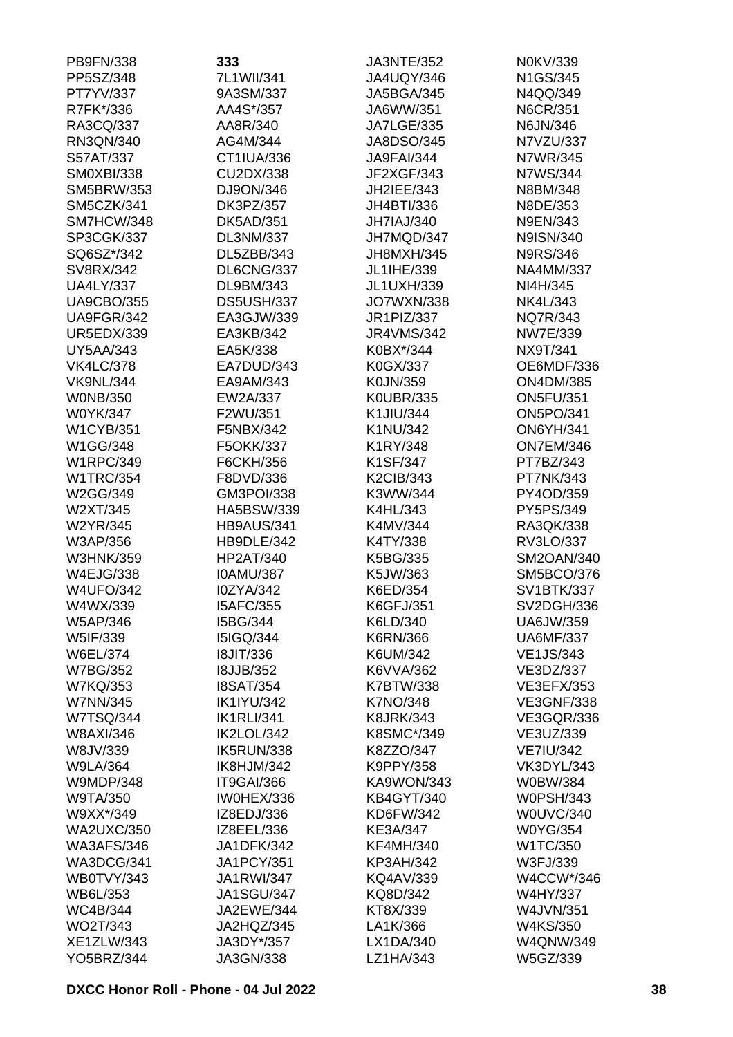| PB9FN/338                     | 333                                  | <b>JA3NTE/352</b>    | N0KV/339                        |
|-------------------------------|--------------------------------------|----------------------|---------------------------------|
| PP5SZ/348                     | 7L1WII/341                           | <b>JA4UQY/346</b>    | N1GS/345                        |
| PT7YV/337                     | 9A3SM/337                            | <b>JA5BGA/345</b>    | N4QQ/349                        |
| R7FK*/336                     | AA4S*/357                            | JA6WW/351            | N6CR/351                        |
| RA3CQ/337                     | AA8R/340                             | <b>JA7LGE/335</b>    | N6JN/346                        |
| RN3QN/340                     | AG4M/344                             | JA8DSO/345           | N7VZU/337                       |
| S57AT/337                     | CT1IUA/336                           | <b>JA9FAI/344</b>    | N7WR/345                        |
| <b>SM0XBI/338</b>             | CU2DX/338                            | JF2XGF/343           | N7WS/344                        |
| <b>SM5BRW/353</b>             | DJ9ON/346                            | JH2IEE/343           | N8BM/348                        |
| SM5CZK/341                    | DK3PZ/357                            | JH4BTI/336           | N8DE/353                        |
| SM7HCW/348                    | <b>DK5AD/351</b>                     | JH7IAJ/340           | N9EN/343                        |
| SP3CGK/337                    | DL3NM/337                            | JH7MQD/347           | N9ISN/340                       |
| SQ6SZ*/342                    | DL5ZBB/343                           | JH8MXH/345           | <b>N9RS/346</b>                 |
| SV8RX/342                     | DL6CNG/337                           | JL1IHE/339           | <b>NA4MM/337</b>                |
| <b>UA4LY/337</b>              | DL9BM/343                            | <b>JL1UXH/339</b>    | NI4H/345                        |
| <b>UA9CBO/355</b>             | DS5USH/337                           | <b>JO7WXN/338</b>    | NK4L/343                        |
| UA9FGR/342                    | EA3GJW/339                           | JR1PIZ/337           | NQ7R/343                        |
| <b>UR5EDX/339</b>             | EA3KB/342                            | <b>JR4VMS/342</b>    | NW7E/339                        |
| <b>UY5AA/343</b>              | EA5K/338                             | K0BX*/344            | NX9T/341                        |
| <b>VK4LC/378</b>              | EA7DUD/343                           | K0GX/337             | OE6MDF/336                      |
| <b>VK9NL/344</b>              | EA9AM/343                            | K0JN/359             | <b>ON4DM/385</b>                |
| <b>WONB/350</b>               | EW2A/337                             | <b>K0UBR/335</b>     | <b>ON5FU/351</b>                |
| W0YK/347                      | F2WU/351                             | K1JIU/344            | <b>ON5PO/341</b>                |
| <b>W1CYB/351</b>              | F5NBX/342                            | K1NU/342             | <b>ON6YH/341</b>                |
| W1GG/348                      | F5OKK/337                            | K1RY/348             | <b>ON7EM/346</b>                |
| <b>W1RPC/349</b>              | F6CKH/356                            | K1SF/347             | PT7BZ/343                       |
| <b>W1TRC/354</b>              | F8DVD/336                            | <b>K2CIB/343</b>     | PT7NK/343                       |
| W2GG/349                      | GM3POI/338                           | K3WW/344             | PY4OD/359                       |
| W2XT/345                      | HA5BSW/339                           | K4HL/343             | PY5PS/349                       |
| W2YR/345                      | <b>HB9AUS/341</b>                    | K4MV/344             | RA3QK/338                       |
| W3AP/356                      | HB9DLE/342                           | K4TY/338             | RV3LO/337                       |
| <b>W3HNK/359</b><br>W4EJG/338 | <b>HP2AT/340</b><br><b>IOAMU/387</b> | K5BG/335             | SM2OAN/340<br><b>SM5BCO/376</b> |
| <b>W4UFO/342</b>              | I0ZYA/342                            | K5JW/363<br>K6ED/354 | <b>SV1BTK/337</b>               |
| W4WX/339                      | <b>I5AFC/355</b>                     | K6GFJ/351            | SV2DGH/336                      |
| W5AP/346                      | I5BG/344                             | K6LD/340             | <b>UA6JW/359</b>                |
| W5IF/339                      | <b>I5IGQ/344</b>                     | K6RN/366             | <b>UA6MF/337</b>                |
| W6EL/374                      | <b>18JIT/336</b>                     | K6UM/342             | <b>VE1JS/343</b>                |
| <b>W7BG/352</b>               | <b>I8JJB/352</b>                     | K6VVA/362            | VE3DZ/337                       |
| <b>W7KQ/353</b>               | <b>I8SAT/354</b>                     | K7BTW/338            | <b>VE3EFX/353</b>               |
| <b>W7NN/345</b>               | <b>IK1IYU/342</b>                    | <b>K7NO/348</b>      | <b>VE3GNF/338</b>               |
| <b>W7TSQ/344</b>              | <b>IK1RLI/341</b>                    | <b>K8JRK/343</b>     | <b>VE3GQR/336</b>               |
| W8AXI/346                     | IK2LOL/342                           | K8SMC*/349           | VE3UZ/339                       |
| W8JV/339                      | IK5RUN/338                           | K8ZZO/347            | <b>VE7IU/342</b>                |
| <b>W9LA/364</b>               | IK8HJM/342                           | K9PPY/358            | <b>VK3DYL/343</b>               |
| <b>W9MDP/348</b>              | IT9GAI/366                           | KA9WON/343           | W0BW/384                        |
| W9TA/350                      | IW0HEX/336                           | <b>KB4GYT/340</b>    | <b>W0PSH/343</b>                |
| W9XX*/349                     | IZ8EDJ/336                           | KD6FW/342            | <b>W0UVC/340</b>                |
| <b>WA2UXC/350</b>             | IZ8EEL/336                           | KE3A/347             | <b>W0YG/354</b>                 |
| <b>WA3AFS/346</b>             | <b>JA1DFK/342</b>                    | <b>KF4MH/340</b>     | W1TC/350                        |
| WA3DCG/341                    | <b>JA1PCY/351</b>                    | <b>KP3AH/342</b>     | W3FJ/339                        |
| WB0TVY/343                    | <b>JA1RWI/347</b>                    | <b>KQ4AV/339</b>     | W4CCW*/346                      |
| WB6L/353                      | <b>JA1SGU/347</b>                    | KQ8D/342             | W4HY/337                        |
| <b>WC4B/344</b>               | JA2EWE/344                           | KT8X/339             | W4JVN/351                       |
| WO2T/343                      | JA2HQZ/345                           | LA1K/366             | W4KS/350                        |
| XE1ZLW/343                    | JA3DY*/357                           | LX1DA/340            | <b>W4QNW/349</b>                |
| <b>YO5BRZ/344</b>             | JA3GN/338                            | LZ1HA/343            | W5GZ/339                        |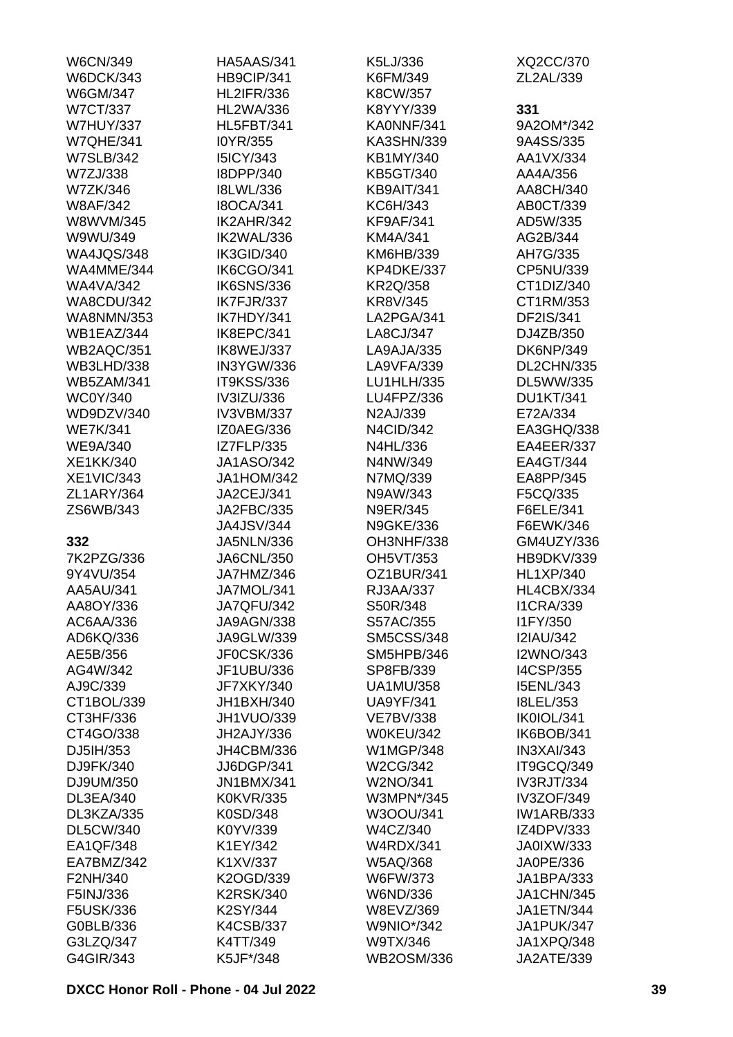| <b>W6CN/349</b>   | <b>HA5AAS/341</b> | K5LJ/336          | XQ2CC/370         |
|-------------------|-------------------|-------------------|-------------------|
| <b>W6DCK/343</b>  | HB9CIP/341        | K6FM/349          | ZL2AL/339         |
| W6GM/347          | <b>HL2IFR/336</b> | K8CW/357          |                   |
| <b>W7CT/337</b>   | <b>HL2WA/336</b>  | K8YYY/339         | 331               |
| <b>W7HUY/337</b>  | <b>HL5FBT/341</b> | KA0NNF/341        | 9A2OM*/342        |
| <b>W7QHE/341</b>  | I0YR/355          | KA3SHN/339        | 9A4SS/335         |
|                   |                   |                   |                   |
| <b>W7SLB/342</b>  | <b>I5ICY/343</b>  | KB1MY/340         | AA1VX/334         |
| W7ZJ/338          | I8DPP/340         | KB5GT/340         | AA4A/356          |
| W7ZK/346          | <b>I8LWL/336</b>  | KB9AIT/341        | AA8CH/340         |
| <b>W8AF/342</b>   | <b>I8OCA/341</b>  | KC6H/343          | AB0CT/339         |
| W8WVM/345         | IK2AHR/342        | <b>KF9AF/341</b>  | AD5W/335          |
| W9WU/349          | IK2WAL/336        | KM4A/341          | AG2B/344          |
| <b>WA4JQS/348</b> | IK3GID/340        | KM6HB/339         | AH7G/335          |
| WA4MME/344        | IK6CGO/341        | KP4DKE/337        | CP5NU/339         |
| <b>WA4VA/342</b>  | <b>IK6SNS/336</b> | <b>KR2Q/358</b>   | CT1DIZ/340        |
| <b>WA8CDU/342</b> | IK7FJR/337        | <b>KR8V/345</b>   | CT1RM/353         |
| <b>WA8NMN/353</b> | IK7HDY/341        | LA2PGA/341        | DF2IS/341         |
| WB1EAZ/344        | IK8EPC/341        | LA8CJ/347         | DJ4ZB/350         |
| WB2AQC/351        | IK8WEJ/337        | LA9AJA/335        | <b>DK6NP/349</b>  |
| <b>WB3LHD/338</b> | IN3YGW/336        | LA9VFA/339        | DL2CHN/335        |
| <b>WB5ZAM/341</b> | <b>IT9KSS/336</b> | LU1HLH/335        | DL5WW/335         |
| <b>WC0Y/340</b>   | IV3IZU/336        | LU4FPZ/336        | <b>DU1KT/341</b>  |
| WD9DZV/340        | IV3VBM/337        | N2AJ/339          | E72A/334          |
| <b>WE7K/341</b>   | IZ0AEG/336        | <b>N4CID/342</b>  | EA3GHQ/338        |
| <b>WE9A/340</b>   | <b>IZ7FLP/335</b> | N4HL/336          | EA4EER/337        |
| XE1KK/340         | <b>JA1ASO/342</b> | N4NW/349          | EA4GT/344         |
| <b>XE1VIC/343</b> | <b>JA1HOM/342</b> | N7MQ/339          | EA8PP/345         |
| ZL1ARY/364        | JA2CEJ/341        |                   |                   |
|                   |                   | N9AW/343          | F5CQ/335          |
| ZS6WB/343         | JA2FBC/335        | <b>N9ER/345</b>   | F6ELE/341         |
|                   | <b>JA4JSV/344</b> | <b>N9GKE/336</b>  | F6EWK/346         |
| 332               | <b>JA5NLN/336</b> | OH3NHF/338        | GM4UZY/336        |
| 7K2PZG/336        | <b>JA6CNL/350</b> | OH5VT/353         | HB9DKV/339        |
| 9Y4VU/354         | JA7HMZ/346        | OZ1BUR/341        | <b>HL1XP/340</b>  |
| AA5AU/341         | JA7MOL/341        | RJ3AA/337         | HL4CBX/334        |
| AA8OY/336         | JA7QFU/342        | S50R/348          | <b>I1CRA/339</b>  |
| AC6AA/336         | JA9AGN/338        | S57AC/355         | I1FY/350          |
| AD6KQ/336         | JA9GLW/339        | <b>SM5CSS/348</b> | <b>I2IAU/342</b>  |
| AE5B/356          | JF0CSK/336        | SM5HPB/346        | <b>I2WNO/343</b>  |
| AG4W/342          | JF1UBU/336        | SP8FB/339         | <b>I4CSP/355</b>  |
| AJ9C/339          | JF7XKY/340        | <b>UA1MU/358</b>  | <b>I5ENL/343</b>  |
| CT1BOL/339        | JH1BXH/340        | <b>UA9YF/341</b>  | <b>I8LEL/353</b>  |
| CT3HF/336         | <b>JH1VUO/339</b> | <b>VE7BV/338</b>  | IK0IOL/341        |
| CT4GO/338         | JH2AJY/336        | <b>W0KEU/342</b>  | IK6BOB/341        |
| DJ5IH/353         | JH4CBM/336        | <b>W1MGP/348</b>  | <b>IN3XAI/343</b> |
| DJ9FK/340         | JJ6DGP/341        | W2CG/342          | IT9GCQ/349        |
| DJ9UM/350         | <b>JN1BMX/341</b> | W2NO/341          | <b>IV3RJT/334</b> |
| DL3EA/340         | <b>K0KVR/335</b>  | W3MPN*/345        | <b>IV3ZOF/349</b> |
| DL3KZA/335        | K0SD/348          | W3OOU/341         | <b>IW1ARB/333</b> |
| <b>DL5CW/340</b>  | K0YV/339          | W4CZ/340          | IZ4DPV/333        |
| EA1QF/348         | K1EY/342          | <b>W4RDX/341</b>  | <b>JA0IXW/333</b> |
| EA7BMZ/342        | K1XV/337          | W5AQ/368          | JA0PE/336         |
| F2NH/340          | K2OGD/339         | W6FW/373          | JA1BPA/333        |
| F5INJ/336         | <b>K2RSK/340</b>  | W6ND/336          | <b>JA1CHN/345</b> |
| F5USK/336         | K2SY/344          | W8EVZ/369         | <b>JA1ETN/344</b> |
| G0BLB/336         | <b>K4CSB/337</b>  | <b>W9NIO*/342</b> | JA1PUK/347        |
| G3LZQ/347         | K4TT/349          | W9TX/346          | JA1XPQ/348        |
| G4GIR/343         | K5JF*/348         | <b>WB2OSM/336</b> | JA2ATE/339        |
|                   |                   |                   |                   |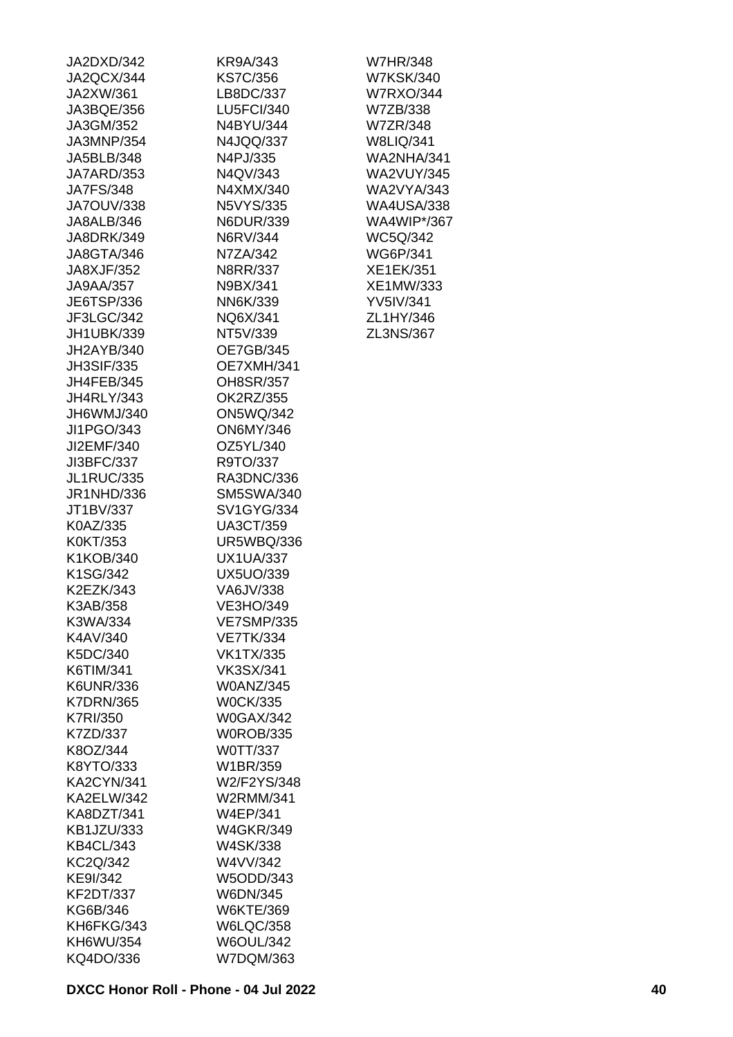| JA2DXD/342        | KR9A/343              |
|-------------------|-----------------------|
| JA2QCX/344        | <b>KS7C/356</b>       |
| JA2XW/361         | LB8DC/337             |
| JA3BQE/356        | <b>LU5FCI/340</b>     |
| JA3GM/352         | N4BYU/344             |
| JA3MNP/354        | N4JQQ/337             |
| JA5BLB/348        | N4PJ/335              |
| JA7ARD/353        | N4QV/343              |
| <b>JA7FS/348</b>  | N4XMX/340             |
| JA7OUV/338        | N5VYS/335             |
| JA8ALB/346        | N6DUR/339             |
| JA8DRK/349        | N6RV/344              |
| JA8GTA/346        | N7ZA/342              |
| JA8XJF/352        | N8RR/337              |
| JA9AA/357         | N9BX/341              |
| JE6TSP/336        | NN6K/339              |
| JF3LGC/342        | NQ6X/341              |
| JH1UBK/339        | NT5V/339              |
| JH2AYB/340        | <b>OE7GB/345</b>      |
| <b>JH3SIF/335</b> | OE7XMH/341            |
| JH4FEB/345        | OH8SR/357             |
| <b>JH4RLY/343</b> | OK2RZ/355             |
| JH6WMJ/340        | <b>ON5WQ/342</b>      |
| JI1PGO/343        | <b>ON6MY/346</b>      |
| JI2EMF/340        | OZ5YL/340             |
| JI3BFC/337        | R9TO/337              |
| JL1RUC/335        | RA3DNC/336            |
| JR1NHD/336        | <b>SM5SWA/340</b>     |
| JT1BV/337         | <b>SV1GYG/334</b>     |
| K0AZ/335          | <b>UA3CT/359</b>      |
| K0KT/353          | <b>UR5WBQ/336</b>     |
| K1KOB/340         | <b>UX1UA/337</b>      |
| K1SG/342          | <b>UX5UO/339</b>      |
| K2EZK/343         | VA6JV/338             |
| K3AB/358          | VE3HO/349             |
| K3WA/334          | <b>VE7SMP/335</b>     |
| K4AV/340          | <b>VE7TK/334</b>      |
| K5DC/340          | VK1TX/335             |
| K6TIM/341         | <b>VK3SX/341</b>      |
| K6UNR/336         | <b>W0ANZ/345</b>      |
| <b>K7DRN/365</b>  | <b>W0CK/335</b>       |
| K7RI/350          | <b>W0GAX/342</b>      |
| K7ZD/337          | <b>W0ROB/335</b>      |
| K8OZ/344          | W0TT/337              |
| K8YTO/333         | W1BR/359              |
| KA2CYN/341        | W2/F2YS/348           |
| KA2ELW/342        | W2RMM/341             |
| KA8DZT/341        | W4EP/341              |
| KB1JZU/333        | <b>W4GKR/349</b>      |
| <b>KB4CL/343</b>  | W4SK/338              |
| KC2Q/342          | W4VV/342              |
| KE9I/342          |                       |
| <b>KF2DT/337</b>  | W5ODD/343<br>W6DN/345 |
| KG6B/346          | W6KTE/369             |
| KH6FKG/343        | <b>W6LQC/358</b>      |
| KH6WU/354         | <b>W6OUL/342</b>      |
| KQ4DO/336         | W7DQM/363             |
|                   |                       |

W7HR/348 W7KSK/340 W7RXO/344 W7ZB/338 W7ZR/348 W8LIQ/341 WA2NHA/341 WA2VUY/345 WA2VYA/343 WA4USA/338 WA4WIP\*/367 WC5Q/342 WG6P/341 XE1EK/351 XE1MW/333 YV5IV/341 ZL1HY/346 ZL3NS/367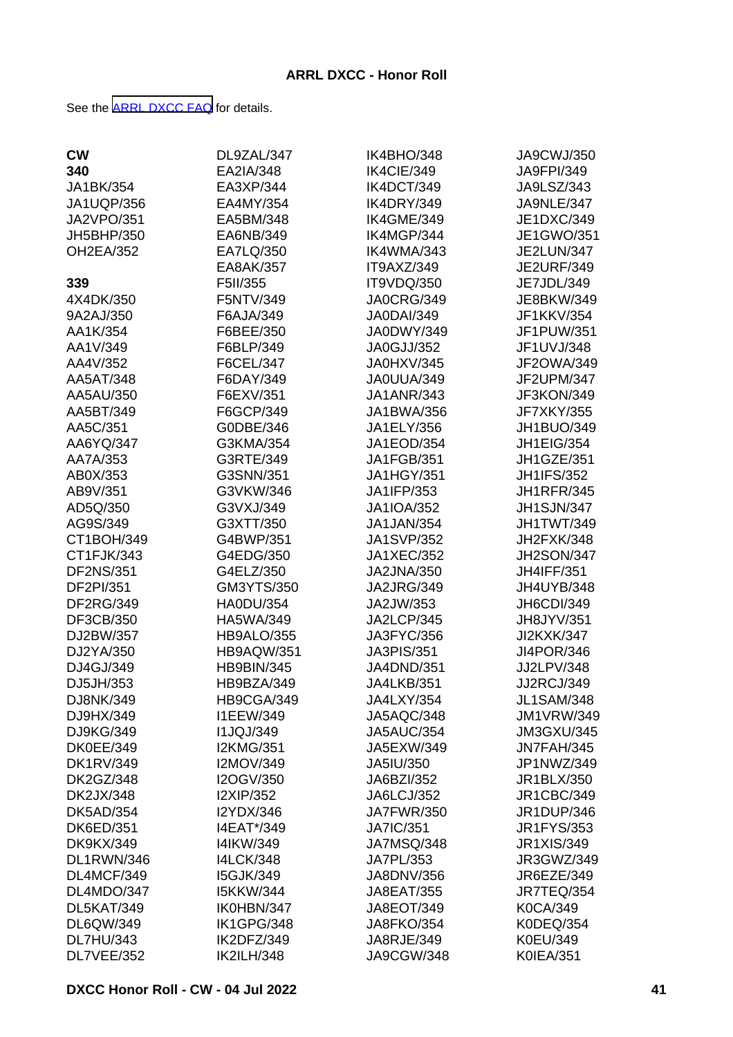See the [ARRL DXCC FAQ](http://www.arrl.org/dxcc-faq/) for details.

| <b>CW</b>         | DL9ZAL/347        | IK4BHO/348        | JA9CWJ/350        |
|-------------------|-------------------|-------------------|-------------------|
| 340               | EA2IA/348         | IK4CIE/349        | <b>JA9FPI/349</b> |
| JA1BK/354         | EA3XP/344         | IK4DCT/349        | JA9LSZ/343        |
| <b>JA1UQP/356</b> | EA4MY/354         | IK4DRY/349        | JA9NLE/347        |
| <b>JA2VPO/351</b> | EA5BM/348         | IK4GME/349        | JE1DXC/349        |
| JH5BHP/350        | EA6NB/349         | IK4MGP/344        | JE1GWO/351        |
| <b>OH2EA/352</b>  | EA7LQ/350         | IK4WMA/343        | <b>JE2LUN/347</b> |
|                   | EA8AK/357         | IT9AXZ/349        | <b>JE2URF/349</b> |
| 339               | F5II/355          | IT9VDQ/350        | JE7JDL/349        |
| 4X4DK/350         | F5NTV/349         | <b>JA0CRG/349</b> | JE8BKW/349        |
| 9A2AJ/350         | F6AJA/349         | <b>JA0DAI/349</b> | JF1KKV/354        |
| AA1K/354          | F6BEE/350         | JA0DWY/349        | JF1PUW/351        |
| AA1V/349          | F6BLP/349         | <b>JA0GJJ/352</b> | JF1UVJ/348        |
| AA4V/352          | F6CEL/347         | JA0HXV/345        | JF2OWA/349        |
| AA5AT/348         | F6DAY/349         | JA0UUA/349        | JF2UPM/347        |
| AA5AU/350         | F6EXV/351         | <b>JA1ANR/343</b> | JF3KON/349        |
| AA5BT/349         | F6GCP/349         | JA1BWA/356        | <b>JF7XKY/355</b> |
| AA5C/351          | G0DBE/346         | JA1ELY/356        | JH1BUO/349        |
| AA6YQ/347         | G3KMA/354         | JA1EOD/354        | <b>JH1EIG/354</b> |
| AA7A/353          | G3RTE/349         | <b>JA1FGB/351</b> | JH1GZE/351        |
| AB0X/353          | G3SNN/351         | <b>JA1HGY/351</b> | <b>JH1IFS/352</b> |
| AB9V/351          | G3VKW/346         | JA1IFP/353        | <b>JH1RFR/345</b> |
| AD5Q/350          | G3VXJ/349         | <b>JA1IOA/352</b> | <b>JH1SJN/347</b> |
| AG9S/349          | G3XTT/350         | JA1JAN/354        | JH1TWT/349        |
| CT1BOH/349        | G4BWP/351         | <b>JA1SVP/352</b> | JH2FXK/348        |
| CT1FJK/343        | G4EDG/350         | <b>JA1XEC/352</b> | <b>JH2SON/347</b> |
| <b>DF2NS/351</b>  | G4ELZ/350         | <b>JA2JNA/350</b> | <b>JH4IFF/351</b> |
| DF2PI/351         | GM3YTS/350        | <b>JA2JRG/349</b> | JH4UYB/348        |
| <b>DF2RG/349</b>  | <b>HA0DU/354</b>  | JA2JW/353         | JH6CDI/349        |
| DF3CB/350         | HA5WA/349         | JA2LCP/345        | JH8JYV/351        |
| DJ2BW/357         | <b>HB9ALO/355</b> | JA3FYC/356        | <b>JI2KXK/347</b> |
| DJ2YA/350         | <b>HB9AQW/351</b> | <b>JA3PIS/351</b> | JI4POR/346        |
| DJ4GJ/349         | <b>HB9BIN/345</b> | <b>JA4DND/351</b> | JJ2LPV/348        |
| DJ5JH/353         | HB9BZA/349        | JA4LKB/351        | <b>JJ2RCJ/349</b> |
| DJ8NK/349         | HB9CGA/349        | JA4LXY/354        | <b>JL1SAM/348</b> |
| DJ9HX/349         | <b>I1EEW/349</b>  | JA5AQC/348        | <b>JM1VRW/349</b> |
| DJ9KG/349         | <b>I1JQJ/349</b>  | <b>JA5AUC/354</b> | <b>JM3GXU/345</b> |
| <b>DK0EE/349</b>  | <b>I2KMG/351</b>  | JA5EXW/349        | JN7FAH/345        |
| <b>DK1RV/349</b>  | I2MOV/349         | JA5IU/350         | JP1NWZ/349        |
| <b>DK2GZ/348</b>  | I2OGV/350         | JA6BZI/352        | JR1BLX/350        |
| <b>DK2JX/348</b>  | <b>I2XIP/352</b>  | <b>JA6LCJ/352</b> | <b>JR1CBC/349</b> |
| <b>DK5AD/354</b>  | I2YDX/346         | <b>JA7FWR/350</b> | <b>JR1DUP/346</b> |
| <b>DK6ED/351</b>  | I4EAT*/349        | <b>JA7IC/351</b>  | <b>JR1FYS/353</b> |
| <b>DK9KX/349</b>  | I4IKW/349         | <b>JA7MSQ/348</b> | <b>JR1XIS/349</b> |
| DL1RWN/346        | <b>I4LCK/348</b>  | JA7PL/353         | JR3GWZ/349        |
| DL4MCF/349        | <b>I5GJK/349</b>  | <b>JA8DNV/356</b> | JR6EZE/349        |
| DL4MDO/347        | <b>I5KKW/344</b>  | <b>JA8EAT/355</b> | JR7TEQ/354        |
| DL5KAT/349        | IK0HBN/347        | JA8EOT/349        | K0CA/349          |
| DL6QW/349         | IK1GPG/348        | <b>JA8FKO/354</b> | K0DEQ/354         |
| <b>DL7HU/343</b>  | IK2DFZ/349        | JA8RJE/349        | K0EU/349          |
| DL7VEE/352        | <b>IK2ILH/348</b> | JA9CGW/348        | <b>K0IEA/351</b>  |
|                   |                   |                   |                   |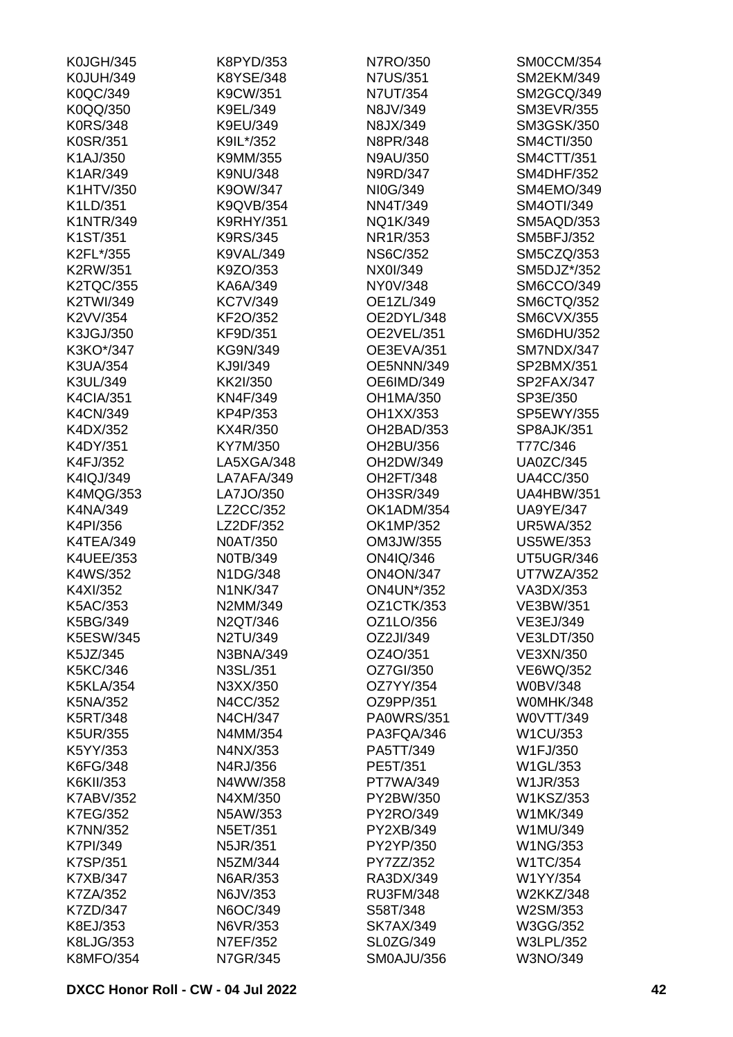| <b>K0JGH/345</b> | K8PYD/353        | N7RO/350          | SM0CCM/354        |
|------------------|------------------|-------------------|-------------------|
| <b>K0JUH/349</b> | K8YSE/348        | <b>N7US/351</b>   | <b>SM2EKM/349</b> |
| K0QC/349         | K9CW/351         | <b>N7UT/354</b>   | SM2GCQ/349        |
| K0QQ/350         | K9EL/349         | N8JV/349          | <b>SM3EVR/355</b> |
| <b>K0RS/348</b>  | K9EU/349         | N8JX/349          | <b>SM3GSK/350</b> |
| K0SR/351         | K9IL*/352        | N8PR/348          | <b>SM4CTI/350</b> |
| K1AJ/350         | K9MM/355         | N9AU/350          | <b>SM4CTT/351</b> |
| K1AR/349         | K9NU/348         | N9RD/347          | <b>SM4DHF/352</b> |
| K1HTV/350        | K9OW/347         | NI0G/349          | SM4EMO/349        |
| K1LD/351         | K9QVB/354        | NN4T/349          | <b>SM4OTI/349</b> |
| <b>K1NTR/349</b> | <b>K9RHY/351</b> | NQ1K/349          | SM5AQD/353        |
| K1ST/351         | <b>K9RS/345</b>  | NR1R/353          | <b>SM5BFJ/352</b> |
| K2FL*/355        | <b>K9VAL/349</b> | <b>NS6C/352</b>   | SM5CZQ/353        |
| <b>K2RW/351</b>  | K9ZO/353         | NX0I/349          | SM5DJZ*/352       |
| <b>K2TQC/355</b> | KA6A/349         | NY0V/348          | SM6CCO/349        |
| K2TWI/349        | <b>KC7V/349</b>  | OE1ZL/349         | <b>SM6CTQ/352</b> |
| K2VV/354         | KF2O/352         | OE2DYL/348        | <b>SM6CVX/355</b> |
|                  |                  | OE2VEL/351        | <b>SM6DHU/352</b> |
| K3JGJ/350        | KF9D/351         |                   |                   |
| K3KO*/347        | KG9N/349         | OE3EVA/351        | SM7NDX/347        |
| K3UA/354         | KJ9I/349         | OE5NNN/349        | SP2BMX/351        |
| K3UL/349         | KK2I/350         | OE6IMD/349        | SP2FAX/347        |
| <b>K4CIA/351</b> | KN4F/349         | OH1MA/350         | SP3E/350          |
| K4CN/349         | KP4P/353         | OH1XX/353         | SP5EWY/355        |
| K4DX/352         | KX4R/350         | OH2BAD/353        | <b>SP8AJK/351</b> |
| K4DY/351         | KY7M/350         | OH2BU/356         | T77C/346          |
| K4FJ/352         | LA5XGA/348       | OH2DW/349         | <b>UA0ZC/345</b>  |
| K4IQJ/349        | LA7AFA/349       | OH2FT/348         | <b>UA4CC/350</b>  |
| <b>K4MQG/353</b> | LA7JO/350        | OH3SR/349         | <b>UA4HBW/351</b> |
| K4NA/349         | LZ2CC/352        | OK1ADM/354        | <b>UA9YE/347</b>  |
| K4PI/356         | LZ2DF/352        | OK1MP/352         | <b>UR5WA/352</b>  |
| K4TEA/349        | <b>N0AT/350</b>  | OM3JW/355         | <b>US5WE/353</b>  |
| K4UEE/353        | N0TB/349         | ON4IQ/346         | UT5UGR/346        |
| K4WS/352         | N1DG/348         | <b>ON4ON/347</b>  | UT7WZA/352        |
| K4XI/352         | <b>N1NK/347</b>  | <b>ON4UN*/352</b> | VA3DX/353         |
| K5AC/353         | N2MM/349         | OZ1CTK/353        | VE3BW/351         |
| K5BG/349         | N2QT/346         | OZ1LO/356         | VE3EJ/349         |
| <b>K5ESW/345</b> | N2TU/349         | OZ2JI/349         | <b>VE3LDT/350</b> |
| K5JZ/345         | N3BNA/349        | OZ4O/351          | <b>VE3XN/350</b>  |
| K5KC/346         | N3SL/351         | OZ7GI/350         | VE6WQ/352         |
| <b>K5KLA/354</b> | N3XX/350         | OZ7YY/354         | <b>W0BV/348</b>   |
| K5NA/352         | N4CC/352         | OZ9PP/351         | W0MHK/348         |
| K5RT/348         | <b>N4CH/347</b>  | <b>PA0WRS/351</b> | W0VTT/349         |
| K5UR/355         | N4MM/354         | PA3FQA/346        | W1CU/353          |
| K5YY/353         | N4NX/353         | PA5TT/349         | W1FJ/350          |
| K6FG/348         | N4RJ/356         | PE5T/351          | W1GL/353          |
| K6KII/353        | N4WW/358         | PT7WA/349         | W1JR/353          |
| <b>K7ABV/352</b> | N4XM/350         | PY2BW/350         | W1KSZ/353         |
| <b>K7EG/352</b>  | N5AW/353         | PY2RO/349         | W1MK/349          |
| <b>K7NN/352</b>  | N5ET/351         | PY2XB/349         | W1MU/349          |
|                  |                  |                   |                   |
| K7PI/349         | N5JR/351         | PY2YP/350         | W1NG/353          |
| K7SP/351         | N5ZM/344         | PY7ZZ/352         | W1TC/354          |
| K7XB/347         | N6AR/353         | RA3DX/349         | W1YY/354          |
| K7ZA/352         | N6JV/353         | <b>RU3FM/348</b>  | W2KKZ/348         |
| K7ZD/347         | N6OC/349         | S58T/348          | W2SM/353          |
| K8EJ/353         | N6VR/353         | <b>SK7AX/349</b>  | W3GG/352          |
| K8LJG/353        | N7EF/352         | SL0ZG/349         | <b>W3LPL/352</b>  |
| <b>K8MFO/354</b> | N7GR/345         | <b>SM0AJU/356</b> | W3NO/349          |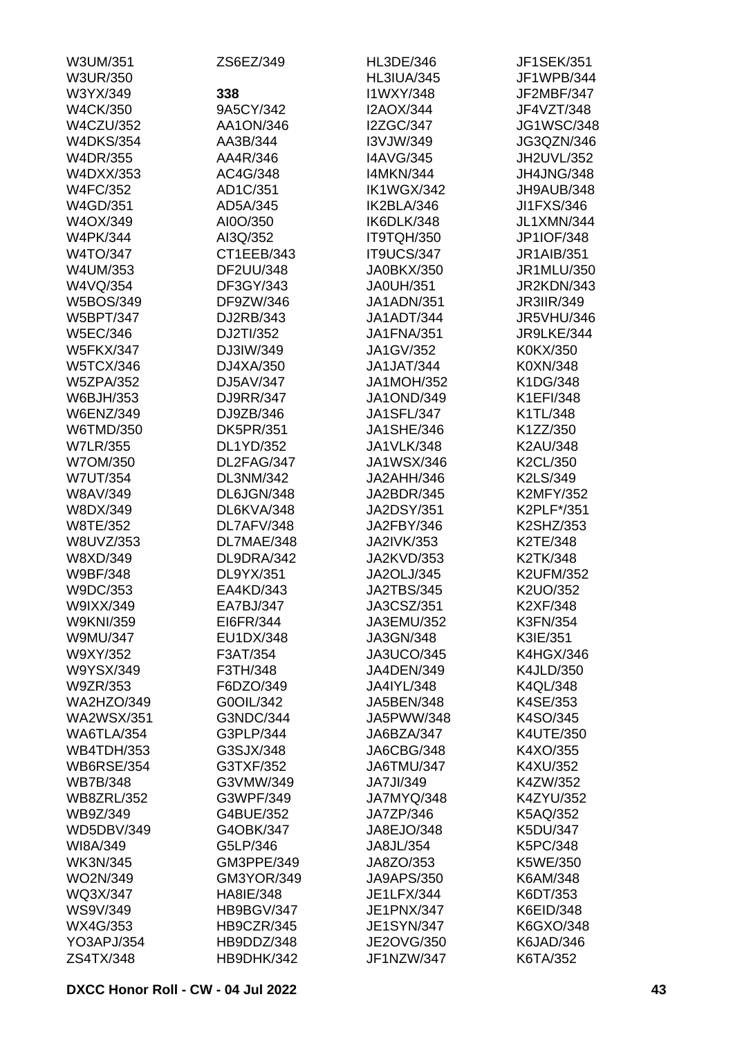| W3UM/351          | ZS6EZ/349         | <b>HL3DE/346</b>  | <b>JF1SEK/351</b> |
|-------------------|-------------------|-------------------|-------------------|
| <b>W3UR/350</b>   |                   | <b>HL3IUA/345</b> | JF1WPB/344        |
| W3YX/349          | 338               | I1WXY/348         | JF2MBF/347        |
| <b>W4CK/350</b>   | 9A5CY/342         | <b>I2AOX/344</b>  | JF4VZT/348        |
| <b>W4CZU/352</b>  | AA1ON/346         | <b>I2ZGC/347</b>  | <b>JG1WSC/348</b> |
| <b>W4DKS/354</b>  | AA3B/344          | I3VJW/349         | JG3QZN/346        |
| <b>W4DR/355</b>   | AA4R/346          | <b>I4AVG/345</b>  | JH2UVL/352        |
| <b>W4DXX/353</b>  | AC4G/348          | <b>I4MKN/344</b>  | JH4JNG/348        |
| <b>W4FC/352</b>   | AD1C/351          | IK1WGX/342        | JH9AUB/348        |
| W4GD/351          | AD5A/345          | IK2BLA/346        | JI1FXS/346        |
| W4OX/349          | AI0O/350          | IK6DLK/348        | <b>JL1XMN/344</b> |
| <b>W4PK/344</b>   | AI3Q/352          | IT9TQH/350        | JP1IOF/348        |
| W4TO/347          | CT1EEB/343        | IT9UCS/347        | <b>JR1AIB/351</b> |
| W4UM/353          | DF2UU/348         | JA0BKX/350        | JR1MLU/350        |
| W4VQ/354          | DF3GY/343         | <b>JA0UH/351</b>  | JR2KDN/343        |
| <b>W5BOS/349</b>  | DF9ZW/346         | <b>JA1ADN/351</b> | <b>JR3IIR/349</b> |
| <b>W5BPT/347</b>  | DJ2RB/343         | JA1ADT/344        | <b>JR5VHU/346</b> |
| <b>W5EC/346</b>   | DJ2TI/352         | <b>JA1FNA/351</b> | JR9LKE/344        |
| <b>W5FKX/347</b>  | DJ3IW/349         | JA1GV/352         | K0KX/350          |
| <b>W5TCX/346</b>  | DJ4XA/350         | <b>JA1JAT/344</b> | K0XN/348          |
|                   | DJ5AV/347         | <b>JA1MOH/352</b> | K1DG/348          |
| <b>W5ZPA/352</b>  | DJ9RR/347         |                   | K1EFI/348         |
| W6BJH/353         |                   | <b>JA1OND/349</b> |                   |
| <b>W6ENZ/349</b>  | DJ9ZB/346         | <b>JA1SFL/347</b> | K1TL/348          |
| W6TMD/350         | <b>DK5PR/351</b>  | <b>JA1SHE/346</b> | K1ZZ/350          |
| <b>W7LR/355</b>   | DL1YD/352         | <b>JA1VLK/348</b> | K2AU/348          |
| W7OM/350          | DL2FAG/347        | JA1WSX/346        | K2CL/350          |
| <b>W7UT/354</b>   | DL3NM/342         | JA2AHH/346        | K2LS/349          |
| <b>W8AV/349</b>   | DL6JGN/348        | JA2BDR/345        | <b>K2MFY/352</b>  |
| W8DX/349          | DL6KVA/348        | <b>JA2DSY/351</b> | K2PLF*/351        |
| W8TE/352          | DL7AFV/348        | JA2FBY/346        | K2SHZ/353         |
| W8UVZ/353         | DL7MAE/348        | <b>JA2IVK/353</b> | K2TE/348          |
| W8XD/349          | DL9DRA/342        | JA2KVD/353        | K2TK/348          |
| W9BF/348          | DL9YX/351         | <b>JA2OLJ/345</b> | <b>K2UFM/352</b>  |
| W9DC/353          | EA4KD/343         | <b>JA2TBS/345</b> | K2UO/352          |
| W9IXX/349         | EA7BJ/347         | JA3CSZ/351        | K2XF/348          |
| <b>W9KNI/359</b>  | EI6FR/344         | JA3EMU/352        | K3FN/354          |
| <b>W9MU/347</b>   | EU1DX/348         | JA3GN/348         | K3IE/351          |
| W9XY/352          | F3AT/354          | JA3UCO/345        | <b>K4HGX/346</b>  |
| W9YSX/349         | F3TH/348          | JA4DEN/349        | <b>K4JLD/350</b>  |
| W9ZR/353          | F6DZO/349         | JA4IYL/348        | <b>K4QL/348</b>   |
| <b>WA2HZO/349</b> | G0OIL/342         | JA5BEN/348        | K4SE/353          |
| <b>WA2WSX/351</b> | G3NDC/344         | JA5PWW/348        | K4SO/345          |
| WA6TLA/354        | G3PLP/344         | JA6BZA/347        | K4UTE/350         |
| <b>WB4TDH/353</b> | G3SJX/348         | JA6CBG/348        | K4XO/355          |
| <b>WB6RSE/354</b> | G3TXF/352         | JA6TMU/347        | K4XU/352          |
| <b>WB7B/348</b>   | G3VMW/349         | JA7JI/349         | K4ZW/352          |
| <b>WB8ZRL/352</b> | G3WPF/349         | JA7MYQ/348        | K4ZYU/352         |
| WB9Z/349          | G4BUE/352         | JA7ZP/346         | K5AQ/352          |
| <b>WD5DBV/349</b> | G4OBK/347         | JA8EJO/348        | K5DU/347          |
| WI8A/349          | G5LP/346          | JA8JL/354         | K5PC/348          |
| <b>WK3N/345</b>   | GM3PPE/349        | JA8ZO/353         | K5WE/350          |
| WO2N/349          | <b>GM3YOR/349</b> | <b>JA9APS/350</b> | K6AM/348          |
| WQ3X/347          | HA8IE/348         | JE1LFX/344        | K6DT/353          |
| <b>WS9V/349</b>   | HB9BGV/347        | JE1PNX/347        | K6EID/348         |
| WX4G/353          | HB9CZR/345        | <b>JE1SYN/347</b> | K6GXO/348         |
| <b>YO3APJ/354</b> | HB9DDZ/348        | JE2OVG/350        | K6JAD/346         |
| ZS4TX/348         | HB9DHK/342        | JF1NZW/347        | K6TA/352          |
|                   |                   |                   |                   |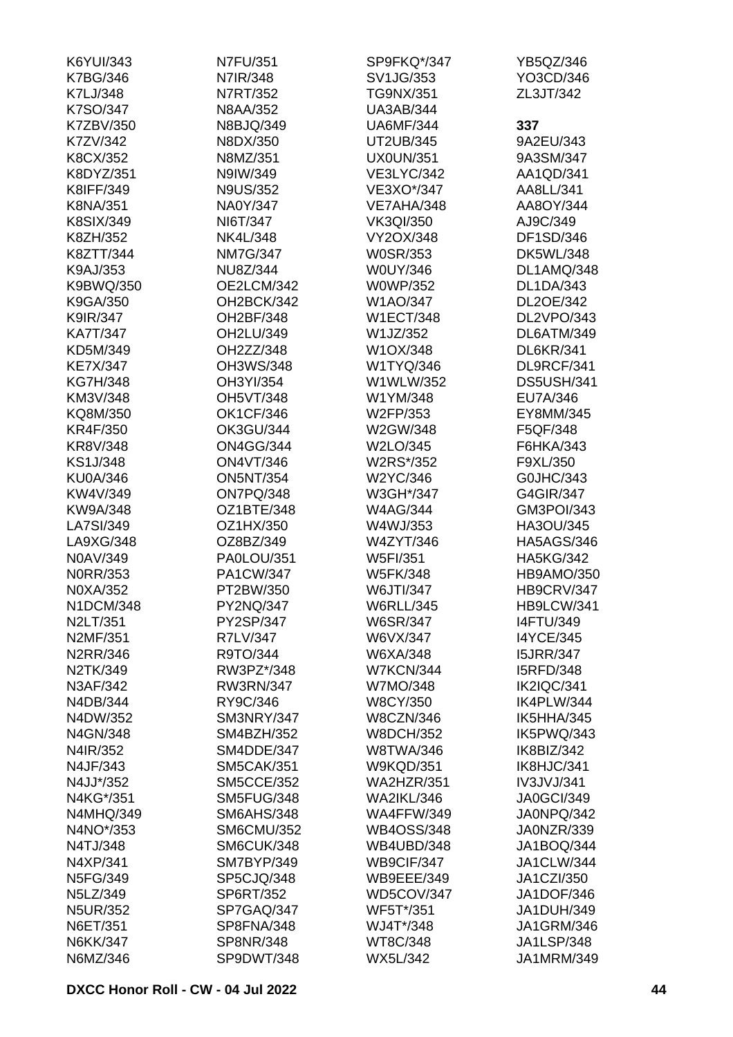| K6YUI/343        | N7FU/351          | SP9FKQ*/347       | YB5QZ/346         |
|------------------|-------------------|-------------------|-------------------|
| <b>K7BG/346</b>  | N7IR/348          | SV1JG/353         | YO3CD/346         |
| K7LJ/348         | N7RT/352          | <b>TG9NX/351</b>  | ZL3JT/342         |
| K7SO/347         | <b>N8AA/352</b>   | <b>UA3AB/344</b>  |                   |
| K7ZBV/350        | N8BJQ/349         | <b>UA6MF/344</b>  | 337               |
| K7ZV/342         | N8DX/350          | UT2UB/345         | 9A2EU/343         |
| K8CX/352         | N8MZ/351          | <b>UX0UN/351</b>  | 9A3SM/347         |
| K8DYZ/351        | N9IW/349          | <b>VE3LYC/342</b> | AA1QD/341         |
| K8IFF/349        | <b>N9US/352</b>   | VE3XO*/347        | AA8LL/341         |
| <b>K8NA/351</b>  | NA0Y/347          | VE7AHA/348        | AA8OY/344         |
| K8SIX/349        | NI6T/347          | <b>VK3QI/350</b>  | AJ9C/349          |
| K8ZH/352         | <b>NK4L/348</b>   | VY2OX/348         | DF1SD/346         |
| K8ZTT/344        | <b>NM7G/347</b>   | <b>W0SR/353</b>   | <b>DK5WL/348</b>  |
| K9AJ/353         | NU8Z/344          | <b>W0UY/346</b>   | DL1AMQ/348        |
|                  | OE2LCM/342        |                   | <b>DL1DA/343</b>  |
| K9BWQ/350        | OH2BCK/342        | <b>W0WP/352</b>   |                   |
| K9GA/350         |                   | W1AO/347          | DL2OE/342         |
| K9IR/347         | OH2BF/348         | <b>W1ECT/348</b>  | DL2VPO/343        |
| <b>KA7T/347</b>  | OH2LU/349         | W1JZ/352          | DL6ATM/349        |
| KD5M/349         | OH2ZZ/348         | W1OX/348          | <b>DL6KR/341</b>  |
| <b>KE7X/347</b>  | OH3WS/348         | W1TYQ/346         | DL9RCF/341        |
| <b>KG7H/348</b>  | OH3YI/354         | W1WLW/352         | <b>DS5USH/341</b> |
| KM3V/348         | <b>OH5VT/348</b>  | W1YM/348          | EU7A/346          |
| KQ8M/350         | <b>OK1CF/346</b>  | W2FP/353          | EY8MM/345         |
| <b>KR4F/350</b>  | <b>OK3GU/344</b>  | W2GW/348          | F5QF/348          |
| KR8V/348         | <b>ON4GG/344</b>  | W2LO/345          | F6HKA/343         |
| <b>KS1J/348</b>  | <b>ON4VT/346</b>  | W2RS*/352         | F9XL/350          |
| <b>KU0A/346</b>  | <b>ON5NT/354</b>  | W2YC/346          | G0JHC/343         |
| KW4V/349         | ON7PQ/348         | W3GH*/347         | G4GIR/347         |
| KW9A/348         | OZ1BTE/348        | <b>W4AG/344</b>   | GM3POI/343        |
| LA7SI/349        | OZ1HX/350         | W4WJ/353          | HA3OU/345         |
| LA9XG/348        | OZ8BZ/349         | W4ZYT/346         | <b>HA5AGS/346</b> |
| N0AV/349         | PA0LOU/351        | <b>W5FI/351</b>   | <b>HA5KG/342</b>  |
| <b>NORR/353</b>  | PA1CW/347         | <b>W5FK/348</b>   | <b>HB9AMO/350</b> |
| N0XA/352         | PT2BW/350         | W6JTI/347         | <b>HB9CRV/347</b> |
| N1DCM/348        | PY2NQ/347         | <b>W6RLL/345</b>  | HB9LCW/341        |
| N2LT/351         | PY2SP/347         | <b>W6SR/347</b>   | <b>I4FTU/349</b>  |
| N2MF/351         | R7LV/347          | W6VX/347          | <b>I4YCE/345</b>  |
| N2RR/346         | R9TO/344          | W6XA/348          | <b>I5JRR/347</b>  |
| N2TK/349         | RW3PZ*/348        | <b>W7KCN/344</b>  | <b>I5RFD/348</b>  |
| N3AF/342         | <b>RW3RN/347</b>  | W7MO/348          | IK2IQC/341        |
| N4DB/344         | RY9C/346          | <b>W8CY/350</b>   | IK4PLW/344        |
| N4DW/352         | SM3NRY/347        | <b>W8CZN/346</b>  | IK5HHA/345        |
| N4GN/348         | SM4BZH/352        | <b>W8DCH/352</b>  | IK5PWQ/343        |
| N4IR/352         | SM4DDE/347        | <b>W8TWA/346</b>  | IK8BIZ/342        |
| N4JF/343         | <b>SM5CAK/351</b> | <b>W9KQD/351</b>  | IK8HJC/341        |
| N4JJ*/352        | <b>SM5CCE/352</b> | <b>WA2HZR/351</b> | IV3JVJ/341        |
| N4KG*/351        | SM5FUG/348        | <b>WA2IKL/346</b> | <b>JA0GCI/349</b> |
| <b>N4MHQ/349</b> | <b>SM6AHS/348</b> | <b>WA4FFW/349</b> | JA0NPQ/342        |
| N4NO*/353        | <b>SM6CMU/352</b> | <b>WB4OSS/348</b> | JA0NZR/339        |
|                  |                   |                   |                   |
| N4TJ/348         | SM6CUK/348        | WB4UBD/348        | JA1BOQ/344        |
| N4XP/341         | SM7BYP/349        | WB9CIF/347        | <b>JA1CLW/344</b> |
| N5FG/349         | SP5CJQ/348        | <b>WB9EEE/349</b> | <b>JA1CZI/350</b> |
| N5LZ/349         | SP6RT/352         | WD5COV/347        | JA1DOF/346        |
| <b>N5UR/352</b>  | SP7GAQ/347        | WF5T*/351         | <b>JA1DUH/349</b> |
| N6ET/351         | SP8FNA/348        | WJ4T*/348         | <b>JA1GRM/346</b> |
| <b>N6KK/347</b>  | <b>SP8NR/348</b>  | WT8C/348          | <b>JA1LSP/348</b> |
| N6MZ/346         | SP9DWT/348        | WX5L/342          | JA1MRM/349        |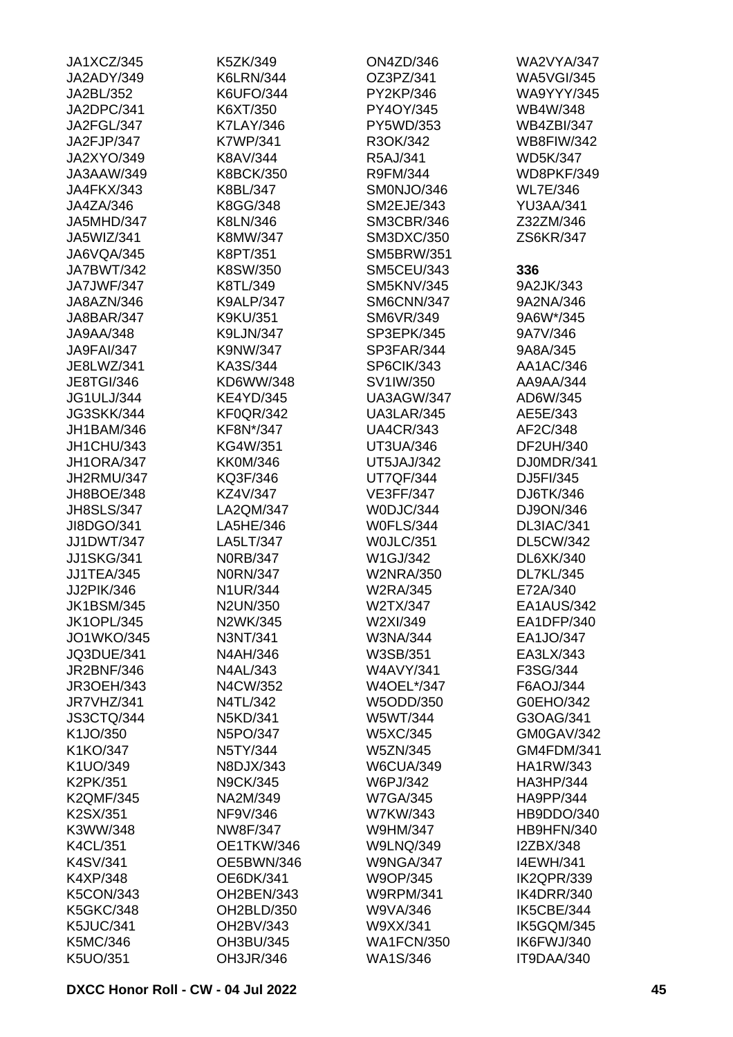| JA1XCZ/345        | K5ZK/349         | <b>ON4ZD/346</b>  | <b>WA2VYA/347</b> |
|-------------------|------------------|-------------------|-------------------|
| JA2ADY/349        | <b>K6LRN/344</b> | OZ3PZ/341         | <b>WA5VGI/345</b> |
| JA2BL/352         | <b>K6UFO/344</b> | PY2KP/346         | <b>WA9YYY/345</b> |
| JA2DPC/341        | K6XT/350         | PY4OY/345         | WB4W/348          |
| JA2FGL/347        | <b>K7LAY/346</b> | PY5WD/353         | <b>WB4ZBI/347</b> |
| JA2FJP/347        | <b>K7WP/341</b>  | R3OK/342          | <b>WB8FIW/342</b> |
| <b>JA2XYO/349</b> | K8AV/344         | R5AJ/341          | <b>WD5K/347</b>   |
| JA3AAW/349        | <b>K8BCK/350</b> | R9FM/344          | WD8PKF/349        |
| JA4FKX/343        | K8BL/347         | SM0NJO/346        | <b>WL7E/346</b>   |
| JA4ZA/346         | K8GG/348         | <b>SM2EJE/343</b> | <b>YU3AA/341</b>  |
| JA5MHD/347        | K8LN/346         | <b>SM3CBR/346</b> | Z32ZM/346         |
| JA5WIZ/341        | K8MW/347         | SM3DXC/350        | ZS6KR/347         |
| JA6VQA/345        | K8PT/351         | <b>SM5BRW/351</b> |                   |
| JA7BWT/342        | K8SW/350         | <b>SM5CEU/343</b> | 336               |
| JA7JWF/347        | K8TL/349         | <b>SM5KNV/345</b> | 9A2JK/343         |
| JA8AZN/346        | <b>K9ALP/347</b> | SM6CNN/347        | 9A2NA/346         |
| JA8BAR/347        | <b>K9KU/351</b>  | SM6VR/349         | 9A6W*/345         |
| JA9AA/348         | <b>K9LJN/347</b> | SP3EPK/345        | 9A7V/346          |
| JA9FAI/347        | K9NW/347         | SP3FAR/344        | 9A8A/345          |
| JE8LWZ/341        | KA3S/344         | SP6CIK/343        | AA1AC/346         |
|                   | KD6WW/348        |                   | AA9AA/344         |
| <b>JE8TGI/346</b> |                  | SV1IW/350         | AD6W/345          |
| <b>JG1ULJ/344</b> | <b>KE4YD/345</b> | UA3AGW/347        |                   |
| <b>JG3SKK/344</b> | <b>KF0QR/342</b> | UA3LAR/345        | AE5E/343          |
| JH1BAM/346        | KF8N*/347        | <b>UA4CR/343</b>  | AF2C/348          |
| JH1CHU/343        | KG4W/351         | UT3UA/346         | DF2UH/340         |
| JH1ORA/347        | <b>KK0M/346</b>  | <b>UT5JAJ/342</b> | DJ0MDR/341        |
| JH2RMU/347        | KQ3F/346         | <b>UT7QF/344</b>  | DJ5FI/345         |
| JH8BOE/348        | KZ4V/347         | <b>VE3FF/347</b>  | DJ6TK/346         |
| <b>JH8SLS/347</b> | LA2QM/347        | W0DJC/344         | DJ9ON/346         |
| JI8DGO/341        | LA5HE/346        | <b>W0FLS/344</b>  | DL3IAC/341        |
| JJ1DWT/347        | LA5LT/347        | WOJLC/351         | <b>DL5CW/342</b>  |
| <b>JJ1SKG/341</b> | <b>NORB/347</b>  | W1GJ/342          | DL6XK/340         |
| <b>JJ1TEA/345</b> | <b>N0RN/347</b>  | <b>W2NRA/350</b>  | <b>DL7KL/345</b>  |
| JJ2PIK/346        | <b>N1UR/344</b>  | W2RA/345          | E72A/340          |
| <b>JK1BSM/345</b> | N2UN/350         | W2TX/347          | EA1AUS/342        |
| <b>JK1OPL/345</b> | N2WK/345         | W2XI/349          | EA1DFP/340        |
| <b>JO1WKO/345</b> | N3NT/341         | W3NA/344          | EA1JO/347         |
| <b>JQ3DUE/341</b> | N4AH/346         | W3SB/351          | EA3LX/343         |
| <b>JR2BNF/346</b> | N4AL/343         | <b>W4AVY/341</b>  | F3SG/344          |
| <b>JR3OEH/343</b> | N4CW/352         | W4OEL*/347        | F6AOJ/344         |
| JR7VHZ/341        | N4TL/342         | W5ODD/350         | G0EHO/342         |
| JS3CTQ/344        | N5KD/341         | W5WT/344          | G3OAG/341         |
| K1JO/350          | N5PO/347         | W5XC/345          | GM0GAV/342        |
| K1KO/347          | N5TY/344         | <b>W5ZN/345</b>   | GM4FDM/341        |
| K1UO/349          | N8DJX/343        | <b>W6CUA/349</b>  | <b>HA1RW/343</b>  |
| K2PK/351          | <b>N9CK/345</b>  | W6PJ/342          | HA3HP/344         |
| <b>K2QMF/345</b>  | NA2M/349         | <b>W7GA/345</b>   | HA9PP/344         |
| K2SX/351          | NF9V/346         | W7KW/343          | HB9DDO/340        |
| K3WW/348          | NW8F/347         | W9HM/347          | HB9HFN/340        |
| <b>K4CL/351</b>   | OE1TKW/346       | <b>W9LNQ/349</b>  | I2ZBX/348         |
| K4SV/341          | OE5BWN/346       | <b>W9NGA/347</b>  | <b>I4EWH/341</b>  |
| K4XP/348          | OE6DK/341        | W9OP/345          | IK2QPR/339        |
| <b>K5CON/343</b>  | OH2BEN/343       | <b>W9RPM/341</b>  | IK4DRR/340        |
| <b>K5GKC/348</b>  | OH2BLD/350       | W9VA/346          | IK5CBE/344        |
| <b>K5JUC/341</b>  | OH2BV/343        | W9XX/341          | IK5GQM/345        |
| K5MC/346          | OH3BU/345        | <b>WA1FCN/350</b> | IK6FWJ/340        |
|                   |                  |                   | IT9DAA/340        |
| K5UO/351          | OH3JR/346        | WA1S/346          |                   |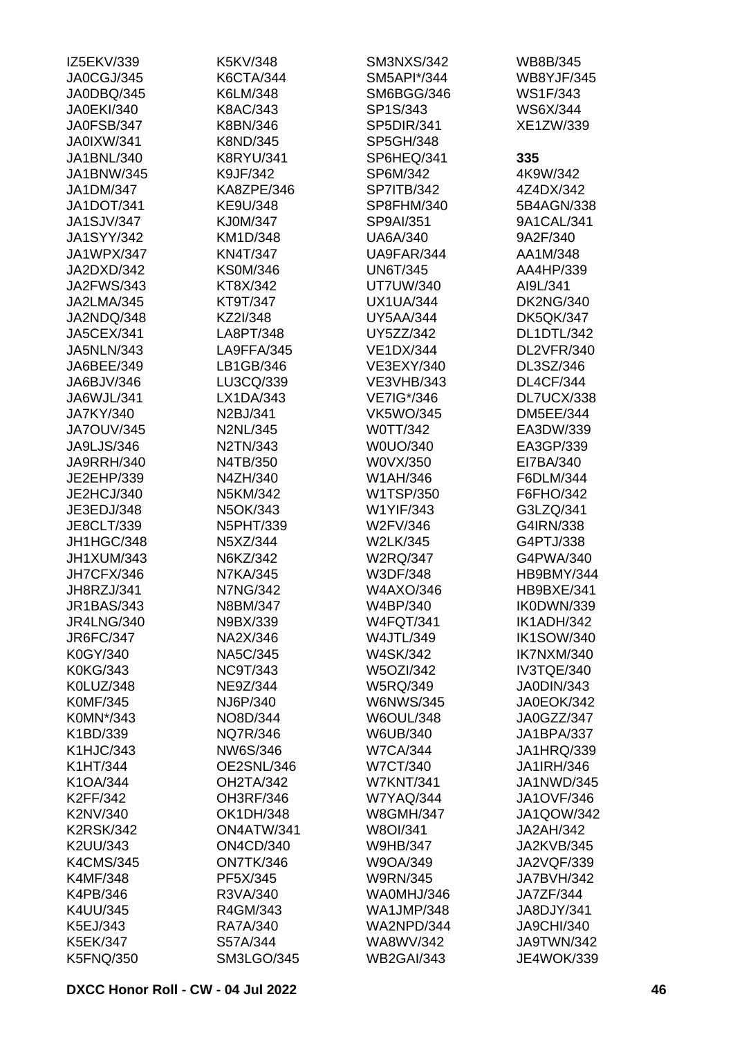| IZ5EKV/339        | K5KV/348          | <b>SM3NXS/342</b> | WB8B/345          |
|-------------------|-------------------|-------------------|-------------------|
| JA0CGJ/345        | <b>K6CTA/344</b>  | SM5API*/344       | <b>WB8YJF/345</b> |
| JA0DBQ/345        | K6LM/348          | SM6BGG/346        | WS1F/343          |
| <b>JA0EKI/340</b> | K8AC/343          | SP1S/343          | WS6X/344          |
| JA0FSB/347        | K8BN/346          | SP5DIR/341        | XE1ZW/339         |
| <b>JA0IXW/341</b> | K8ND/345          | SP5GH/348         |                   |
| JA1BNL/340        | <b>K8RYU/341</b>  | SP6HEQ/341        | 335               |
| JA1BNW/345        | K9JF/342          | SP6M/342          | 4K9W/342          |
| JA1DM/347         | KA8ZPE/346        | <b>SP7ITB/342</b> | 4Z4DX/342         |
| JA1DOT/341        | KE9U/348          | SP8FHM/340        | 5B4AGN/338        |
| <b>JA1SJV/347</b> | KJ0M/347          | SP9AI/351         | 9A1CAL/341        |
| <b>JA1SYY/342</b> | KM1D/348          | <b>UA6A/340</b>   | 9A2F/340          |
| JA1WPX/347        | <b>KN4T/347</b>   | UA9FAR/344        | AA1M/348          |
| JA2DXD/342        | <b>KS0M/346</b>   | <b>UN6T/345</b>   | AA4HP/339         |
| <b>JA2FWS/343</b> | KT8X/342          | <b>UT7UW/340</b>  | AI9L/341          |
| JA2LMA/345        | KT9T/347          | <b>UX1UA/344</b>  | <b>DK2NG/340</b>  |
| JA2NDQ/348        | KZ2I/348          | <b>UY5AA/344</b>  | <b>DK5QK/347</b>  |
| <b>JA5CEX/341</b> | LA8PT/348         | UY5ZZ/342         | DL1DTL/342        |
|                   | LA9FFA/345        | <b>VE1DX/344</b>  |                   |
| <b>JA5NLN/343</b> |                   |                   | DL2VFR/340        |
| JA6BEE/349        | LB1GB/346         | VE3EXY/340        | DL3SZ/346         |
| JA6BJV/346        | LU3CQ/339         | <b>VE3VHB/343</b> | <b>DL4CF/344</b>  |
| JA6WJL/341        | LX1DA/343         | VE7IG*/346        | DL7UCX/338        |
| JA7KY/340         | N2BJ/341          | <b>VK5WO/345</b>  | <b>DM5EE/344</b>  |
| <b>JA7OUV/345</b> | <b>N2NL/345</b>   | W0TT/342          | EA3DW/339         |
| JA9LJS/346        | N2TN/343          | W0UO/340          | EA3GP/339         |
| <b>JA9RRH/340</b> | N4TB/350          | W0VX/350          | EI7BA/340         |
| JE2EHP/339        | N4ZH/340          | W1AH/346          | F6DLM/344         |
| JE2HCJ/340        | N5KM/342          | W1TSP/350         | F6FHO/342         |
| JE3EDJ/348        | N5OK/343          | W1YIF/343         | G3LZQ/341         |
| JE8CLT/339        | <b>N5PHT/339</b>  | W2FV/346          | G4IRN/338         |
| JH1HGC/348        | N5XZ/344          | <b>W2LK/345</b>   | G4PTJ/338         |
| JH1XUM/343        | N6KZ/342          | <b>W2RQ/347</b>   | G4PWA/340         |
| JH7CFX/346        | <b>N7KA/345</b>   | W3DF/348          | HB9BMY/344        |
| JH8RZJ/341        | <b>N7NG/342</b>   | W4AXO/346         | HB9BXE/341        |
| <b>JR1BAS/343</b> | N8BM/347          | W4BP/340          | IK0DWN/339        |
| <b>JR4LNG/340</b> | N9BX/339          | <b>W4FQT/341</b>  | IK1ADH/342        |
| JR6FC/347         | NA2X/346          | <b>W4JTL/349</b>  | <b>IK1SOW/340</b> |
| K0GY/340          | <b>NA5C/345</b>   | <b>W4SK/342</b>   | IK7NXM/340        |
| <b>K0KG/343</b>   | <b>NC9T/343</b>   | <b>W5OZI/342</b>  | IV3TQE/340        |
| K0LUZ/348         | NE9Z/344          | <b>W5RQ/349</b>   | JA0DIN/343        |
| <b>K0MF/345</b>   | NJ6P/340          | <b>W6NWS/345</b>  | <b>JA0EOK/342</b> |
| K0MN*/343         | NO8D/344          | <b>W6OUL/348</b>  | JA0GZZ/347        |
| K1BD/339          | <b>NQ7R/346</b>   | W6UB/340          | <b>JA1BPA/337</b> |
| K1HJC/343         | NW6S/346          | <b>W7CA/344</b>   | JA1HRQ/339        |
| K1HT/344          | OE2SNL/346        | <b>W7CT/340</b>   | <b>JA1IRH/346</b> |
| K1OA/344          | OH2TA/342         | <b>W7KNT/341</b>  | JA1NWD/345        |
| K2FF/342          | OH3RF/346         | <b>W7YAQ/344</b>  | <b>JA1OVF/346</b> |
| K2NV/340          | <b>OK1DH/348</b>  | <b>W8GMH/347</b>  | <b>JA1QOW/342</b> |
| <b>K2RSK/342</b>  | ON4ATW/341        | W8OI/341          | JA2AH/342         |
| K2UU/343          | <b>ON4CD/340</b>  | <b>W9HB/347</b>   | <b>JA2KVB/345</b> |
| <b>K4CMS/345</b>  | ON7TK/346         | W9OA/349          | JA2VQF/339        |
| <b>K4MF/348</b>   | PF5X/345          | <b>W9RN/345</b>   | <b>JA7BVH/342</b> |
| K4PB/346          | R3VA/340          | WA0MHJ/346        | JA7ZF/344         |
|                   |                   |                   |                   |
| K4UU/345          | R4GM/343          | <b>WA1JMP/348</b> | JA8DJY/341        |
| K5EJ/343          | RA7A/340          | WA2NPD/344        | <b>JA9CHI/340</b> |
| <b>K5EK/347</b>   | S57A/344          | WA8WV/342         | JA9TWN/342        |
| <b>K5FNQ/350</b>  | <b>SM3LGO/345</b> | <b>WB2GAI/343</b> | <b>JE4WOK/339</b> |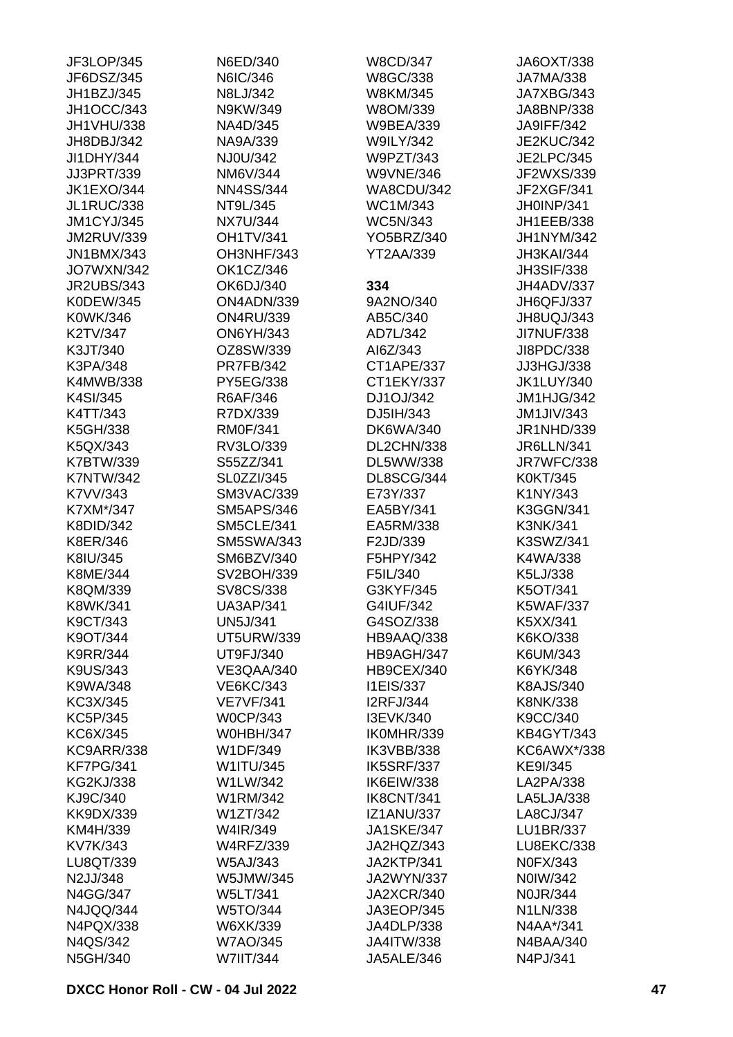| JF3LOP/345        | N6ED/340          | W8CD/347          | JA6OXT/338        |
|-------------------|-------------------|-------------------|-------------------|
| JF6DSZ/345        | N6IC/346          | W8GC/338          | <b>JA7MA/338</b>  |
| JH1BZJ/345        | N8LJ/342          | W8KM/345          | JA7XBG/343        |
| JH1OCC/343        | N9KW/349          | W8OM/339          | JA8BNP/338        |
| JH1VHU/338        | NA4D/345          | <b>W9BEA/339</b>  | JA9IFF/342        |
| JH8DBJ/342        | NA9A/339          | <b>W9ILY/342</b>  | <b>JE2KUC/342</b> |
| JI1DHY/344        | NJ0U/342          | W9PZT/343         | <b>JE2LPC/345</b> |
| JJ3PRT/339        | NM6V/344          | <b>W9VNE/346</b>  | JF2WXS/339        |
| <b>JK1EXO/344</b> | <b>NN4SS/344</b>  | WA8CDU/342        | JF2XGF/341        |
| <b>JL1RUC/338</b> | NT9L/345          | WC1M/343          | JH0INP/341        |
| <b>JM1CYJ/345</b> | <b>NX7U/344</b>   | <b>WC5N/343</b>   | JH1EEB/338        |
| <b>JM2RUV/339</b> | <b>OH1TV/341</b>  | YO5BRZ/340        | JH1NYM/342        |
| <b>JN1BMX/343</b> | OH3NHF/343        | <b>YT2AA/339</b>  | JH3KAI/344        |
| <b>JO7WXN/342</b> | OK1CZ/346         |                   | <b>JH3SIF/338</b> |
| <b>JR2UBS/343</b> | OK6DJ/340         | 334               | JH4ADV/337        |
| K0DEW/345         | ON4ADN/339        | 9A2NO/340         | JH6QFJ/337        |
| K0WK/346          | <b>ON4RU/339</b>  | AB5C/340          | JH8UQJ/343        |
| K2TV/347          | <b>ON6YH/343</b>  | AD7L/342          | <b>JI7NUF/338</b> |
| K3JT/340          | OZ8SW/339         | AI6Z/343          | JI8PDC/338        |
| K3PA/348          | <b>PR7FB/342</b>  | CT1APE/337        | JJ3HGJ/338        |
| K4MWB/338         | PY5EG/338         | CT1EKY/337        | <b>JK1LUY/340</b> |
| K4SI/345          | R6AF/346          | DJ1OJ/342         | JM1HJG/342        |
| K4TT/343          | R7DX/339          | DJ5IH/343         | <b>JM1JIV/343</b> |
| K5GH/338          | <b>RM0F/341</b>   | DK6WA/340         | JR1NHD/339        |
| K5QX/343          | RV3LO/339         | DL2CHN/338        | <b>JR6LLN/341</b> |
| K7BTW/339         | S55ZZ/341         | DL5WW/338         | JR7WFC/338        |
| <b>K7NTW/342</b>  | SL0ZZI/345        | DL8SCG/344        | K0KT/345          |
| K7VV/343          | <b>SM3VAC/339</b> | E73Y/337          | K1NY/343          |
| K7XM*/347         | <b>SM5APS/346</b> | EA5BY/341         | K3GGN/341         |
| K8DID/342         | <b>SM5CLE/341</b> | EA5RM/338         | <b>K3NK/341</b>   |
| K8ER/346          | <b>SM5SWA/343</b> | F2JD/339          | K3SWZ/341         |
| K8IU/345          | SM6BZV/340        | F5HPY/342         | K4WA/338          |
| K8ME/344          | SV2BOH/339        | F5IL/340          | K5LJ/338          |
| K8QM/339          | SV8CS/338         | G3KYF/345         | K5OT/341          |
| K8WK/341          | <b>UA3AP/341</b>  | G4IUF/342         | <b>K5WAF/337</b>  |
| K9CT/343          | <b>UN5J/341</b>   | G4SOZ/338         | K5XX/341          |
| K9OT/344          | <b>UT5URW/339</b> | HB9AAQ/338        | K6KO/338          |
| <b>K9RR/344</b>   | UT9FJ/340         | HB9AGH/347        | K6UM/343          |
| K9US/343          | VE3QAA/340        | HB9CEX/340        | K6YK/348          |
| K9WA/348          | VE6KC/343         | <b>I1EIS/337</b>  | K8AJS/340         |
| KC3X/345          | <b>VE7VF/341</b>  | <b>I2RFJ/344</b>  | <b>K8NK/338</b>   |
| KC5P/345          | <b>W0CP/343</b>   | I3EVK/340         | K9CC/340          |
| KC6X/345          | <b>W0HBH/347</b>  | IK0MHR/339        | <b>KB4GYT/343</b> |
| <b>KC9ARR/338</b> | W1DF/349          | IK3VBB/338        | KC6AWX*/338       |
| <b>KF7PG/341</b>  | W1ITU/345         | IK5SRF/337        | KE9I/345          |
| <b>KG2KJ/338</b>  | W1LW/342          | IK6EIW/338        | LA2PA/338         |
| KJ9C/340          | W1RM/342          | IK8CNT/341        | LA5LJA/338        |
| KK9DX/339         | W1ZT/342          | <b>IZ1ANU/337</b> | LA8CJ/347         |
| KM4H/339          | W4IR/349          | <b>JA1SKE/347</b> | LU1BR/337         |
| KV7K/343          | <b>W4RFZ/339</b>  | JA2HQZ/343        | LU8EKC/338        |
| LU8QT/339         | W5AJ/343          | JA2KTP/341        | N0FX/343          |
| N2JJ/348          | W5JMW/345         | <b>JA2WYN/337</b> | N0IW/342          |
| N4GG/347          | <b>W5LT/341</b>   | <b>JA2XCR/340</b> | N0JR/344          |
| N4JQQ/344         | W5TO/344          | JA3EOP/345        | N1LN/338          |
| N4PQX/338         | W6XK/339          | JA4DLP/338        | N4AA*/341         |
| N4QS/342          | <b>W7AO/345</b>   | <b>JA4ITW/338</b> | N4BAA/340         |
| N5GH/340          | W7IIT/344         | JA5ALE/346        | N4PJ/341          |
|                   |                   |                   |                   |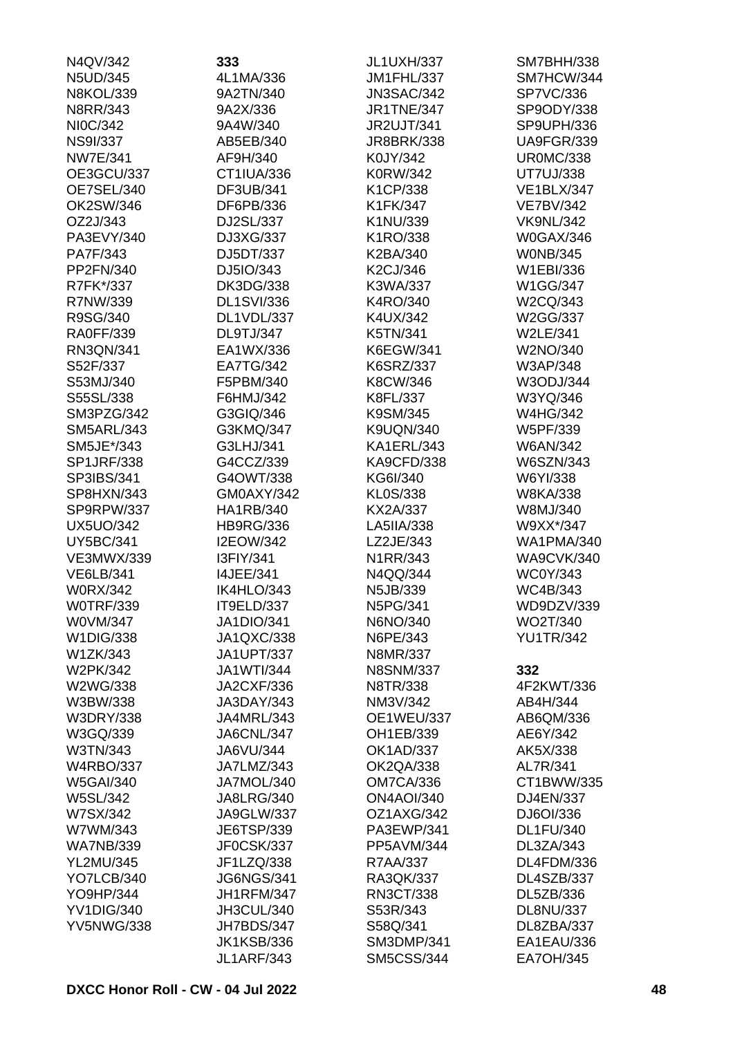| N4QV/342          | 333               | JL1UXH/337        | SM7BHH/338        |
|-------------------|-------------------|-------------------|-------------------|
| N5UD/345          | 4L1MA/336         | JM1FHL/337        | SM7HCW/344        |
| <b>N8KOL/339</b>  | 9A2TN/340         | <b>JN3SAC/342</b> | <b>SP7VC/336</b>  |
| N8RR/343          | 9A2X/336          | <b>JR1TNE/347</b> | SP9ODY/338        |
| NI0C/342          | 9A4W/340          | <b>JR2UJT/341</b> | SP9UPH/336        |
| <b>NS9I/337</b>   | AB5EB/340         | <b>JR8BRK/338</b> | <b>UA9FGR/339</b> |
| <b>NW7E/341</b>   | AF9H/340          | K0JY/342          | <b>UR0MC/338</b>  |
| OE3GCU/337        | CT1IUA/336        | K0RW/342          | <b>UT7UJ/338</b>  |
| OE7SEL/340        | DF3UB/341         | K1CP/338          | <b>VE1BLX/347</b> |
| OK2SW/346         | DF6PB/336         | K1FK/347          | <b>VE7BV/342</b>  |
| OZ2J/343          | DJ2SL/337         | K1NU/339          | <b>VK9NL/342</b>  |
| PA3EVY/340        | DJ3XG/337         | K1RO/338          | <b>W0GAX/346</b>  |
| PA7F/343          | DJ5DT/337         | K2BA/340          | <b>WONB/345</b>   |
| PP2FN/340         | DJ5IO/343         | K2CJ/346          | W1EBI/336         |
| R7FK*/337         | <b>DK3DG/338</b>  | K3WA/337          | W1GG/347          |
| R7NW/339          | <b>DL1SVI/336</b> | K4RO/340          | W2CQ/343          |
| R9SG/340          | DL1VDL/337        | K4UX/342          | W2GG/337          |
| <b>RA0FF/339</b>  | <b>DL9TJ/347</b>  | K5TN/341          | <b>W2LE/341</b>   |
| RN3QN/341         | EA1WX/336         | <b>K6EGW/341</b>  | W2NO/340          |
| S52F/337          | <b>EA7TG/342</b>  | <b>K6SRZ/337</b>  | W3AP/348          |
| S53MJ/340         | F5PBM/340         | K8CW/346          | W3ODJ/344         |
| S55SL/338         | F6HMJ/342         | K8FL/337          | W3YQ/346          |
| SM3PZG/342        | G3GIQ/346         | K9SM/345          | <b>W4HG/342</b>   |
| <b>SM5ARL/343</b> | G3KMQ/347         | <b>K9UQN/340</b>  | W5PF/339          |
| SM5JE*/343        | G3LHJ/341         | KA1ERL/343        | <b>W6AN/342</b>   |
| <b>SP1JRF/338</b> | G4CCZ/339         | <b>KA9CFD/338</b> | W6SZN/343         |
| SP3IBS/341        | G4OWT/338         | KG6I/340          | W6YI/338          |
| SP8HXN/343        | GM0AXY/342        | KL0S/338          | W8KA/338          |
|                   |                   |                   |                   |
| SP9RPW/337        | HA1RB/340         | KX2A/337          | W8MJ/340          |
| <b>UX5UO/342</b>  | <b>HB9RG/336</b>  | LA5IIA/338        | W9XX*/347         |
| <b>UY5BC/341</b>  | <b>I2EOW/342</b>  | LZ2JE/343         | <b>WA1PMA/340</b> |
| <b>VE3MWX/339</b> | I3FIY/341         | N1RR/343          | <b>WA9CVK/340</b> |
| <b>VE6LB/341</b>  | <b>I4JEE/341</b>  | N4QQ/344          | <b>WC0Y/343</b>   |
| <b>W0RX/342</b>   | IK4HLO/343        | N5JB/339          | WC4B/343          |
| <b>WOTRF/339</b>  | IT9ELD/337        | N5PG/341          | WD9DZV/339        |
| W0VM/347          | <b>JA1DIO/341</b> | N6NO/340          | WO2T/340          |
| W1DIG/338         | JA1QXC/338        | N6PE/343          | <b>YU1TR/342</b>  |
| W1ZK/343          | <b>JA1UPT/337</b> | N8MR/337          |                   |
| W2PK/342          | <b>JA1WTI/344</b> | <b>N8SNM/337</b>  | 332               |
| W2WG/338          | <b>JA2CXF/336</b> | N8TR/338          | 4F2KWT/336        |
| W3BW/338          | JA3DAY/343        | NM3V/342          | AB4H/344          |
| <b>W3DRY/338</b>  | JA4MRL/343        | <b>OE1WEU/337</b> | AB6QM/336         |
| W3GQ/339          | JA6CNL/347        | OH1EB/339         | AE6Y/342          |
| W3TN/343          | JA6VU/344         | <b>OK1AD/337</b>  | AK5X/338          |
| <b>W4RBO/337</b>  | JA7LMZ/343        | <b>OK2QA/338</b>  | AL7R/341          |
| <b>W5GAI/340</b>  | JA7MOL/340        | <b>OM7CA/336</b>  | CT1BWW/335        |
| W5SL/342          | <b>JA8LRG/340</b> | <b>ON4AOI/340</b> | DJ4EN/337         |
| W7SX/342          | <b>JA9GLW/337</b> | OZ1AXG/342        | DJ6OI/336         |
| W7WM/343          | JE6TSP/339        | PA3EWP/341        | <b>DL1FU/340</b>  |
| <b>WA7NB/339</b>  | JF0CSK/337        | PP5AVM/344        | DL3ZA/343         |
| <b>YL2MU/345</b>  | JF1LZQ/338        | R7AA/337          | DL4FDM/336        |
| YO7LCB/340        | <b>JG6NGS/341</b> | RA3QK/337         | DL4SZB/337        |
| YO9HP/344         | <b>JH1RFM/347</b> | RN3CT/338         | DL5ZB/336         |
| <b>YV1DIG/340</b> | JH3CUL/340        | S53R/343          | <b>DL8NU/337</b>  |
| <b>YV5NWG/338</b> | JH7BDS/347        | S58Q/341          | DL8ZBA/337        |
|                   | <b>JK1KSB/336</b> | <b>SM3DMP/341</b> | EA1EAU/336        |
|                   | <b>JL1ARF/343</b> | <b>SM5CSS/344</b> | <b>EA7OH/345</b>  |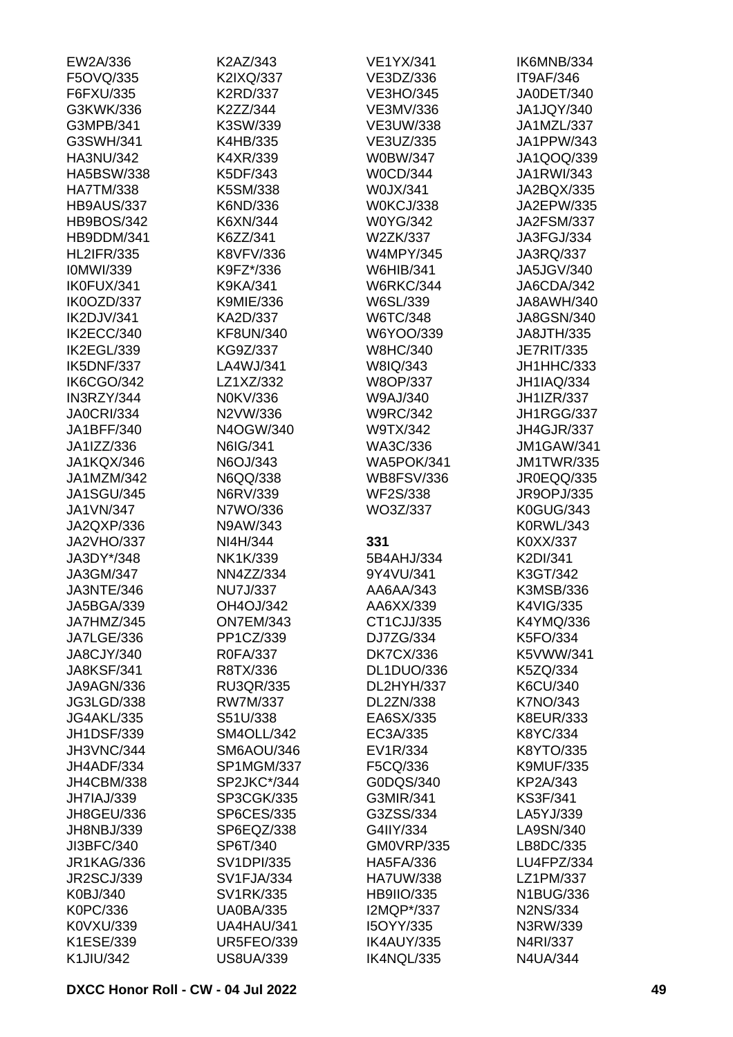| EW2A/336                 | K2AZ/343                              | <b>VE1YX/341</b>         | IK6MNB/334                  |
|--------------------------|---------------------------------------|--------------------------|-----------------------------|
| F5OVQ/335                | K2IXQ/337                             | VE3DZ/336                | IT9AF/346                   |
| F6FXU/335                | K2RD/337                              | <b>VE3HO/345</b>         | JA0DET/340                  |
| G3KWK/336                | K2ZZ/344                              | VE3MV/336                | JA1JQY/340                  |
| G3MPB/341                | K3SW/339                              | <b>VE3UW/338</b>         | JA1MZL/337                  |
| G3SWH/341                | K4HB/335                              | VE3UZ/335                | JA1PPW/343                  |
| HA3NU/342                | K4XR/339                              | W0BW/347                 | JA1QOQ/339                  |
| <b>HA5BSW/338</b>        | K5DF/343                              | <b>W0CD/344</b>          | JA1RWI/343                  |
| <b>HA7TM/338</b>         | K5SM/338                              | W0JX/341                 | JA2BQX/335                  |
| <b>HB9AUS/337</b>        | K6ND/336                              | W0KCJ/338                | JA2EPW/335                  |
| <b>HB9BOS/342</b>        | K6XN/344                              | <b>W0YG/342</b>          | <b>JA2FSM/337</b>           |
| HB9DDM/341               | K6ZZ/341                              | W2ZK/337                 | JA3FGJ/334                  |
| <b>HL2IFR/335</b>        | K8VFV/336                             | <b>W4MPY/345</b>         | JA3RQ/337                   |
| <b>IOMWI/339</b>         | K9FZ*/336                             | <b>W6HIB/341</b>         | JA5JGV/340                  |
| IK0FUX/341               | K9KA/341                              | <b>W6RKC/344</b>         | JA6CDA/342                  |
| IK0OZD/337               | K9MIE/336                             | W6SL/339                 | JA8AWH/340                  |
| IK2DJV/341               | KA2D/337                              | W6TC/348                 | JA8GSN/340                  |
| IK2ECC/340               | <b>KF8UN/340</b>                      | W6YOO/339                | JA8JTH/335                  |
| IK2EGL/339               | KG9Z/337                              | <b>W8HC/340</b>          | <b>JE7RIT/335</b>           |
| IK5DNF/337               | LA4WJ/341                             | W8IQ/343                 | JH1HHC/333                  |
| <b>IK6CGO/342</b>        | LZ1XZ/332                             | W8OP/337                 | <b>JH1IAQ/334</b>           |
| IN3RZY/344               | N0KV/336                              | W9AJ/340                 | <b>JH1IZR/337</b>           |
| <b>JA0CRI/334</b>        | N2VW/336                              | <b>W9RC/342</b>          | JH1RGG/337                  |
| JA1BFF/340               | N4OGW/340                             | W9TX/342                 | JH4GJR/337                  |
| JA1IZZ/336               | N6IG/341                              | WA3C/336                 | <b>JM1GAW/341</b>           |
| JA1KQX/346               | N6OJ/343                              | WA5POK/341               | <b>JM1TWR/335</b>           |
| JA1MZM/342               | N6QQ/338                              | <b>WB8FSV/336</b>        | JR0EQQ/335                  |
| <b>JA1SGU/345</b>        | N6RV/339                              | <b>WF2S/338</b>          | JR9OPJ/335                  |
| JA1VN/347                | N7WO/336                              | WO3Z/337                 | K0GUG/343                   |
| JA2QXP/336               | N9AW/343                              |                          | <b>K0RWL/343</b>            |
| JA2VHO/337               | NI4H/344                              | 331                      | K0XX/337                    |
| JA3DY*/348               | NK1K/339                              | 5B4AHJ/334               | K2DI/341                    |
| JA3GM/347                | NN4ZZ/334                             |                          |                             |
| JA3NTE/346               | <b>NU7J/337</b>                       | 9Y4VU/341<br>AA6AA/343   | K3GT/342<br>K3MSB/336       |
|                          |                                       |                          |                             |
| JA5BGA/339               | OH4OJ/342                             | AA6XX/339                | K4VIG/335                   |
| JA7HMZ/345<br>JA7LGE/336 | <b>ON7EM/343</b><br>PP1CZ/339         | CT1CJJ/335<br>DJ7ZG/334  | K4YMQ/336                   |
| JA8CJY/340               |                                       |                          | K5FO/334                    |
|                          | R0FA/337                              | <b>DK7CX/336</b>         | K5VWW/341                   |
| <b>JA8KSF/341</b>        | R8TX/336                              | DL1DUO/336               | K5ZQ/334                    |
| JA9AGN/336               | <b>RU3QR/335</b>                      | DL2HYH/337               | K6CU/340                    |
| JG3LGD/338               | RW7M/337                              | DL2ZN/338                | K7NO/343                    |
| <b>JG4AKL/335</b>        | S51U/338                              | EA6SX/335                | <b>K8EUR/333</b>            |
| <b>JH1DSF/339</b>        | SM4OLL/342                            | EC3A/335                 | K8YC/334                    |
| JH3VNC/344               | SM6AOU/346                            | EV1R/334                 | K8YTO/335                   |
| JH4ADF/334               | SP1MGM/337                            | F5CQ/336                 | <b>K9MUF/335</b>            |
| <b>JH4CBM/338</b>        |                                       |                          |                             |
| JH7IAJ/339               | SP2JKC*/344                           | G0DQS/340                | KP2A/343                    |
|                          | SP3CGK/335                            | G3MIR/341                | <b>KS3F/341</b>             |
| JH8GEU/336               | <b>SP6CES/335</b>                     | G3ZSS/334                | LA5YJ/339                   |
| JH8NBJ/339               | SP6EQZ/338                            | G4IIY/334                | LA9SN/340                   |
| JI3BFC/340               | SP6T/340                              | <b>GM0VRP/335</b>        | LB8DC/335                   |
| <b>JR1KAG/336</b>        | SV1DPI/335                            | <b>HA5FA/336</b>         | LU4FPZ/334                  |
| <b>JR2SCJ/339</b>        | <b>SV1FJA/334</b>                     | <b>HA7UW/338</b>         | LZ1PM/337                   |
| K0BJ/340                 | SV1RK/335                             | <b>HB9IIO/335</b>        | <b>N1BUG/336</b>            |
| K0PC/336                 | <b>UA0BA/335</b>                      | I2MQP*/337               | <b>N2NS/334</b>             |
| K0VXU/339                | UA4HAU/341                            | I5OYY/335                | N3RW/339                    |
| K1ESE/339<br>K1JIU/342   | <b>UR5FEO/339</b><br><b>US8UA/339</b> | IK4AUY/335<br>IK4NQL/335 | N4RI/337<br><b>N4UA/344</b> |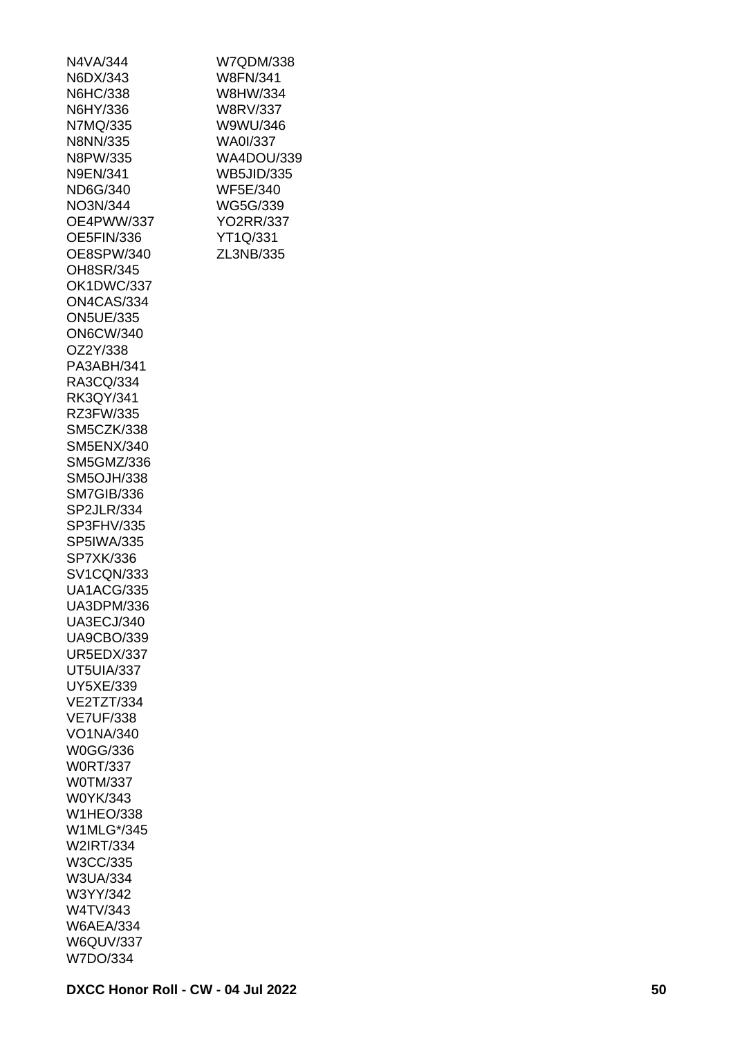| N4VA/344          |
|-------------------|
| N6DX/343          |
| N6HC/338          |
| N6HY/336          |
| N7MQ/335          |
| N8NN/335          |
| N8PW/335          |
| N9EN/341          |
| ND6G/340          |
| NO3N/344          |
| OE4PWW/337        |
|                   |
| OE5FIN/336        |
| OE8SPW/340        |
| OH8SR/345         |
| OK1DWC/337        |
| ON4CAS/334        |
| <b>ON5UE/335</b>  |
| <b>ON6CW/340</b>  |
| OZ2Y/338          |
| PA3ABH/341        |
| RA3CQ/334         |
| RK3QY/341         |
| RZ3FW/335         |
| <b>SM5CZK/338</b> |
| <b>SM5ENX/340</b> |
| SM5GMZ/336        |
| <b>SM5OJH/338</b> |
| <b>SM7GIB/336</b> |
| SP2JLR/334        |
| SP3FHV/335        |
| <b>SP5IWA/335</b> |
| SP7XK/336         |
| <b>SV1CQN/333</b> |
| <b>UA1ACG/335</b> |
| UA3DPM/336        |
| <b>UA3ECJ/340</b> |
| <b>UA9CBO/339</b> |
|                   |
| <b>UR5EDX/337</b> |
| UT5UIA/337        |
| UY5XE/339         |
| VE2TZT/334        |
| <b>VE7UF/338</b>  |
| VO1NA/340         |
| W0GG/336          |
| <b>W0RT/337</b>   |
| <b>W0TM/337</b>   |
| W0YK/343          |
| <b>W1HEO/338</b>  |
| W1MLG*/345        |
| W2IRT/334         |
| W3CC/335          |
|                   |
| W3UA/334          |
| W3YY/342          |
| W4TV/343          |
| <b>W6AEA/334</b>  |
| <b>W6QUV/337</b>  |

W7QDM/338 W8FN/341 W8HW/334 W8RV/337 W9WU/346 WA0I/337 WA4DOU/339 WB5JID/335 WF5E/340 WG5G/339 YO2RR/337 YT1Q/331 ZL3NB/335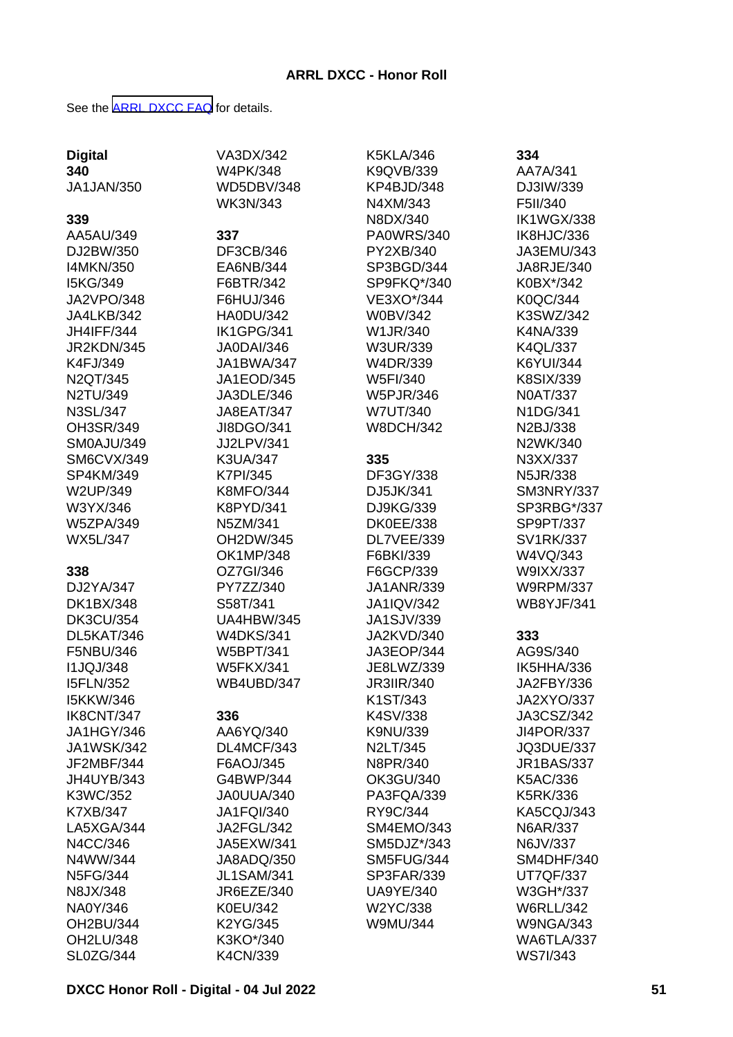See the [ARRL DXCC FAQ](http://www.arrl.org/dxcc-faq/) for details.

|                       | VA3DX/342         | <b>K5KLA/346</b>  | 334               |
|-----------------------|-------------------|-------------------|-------------------|
| <b>Digital</b><br>340 | <b>W4PK/348</b>   | K9QVB/339         | AA7A/341          |
| <b>JA1JAN/350</b>     | <b>WD5DBV/348</b> | KP4BJD/348        | DJ3IW/339         |
|                       | <b>WK3N/343</b>   | N4XM/343          | F5II/340          |
|                       |                   | N8DX/340          | <b>IK1WGX/338</b> |
| 339                   |                   |                   |                   |
| AA5AU/349             | 337               | PA0WRS/340        | IK8HJC/336        |
| DJ2BW/350             | DF3CB/346         | PY2XB/340         | JA3EMU/343        |
| <b>I4MKN/350</b>      | EA6NB/344         | SP3BGD/344        | JA8RJE/340        |
| I5KG/349              | F6BTR/342         | SP9FKQ*/340       | K0BX*/342         |
| JA2VPO/348            | F6HUJ/346         | VE3XO*/344        | K0QC/344          |
| JA4LKB/342            | <b>HA0DU/342</b>  | <b>W0BV/342</b>   | K3SWZ/342         |
| <b>JH4IFF/344</b>     | IK1GPG/341        | W1JR/340          | K4NA/339          |
| JR2KDN/345            | <b>JA0DAI/346</b> | W3UR/339          | K4QL/337          |
| K4FJ/349              | JA1BWA/347        | W4DR/339          | <b>K6YUI/344</b>  |
| N2QT/345              | JA1EOD/345        | W5FI/340          | <b>K8SIX/339</b>  |
| N2TU/349              | JA3DLE/346        | W5PJR/346         | <b>N0AT/337</b>   |
| <b>N3SL/347</b>       | <b>JA8EAT/347</b> | <b>W7UT/340</b>   | N1DG/341          |
| OH3SR/349             | JI8DGO/341        | <b>W8DCH/342</b>  | N2BJ/338          |
| SM0AJU/349            | JJ2LPV/341        |                   | N2WK/340          |
| SM6CVX/349            | <b>K3UA/347</b>   | 335               | N3XX/337          |
| SP4KM/349             | <b>K7PI/345</b>   | DF3GY/338         | <b>N5JR/338</b>   |
| W2UP/349              | <b>K8MFO/344</b>  | DJ5JK/341         | SM3NRY/337        |
| W3YX/346              | K8PYD/341         | DJ9KG/339         | SP3RBG*/337       |
| <b>W5ZPA/349</b>      | N5ZM/341          | <b>DK0EE/338</b>  | SP9PT/337         |
| <b>WX5L/347</b>       | OH2DW/345         | DL7VEE/339        | <b>SV1RK/337</b>  |
|                       | OK1MP/348         | F6BKI/339         | W4VQ/343          |
| 338                   | OZ7GI/346         | F6GCP/339         | W9IXX/337         |
| DJ2YA/347             | PY7ZZ/340         | <b>JA1ANR/339</b> | <b>W9RPM/337</b>  |
| <b>DK1BX/348</b>      | S58T/341          | <b>JA1IQV/342</b> | <b>WB8YJF/341</b> |
| <b>DK3CU/354</b>      | <b>UA4HBW/345</b> | JA1SJV/339        |                   |
| DL5KAT/346            | <b>W4DKS/341</b>  | JA2KVD/340        | 333               |
| F5NBU/346             | <b>W5BPT/341</b>  | JA3EOP/344        | AG9S/340          |
| <b>I1JQJ/348</b>      | <b>W5FKX/341</b>  | JE8LWZ/339        | IK5HHA/336        |
| <b>I5FLN/352</b>      | WB4UBD/347        | <b>JR3IIR/340</b> | JA2FBY/336        |
| <b>I5KKW/346</b>      |                   | K1ST/343          | JA2XYO/337        |
| IK8CNT/347            | 336               | K4SV/338          | JA3CSZ/342        |
| JA1HGY/346            | AA6YQ/340         | K9NU/339          | JI4POR/337        |
| <b>JA1WSK/342</b>     | DL4MCF/343        | N2LT/345          | <b>JQ3DUE/337</b> |
| JF2MBF/344            | F6AOJ/345         | N8PR/340          | <b>JR1BAS/337</b> |
| JH4UYB/343            | G4BWP/344         | OK3GU/340         | K5AC/336          |
| K3WC/352              | JA0UUA/340        | PA3FQA/339        | <b>K5RK/336</b>   |
| <b>K7XB/347</b>       | <b>JA1FQI/340</b> | RY9C/344          | KA5CQJ/343        |
| LA5XGA/344            | JA2FGL/342        | SM4EMO/343        | N6AR/337          |
| N4CC/346              | JA5EXW/341        | SM5DJZ*/343       | N6JV/337          |
| N4WW/344              | JA8ADQ/350        | SM5FUG/344        | SM4DHF/340        |
| <b>N5FG/344</b>       | <b>JL1SAM/341</b> | SP3FAR/339        | UT7QF/337         |
| N8JX/348              | JR6EZE/340        | <b>UA9YE/340</b>  | W3GH*/337         |
| NA0Y/346              | K0EU/342          | W2YC/338          | <b>W6RLL/342</b>  |
| OH2BU/344             | K2YG/345          | W9MU/344          | <b>W9NGA/343</b>  |
|                       |                   |                   |                   |
| OH2LU/348             | K3KO*/340         |                   | WA6TLA/337        |
| SL0ZG/344             | K4CN/339          |                   | <b>WS7I/343</b>   |